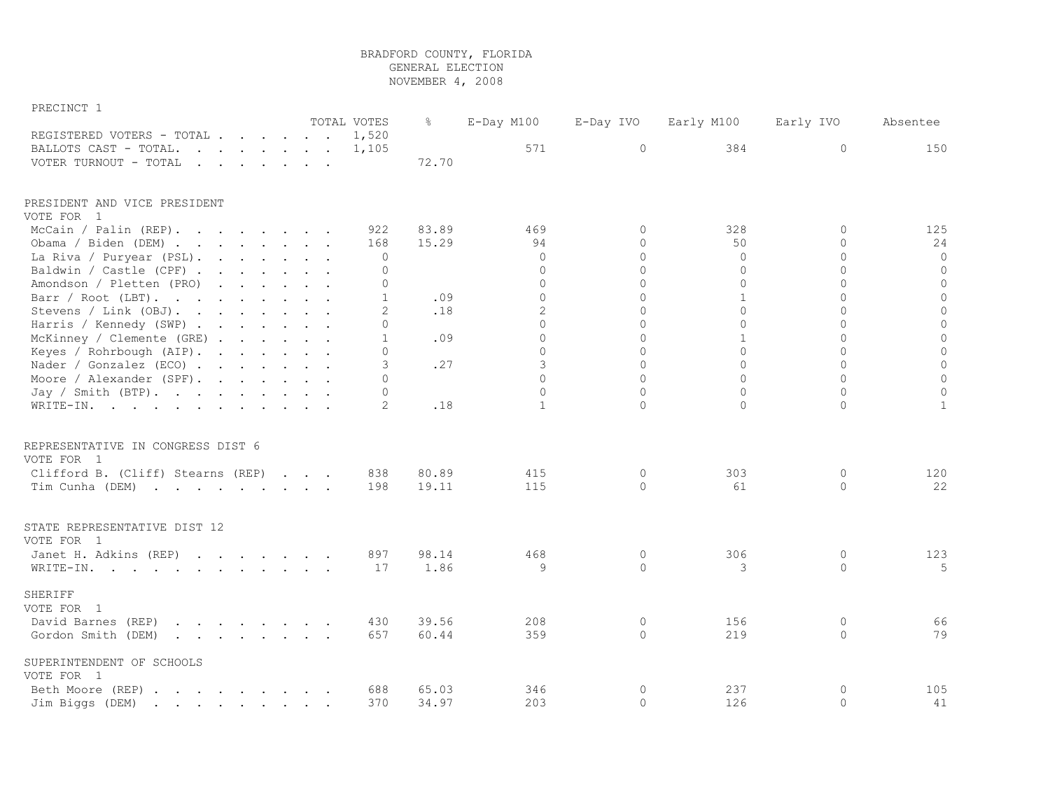## BRADFORD COUNTY, FLORIDA GENERAL ELECTION

NOVEMBER 4, 2008

| PRECINCT 1                                                                                                                         |  |  |              |       |                |              |              |              |              |
|------------------------------------------------------------------------------------------------------------------------------------|--|--|--------------|-------|----------------|--------------|--------------|--------------|--------------|
|                                                                                                                                    |  |  | TOTAL VOTES  | ိဝ    | E-Day M100     | E-Day IVO    | Early M100   | Early IVO    | Absentee     |
| REGISTERED VOTERS - TOTAL                                                                                                          |  |  | 1,520        |       |                |              |              |              |              |
| BALLOTS CAST - TOTAL.<br>$\mathbf{r}$ , $\mathbf{r}$ , $\mathbf{r}$ , $\mathbf{r}$ , $\mathbf{r}$ , $\mathbf{r}$                   |  |  | 1,105        |       | 571            | $\mathbf{0}$ | 384          | 0            | 150          |
| VOTER TURNOUT - TOTAL                                                                                                              |  |  |              | 72.70 |                |              |              |              |              |
| PRESIDENT AND VICE PRESIDENT                                                                                                       |  |  |              |       |                |              |              |              |              |
| VOTE FOR 1                                                                                                                         |  |  |              |       |                |              |              |              |              |
| McCain / Palin (REP).                                                                                                              |  |  | 922          | 83.89 | 469            | $\Omega$     | 328          | $\Omega$     | 125          |
| Obama / Biden (DEM)                                                                                                                |  |  | 168          | 15.29 | 94             | $\Omega$     | 50           | $\Omega$     | 24           |
| La Riva / Puryear (PSL).                                                                                                           |  |  | 0            |       | $\Omega$       | $\Omega$     | $\Omega$     | $\Omega$     | $\circ$      |
| Baldwin / Castle (CPF)                                                                                                             |  |  | 0            |       | $\Omega$       | $\Omega$     | $\Omega$     | $\Omega$     | $\circ$      |
| Amondson / Pletten (PRO)                                                                                                           |  |  | $\mathbf 0$  |       | $\Omega$       | $\Omega$     | $\mathbf{0}$ | $\Omega$     | $\circ$      |
| Barr / Root (LBT).                                                                                                                 |  |  | $\mathbf{1}$ | .09   | $\Omega$       | $\Omega$     | $\mathbf{1}$ | $\Omega$     | $\circ$      |
| Stevens / Link (OBJ).                                                                                                              |  |  | 2            | .18   | $\overline{2}$ | $\Omega$     | $\Omega$     | $\Omega$     | $\circ$      |
| Harris / Kennedy (SWP)                                                                                                             |  |  | $\Omega$     |       | $\Omega$       | $\Omega$     | $\Omega$     | $\Omega$     | $\circ$      |
| McKinney / Clemente (GRE)                                                                                                          |  |  | $\mathbf{1}$ | .09   | $\Omega$       | $\Omega$     | $\mathbf{1}$ | $\Omega$     | $\circ$      |
| Keyes / Rohrbough (AIP).                                                                                                           |  |  | $\Omega$     |       | $\Omega$       | $\Omega$     | $\Omega$     | $\Omega$     | $\circ$      |
| Nader / Gonzalez (ECO)                                                                                                             |  |  | 3            | .27   | 3              | $\Omega$     | $\Omega$     | $\Omega$     | $\circ$      |
| Moore / Alexander (SPF).                                                                                                           |  |  | $\Omega$     |       | $\Omega$       | $\Omega$     | $\Omega$     | $\Omega$     | $\mathbb O$  |
| Jay / Smith $(BTP)$ .                                                                                                              |  |  | 0            |       | $\Omega$       | $\Omega$     | $\Omega$     | $\Omega$     | $\mathbf 0$  |
| WRITE-IN.                                                                                                                          |  |  | 2            | .18   | $\mathbf{1}$   | 0            | $\circ$      | $\mathbf{0}$ | $\mathbf{1}$ |
| REPRESENTATIVE IN CONGRESS DIST 6                                                                                                  |  |  |              |       |                |              |              |              |              |
| VOTE FOR 1                                                                                                                         |  |  |              |       |                |              |              |              |              |
| Clifford B. (Cliff) Stearns (REP)                                                                                                  |  |  | 838          | 80.89 | 415            | $\circ$      | 303          | 0            | 120          |
| Tim Cunha (DEM)                                                                                                                    |  |  | 198          | 19.11 | 115            | $\Omega$     | 61           | $\Omega$     | 22           |
|                                                                                                                                    |  |  |              |       |                |              |              |              |              |
| STATE REPRESENTATIVE DIST 12<br>VOTE FOR 1                                                                                         |  |  |              |       |                |              |              |              |              |
| Janet H. Adkins (REP)                                                                                                              |  |  | 897          | 98.14 | 468            | 0            | 306          | $\circ$      | 123          |
|                                                                                                                                    |  |  | 17           | 1.86  | 9              | $\circ$      | 3            | $\circ$      | 5            |
| WRITE-IN.                                                                                                                          |  |  |              |       |                |              |              |              |              |
| <b>SHERIFF</b><br>VOTE FOR 1                                                                                                       |  |  |              |       |                |              |              |              |              |
| $\mathcal{A}$ . The set of the set of the set of the $\mathcal{A}$<br>David Barnes (REP)                                           |  |  | 430          | 39.56 | 208            | 0            | 156          | 0            | 66           |
| Gordon Smith (DEM)                                                                                                                 |  |  | 657          | 60.44 | 359            | 0            | 219          | $\circ$      | 79           |
|                                                                                                                                    |  |  |              |       |                |              |              |              |              |
| SUPERINTENDENT OF SCHOOLS<br>VOTE FOR 1                                                                                            |  |  |              |       |                |              |              |              |              |
| Beth Moore (REP)                                                                                                                   |  |  | 688          | 65.03 | 346            | 0            | 237          | $\circ$      | 105          |
| Jim Biggs (DEM)<br>the contract of the contract of the contract of the contract of the contract of the contract of the contract of |  |  | 370          | 34.97 | 203            | $\Omega$     | 126          | $\Omega$     | 41           |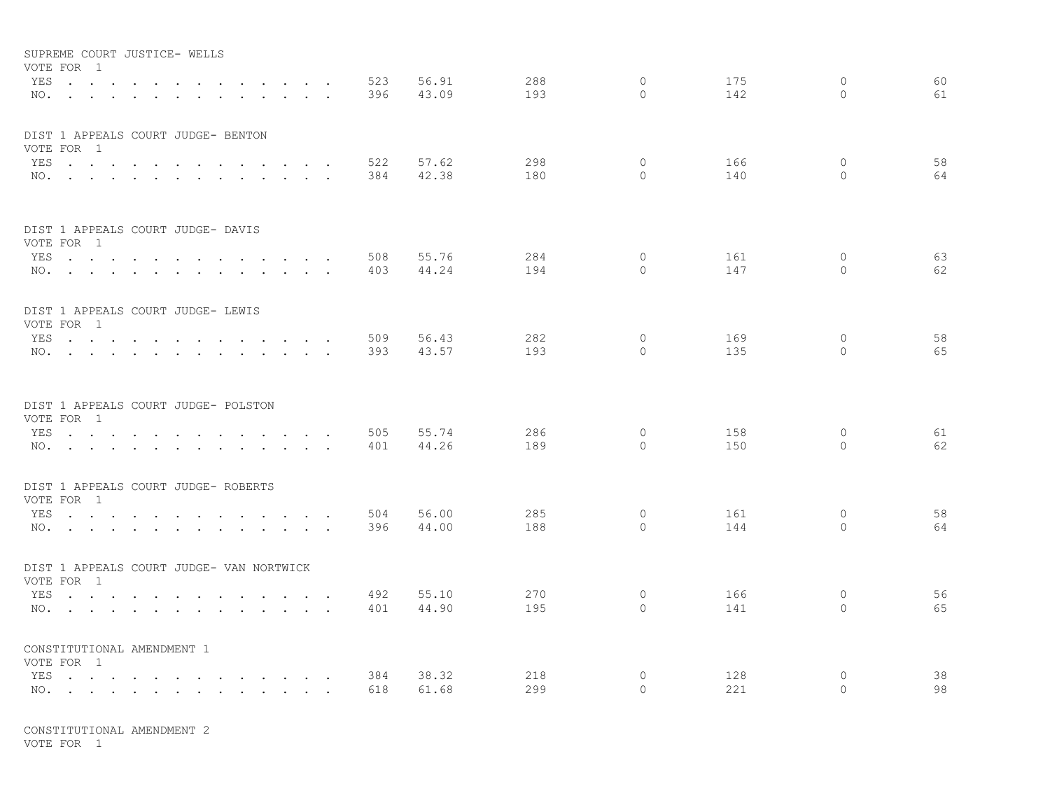|     | SUPREME COURT JUSTICE- WELLS             |        |                                   |                                                                          |                                   |                                 |                      |     |       |     |          |     |          |    |
|-----|------------------------------------------|--------|-----------------------------------|--------------------------------------------------------------------------|-----------------------------------|---------------------------------|----------------------|-----|-------|-----|----------|-----|----------|----|
|     | VOTE FOR 1                               |        |                                   |                                                                          |                                   |                                 |                      |     |       |     |          |     |          |    |
|     | YES                                      |        |                                   |                                                                          | and the state of the state of the |                                 |                      | 523 | 56.91 | 288 | 0        | 175 | $\circ$  | 60 |
|     | $NO.$ $\cdots$ $\cdots$ $\cdots$         |        | $\sim$                            | $\cdot$ $\cdot$ $\cdot$ $\cdot$                                          |                                   | $\sim$                          |                      | 396 | 43.09 | 193 | $\Omega$ | 142 | $\Omega$ | 61 |
|     |                                          |        |                                   |                                                                          |                                   |                                 |                      |     |       |     |          |     |          |    |
|     | DIST 1 APPEALS COURT JUDGE- BENTON       |        |                                   |                                                                          |                                   |                                 |                      |     |       |     |          |     |          |    |
|     | VOTE FOR 1                               |        |                                   |                                                                          |                                   |                                 |                      |     |       |     |          |     |          |    |
|     | YES                                      |        |                                   | and the state of the state of the                                        |                                   | <b>Contract Contract Street</b> |                      | 522 | 57.62 | 298 | $\circ$  | 166 | 0        | 58 |
|     | NO.                                      |        |                                   |                                                                          |                                   |                                 |                      | 384 | 42.38 | 180 | $\Omega$ | 140 | $\Omega$ | 64 |
|     |                                          |        |                                   |                                                                          |                                   |                                 |                      |     |       |     |          |     |          |    |
|     |                                          |        |                                   |                                                                          |                                   |                                 |                      |     |       |     |          |     |          |    |
|     | DIST 1 APPEALS COURT JUDGE- DAVIS        |        |                                   |                                                                          |                                   |                                 |                      |     |       |     |          |     |          |    |
|     | VOTE FOR 1                               |        |                                   |                                                                          |                                   |                                 |                      |     |       |     |          |     |          |    |
|     | YES.                                     |        |                                   |                                                                          |                                   | <b>Contract Contract Street</b> |                      | 508 | 55.76 | 284 | $\circ$  | 161 | $\circ$  | 63 |
|     | NO.                                      |        |                                   |                                                                          |                                   |                                 |                      | 403 | 44.24 | 194 | $\Omega$ | 147 | $\Omega$ | 62 |
|     |                                          |        |                                   |                                                                          |                                   |                                 |                      |     |       |     |          |     |          |    |
|     | DIST 1 APPEALS COURT JUDGE- LEWIS        |        |                                   |                                                                          |                                   |                                 |                      |     |       |     |          |     |          |    |
|     | VOTE FOR 1                               |        |                                   |                                                                          |                                   |                                 |                      |     |       |     |          |     |          |    |
|     | YES                                      |        | and the state of the state of the |                                                                          |                                   | $\cdots$                        |                      | 509 | 56.43 | 282 | $\circ$  | 169 | $\circ$  | 58 |
|     | NO.                                      |        |                                   |                                                                          |                                   | $\sim$                          | $\sim$               | 393 | 43.57 | 193 | $\Omega$ | 135 | $\circ$  | 65 |
|     |                                          |        |                                   |                                                                          |                                   |                                 |                      |     |       |     |          |     |          |    |
|     |                                          |        |                                   |                                                                          |                                   |                                 |                      |     |       |     |          |     |          |    |
|     | DIST 1 APPEALS COURT JUDGE- POLSTON      |        |                                   |                                                                          |                                   |                                 |                      |     |       |     |          |     |          |    |
|     | VOTE FOR 1                               |        |                                   |                                                                          |                                   |                                 |                      |     |       |     |          |     |          |    |
|     | YES                                      |        | $\sim$                            | $\sim$ $\sim$                                                            | $\sim$                            | $\sim$                          | $\ddot{\phantom{a}}$ | 505 | 55.74 | 286 | $\circ$  | 158 | $\circ$  | 61 |
|     | NO.                                      |        |                                   |                                                                          |                                   |                                 |                      | 401 | 44.26 | 189 | $\Omega$ | 150 | $\Omega$ | 62 |
|     |                                          |        |                                   |                                                                          |                                   |                                 |                      |     |       |     |          |     |          |    |
|     | DIST 1 APPEALS COURT JUDGE- ROBERTS      |        |                                   |                                                                          |                                   |                                 |                      |     |       |     |          |     |          |    |
|     | VOTE FOR 1                               |        |                                   |                                                                          |                                   |                                 |                      |     |       |     |          |     |          |    |
|     | YES                                      |        |                                   |                                                                          |                                   |                                 |                      | 504 | 56.00 | 285 | $\circ$  | 161 | 0        | 58 |
|     | NO.                                      |        |                                   |                                                                          | $\sim$ $\sim$                     |                                 |                      | 396 | 44.00 | 188 | $\Omega$ | 144 | $\Omega$ | 64 |
|     |                                          |        |                                   |                                                                          |                                   |                                 |                      |     |       |     |          |     |          |    |
|     | DIST 1 APPEALS COURT JUDGE- VAN NORTWICK |        |                                   |                                                                          |                                   |                                 |                      |     |       |     |          |     |          |    |
|     | VOTE FOR 1                               |        |                                   |                                                                          |                                   |                                 |                      |     |       |     |          |     |          |    |
|     | YES                                      | $\sim$ |                                   | $\sim$ $\sim$ $\sim$                                                     |                                   |                                 |                      | 492 | 55.10 | 270 | $\circ$  | 166 | $\circ$  | 56 |
|     | NO.                                      |        | $\sim$ $\sim$ $\sim$              | $\mathbf{r}$ , $\mathbf{r}$ , $\mathbf{r}$ , $\mathbf{r}$ , $\mathbf{r}$ |                                   |                                 |                      | 401 | 44.90 | 195 | $\Omega$ | 141 | $\Omega$ | 65 |
|     |                                          |        |                                   |                                                                          |                                   |                                 |                      |     |       |     |          |     |          |    |
|     | CONSTITUTIONAL AMENDMENT 1               |        |                                   |                                                                          |                                   |                                 |                      |     |       |     |          |     |          |    |
|     | VOTE FOR 1                               |        |                                   |                                                                          |                                   |                                 |                      |     |       |     |          |     |          |    |
| YES | and the contract of the contract of the  |        |                                   | $\mathbf{r}$ , $\mathbf{r}$ , $\mathbf{r}$                               |                                   | $\sim$                          | $\ddot{\phantom{a}}$ | 384 | 38.32 | 218 | 0        | 128 | $\circ$  | 38 |
|     | NO.                                      |        |                                   |                                                                          |                                   |                                 | $\ddot{\phantom{a}}$ | 618 | 61.68 | 299 | $\circ$  | 221 | $\circ$  | 98 |

VOTE FOR 1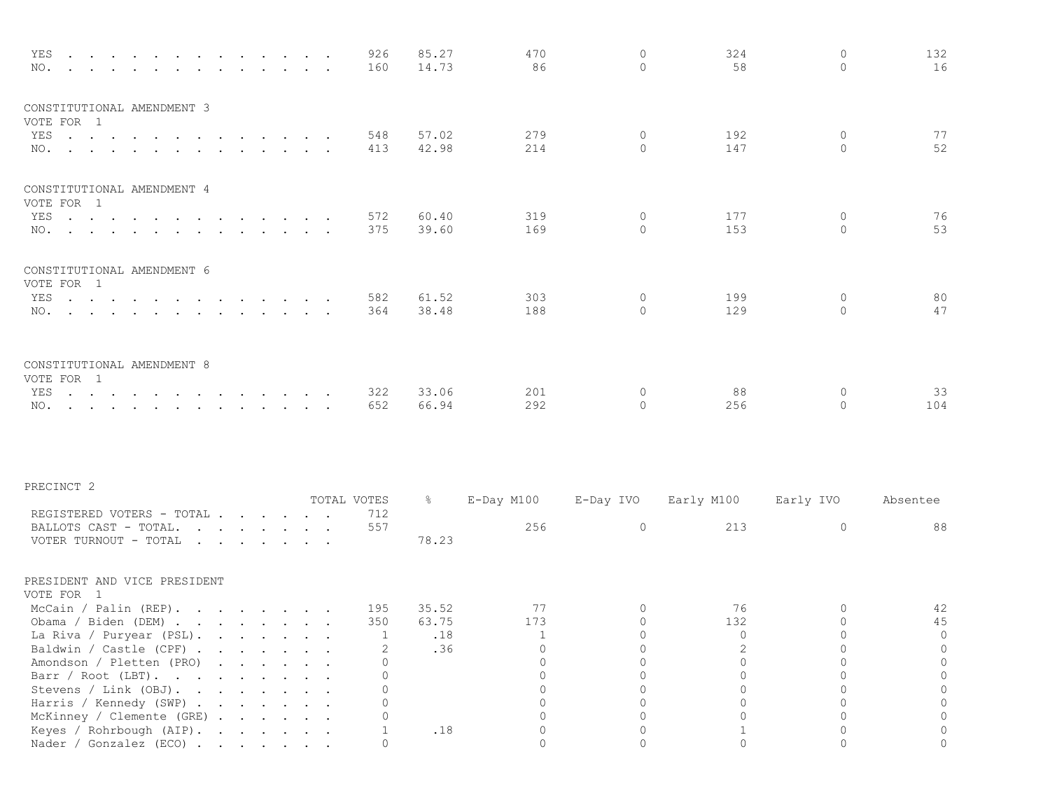| YES<br>NO.<br>the contract of the contract of                                                                                                                                                                                                                                                                                               |                                                                                          |                                                                                                                                                                                                                                                                                                            | 926<br>160     | 85.27<br>14.73 | 470<br>86      | $\Omega$<br>$\Omega$ | 324<br>58      | $\Omega$<br>$\Omega$    | 132<br>16 |
|---------------------------------------------------------------------------------------------------------------------------------------------------------------------------------------------------------------------------------------------------------------------------------------------------------------------------------------------|------------------------------------------------------------------------------------------|------------------------------------------------------------------------------------------------------------------------------------------------------------------------------------------------------------------------------------------------------------------------------------------------------------|----------------|----------------|----------------|----------------------|----------------|-------------------------|-----------|
| CONSTITUTIONAL AMENDMENT 3<br>VOTE FOR 1<br>YES<br>NO.                                                                                                                                                                                                                                                                                      |                                                                                          | $\mathbf{r}$ , and $\mathbf{r}$ , and $\mathbf{r}$                                                                                                                                                                                                                                                         | 548<br>413     | 57.02<br>42.98 | 279<br>214     | 0<br>$\Omega$        | 192<br>147     | 0<br>$\Omega$           | 77<br>52  |
| CONSTITUTIONAL AMENDMENT 4<br>VOTE FOR 1                                                                                                                                                                                                                                                                                                    |                                                                                          |                                                                                                                                                                                                                                                                                                            |                |                |                |                      |                |                         |           |
| YES<br>NO.                                                                                                                                                                                                                                                                                                                                  |                                                                                          | $\sim$ $\sim$ $\sim$ $\sim$ $\sim$ $\sim$<br>$\sim$                                                                                                                                                                                                                                                        | 572<br>375     | 60.40<br>39.60 | 319<br>169     | $\circ$<br>$\Omega$  | 177<br>153     | $\circ$<br>$\Omega$     | 76<br>53  |
| CONSTITUTIONAL AMENDMENT 6<br>VOTE FOR 1                                                                                                                                                                                                                                                                                                    |                                                                                          |                                                                                                                                                                                                                                                                                                            |                |                |                |                      |                |                         |           |
| YES<br>$\mathbf{r}$ , $\mathbf{r}$ , $\mathbf{r}$ , $\mathbf{r}$<br>NO.                                                                                                                                                                                                                                                                     | $\mathbf{r}$ , $\mathbf{r}$ , $\mathbf{r}$<br>$\mathbf{r}$ , $\mathbf{r}$ , $\mathbf{r}$ | $\cdot$ $\cdot$<br>$\sim$ $\sim$                                                                                                                                                                                                                                                                           | 582<br>364     | 61.52<br>38.48 | 303<br>188     | $\circ$<br>$\Omega$  | 199<br>129     | $\circ$<br>$\mathbf{0}$ | 80<br>47  |
| CONSTITUTIONAL AMENDMENT 8<br>VOTE FOR 1                                                                                                                                                                                                                                                                                                    |                                                                                          |                                                                                                                                                                                                                                                                                                            |                |                |                |                      |                |                         |           |
| YES<br>$\mathbf{r}$ . The contract of the contract of the contract of the contract of the contract of the contract of the contract of the contract of the contract of the contract of the contract of the contract of the contract of th<br>NO.<br>$\mathbf{r}$ , and $\mathbf{r}$ , and $\mathbf{r}$ , and $\mathbf{r}$ , and $\mathbf{r}$ | $\mathbf{r}$ , $\mathbf{r}$ , $\mathbf{r}$                                               | $\sim$ $\sim$<br>$\sim$ $\sim$ $\sim$                                                                                                                                                                                                                                                                      | 322<br>652     | 33.06<br>66.94 | 201<br>292     | $\circ$<br>$\Omega$  | 88<br>256      | $\circ$<br>0            | 33<br>104 |
| PRECINCT 2                                                                                                                                                                                                                                                                                                                                  |                                                                                          |                                                                                                                                                                                                                                                                                                            |                |                |                |                      |                |                         |           |
|                                                                                                                                                                                                                                                                                                                                             |                                                                                          |                                                                                                                                                                                                                                                                                                            | TOTAL VOTES    | $\frac{1}{6}$  | E-Day M100     | E-Day IVO            | Early M100     | Early IVO               | Absentee  |
| REGISTERED VOTERS - TOTAL<br>BALLOTS CAST - TOTAL.<br>VOTER TURNOUT - TOTAL                                                                                                                                                                                                                                                                 |                                                                                          | $\mathbf{r}$ . The contract of the contract of the contract of the contract of the contract of the contract of the contract of the contract of the contract of the contract of the contract of the contract of the contract of th<br>$\mathbf{r}$ , and $\mathbf{r}$ , and $\mathbf{r}$ , and $\mathbf{r}$ | 712<br>557     | 78.23          | 256            | $\circ$              | 213            | $\circ$                 | 88        |
| PRESIDENT AND VICE PRESIDENT<br>VOTE FOR 1                                                                                                                                                                                                                                                                                                  |                                                                                          |                                                                                                                                                                                                                                                                                                            |                |                |                |                      |                |                         |           |
| McCain / Palin (REP).                                                                                                                                                                                                                                                                                                                       |                                                                                          |                                                                                                                                                                                                                                                                                                            | 195<br>350     | 35.52<br>63.75 | 77<br>173      | 0<br>0               | 76<br>132      | 0<br>0                  | 42<br>45  |
| Obama / Biden (DEM)<br>La Riva / Puryear (PSL).                                                                                                                                                                                                                                                                                             |                                                                                          |                                                                                                                                                                                                                                                                                                            | $\overline{1}$ | .18            | $\overline{1}$ | 0                    | $\overline{0}$ | 0                       | $\circ$   |
| Baldwin / Castle (CPF)                                                                                                                                                                                                                                                                                                                      |                                                                                          |                                                                                                                                                                                                                                                                                                            | 2              | .36            | 0              | O                    |                | 0                       |           |
| Amondson / Pletten (PRO)                                                                                                                                                                                                                                                                                                                    |                                                                                          |                                                                                                                                                                                                                                                                                                            | 0              |                | 0              | 0                    | $\cap$         | $\overline{0}$          | 0         |
| Barr / Root (LBT).                                                                                                                                                                                                                                                                                                                          |                                                                                          |                                                                                                                                                                                                                                                                                                            | $\Omega$<br>U  |                | $\Omega$       | $\Omega$             | $\Omega$<br>∩  | $\Omega$                | $\Omega$  |
| Stevens / Link (OBJ).<br>Harris / Kennedy (SWP)                                                                                                                                                                                                                                                                                             |                                                                                          |                                                                                                                                                                                                                                                                                                            |                |                | $\Omega$<br>U  | $\Omega$<br>O        |                | 0<br>U                  | 0         |
| McKinney / Clemente (GRE)                                                                                                                                                                                                                                                                                                                   |                                                                                          |                                                                                                                                                                                                                                                                                                            | $\Omega$       |                |                | $\Omega$             |                | $\Omega$                | $\Omega$  |
| Keyes / Rohrbough (AIP).                                                                                                                                                                                                                                                                                                                    |                                                                                          |                                                                                                                                                                                                                                                                                                            | 1              | .18            | 0              | $\Omega$             |                | $\Omega$                |           |
| Nader / Gonzalez (ECO)                                                                                                                                                                                                                                                                                                                      |                                                                                          |                                                                                                                                                                                                                                                                                                            | 0              |                | 0              | $\circ$              | $\Omega$       | 0                       | 0         |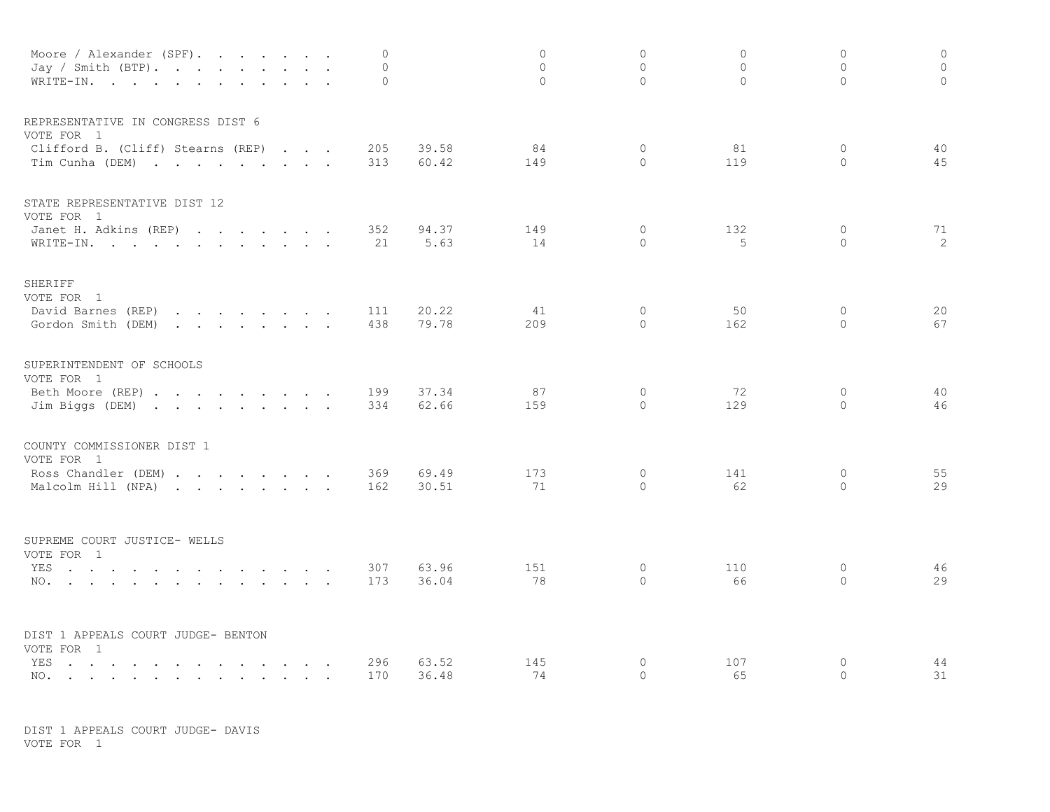| Moore / Alexander (SPF).<br>Jay / Smith (BTP).<br>$\sim$ $\sim$ $\sim$ $\sim$ $\sim$<br>WRITE-IN.<br>$\sim$ $\sim$                                                                                                                                                 | $\overline{0}$<br>$\circ$<br>$\circ$ |                | $\circ$<br>$\Omega$<br>$\Omega$ | $\circ$<br>$\Omega$<br>$\Omega$ | $\Omega$<br>$\Omega$<br>$\Omega$ | $\circ$<br>$\Omega$<br>$\Omega$ | $\circ$<br>$\circ$<br>$\circ$ |
|--------------------------------------------------------------------------------------------------------------------------------------------------------------------------------------------------------------------------------------------------------------------|--------------------------------------|----------------|---------------------------------|---------------------------------|----------------------------------|---------------------------------|-------------------------------|
| REPRESENTATIVE IN CONGRESS DIST 6<br>VOTE FOR 1                                                                                                                                                                                                                    |                                      |                |                                 |                                 |                                  |                                 |                               |
| Clifford B. (Cliff) Stearns (REP)<br>Tim Cunha (DEM)                                                                                                                                                                                                               | 205<br>313                           | 39.58<br>60.42 | 84<br>149                       | $\circ$<br>$\Omega$             | 81<br>119                        | 0<br>$\mathbf{0}$               | 40<br>45                      |
| STATE REPRESENTATIVE DIST 12<br>VOTE FOR 1                                                                                                                                                                                                                         |                                      |                |                                 |                                 |                                  |                                 |                               |
| Janet H. Adkins (REP)<br>WRITE-IN.                                                                                                                                                                                                                                 | 352<br>21                            | 94.37<br>5.63  | 149<br>14                       | 0<br>$\Omega$                   | 132<br>5                         | 0<br>$\Omega$                   | 71<br>2                       |
| SHERIFF<br>VOTE FOR 1                                                                                                                                                                                                                                              |                                      |                |                                 |                                 |                                  |                                 |                               |
| David Barnes (REP)<br>the contract of the contract of the contract of<br>Gordon Smith (DEM)<br>$\mathbf{r}$ , $\mathbf{r}$ , $\mathbf{r}$ , $\mathbf{r}$ , $\mathbf{r}$ , $\mathbf{r}$                                                                             | 111<br>438                           | 20.22<br>79.78 | 41<br>209                       | $\circ$<br>$\Omega$             | 50<br>162                        | $\circ$<br>$\Omega$             | 20<br>67                      |
| SUPERINTENDENT OF SCHOOLS<br>VOTE FOR 1                                                                                                                                                                                                                            |                                      |                |                                 |                                 |                                  |                                 |                               |
| Beth Moore (REP)<br>Jim Biggs (DEM)                                                                                                                                                                                                                                | 199<br>334                           | 37.34<br>62.66 | 87<br>159                       | $\circ$<br>$\Omega$             | 72<br>129                        | $\mathbf{0}$<br>$\Omega$        | 40<br>46                      |
| COUNTY COMMISSIONER DIST 1<br>VOTE FOR 1                                                                                                                                                                                                                           |                                      |                |                                 |                                 |                                  |                                 |                               |
| Ross Chandler (DEM)<br>Malcolm Hill (NPA)                                                                                                                                                                                                                          | 369<br>162                           | 69.49<br>30.51 | 173<br>71                       | $\circ$<br>$\circ$              | 141<br>62                        | 0<br>0                          | 55<br>29                      |
| SUPREME COURT JUSTICE- WELLS                                                                                                                                                                                                                                       |                                      |                |                                 |                                 |                                  |                                 |                               |
| VOTE FOR 1<br>YES<br>the contract of the contract of the contract of the contract of the contract of the contract of the contract of the contract of the contract of the contract of the contract of the contract of the contract of the contract o<br>NO.         | 307<br>173                           | 63.96<br>36.04 | 151<br>78                       | $\circ$<br>$\Omega$             | 110<br>66                        | $\circ$<br>$\Omega$             | 46<br>29                      |
| DIST 1 APPEALS COURT JUDGE- BENTON                                                                                                                                                                                                                                 |                                      |                |                                 |                                 |                                  |                                 |                               |
| VOTE FOR 1<br>YES<br>$\sim$ $\sim$ $\sim$<br>and the state of the state of the<br>$\ddot{\phantom{a}}$<br>$\ddot{\phantom{a}}$<br>$\sim$<br>NO.<br>the contract of the contract of the contract of the contract of the contract of the contract of the contract of | 296<br>170                           | 63.52<br>36.48 | 145<br>74                       | $\circ$<br>$\circ$              | 107<br>65                        | $\circ$<br>$\circ$              | 44<br>31                      |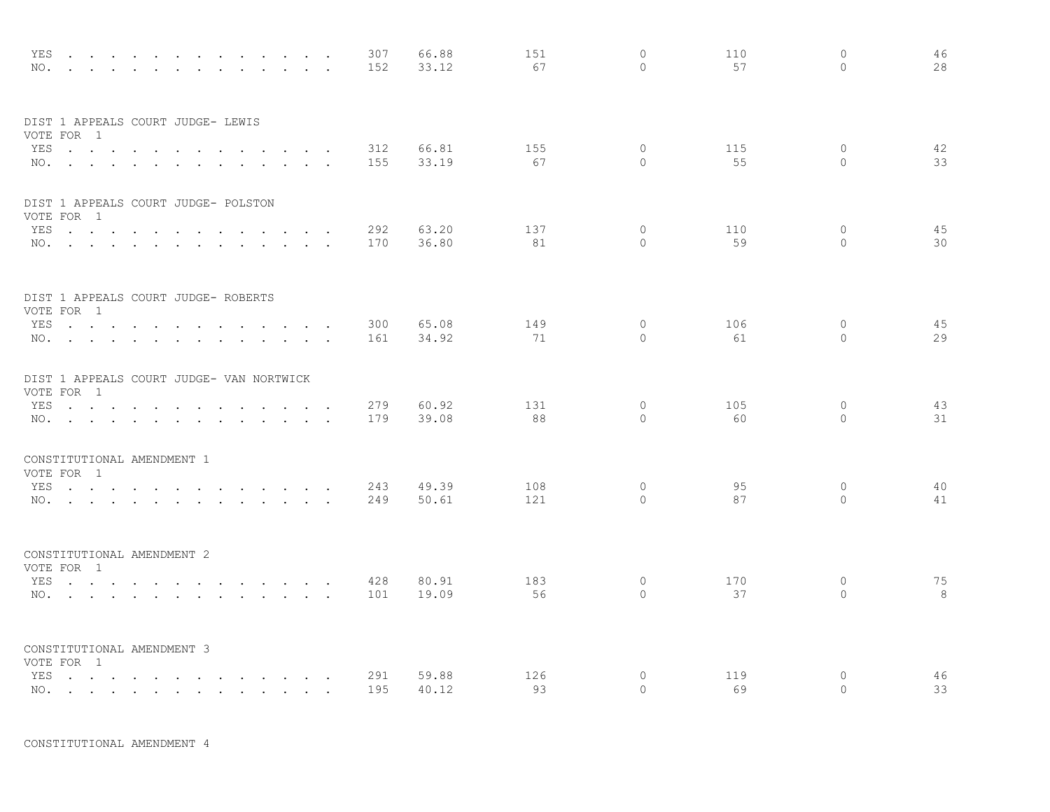| NO.        | YES<br>$\sim$ $\sim$<br>$\sim$ $\sim$                                                                                                                  | $\sim$ |                      |               |                                                                                                                                                                                                                                   |                 |                         |                  | 307<br>152 | 66.88<br>33.12 | 151<br>67  | $\circ$<br>$\Omega$ | 110<br>57 | $\circ$<br>$\Omega$ | 46<br>28 |
|------------|--------------------------------------------------------------------------------------------------------------------------------------------------------|--------|----------------------|---------------|-----------------------------------------------------------------------------------------------------------------------------------------------------------------------------------------------------------------------------------|-----------------|-------------------------|------------------|------------|----------------|------------|---------------------|-----------|---------------------|----------|
|            | DIST 1 APPEALS COURT JUDGE- LEWIS<br>VOTE FOR 1                                                                                                        |        |                      |               |                                                                                                                                                                                                                                   |                 |                         |                  |            |                |            |                     |           |                     |          |
|            | YES<br>NO.                                                                                                                                             |        |                      | $\sim$ $\sim$ | $\ddot{\phantom{a}}$                                                                                                                                                                                                              |                 | $\cdot$ $\cdot$         |                  | 312<br>155 | 66.81<br>33.19 | 155<br>67  | $\circ$<br>$\Omega$ | 115<br>55 | 0<br>$\Omega$       | 42<br>33 |
|            | DIST 1 APPEALS COURT JUDGE- POLSTON<br>VOTE FOR 1                                                                                                      |        |                      |               |                                                                                                                                                                                                                                   |                 |                         |                  |            |                |            |                     |           |                     |          |
|            | YES<br>NO.                                                                                                                                             |        |                      | $\sim 100$    | <b>Contract Contract Contract</b><br>$\mathbf{r}$ , $\mathbf{r}$ , $\mathbf{r}$ , $\mathbf{r}$                                                                                                                                    |                 | $\sim$ $\sim$<br>$\sim$ | $\sim$<br>$\sim$ | 292<br>170 | 63.20<br>36.80 | 137<br>81  | $\circ$<br>$\Omega$ | 110<br>59 | 0<br>$\Omega$       | 45<br>30 |
|            | DIST 1 APPEALS COURT JUDGE- ROBERTS<br>VOTE FOR 1                                                                                                      |        |                      |               |                                                                                                                                                                                                                                   |                 |                         |                  |            |                |            |                     |           |                     |          |
|            | YES<br>NO.                                                                                                                                             |        |                      | $\sim 10$     | $\sim$<br>$\ddot{\phantom{a}}$                                                                                                                                                                                                    |                 |                         |                  | 300<br>161 | 65.08<br>34.92 | 149<br>71  | $\circ$<br>$\circ$  | 106<br>61 | $\circ$<br>$\circ$  | 45<br>29 |
|            | DIST 1 APPEALS COURT JUDGE- VAN NORTWICK<br>VOTE FOR 1                                                                                                 |        |                      |               |                                                                                                                                                                                                                                   |                 |                         |                  |            |                |            |                     |           |                     |          |
| YES        | $\mathcal{A}$ . The set of the set of the set of $\mathcal{A}$<br>NO.                                                                                  |        | $\ddot{\phantom{a}}$ | $\sim$        | and the state of the state of the<br>$\sim$                                                                                                                                                                                       | $\cdot$ $\cdot$ | $\sim$                  | $\sim$ $\sim$    | 279<br>179 | 60.92<br>39.08 | 131<br>88  | $\circ$<br>$\Omega$ | 105<br>60 | $\circ$<br>$\Omega$ | 43<br>31 |
|            | CONSTITUTIONAL AMENDMENT 1<br>VOTE FOR 1                                                                                                               |        |                      |               |                                                                                                                                                                                                                                   |                 |                         |                  |            |                |            |                     |           |                     |          |
|            | YES<br>NO.                                                                                                                                             |        |                      |               |                                                                                                                                                                                                                                   |                 |                         |                  | 243<br>249 | 49.39<br>50.61 | 108<br>121 | $\circ$<br>$\Omega$ | 95<br>87  | $\circ$<br>$\Omega$ | 40<br>41 |
|            | CONSTITUTIONAL AMENDMENT 2<br>VOTE FOR 1                                                                                                               |        |                      |               |                                                                                                                                                                                                                                   |                 |                         |                  |            |                |            |                     |           |                     |          |
|            | YES<br>NO.                                                                                                                                             |        |                      |               |                                                                                                                                                                                                                                   |                 |                         |                  | 428<br>101 | 80.91<br>19.09 | 183<br>56  | 0<br>$\circ$        | 170<br>37 | 0<br>$\circ$        | 75<br>8  |
|            | CONSTITUTIONAL AMENDMENT 3<br>VOTE FOR 1                                                                                                               |        |                      |               |                                                                                                                                                                                                                                   |                 |                         |                  |            |                |            |                     |           |                     |          |
| YES<br>NO. | the contract of the contract of the<br>the contract of the contract of the contract of the contract of the contract of the contract of the contract of |        | $\sim$               |               | $\mathbf{r}$ . The contract of the contract of the contract of the contract of the contract of the contract of the contract of the contract of the contract of the contract of the contract of the contract of the contract of th |                 |                         |                  | 291<br>195 | 59.88<br>40.12 | 126<br>93  | $\circ$<br>$\Omega$ | 119<br>69 | $\circ$<br>$\circ$  | 46<br>33 |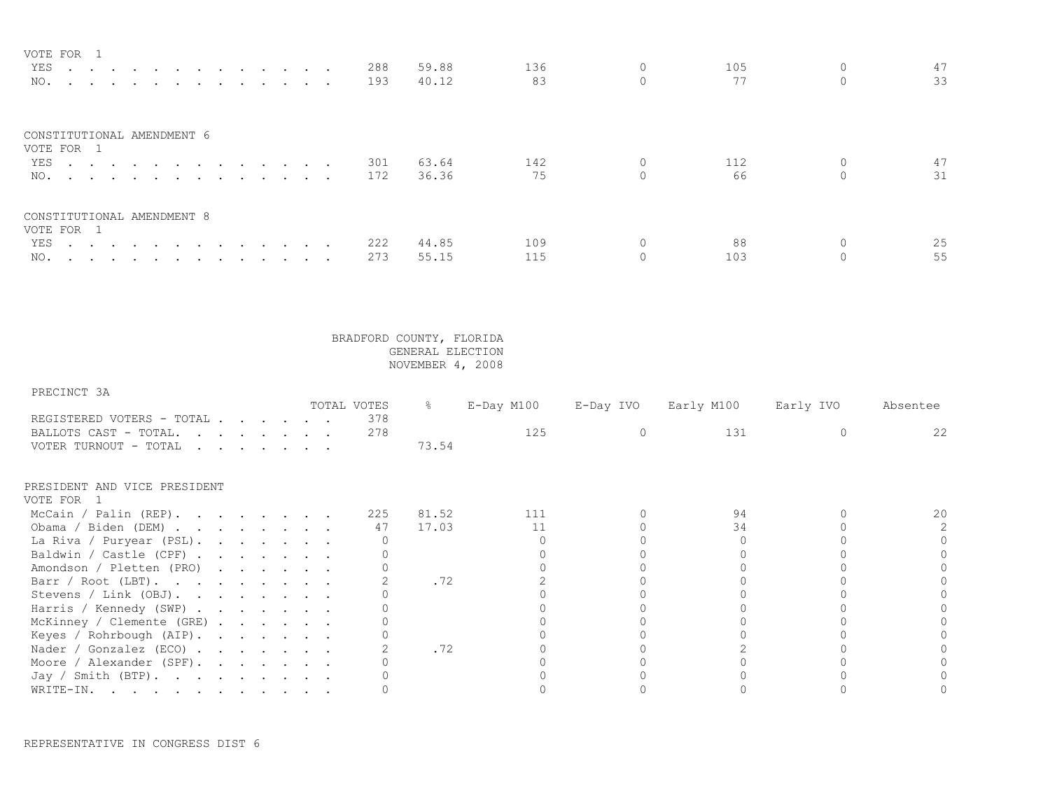| VOTE FOR 1                               |     |       |     |     |    |
|------------------------------------------|-----|-------|-----|-----|----|
| YES 288                                  |     | 59.88 | 136 | 105 | 47 |
| NO.                                      | 193 | 40.12 | 83  | 77  | 33 |
| CONSTITUTIONAL AMENDMENT 6<br>VOTE FOR 1 |     |       |     |     |    |
| YES 301                                  |     | 63.64 | 142 | 112 | 47 |
| NO. 172                                  |     | 36.36 | 75  | 66  | 31 |
| CONSTITUTIONAL AMENDMENT 8<br>VOTE FOR 1 |     |       |     |     |    |
| YES 222                                  |     | 44.85 | 109 | 88  | 25 |
| NO.                                      | 273 | 55.15 | 115 | 103 | 55 |

## PRECINCT 3A

|                                                                                                                              |  |                                                                                                                                                                                                                                                                                                                                                                                                                              |  | TOTAL VOTES | ိဝ    | E-Day M100 | E-Day IVO | Early M100 | Early IVO | Absentee |
|------------------------------------------------------------------------------------------------------------------------------|--|------------------------------------------------------------------------------------------------------------------------------------------------------------------------------------------------------------------------------------------------------------------------------------------------------------------------------------------------------------------------------------------------------------------------------|--|-------------|-------|------------|-----------|------------|-----------|----------|
| REGISTERED VOTERS - TOTAL                                                                                                    |  |                                                                                                                                                                                                                                                                                                                                                                                                                              |  | 378         |       |            |           |            |           |          |
| BALLOTS CAST - TOTAL.                                                                                                        |  | $\mathbf{r} = \mathbf{r} + \mathbf{r} + \mathbf{r} + \mathbf{r} + \mathbf{r} + \mathbf{r} + \mathbf{r} + \mathbf{r}$                                                                                                                                                                                                                                                                                                         |  | 278         |       | 125        |           | 131        |           | 22       |
| VOTER TURNOUT - TOTAL                                                                                                        |  | $\mathbf{r} = \mathbf{r} + \mathbf{r} + \mathbf{r} + \mathbf{r} + \mathbf{r} + \mathbf{r} + \mathbf{r} + \mathbf{r} + \mathbf{r} + \mathbf{r} + \mathbf{r} + \mathbf{r} + \mathbf{r} + \mathbf{r} + \mathbf{r} + \mathbf{r} + \mathbf{r} + \mathbf{r} + \mathbf{r} + \mathbf{r} + \mathbf{r} + \mathbf{r} + \mathbf{r} + \mathbf{r} + \mathbf{r} + \mathbf{r} + \mathbf{r} + \mathbf{r} + \mathbf{r} + \mathbf{r} + \mathbf$ |  |             | 73.54 |            |           |            |           |          |
| PRESIDENT AND VICE PRESIDENT                                                                                                 |  |                                                                                                                                                                                                                                                                                                                                                                                                                              |  |             |       |            |           |            |           |          |
| VOTE FOR 1                                                                                                                   |  |                                                                                                                                                                                                                                                                                                                                                                                                                              |  |             |       |            |           |            |           |          |
| McCain / Palin (REP).                                                                                                        |  |                                                                                                                                                                                                                                                                                                                                                                                                                              |  | 225         | 81.52 | 111        |           | 94         |           | 20       |
| Obama / Biden (DEM)                                                                                                          |  |                                                                                                                                                                                                                                                                                                                                                                                                                              |  | 47          | 17.03 |            |           | 34         |           |          |
| La Riva / Puryear (PSL).                                                                                                     |  |                                                                                                                                                                                                                                                                                                                                                                                                                              |  |             |       |            |           |            |           |          |
| Baldwin / Castle (CPF) $\cdot \cdot \cdot \cdot \cdot \cdot$                                                                 |  |                                                                                                                                                                                                                                                                                                                                                                                                                              |  |             |       |            |           |            |           |          |
| Amondson / Pletten (PRO)                                                                                                     |  |                                                                                                                                                                                                                                                                                                                                                                                                                              |  |             |       |            |           |            |           |          |
| Barr / Root (LBT).                                                                                                           |  |                                                                                                                                                                                                                                                                                                                                                                                                                              |  |             | .72   |            |           |            |           |          |
| Stevens / Link (OBJ).                                                                                                        |  |                                                                                                                                                                                                                                                                                                                                                                                                                              |  |             |       |            |           |            |           |          |
| Harris / Kennedy (SWP)                                                                                                       |  |                                                                                                                                                                                                                                                                                                                                                                                                                              |  |             |       |            |           |            |           |          |
| McKinney / Clemente (GRE)                                                                                                    |  |                                                                                                                                                                                                                                                                                                                                                                                                                              |  |             |       |            |           |            |           |          |
| Keyes / Rohrbough (AIP).                                                                                                     |  |                                                                                                                                                                                                                                                                                                                                                                                                                              |  |             |       |            |           |            |           |          |
| Nader / Gonzalez (ECO)                                                                                                       |  |                                                                                                                                                                                                                                                                                                                                                                                                                              |  |             | .72   |            |           |            |           |          |
| Moore / Alexander (SPF).                                                                                                     |  |                                                                                                                                                                                                                                                                                                                                                                                                                              |  |             |       |            |           |            |           |          |
| Jay / Smith (BTP).                                                                                                           |  |                                                                                                                                                                                                                                                                                                                                                                                                                              |  |             |       |            |           |            |           |          |
| WRITE-IN.<br>the contract of the contract of the contract of the contract of the contract of the contract of the contract of |  |                                                                                                                                                                                                                                                                                                                                                                                                                              |  |             |       |            |           |            |           |          |

REPRESENTATIVE IN CONGRESS DIST 6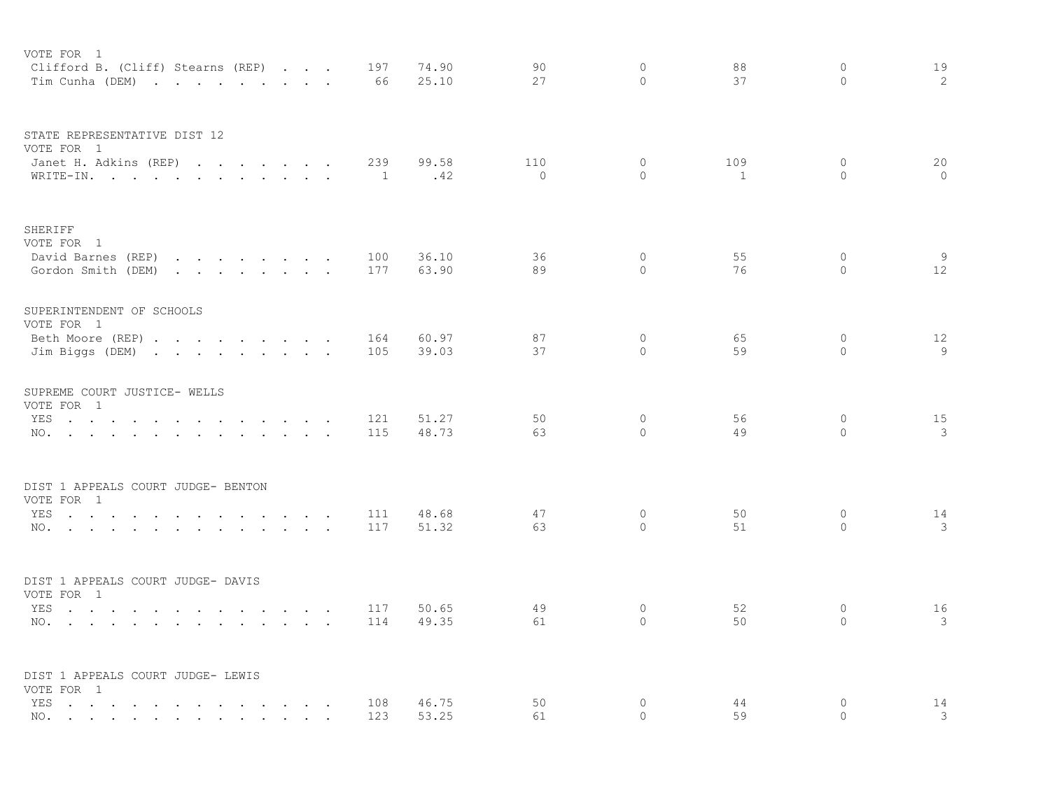| VOTE FOR 1                                                                                                                                                                                                                           |                                                                          |                             |           |           |                |              |                     |          |                     |         |
|--------------------------------------------------------------------------------------------------------------------------------------------------------------------------------------------------------------------------------------|--------------------------------------------------------------------------|-----------------------------|-----------|-----------|----------------|--------------|---------------------|----------|---------------------|---------|
| Clifford B. (Cliff) Stearns (REP)<br>Tim Cunha (DEM)                                                                                                                                                                                 |                                                                          |                             |           | 197<br>66 | 74.90<br>25.10 | 90<br>27     | $\circ$<br>$\Omega$ | 88<br>37 | $\circ$<br>$\Omega$ | 19<br>2 |
|                                                                                                                                                                                                                                      |                                                                          |                             |           |           |                |              |                     |          |                     |         |
| STATE REPRESENTATIVE DIST 12                                                                                                                                                                                                         |                                                                          |                             |           |           |                |              |                     |          |                     |         |
| VOTE FOR 1                                                                                                                                                                                                                           |                                                                          |                             |           | 239       | 99.58          | 110          | $\circ$             | 109      | $\Omega$            | 20      |
| Janet H. Adkins (REP)<br>WRITE-IN.                                                                                                                                                                                                   |                                                                          |                             |           | 1         | .42            | $\mathbf{0}$ | $\Omega$            | 1        | $\Omega$            | $\circ$ |
|                                                                                                                                                                                                                                      |                                                                          |                             |           |           |                |              |                     |          |                     |         |
| SHERIFF<br>VOTE FOR 1                                                                                                                                                                                                                |                                                                          |                             |           |           |                |              |                     |          |                     |         |
| David Barnes (REP)                                                                                                                                                                                                                   |                                                                          |                             |           | 100       | 36.10          | 36           | $\circ$             | 55       | $\circ$             | 9       |
| Gordon Smith (DEM)<br>$\mathbf{r}$ , and $\mathbf{r}$ , and $\mathbf{r}$ , and $\mathbf{r}$                                                                                                                                          |                                                                          |                             |           | 177       | 63.90          | 89           | $\Omega$            | 76       | $\Omega$            | 12      |
| SUPERINTENDENT OF SCHOOLS                                                                                                                                                                                                            |                                                                          |                             |           |           |                |              |                     |          |                     |         |
| VOTE FOR 1<br>Beth Moore (REP)                                                                                                                                                                                                       |                                                                          |                             |           | 164       | 60.97          | 87           | $\circ$             | 65       | $\circ$             | 12      |
| Jim Biggs (DEM)                                                                                                                                                                                                                      |                                                                          |                             |           | 105       | 39.03          | 37           | $\Omega$            | 59       | $\Omega$            | 9       |
|                                                                                                                                                                                                                                      |                                                                          |                             |           |           |                |              |                     |          |                     |         |
| SUPREME COURT JUSTICE- WELLS<br>VOTE FOR 1                                                                                                                                                                                           |                                                                          |                             |           |           |                |              |                     |          |                     |         |
| YES                                                                                                                                                                                                                                  |                                                                          |                             |           | 121       | 51.27          | 50           | $\circ$             | 56       | $\circ$             | 15      |
| NO.                                                                                                                                                                                                                                  |                                                                          |                             |           | 115       | 48.73          | 63           | $\Omega$            | 49       | $\Omega$            | 3       |
| DIST 1 APPEALS COURT JUDGE- BENTON                                                                                                                                                                                                   |                                                                          |                             |           |           |                |              |                     |          |                     |         |
| VOTE FOR 1                                                                                                                                                                                                                           |                                                                          |                             |           |           |                |              |                     |          |                     |         |
| YES<br>$\sim$                                                                                                                                                                                                                        | $\sim$<br>$\sim$ $\sim$ $\sim$                                           |                             |           | 111       | 48.68          | 47           | $\mathbf{0}$        | 50       | $\circ$             | 14      |
| NO.                                                                                                                                                                                                                                  |                                                                          | $\sim$                      | $\bullet$ | 117       | 51.32          | 63           | $\Omega$            | 51       | $\Omega$            | 3       |
| DIST 1 APPEALS COURT JUDGE- DAVIS<br>VOTE FOR 1                                                                                                                                                                                      |                                                                          |                             |           |           |                |              |                     |          |                     |         |
| YES<br>the contract of the contract of<br>$\sim$                                                                                                                                                                                     | <b>Carl Carl Carl Carl</b>                                               | $\ddot{\phantom{0}}$        | $\sim$    | 117       | 50.65          | 49           | $\circ$             | 52       | 0                   | 16      |
| NO.<br>. The contract of the contract of the contract of the contract of the contract of the contract of the contract of the contract of the contract of the contract of the contract of the contract of the contract of the contrac |                                                                          | $\sim$ $\sim$               |           | 114       | 49.35          | 61           | $\circ$             | 50       | $\circ$             | 3       |
| DIST 1 APPEALS COURT JUDGE- LEWIS                                                                                                                                                                                                    |                                                                          |                             |           |           |                |              |                     |          |                     |         |
| VOTE FOR 1                                                                                                                                                                                                                           |                                                                          |                             |           |           |                |              |                     |          |                     |         |
| YES<br>$\ddot{\phantom{0}}$<br>$\sim$<br>$\ddot{\phantom{0}}$                                                                                                                                                                        | $\mathbf{r}$ , $\mathbf{r}$ , $\mathbf{r}$ , $\mathbf{r}$ , $\mathbf{r}$ | $\sim$ $\sim$ $\sim$ $\sim$ |           | 108       | 46.75          | 50           | $\circ$             | 44       | $\circ$             | 14      |
| NO. .<br>and a series of the contract of the contract of the contract of the contract of the contract of the contract of                                                                                                             |                                                                          |                             |           | 123       | 53.25          | 61           | $\Omega$            | 59       | $\Omega$            | 3       |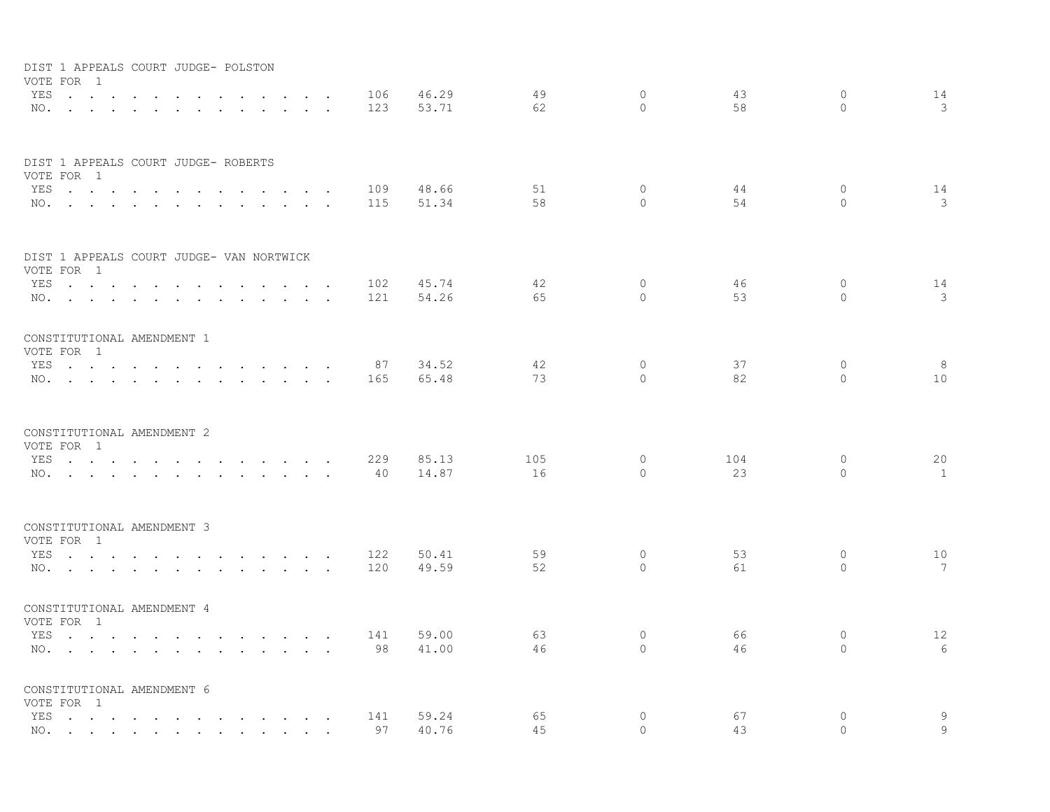| VOTE FOR 1                                                                           | DIST 1 APPEALS COURT JUDGE- POLSTON                                                                                                                                                                                            |                                                                       |                      |     |       |     |          |     |              |                 |
|--------------------------------------------------------------------------------------|--------------------------------------------------------------------------------------------------------------------------------------------------------------------------------------------------------------------------------|-----------------------------------------------------------------------|----------------------|-----|-------|-----|----------|-----|--------------|-----------------|
| YES                                                                                  | $\sim$                                                                                                                                                                                                                         | $\ddot{\phantom{a}}$                                                  |                      | 106 | 46.29 | 49  | $\circ$  | 43  | $\circ$      | 14              |
|                                                                                      | NO.                                                                                                                                                                                                                            |                                                                       | $\sim$ $\sim$        | 123 | 53.71 | 62  | $\cap$   | 58  | $\Omega$     | 3               |
| DIST 1 APPEALS COURT JUDGE- ROBERTS<br>VOTE FOR 1                                    |                                                                                                                                                                                                                                |                                                                       |                      |     |       |     |          |     |              |                 |
| YES                                                                                  | and the contract of the contract of the contract of the contract of the contract of the contract of the contract of the contract of the contract of the contract of the contract of the contract of the contract of the contra | $\sim$ $\sim$ $\sim$ $\sim$ $\sim$                                    | $\sim 10$            | 109 | 48.66 | 51  | $\Omega$ | 44  | $\Omega$     | 14              |
|                                                                                      | NO.                                                                                                                                                                                                                            |                                                                       | $\sim$ $\sim$ $\sim$ | 115 | 51.34 | 58  | $\Omega$ | 54  | $\Omega$     | 3               |
| DIST 1 APPEALS COURT JUDGE- VAN NORTWICK                                             |                                                                                                                                                                                                                                |                                                                       |                      |     |       |     |          |     |              |                 |
| VOTE FOR 1                                                                           | YES                                                                                                                                                                                                                            |                                                                       |                      | 102 | 45.74 | 42  | $\Omega$ | 46  | $\circ$      | 14              |
|                                                                                      | NO.                                                                                                                                                                                                                            |                                                                       |                      | 121 | 54.26 | 65  | $\Omega$ | 53  | $\Omega$     | 3               |
| CONSTITUTIONAL AMENDMENT 1<br>VOTE FOR 1                                             |                                                                                                                                                                                                                                |                                                                       |                      |     |       |     |          |     |              |                 |
|                                                                                      | YES                                                                                                                                                                                                                            |                                                                       |                      | 87  | 34.52 | 42  | $\circ$  | 37  | $\mathbf{0}$ | 8               |
|                                                                                      | NO.                                                                                                                                                                                                                            |                                                                       |                      | 165 | 65.48 | 73  | $\Omega$ | 82  | $\Omega$     | 10              |
| CONSTITUTIONAL AMENDMENT 2<br>VOTE FOR 1                                             |                                                                                                                                                                                                                                |                                                                       |                      |     |       |     |          |     |              |                 |
| YES<br>$\mathcal{A}$ . The set of the set of $\mathcal{A}$ is a set of $\mathcal{A}$ | $\sim$                                                                                                                                                                                                                         | and the contract of the contract of the                               |                      | 229 | 85.13 | 105 | $\circ$  | 104 | $\circ$      | 20              |
| NO.                                                                                  | the contract of the contract of the contract of the contract of the contract of the contract of the contract of                                                                                                                | $\mathbf{r}$ , $\mathbf{r}$ , $\mathbf{r}$ , $\mathbf{r}$             |                      | 40  | 14.87 | 16  | $\Omega$ | 23  | $\Omega$     | 1               |
| CONSTITUTIONAL AMENDMENT 3                                                           |                                                                                                                                                                                                                                |                                                                       |                      |     |       |     |          |     |              |                 |
| VOTE FOR 1<br>YES                                                                    |                                                                                                                                                                                                                                | $\mathbf{r}$ , and $\mathbf{r}$ , and $\mathbf{r}$ , and $\mathbf{r}$ |                      | 122 | 50.41 | 59  | $\circ$  | 53  | $\circ$      | 10              |
|                                                                                      | NO.                                                                                                                                                                                                                            |                                                                       |                      | 120 | 49.59 | 52  | $\Omega$ | 61  | $\Omega$     | $7\overline{ }$ |
| CONSTITUTIONAL AMENDMENT 4<br>VOTE FOR 1                                             |                                                                                                                                                                                                                                |                                                                       |                      |     |       |     |          |     |              |                 |
|                                                                                      | YES                                                                                                                                                                                                                            |                                                                       |                      | 141 | 59.00 | 63  | $\circ$  | 66  | $\circ$      | 12              |
|                                                                                      | NO.                                                                                                                                                                                                                            |                                                                       |                      | 98  | 41.00 | 46  | $\Omega$ | 46  | $\Omega$     | 6               |
| CONSTITUTIONAL AMENDMENT 6<br>VOTE FOR 1                                             |                                                                                                                                                                                                                                |                                                                       |                      |     |       |     |          |     |              |                 |
|                                                                                      | YES                                                                                                                                                                                                                            |                                                                       |                      | 141 | 59.24 | 65  | 0        | 67  | 0            | 9               |
|                                                                                      | NO.                                                                                                                                                                                                                            |                                                                       |                      | 97  | 40.76 | 45  | $\Omega$ | 43  | $\Omega$     | 9               |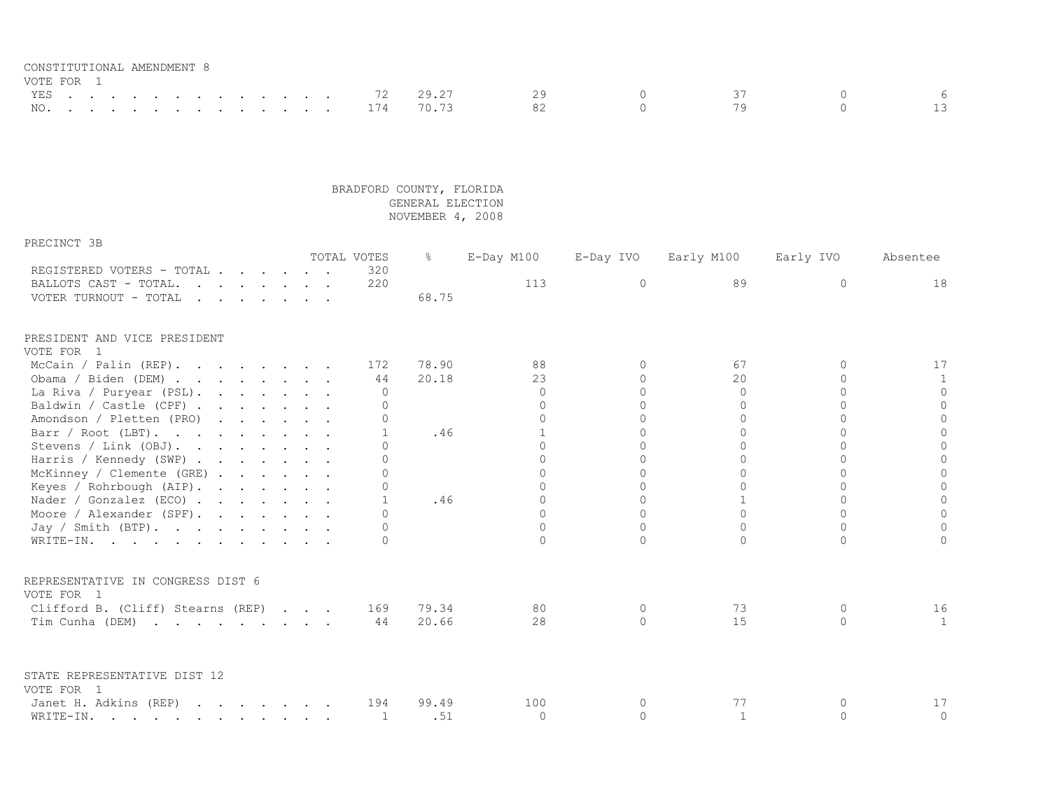| CONSTITUTIONAL AMENDMENT 8 |  |  |  |  |  |  |  |               |              |  |  |  |
|----------------------------|--|--|--|--|--|--|--|---------------|--------------|--|--|--|
| VOTE FOR 1                 |  |  |  |  |  |  |  |               |              |  |  |  |
|                            |  |  |  |  |  |  |  |               | YES 72 29.27 |  |  |  |
|                            |  |  |  |  |  |  |  | NO. 174 70.73 |              |  |  |  |

| PRECINCT 3B                                                                                                                                                                                                                                                |  |  |  |              |               |              |           |              |           |              |
|------------------------------------------------------------------------------------------------------------------------------------------------------------------------------------------------------------------------------------------------------------|--|--|--|--------------|---------------|--------------|-----------|--------------|-----------|--------------|
|                                                                                                                                                                                                                                                            |  |  |  | TOTAL VOTES  | $\frac{6}{6}$ | E-Day M100   | E-Day IVO | Early M100   | Early IVO | Absentee     |
| REGISTERED VOTERS - TOTAL                                                                                                                                                                                                                                  |  |  |  | 320          |               |              |           |              |           |              |
| BALLOTS CAST - TOTAL.                                                                                                                                                                                                                                      |  |  |  | 220          |               | 113          | $\Omega$  | 89           | $\Omega$  | 18           |
| VOTER TURNOUT - TOTAL<br>$\mathbf{r}$ . The set of the set of the set of the set of the set of the set of the set of the set of the set of the set of the set of the set of the set of the set of the set of the set of the set of the set of the set of t |  |  |  |              | 68.75         |              |           |              |           |              |
| PRESIDENT AND VICE PRESIDENT                                                                                                                                                                                                                               |  |  |  |              |               |              |           |              |           |              |
| VOTE FOR 1                                                                                                                                                                                                                                                 |  |  |  |              |               |              |           |              |           |              |
| McCain / Palin (REP).                                                                                                                                                                                                                                      |  |  |  | 172          | 78.90         | 88           | $\Omega$  | 67           |           | 17           |
| Obama / Biden (DEM)                                                                                                                                                                                                                                        |  |  |  | 44           | 20.18         | 23           | $\Omega$  | 20           | $\cap$    | $\mathbf{1}$ |
| La Riva / Puryear (PSL).                                                                                                                                                                                                                                   |  |  |  | $\Omega$     |               | $\Omega$     | $\Omega$  | $\Omega$     | $\Omega$  | $\circ$      |
| Baldwin / Castle (CPF)                                                                                                                                                                                                                                     |  |  |  | $\Omega$     |               | $\bigcap$    | $\Omega$  | $\Omega$     | $\Omega$  | $\circ$      |
| Amondson / Pletten (PRO)                                                                                                                                                                                                                                   |  |  |  | $\Omega$     |               | $\bigcap$    | $\Omega$  | $\Omega$     | $\bigcap$ | $\Omega$     |
| Barr / Root (LBT).                                                                                                                                                                                                                                         |  |  |  | $\mathbf{1}$ | .46           | $\mathbf{1}$ | $\Omega$  | $\Omega$     | $\bigcap$ | $\Omega$     |
| Stevens / Link (OBJ).                                                                                                                                                                                                                                      |  |  |  | $\bigcap$    |               | $\cap$       | $\cap$    | $\cap$       | $\cap$    | $\circ$      |
| Harris / Kennedy (SWP)                                                                                                                                                                                                                                     |  |  |  | $\bigcap$    |               | $\cap$       | $\cap$    | $\cap$       |           | $\circ$      |
| McKinney / Clemente (GRE) $\cdot \cdot \cdot \cdot$                                                                                                                                                                                                        |  |  |  | $\Omega$     |               | $\cap$       | $\cap$    |              |           | $\mathbb O$  |
| Keyes / Rohrbough (AIP).                                                                                                                                                                                                                                   |  |  |  | $\Omega$     |               |              | $\Omega$  |              |           | $\circ$      |
| Nader / Gonzalez (ECO)                                                                                                                                                                                                                                     |  |  |  | $\mathbf{1}$ | .46           | $\Omega$     | $\Omega$  |              | $\Omega$  | $\circ$      |
| Moore / Alexander (SPF).                                                                                                                                                                                                                                   |  |  |  | $\cap$       |               | $\Omega$     | $\Omega$  | $\Omega$     | $\Omega$  | $\circ$      |
| Jay / Smith (BTP).                                                                                                                                                                                                                                         |  |  |  | $\Omega$     |               | $\Omega$     | $\Omega$  | $\Omega$     | $\Omega$  | $\Omega$     |
| WRITE-IN.                                                                                                                                                                                                                                                  |  |  |  | $\Omega$     |               | $\cap$       | $\Omega$  | $\cap$       | $\bigcap$ | $\Omega$     |
| REPRESENTATIVE IN CONGRESS DIST 6                                                                                                                                                                                                                          |  |  |  |              |               |              |           |              |           |              |
| VOTE FOR 1                                                                                                                                                                                                                                                 |  |  |  |              |               |              |           |              |           |              |
| Clifford B. (Cliff) Stearns (REP)                                                                                                                                                                                                                          |  |  |  | 169          | 79.34         | 80           | $\Omega$  | 73           | $\Omega$  | 16           |
| Tim Cunha (DEM)                                                                                                                                                                                                                                            |  |  |  | 44           | 20.66         | 28           | $\cap$    | 15           | $\bigcap$ | 1            |
|                                                                                                                                                                                                                                                            |  |  |  |              |               |              |           |              |           |              |
| STATE REPRESENTATIVE DIST 12                                                                                                                                                                                                                               |  |  |  |              |               |              |           |              |           |              |
| VOTE FOR 1                                                                                                                                                                                                                                                 |  |  |  |              |               |              |           |              |           |              |
| Janet H. Adkins (REP)                                                                                                                                                                                                                                      |  |  |  | 194          | 99.49         | 100          | $\Omega$  | 77           |           | 17           |
| WRITE-IN.                                                                                                                                                                                                                                                  |  |  |  | 1            | .51           | $\Omega$     | $\Omega$  | $\mathbf{1}$ | $\cap$    | $\circ$      |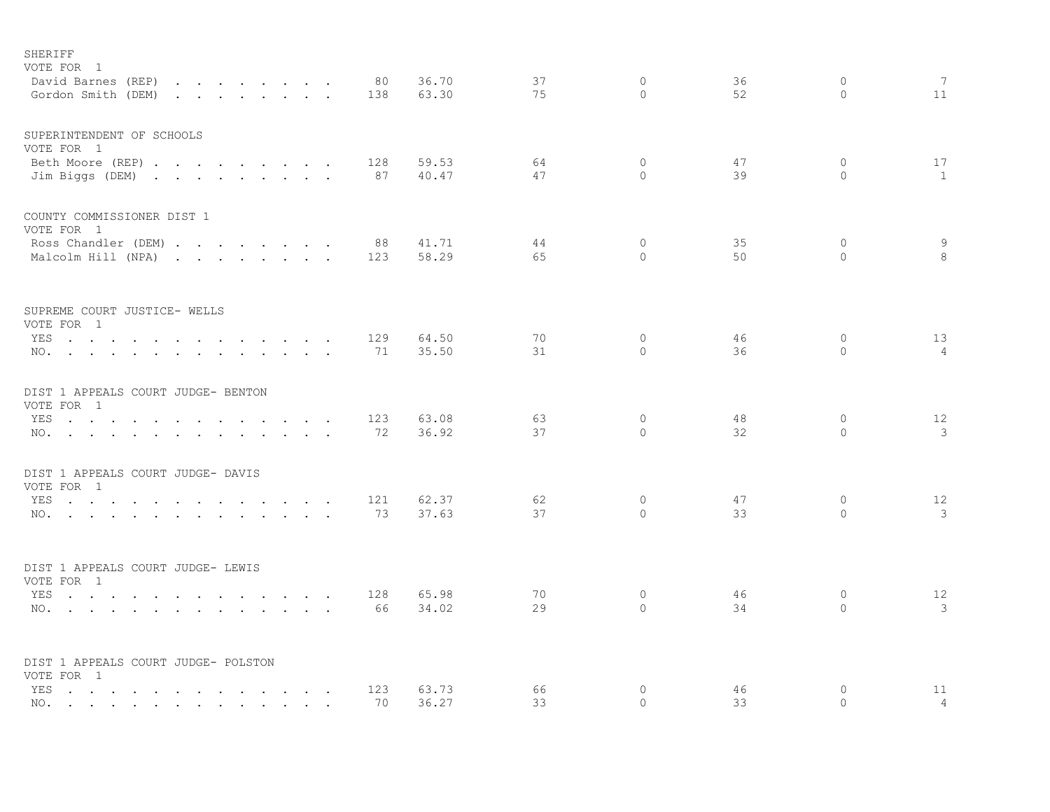| SHERIFF<br>VOTE FOR 1<br>David Barnes (REP)<br>the contract of the contract of the                                                                                                                                                           |                 | 80        | 36.70          | 37       | $\circ$             | 36       | $\circ$             | 7                    |
|----------------------------------------------------------------------------------------------------------------------------------------------------------------------------------------------------------------------------------------------|-----------------|-----------|----------------|----------|---------------------|----------|---------------------|----------------------|
| Gordon Smith (DEM)<br>the contract of the contract of the contract of                                                                                                                                                                        |                 | 138       | 63.30          | 75       | $\bigcap$           | 52       | $\Omega$            | 11                   |
| SUPERINTENDENT OF SCHOOLS<br>VOTE FOR 1                                                                                                                                                                                                      |                 |           |                |          |                     |          |                     |                      |
| Beth Moore (REP)<br>Jim Biggs (DEM)                                                                                                                                                                                                          |                 | 128<br>87 | 59.53<br>40.47 | 64<br>47 | $\circ$<br>$\Omega$ | 47<br>39 | $\circ$<br>$\Omega$ | 17<br>$\mathbf{1}$   |
| COUNTY COMMISSIONER DIST 1<br>VOTE FOR 1                                                                                                                                                                                                     |                 |           |                |          |                     |          |                     |                      |
| Ross Chandler (DEM)<br>Malcolm Hill (NPA)                                                                                                                                                                                                    |                 | 88<br>123 | 41.71<br>58.29 | 44<br>65 | $\circ$<br>$\Omega$ | 35<br>50 | $\circ$<br>$\circ$  | 9<br>8               |
| SUPREME COURT JUSTICE- WELLS<br>VOTE FOR 1                                                                                                                                                                                                   |                 |           |                |          |                     |          |                     |                      |
| YES                                                                                                                                                                                                                                          |                 | 129       | 64.50          | 70       | $\circ$             | 46       | $\circ$             | 13                   |
| NO.                                                                                                                                                                                                                                          |                 | 71        | 35.50          | 31       | $\Omega$            | 36       | $\Omega$            | $\overline{4}$       |
| DIST 1 APPEALS COURT JUDGE- BENTON<br>VOTE FOR 1                                                                                                                                                                                             |                 |           |                |          |                     |          |                     |                      |
| YES<br><b>Contractor</b><br>$\cdot$ $\cdot$                                                                                                                                                                                                  | $\cdot$ $\cdot$ | 123       | 63.08          | 63       | $\circ$             | 48       | $\circ$             | 12                   |
| NO.                                                                                                                                                                                                                                          |                 | 72        | 36.92          | 37       | $\Omega$            | 32       | $\Omega$            | 3                    |
| DIST 1 APPEALS COURT JUDGE- DAVIS<br>VOTE FOR 1                                                                                                                                                                                              |                 |           |                |          |                     |          |                     |                      |
| YES                                                                                                                                                                                                                                          |                 | 121       | 62.37          | 62       | $\circ$             | 47       | $\circ$             | 12                   |
| NO.                                                                                                                                                                                                                                          |                 | 73        | 37.63          | 37       | $\Omega$            | 33       | $\Omega$            | 3                    |
| DIST 1 APPEALS COURT JUDGE- LEWIS                                                                                                                                                                                                            |                 |           |                |          |                     |          |                     |                      |
| VOTE FOR 1<br>YES                                                                                                                                                                                                                            |                 | 128       | 65.98          | 70       | $\circ$             | 46       | $\circ$             | 12                   |
| NO.                                                                                                                                                                                                                                          |                 | 66        | 34.02          | 29       | $\Omega$            | 34       | $\Omega$            | 3                    |
| DIST 1 APPEALS COURT JUDGE- POLSTON                                                                                                                                                                                                          |                 |           |                |          |                     |          |                     |                      |
| VOTE FOR 1                                                                                                                                                                                                                                   |                 |           |                |          |                     |          |                     |                      |
| YES<br>the contract of the contract of the contract of the contract of the contract of the contract of the contract of the contract of the contract of the contract of the contract of the contract of the contract of the contract o<br>NO. |                 | 123<br>70 | 63.73<br>36.27 | 66<br>33 | $\circ$<br>$\Omega$ | 46<br>33 | $\circ$<br>$\Omega$ | 11<br>$\overline{4}$ |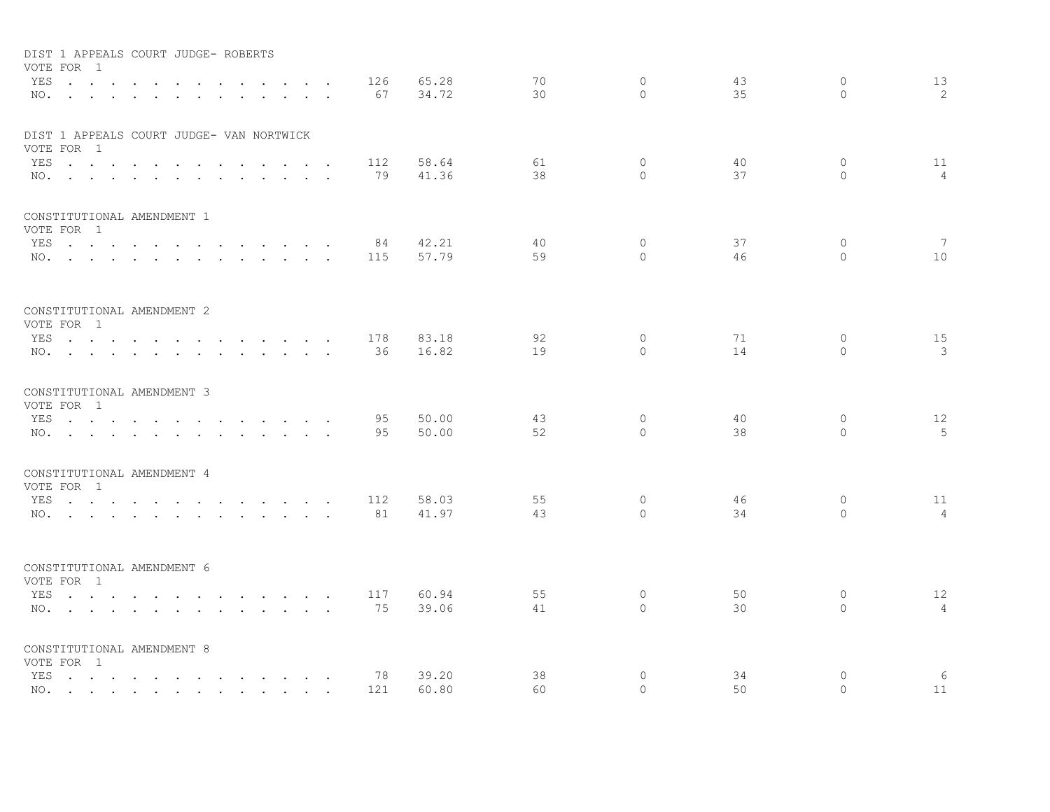| DIST 1 APPEALS COURT JUDGE- ROBERTS<br>VOTE FOR 1<br>YES<br>$NO.$ $.$ $.$ $.$ $.$ $.$ $.$ $.$                                | $\sim 10$<br>$\sim$                                                                                             | <b>Contract</b><br>$\mathbf{r}$ and $\mathbf{r}$                                                                                                                                                                                     | $\sim$          | 126<br>$\ddot{\phantom{a}}$<br>67<br>$\ddot{\phantom{a}}$ | 65.28<br>34.72 | 70<br>30 | $\circ$<br>$\bigcap$    | 43<br>35 | $\circ$<br>$\Omega$      | 13<br>2              |
|------------------------------------------------------------------------------------------------------------------------------|-----------------------------------------------------------------------------------------------------------------|--------------------------------------------------------------------------------------------------------------------------------------------------------------------------------------------------------------------------------------|-----------------|-----------------------------------------------------------|----------------|----------|-------------------------|----------|--------------------------|----------------------|
| DIST 1 APPEALS COURT JUDGE- VAN NORTWICK<br>VOTE FOR 1<br>YES<br>NO.                                                         |                                                                                                                 | $\mathbf{r}$ , $\mathbf{r}$ , $\mathbf{r}$                                                                                                                                                                                           | $\sim$          | 112<br>79                                                 | 58.64<br>41.36 | 61<br>38 | $\circ$<br>$\Omega$     | 40<br>37 | $\circ$<br>$\Omega$      | 11<br>$\overline{4}$ |
| CONSTITUTIONAL AMENDMENT 1<br>VOTE FOR 1<br>YES<br>NO.                                                                       | $\sim$<br>$\sim$                                                                                                | the contract of the contract of the                                                                                                                                                                                                  |                 | 84<br>115                                                 | 42.21<br>57.79 | 40<br>59 | $\circ$<br>$\Omega$     | 37<br>46 | $\mathbf{0}$<br>$\Omega$ | 7<br>10              |
| CONSTITUTIONAL AMENDMENT 2<br>VOTE FOR 1<br>YES<br>$NO.$ $\cdots$ $\cdots$ $\cdots$                                          |                                                                                                                 | the contract of the contract of the contract of the contract of the contract of the contract of the contract of<br>$\mathbf{r}$ , $\mathbf{r}$ , $\mathbf{r}$                                                                        |                 | 178<br>36                                                 | 83.18<br>16.82 | 92<br>19 | 0<br>$\Omega$           | 71<br>14 | 0<br>$\Omega$            | 15<br>3              |
| CONSTITUTIONAL AMENDMENT 3<br>VOTE FOR 1<br>YES<br>NO.                                                                       | $\sim$                                                                                                          | <u>in the second contract of the second contract of the second contract of the second contract of the second contract of the second contract of the second contract of the second contract of the second contract of the second </u> |                 | 95<br>95                                                  | 50.00<br>50.00 | 43<br>52 | $\circ$<br>$\Omega$     | 40<br>38 | $\circ$<br>$\Omega$      | 12<br>5              |
| CONSTITUTIONAL AMENDMENT 4<br>VOTE FOR 1<br>YES<br>and the contract of the con-<br>$NO.$ $\cdots$ $\cdots$ $\cdots$ $\cdots$ | $\ddot{\phantom{1}}$                                                                                            | $\mathbf{L} = \mathbf{L} \mathbf{L} + \mathbf{L} \mathbf{L}$<br>$\ddot{\phantom{0}}$<br>$\mathbf{r} = \mathbf{r} + \mathbf{r} + \mathbf{r} + \mathbf{r} + \mathbf{r}$                                                                | $\cdot$ $\cdot$ | 112<br>81                                                 | 58.03<br>41.97 | 55<br>43 | $\circ$<br>$\circ$      | 46<br>34 | 0<br>$\circ$             | 11<br>$\overline{4}$ |
| CONSTITUTIONAL AMENDMENT 6<br>VOTE FOR 1<br>YES<br>NO.                                                                       |                                                                                                                 | $\mathbf{r}$ , and $\mathbf{r}$ , and $\mathbf{r}$ , and $\mathbf{r}$                                                                                                                                                                |                 | 117<br>75                                                 | 60.94<br>39.06 | 55<br>41 | $\circ$<br>$\Omega$     | 50<br>30 | $\circ$<br>$\circ$       | 12<br>$\overline{4}$ |
| CONSTITUTIONAL AMENDMENT 8<br>VOTE FOR 1<br>YES<br>NO.                                                                       | the contract of the contract of the contract of the contract of the contract of the contract of the contract of |                                                                                                                                                                                                                                      |                 | 78<br>121                                                 | 39.20<br>60.80 | 38<br>60 | $\mathbf{0}$<br>$\circ$ | 34<br>50 | $\mathbf{0}$<br>$\Omega$ | 6<br>11              |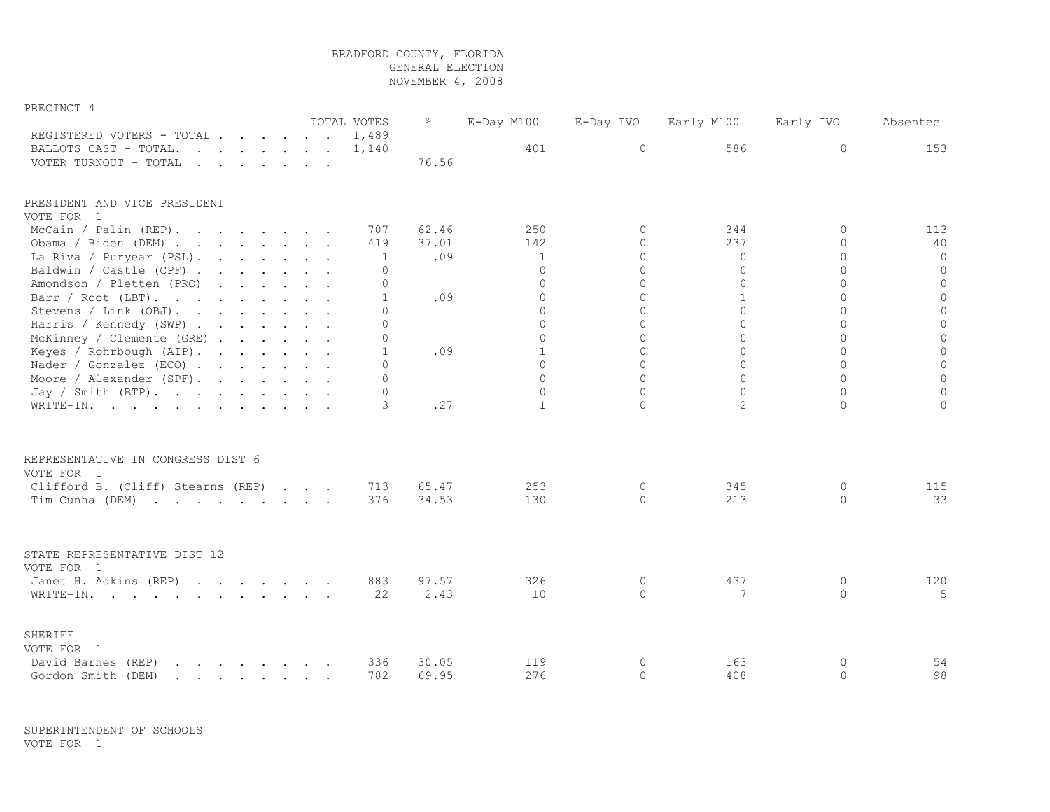| PRECINCT 4                                                                                                                                                                                                                                                 |  |  |  |              |       |               |           |              |           |             |
|------------------------------------------------------------------------------------------------------------------------------------------------------------------------------------------------------------------------------------------------------------|--|--|--|--------------|-------|---------------|-----------|--------------|-----------|-------------|
|                                                                                                                                                                                                                                                            |  |  |  | TOTAL VOTES  | ႜၟ    | $E$ -Day M100 | E-Day IVO | Early M100   | Early IVO | Absentee    |
| REGISTERED VOTERS - TOTAL                                                                                                                                                                                                                                  |  |  |  | 1,489        |       |               |           |              |           |             |
| BALLOTS CAST - TOTAL.                                                                                                                                                                                                                                      |  |  |  | 1,140        |       | 401           | $\circ$   | 586          | $\circ$   | 153         |
| VOTER TURNOUT - TOTAL<br>$\mathbf{r}$ . The contract of the contract of the contract of the contract of the contract of the contract of the contract of the contract of the contract of the contract of the contract of the contract of the contract of th |  |  |  |              | 76.56 |               |           |              |           |             |
| PRESIDENT AND VICE PRESIDENT                                                                                                                                                                                                                               |  |  |  |              |       |               |           |              |           |             |
| VOTE FOR 1                                                                                                                                                                                                                                                 |  |  |  |              |       |               |           |              |           |             |
| McCain / Palin (REP).                                                                                                                                                                                                                                      |  |  |  | 707          | 62.46 | 250           | $\Omega$  | 344          | $\Omega$  | 113         |
| Obama / Biden (DEM)                                                                                                                                                                                                                                        |  |  |  | 419          | 37.01 | 142           | $\Omega$  | 237          | $\Omega$  | 40          |
| La Riva / Puryear (PSL).                                                                                                                                                                                                                                   |  |  |  | $\mathbf{1}$ | .09   | $\mathbf{1}$  | $\Omega$  | $\Omega$     | $\Omega$  | 0           |
| Baldwin / Castle (CPF)                                                                                                                                                                                                                                     |  |  |  | $\mathbf{0}$ |       | $\Omega$      | $\Omega$  | $\Omega$     | $\Omega$  | $\circ$     |
| Amondson / Pletten (PRO)                                                                                                                                                                                                                                   |  |  |  | $\mathbf 0$  |       | $\Omega$      | $\Omega$  | $\circ$      | $\Omega$  | $\circ$     |
| Barr / Root (LBT).                                                                                                                                                                                                                                         |  |  |  | $\mathbf{1}$ | .09   | $\Omega$      | $\Omega$  | $\mathbf{1}$ | $\Omega$  | $\mathbf 0$ |
| Stevens / Link (OBJ).                                                                                                                                                                                                                                      |  |  |  | $\Omega$     |       | $\Omega$      | $\Omega$  | $\Omega$     | $\Omega$  | $\mathbf 0$ |
| Harris / Kennedy (SWP)                                                                                                                                                                                                                                     |  |  |  | $\Omega$     |       | $\Omega$      | $\Omega$  | $\Omega$     | $\Omega$  | $\Omega$    |
| McKinney / Clemente (GRE)                                                                                                                                                                                                                                  |  |  |  | $\circ$      |       | $\Omega$      | $\Omega$  | $\Omega$     | $\Omega$  |             |
| Keyes / Rohrbough (AIP).                                                                                                                                                                                                                                   |  |  |  | 1            | .09   | $\mathbf{1}$  | $\Omega$  | $\Omega$     | $\Omega$  |             |
| Nader / Gonzalez (ECO)                                                                                                                                                                                                                                     |  |  |  | $\cap$       |       | $\Omega$      | $\Omega$  | $\Omega$     | $\Omega$  |             |
| Moore / Alexander (SPF).                                                                                                                                                                                                                                   |  |  |  | $\Omega$     |       | $\Omega$      | $\Omega$  | $\Omega$     | $\Omega$  |             |
| Jay / Smith (BTP).                                                                                                                                                                                                                                         |  |  |  | $\Omega$     |       | $\Omega$      | $\Omega$  | $\Omega$     | $\Omega$  |             |
| WRITE-IN.                                                                                                                                                                                                                                                  |  |  |  | 3            | .27   | $\mathbf{1}$  | $\Omega$  | 2            | $\circ$   | $\cap$      |
| REPRESENTATIVE IN CONGRESS DIST 6<br>VOTE FOR 1                                                                                                                                                                                                            |  |  |  |              |       |               |           |              |           |             |
| Clifford B. (Cliff) Stearns (REP)                                                                                                                                                                                                                          |  |  |  | 713          | 65.47 | 253           | $\circ$   | 345          | $\circ$   | 115         |
| Tim Cunha (DEM)                                                                                                                                                                                                                                            |  |  |  | 376          | 34.53 | 130           | $\Omega$  | 213          | $\Omega$  | 33          |
|                                                                                                                                                                                                                                                            |  |  |  |              |       |               |           |              |           |             |
| STATE REPRESENTATIVE DIST 12                                                                                                                                                                                                                               |  |  |  |              |       |               |           |              |           |             |
| VOTE FOR 1                                                                                                                                                                                                                                                 |  |  |  |              |       |               |           |              |           |             |
| Janet H. Adkins (REP)                                                                                                                                                                                                                                      |  |  |  | 883          | 97.57 | 326           | 0         | 437          | 0         | 120         |
| WRITE-IN.                                                                                                                                                                                                                                                  |  |  |  | 22           | 2.43  | 10            | $\Omega$  | 7            | $\Omega$  | 5           |
| SHERIFF                                                                                                                                                                                                                                                    |  |  |  |              |       |               |           |              |           |             |
| VOTE FOR 1                                                                                                                                                                                                                                                 |  |  |  |              |       |               |           |              |           |             |
| David Barnes (REP)<br>the contract of the contract of the contract of the contract of the contract of the contract of the contract of                                                                                                                      |  |  |  | 336          | 30.05 | 119           | 0         | 163          | 0         | 54          |

Gordon Smith (DEM) . . . . . . . . 782 69.95 276 0 408 0 98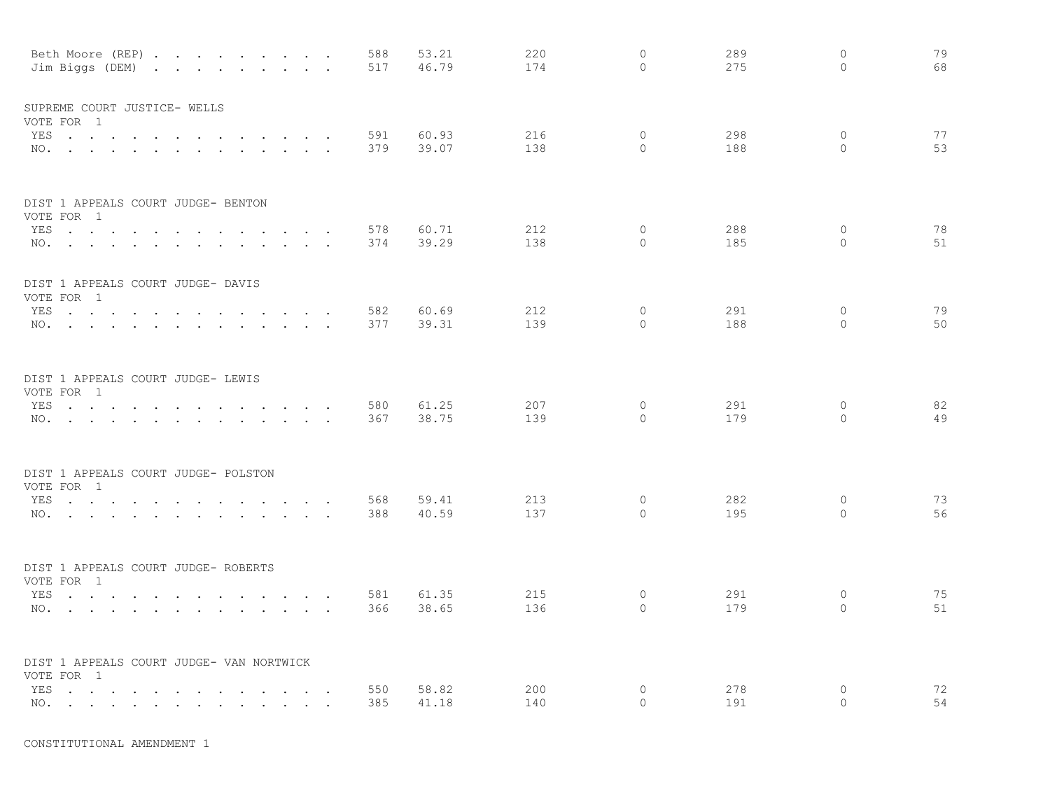|     | Beth Moore (REP)<br>Jim Biggs (DEM)                                                                             |                                  |                          |                                                                                                                                                                                                    |               | 588<br>517 | 53.21<br>46.79 | 220<br>174 | $\circ$<br>$\Omega$ | 289<br>275 | $\circ$<br>$\Omega$ | 79<br>68 |
|-----|-----------------------------------------------------------------------------------------------------------------|----------------------------------|--------------------------|----------------------------------------------------------------------------------------------------------------------------------------------------------------------------------------------------|---------------|------------|----------------|------------|---------------------|------------|---------------------|----------|
|     | SUPREME COURT JUSTICE- WELLS<br>VOTE FOR 1                                                                      |                                  |                          |                                                                                                                                                                                                    |               |            |                |            |                     |            |                     |          |
|     | YES                                                                                                             |                                  |                          | and the state of the state of the                                                                                                                                                                  | $\sim$ $\sim$ | 591        | 60.93          | 216        | 0                   | 298        | 0                   | 77       |
|     | NO.                                                                                                             |                                  |                          |                                                                                                                                                                                                    |               | 379        | 39.07          | 138        | $\Omega$            | 188        | $\circ$             | 53       |
|     | DIST 1 APPEALS COURT JUDGE- BENTON                                                                              |                                  |                          |                                                                                                                                                                                                    |               |            |                |            |                     |            |                     |          |
|     | VOTE FOR 1<br>YES                                                                                               |                                  |                          |                                                                                                                                                                                                    |               | 578        | 60.71          | 212        | $\circ$             | 288        | $\circ$             | 78       |
|     | NO.                                                                                                             |                                  | <b>Contract Contract</b> | the contract of the contract of the contract of the contract of the contract of                                                                                                                    |               | 374        | 39.29          | 138        | $\Omega$            | 185        | $\Omega$            | 51       |
|     | DIST 1 APPEALS COURT JUDGE- DAVIS<br>VOTE FOR 1                                                                 |                                  |                          |                                                                                                                                                                                                    |               |            |                |            |                     |            |                     |          |
|     | YES                                                                                                             |                                  |                          |                                                                                                                                                                                                    |               | 582        | 60.69          | 212        | $\circ$             | 291        | 0                   | 79       |
|     | NO.                                                                                                             |                                  |                          |                                                                                                                                                                                                    |               | 377        | 39.31          | 139        | $\Omega$            | 188        | $\Omega$            | 50       |
|     | DIST 1 APPEALS COURT JUDGE- LEWIS                                                                               |                                  |                          |                                                                                                                                                                                                    |               |            |                |            |                     |            |                     |          |
|     | VOTE FOR 1<br>YES                                                                                               |                                  |                          |                                                                                                                                                                                                    |               | 580        | 61.25          | 207        | $\circ$             | 291        | 0                   | 82       |
|     | $NO.$ $\cdots$ $\cdots$ $\cdots$                                                                                | $\sim$<br>$\sim$                 | $\sim$<br>$\sim$         | the contract of the contract of the contract of the contract of the contract of the contract of the contract of<br>the contract of the contract of the contract of the contract of the contract of |               | 367        | 38.75          | 139        | 0                   | 179        | $\circ$             | 49       |
|     |                                                                                                                 |                                  |                          |                                                                                                                                                                                                    |               |            |                |            |                     |            |                     |          |
|     | DIST 1 APPEALS COURT JUDGE- POLSTON<br>VOTE FOR 1                                                               |                                  |                          |                                                                                                                                                                                                    |               |            |                |            |                     |            |                     |          |
|     | YES                                                                                                             |                                  |                          |                                                                                                                                                                                                    |               | 568        | 59.41          | 213        | 0                   | 282        | 0                   | 73       |
|     | NO.                                                                                                             |                                  |                          |                                                                                                                                                                                                    |               | 388        | 40.59          | 137        | $\Omega$            | 195        | 0                   | 56       |
|     | DIST 1 APPEALS COURT JUDGE- ROBERTS<br>VOTE FOR 1                                                               |                                  |                          |                                                                                                                                                                                                    |               |            |                |            |                     |            |                     |          |
|     | YES                                                                                                             |                                  |                          |                                                                                                                                                                                                    |               | 581        | 61.35          | 215        | $\circ$             | 291        | $\circ$             | 75       |
|     | NO.                                                                                                             |                                  |                          |                                                                                                                                                                                                    |               | 366        | 38.65          | 136        | $\Omega$            | 179        | 0                   | 51       |
|     | DIST 1 APPEALS COURT JUDGE- VAN NORTWICK<br>VOTE FOR 1                                                          |                                  |                          |                                                                                                                                                                                                    |               |            |                |            |                     |            |                     |          |
| YES | $\cdots$                                                                                                        | <b>Contract Contract Service</b> | $\sim$                   | and the contract of the contract of the                                                                                                                                                            |               | 550        | 58.82          | 200        | $\circ$             | 278        | 0                   | 72       |
| NO. | the contract of the contract of the contract of the contract of the contract of the contract of the contract of |                                  |                          |                                                                                                                                                                                                    |               | 385        | 41.18          | 140        | $\Omega$            | 191        | $\Omega$            | 54       |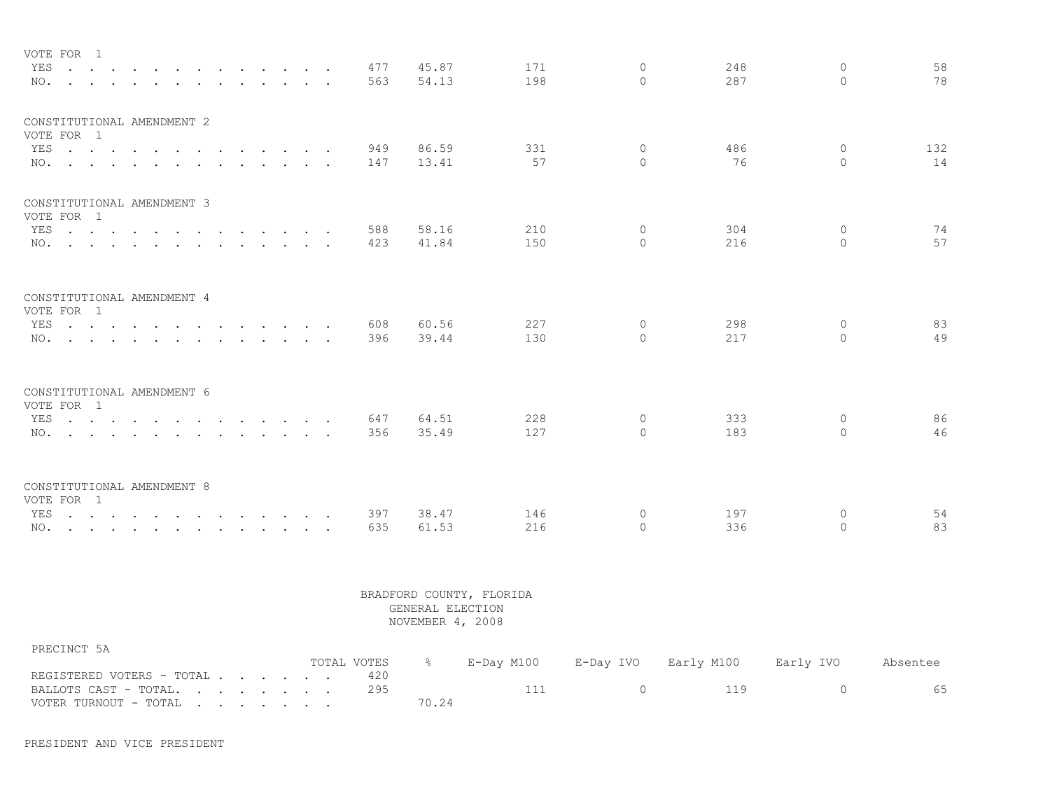| VOTE FOR 1                               |                                  |  |  |               |  |                                                                                                                                                                                                                                   |  |     |       |     |    |                      |     |                     |          |
|------------------------------------------|----------------------------------|--|--|---------------|--|-----------------------------------------------------------------------------------------------------------------------------------------------------------------------------------------------------------------------------------|--|-----|-------|-----|----|----------------------|-----|---------------------|----------|
|                                          | YES                              |  |  |               |  |                                                                                                                                                                                                                                   |  | 477 | 45.87 | 171 |    | $\Omega$             | 248 | $\Omega$            | 58       |
|                                          | $NO.$ $\cdots$ $\cdots$ $\cdots$ |  |  | $\sim$ $\sim$ |  | $\mathbf{r}$ . The set of the set of the set of the set of the set of the set of the set of the set of the set of the set of the set of the set of the set of the set of the set of the set of the set of the set of the set of t |  | 563 | 54.13 | 198 |    | $\Omega$             | 287 | $\Omega$            | 78       |
| CONSTITUTIONAL AMENDMENT 2               |                                  |  |  |               |  |                                                                                                                                                                                                                                   |  |     |       |     |    |                      |     |                     |          |
| VOTE FOR 1                               |                                  |  |  |               |  |                                                                                                                                                                                                                                   |  |     |       |     |    |                      |     |                     |          |
|                                          | YES                              |  |  |               |  |                                                                                                                                                                                                                                   |  | 949 | 86.59 | 331 |    | $\circ$              | 486 | $\circ$             | 132      |
|                                          | NO.                              |  |  |               |  |                                                                                                                                                                                                                                   |  | 147 | 13.41 |     | 57 | $\Omega$             | 76  | $\Omega$            | 14       |
| CONSTITUTIONAL AMENDMENT 3               |                                  |  |  |               |  |                                                                                                                                                                                                                                   |  |     |       |     |    |                      |     |                     |          |
| VOTE FOR 1                               |                                  |  |  |               |  |                                                                                                                                                                                                                                   |  |     |       |     |    |                      |     |                     |          |
|                                          | YES                              |  |  |               |  |                                                                                                                                                                                                                                   |  | 588 | 58.16 | 210 |    | $\Omega$             | 304 | $\mathbf{0}$        | 74       |
|                                          | NO.                              |  |  |               |  |                                                                                                                                                                                                                                   |  | 423 | 41.84 | 150 |    | $\cap$               | 216 | $\Omega$            | 57       |
| CONSTITUTIONAL AMENDMENT 4<br>VOTE FOR 1 |                                  |  |  |               |  |                                                                                                                                                                                                                                   |  |     |       |     |    |                      |     |                     |          |
|                                          | YES                              |  |  |               |  |                                                                                                                                                                                                                                   |  | 608 | 60.56 | 227 |    | $\Omega$             | 298 | $\circ$             | 83       |
|                                          | NO.                              |  |  |               |  |                                                                                                                                                                                                                                   |  | 396 | 39.44 | 130 |    | $\Omega$             | 217 | $\Omega$            | 49       |
| CONSTITUTIONAL AMENDMENT 6<br>VOTE FOR 1 |                                  |  |  |               |  |                                                                                                                                                                                                                                   |  |     |       |     |    |                      |     |                     |          |
|                                          | YES                              |  |  |               |  |                                                                                                                                                                                                                                   |  | 647 | 64.51 | 228 |    | $\circ$              | 333 | $\circ$             | 86       |
|                                          | NO.                              |  |  |               |  |                                                                                                                                                                                                                                   |  | 356 | 35.49 | 127 |    | $\Omega$             | 183 | $\Omega$            | 46       |
|                                          |                                  |  |  |               |  |                                                                                                                                                                                                                                   |  |     |       |     |    |                      |     |                     |          |
| CONSTITUTIONAL AMENDMENT 8               |                                  |  |  |               |  |                                                                                                                                                                                                                                   |  |     |       |     |    |                      |     |                     |          |
| VOTE FOR 1                               |                                  |  |  |               |  |                                                                                                                                                                                                                                   |  |     |       |     |    |                      |     |                     |          |
|                                          | YES                              |  |  |               |  |                                                                                                                                                                                                                                   |  | 397 | 38.47 | 146 |    | $\circ$<br>$\bigcap$ | 197 | $\circ$<br>$\Omega$ | 54<br>83 |
|                                          | NO.                              |  |  |               |  |                                                                                                                                                                                                                                   |  | 635 | 61.53 | 216 |    |                      | 336 |                     |          |

| PRECINCT 5A               |             |               |                |                                                        |          |
|---------------------------|-------------|---------------|----------------|--------------------------------------------------------|----------|
|                           | TOTAL VOTES | $\frac{1}{2}$ |                | E-Day M100      E-Day IVO     Early M100     Early IVO | Absentee |
| REGISTERED VOTERS - TOTAL |             |               |                |                                                        |          |
| BALLOTS CAST - TOTAL. 295 |             |               | $\overline{a}$ | 119                                                    |          |
| VOTER TURNOUT - TOTAL     |             | 70.24         |                |                                                        |          |

PRESIDENT AND VICE PRESIDENT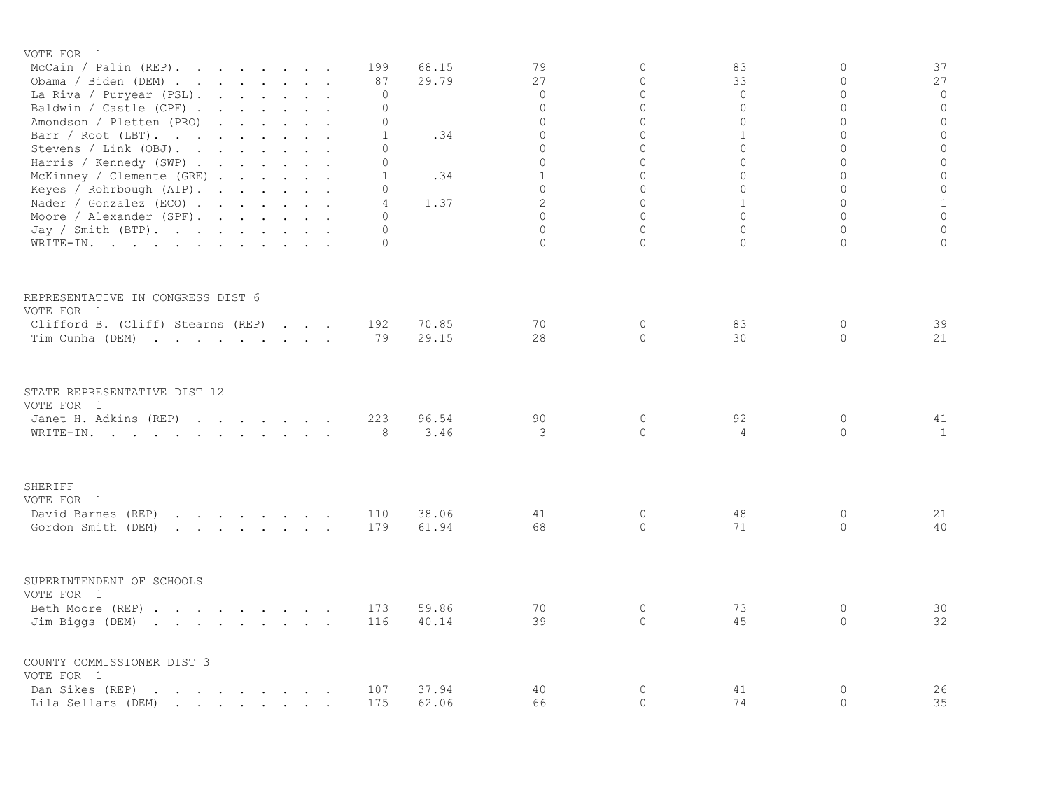| VOTE FOR 1                                                                                                                                                                                                                                                                                              |              |                |              |                     |                      |                         |                    |
|---------------------------------------------------------------------------------------------------------------------------------------------------------------------------------------------------------------------------------------------------------------------------------------------------------|--------------|----------------|--------------|---------------------|----------------------|-------------------------|--------------------|
| McCain / Palin $(REP)$ .                                                                                                                                                                                                                                                                                | 199          | 68.15          | 79           | 0                   | 83                   | $\mathbf{0}$            | 37                 |
| Obama / Biden (DEM)                                                                                                                                                                                                                                                                                     | 87           | 29.79          | 27           | 0                   | 33                   | $\mathbf 0$             | 27                 |
| La Riva / Puryear (PSL).                                                                                                                                                                                                                                                                                | $\circ$      |                | $\circ$      | 0                   | 0                    | $\circ$                 | $\circ$            |
| Baldwin / Castle (CPF) .<br>and the contract of the contract of the                                                                                                                                                                                                                                     | 0            |                | $\mathbf{0}$ | 0                   | 0                    | $\circ$                 | $\mathbf 0$        |
| Amondson / Pletten (PRO)<br>$\mathbf{L} = \mathbf{L} \times \mathbf{L}$                                                                                                                                                                                                                                 | 0            |                | $\Omega$     | $\Omega$            | $\Omega$             | $\Omega$                | $\mathbb O$        |
| Barr / Root (LBT).                                                                                                                                                                                                                                                                                      | 1            | .34            | $\Omega$     | $\Omega$            | $\mathbf{1}$         | $\Omega$                | $\mathbf 0$        |
| Stevens / Link (OBJ).                                                                                                                                                                                                                                                                                   | $\Omega$     |                | $\Omega$     | $\Omega$            | $\Omega$             | $\Omega$                | $\circ$            |
| Harris / Kennedy (SWP)                                                                                                                                                                                                                                                                                  | $\circ$      |                | $\Omega$     | $\Omega$            | $\Omega$             | $\Omega$                | $\mathbb O$        |
| McKinney / Clemente (GRE)                                                                                                                                                                                                                                                                               | $\mathbf{1}$ | .34            | $\mathbf{1}$ | 0                   | 0                    | $\circ$                 | $\mathbb O$        |
| Keyes / Rohrbough (AIP).                                                                                                                                                                                                                                                                                | 0            |                | $\mathbf{0}$ | 0                   | 0                    | $\mathbf 0$             | $\mathbf 0$        |
| Nader / Gonzalez (ECO) $\cdot \cdot \cdot \cdot \cdot \cdot$                                                                                                                                                                                                                                            | 4            | 1.37           | 2            | $\Omega$            | $\mathbf{1}$         | $\Omega$                | $\,1\,$            |
| Moore / Alexander (SPF).                                                                                                                                                                                                                                                                                | $\Omega$     |                | $\Omega$     | $\Omega$            | $\Omega$             | $\Omega$                | $\mathbf 0$        |
| Jay / Smith (BTP).                                                                                                                                                                                                                                                                                      | $\Omega$     |                | $\Omega$     | 0                   | 0                    | $\overline{0}$          | $\mathbf 0$        |
| WRITE-IN.                                                                                                                                                                                                                                                                                               | $\Omega$     |                | $\Omega$     | $\Omega$            | $\Omega$             | $\Omega$                | $\overline{0}$     |
| REPRESENTATIVE IN CONGRESS DIST 6<br>VOTE FOR 1<br>Clifford B. (Cliff) Stearns (REP)<br>Tim Cunha (DEM)                                                                                                                                                                                                 | 192<br>79    | 70.85<br>29.15 | 70<br>28     | $\circ$<br>$\Omega$ | 83<br>30             | $\mathbf{0}$<br>$\circ$ | 39<br>21           |
| STATE REPRESENTATIVE DIST 12<br>VOTE FOR 1<br>Janet H. Adkins (REP)<br>WRITE-IN.                                                                                                                                                                                                                        | 223<br>8     | 96.54<br>3.46  | 90<br>3      | 0<br>$\circ$        | 92<br>$\overline{4}$ | $\mathbb O$<br>$\circ$  | 41<br>$\mathbf{1}$ |
| SHERIFF                                                                                                                                                                                                                                                                                                 |              |                |              |                     |                      |                         |                    |
| VOTE FOR 1                                                                                                                                                                                                                                                                                              |              |                |              |                     |                      |                         |                    |
| David Barnes (REP)<br>the contract of the contract of the contract of the contract of the contract of the contract of the contract of                                                                                                                                                                   | 110          | 38.06          | 41           | $\circ$             | 48                   | 0                       | 21                 |
| Gordon Smith (DEM)<br>$\mathbf{r} = \mathbf{r} + \mathbf{r} + \mathbf{r} + \mathbf{r} + \mathbf{r} + \mathbf{r} + \mathbf{r} + \mathbf{r}$                                                                                                                                                              | 179          | 61.94          | 68           | $\circ$             | 71                   | $\circ$                 | 40                 |
| SUPERINTENDENT OF SCHOOLS<br>VOTE FOR 1<br>Beth Moore (REP)<br>Jim Biggs (DEM)                                                                                                                                                                                                                          | 173<br>116   | 59.86<br>40.14 | 70<br>39     | $\circ$<br>$\circ$  | 73<br>45             | $\circ$<br>$\circ$      | 30<br>32           |
| COUNTY COMMISSIONER DIST 3<br>VOTE FOR 1<br>Dan Sikes (REP)<br>and the contract of the contract of the contract of the contract of the contract of the contract of the contract of the contract of the contract of the contract of the contract of the contract of the contract of the contra<br>$\sim$ | 107          | 37.94          | 40           | 0                   | 41                   | 0                       | 26                 |
| Lila Sellars (DEM)<br>$\mathbf{r}$ , and $\mathbf{r}$ , and $\mathbf{r}$ , and $\mathbf{r}$                                                                                                                                                                                                             | 175          | 62.06          | 66           | 0                   | 74                   | $\mathbf 0$             | 35                 |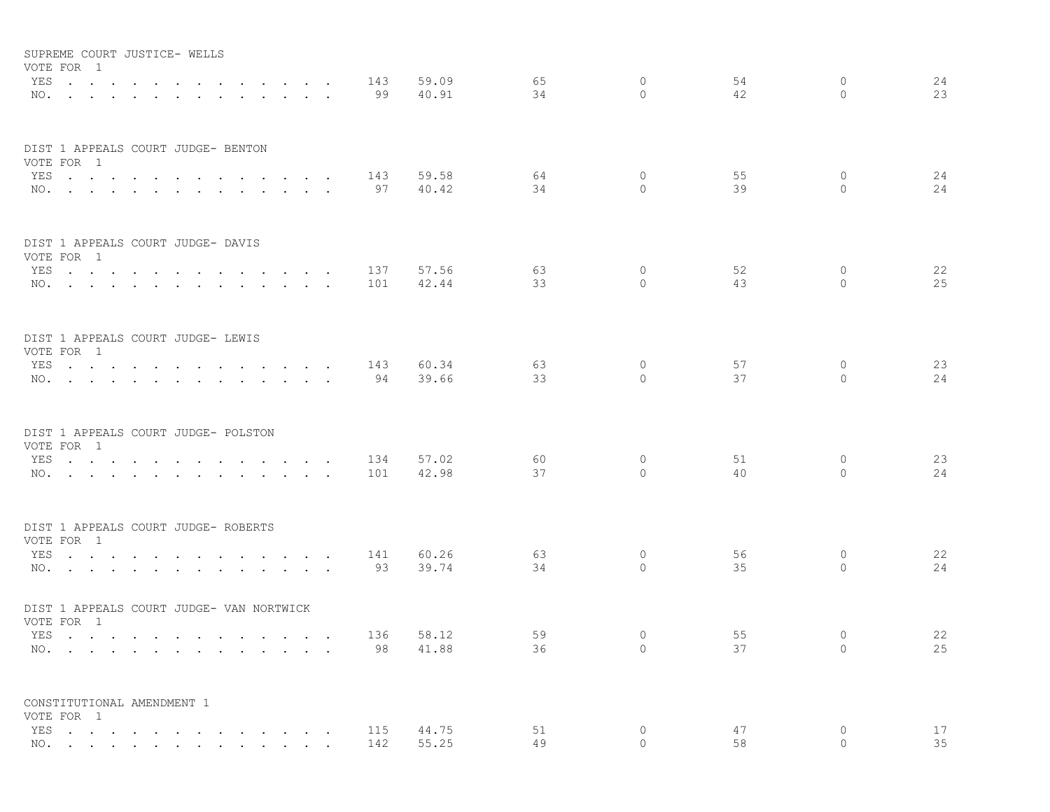| SUPREME COURT JUSTICE- WELLS<br>VOTE FOR 1             |                                |  |                                            |        |                      |                                  |           |                |          |                    |          |                     |          |
|--------------------------------------------------------|--------------------------------|--|--------------------------------------------|--------|----------------------|----------------------------------|-----------|----------------|----------|--------------------|----------|---------------------|----------|
| YES<br>NO.                                             | $\sim$<br>$\ddot{\phantom{a}}$ |  |                                            | $\sim$ |                      | $\sim$ $\sim$<br>$\sim$ $\sim$   | 143<br>99 | 59.09<br>40.91 | 65<br>34 | $\circ$<br>$\circ$ | 54<br>42 | $\circ$<br>$\Omega$ | 24<br>23 |
| DIST 1 APPEALS COURT JUDGE- BENTON                     |                                |  |                                            |        |                      |                                  |           |                |          |                    |          |                     |          |
| VOTE FOR 1                                             |                                |  |                                            |        |                      |                                  |           |                |          |                    |          |                     |          |
| YES<br>NO.                                             |                                |  | $\sim$                                     | $\sim$ |                      | $\sim$ $\sim$<br>$\cdot$ $\cdot$ | 143<br>97 | 59.58<br>40.42 | 64<br>34 | $\circ$<br>$\circ$ | 55<br>39 | $\circ$<br>$\circ$  | 24<br>24 |
| DIST 1 APPEALS COURT JUDGE- DAVIS<br>VOTE FOR 1        |                                |  |                                            |        |                      |                                  |           |                |          |                    |          |                     |          |
| YES                                                    |                                |  | $\mathbf{r}$ , $\mathbf{r}$                |        |                      | $\cdot$ $\cdot$                  | 137       | 57.56          | 63       | $\circ$            | 52       | 0                   | 22       |
| NO.                                                    |                                |  |                                            |        |                      |                                  | 101       | 42.44          | 33       | $\Omega$           | 43       | $\Omega$            | 25       |
| DIST 1 APPEALS COURT JUDGE- LEWIS<br>VOTE FOR 1        |                                |  |                                            |        |                      |                                  |           |                |          |                    |          |                     |          |
| YES                                                    |                                |  | $\mathbf{L} = \mathbf{L} = \mathbf{L}$     |        |                      | $\sim$ $\sim$                    | 143       | 60.34          | 63       | $\circ$            | 57       | 0                   | 23       |
| NO.                                                    |                                |  |                                            |        |                      |                                  | 94        | 39.66          | 33       | $\circ$            | 37       | $\mathbf{0}$        | 24       |
| DIST 1 APPEALS COURT JUDGE- POLSTON<br>VOTE FOR 1      |                                |  |                                            |        |                      |                                  |           |                |          |                    |          |                     |          |
| YES                                                    |                                |  |                                            |        |                      |                                  | 134       | 57.02          | 60       | 0                  | 51       | 0                   | 23       |
| NO.                                                    |                                |  |                                            |        |                      |                                  | 101       | 42.98          | 37       | $\Omega$           | 40       | $\Omega$            | 24       |
| DIST 1 APPEALS COURT JUDGE- ROBERTS                    |                                |  |                                            |        |                      |                                  |           |                |          |                    |          |                     |          |
| VOTE FOR 1<br>YES                                      |                                |  | $\sim$ $\sim$ $\sim$ $\sim$                |        | $\sim$               | $\sim$                           | 141       | 60.26          | 63       | 0                  | 56       | 0                   | 22       |
| NO.                                                    |                                |  |                                            |        |                      |                                  | 93        | 39.74          | 34       | $\Omega$           | 35       | $\Omega$            | 24       |
| DIST 1 APPEALS COURT JUDGE- VAN NORTWICK<br>VOTE FOR 1 |                                |  |                                            |        |                      |                                  |           |                |          |                    |          |                     |          |
| YES                                                    |                                |  | and the state of the state of the state of |        | $\sim$ $\sim$ $\sim$ |                                  | 136       | 58.12          | 59       | $\circ$            | 55       | $\mathbf{0}$        | 22       |
| NO.                                                    |                                |  |                                            |        |                      |                                  | 98        | 41.88          | 36       | $\circ$            | 37       | $\Omega$            | 25       |
| CONSTITUTIONAL AMENDMENT 1<br>VOTE FOR 1               |                                |  |                                            |        |                      |                                  |           |                |          |                    |          |                     |          |
| YES                                                    |                                |  |                                            |        |                      |                                  | 115       | 44.75          | 51       | $\circ$            | 47       | $\circ$             | 17       |
| NO.                                                    |                                |  |                                            |        |                      |                                  | 142       | 55.25          | 49       | $\Omega$           | 58       | $\circ$             | 35       |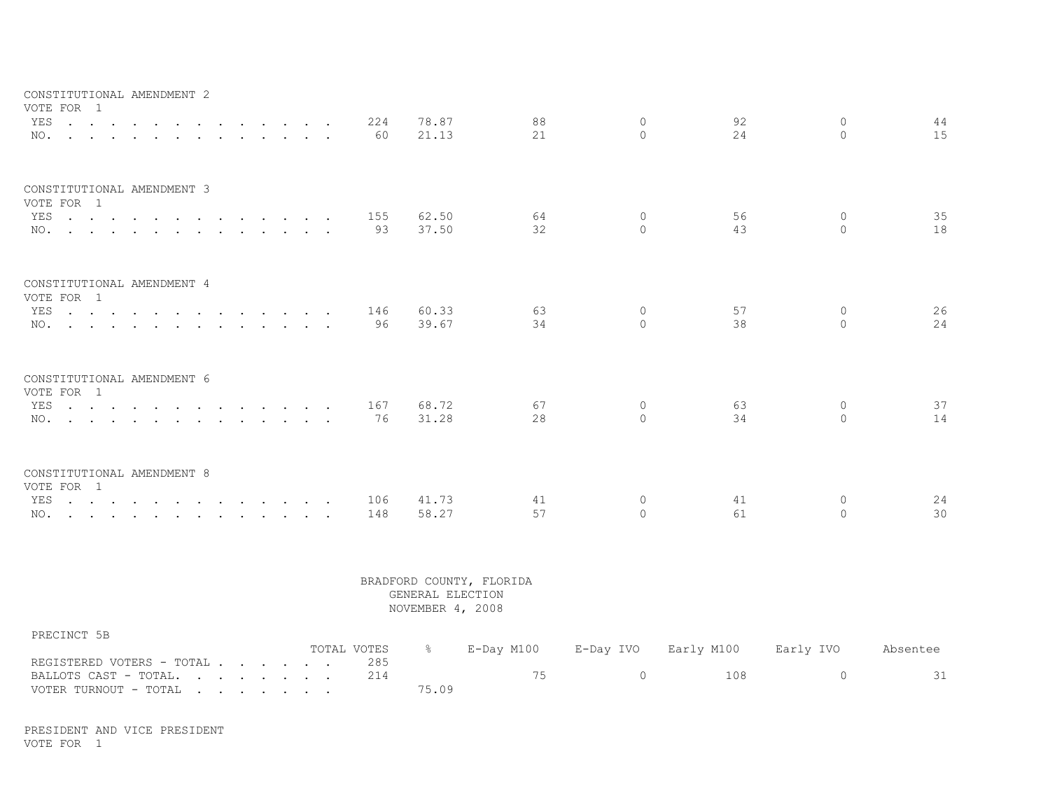| CONSTITUTIONAL AMENDMENT 2<br>VOTE FOR 1                                               |                                                                                                                                                                                                                                                                                                                              |                                                                                                                                                                                                                                   |                                                                                         |                           |                                                           |               |                      |            |                                      |                          |                     |            |                           |          |
|----------------------------------------------------------------------------------------|------------------------------------------------------------------------------------------------------------------------------------------------------------------------------------------------------------------------------------------------------------------------------------------------------------------------------|-----------------------------------------------------------------------------------------------------------------------------------------------------------------------------------------------------------------------------------|-----------------------------------------------------------------------------------------|---------------------------|-----------------------------------------------------------|---------------|----------------------|------------|--------------------------------------|--------------------------|---------------------|------------|---------------------------|----------|
| YES<br>$\mathbf{r}$ , $\mathbf{r}$ , $\mathbf{r}$ , $\mathbf{r}$ , $\mathbf{r}$<br>NO. | $\ddot{\phantom{a}}$<br>the contract of the contract of the contract of the contract of the contract of the contract of the contract of                                                                                                                                                                                      |                                                                                                                                                                                                                                   | $\sim$<br>$\mathbf{r} = \mathbf{r} + \mathbf{r} + \mathbf{r} + \mathbf{r} + \mathbf{r}$ | $\mathbf{L} = \mathbf{L}$ |                                                           | $\sim$ $\sim$ |                      | 224<br>60  | 78.87<br>21.13                       | 88<br>21                 | $\circ$<br>$\Omega$ | 92<br>24   | $\circ$<br>$\Omega$       | 44<br>15 |
| CONSTITUTIONAL AMENDMENT 3<br>VOTE FOR 1<br>YES<br>NO.                                 |                                                                                                                                                                                                                                                                                                                              |                                                                                                                                                                                                                                   | $\mathbf{r}$ , $\mathbf{r}$ , $\mathbf{r}$ , $\mathbf{r}$ , $\mathbf{r}$                |                           |                                                           |               | $\sim$               | 155<br>93  | 62.50<br>37.50                       | 64<br>32                 | $\circ$<br>$\Omega$ | 56<br>43   | $\circ$<br>$\circ$        | 35<br>18 |
|                                                                                        | and the state of the state of the                                                                                                                                                                                                                                                                                            | $\mathbf{r}$ . The set of the set of the set of the set of the set of the set of the set of the set of the set of the set of the set of the set of the set of the set of the set of the set of the set of the set of the set of t |                                                                                         |                           |                                                           |               |                      |            |                                      |                          |                     |            |                           |          |
| CONSTITUTIONAL AMENDMENT 4<br>VOTE FOR 1                                               |                                                                                                                                                                                                                                                                                                                              |                                                                                                                                                                                                                                   |                                                                                         |                           |                                                           |               |                      |            |                                      |                          |                     |            |                           |          |
| YES<br>NO.                                                                             |                                                                                                                                                                                                                                                                                                                              |                                                                                                                                                                                                                                   |                                                                                         |                           |                                                           |               | $\ddot{\phantom{a}}$ | 146<br>96  | 60.33<br>39.67                       | 63<br>34                 | $\circ$<br>$\Omega$ | 57<br>38   | $\circ$<br>$\circ$        | 26<br>24 |
| CONSTITUTIONAL AMENDMENT 6<br>VOTE FOR 1                                               |                                                                                                                                                                                                                                                                                                                              |                                                                                                                                                                                                                                   |                                                                                         |                           |                                                           |               |                      |            |                                      |                          |                     |            |                           |          |
| YES<br>NO.                                                                             | $\mathbf{r}$ . The contract of the contract of the contract of the contract of the contract of the contract of the contract of the contract of the contract of the contract of the contract of the contract of the contract of th<br>$\mathbf{r}$ , $\mathbf{r}$ , $\mathbf{r}$ , $\mathbf{r}$ , $\mathbf{r}$ , $\mathbf{r}$ |                                                                                                                                                                                                                                   | $\mathbf{r}$ . The contract of $\mathbf{r}$                                             |                           | $\mathbf{r}$ , $\mathbf{r}$ , $\mathbf{r}$ , $\mathbf{r}$ |               | $\sim$               | 167<br>76  | 68.72<br>31.28                       | 67<br>28                 | $\circ$<br>$\Omega$ | 63<br>34   | $\circ$<br>$\overline{0}$ | 37<br>14 |
| CONSTITUTIONAL AMENDMENT 8<br>VOTE FOR 1                                               |                                                                                                                                                                                                                                                                                                                              |                                                                                                                                                                                                                                   |                                                                                         |                           |                                                           |               |                      |            |                                      |                          |                     |            |                           |          |
| YES<br>NO.                                                                             | $\mathbf{r}$ , and $\mathbf{r}$ , and $\mathbf{r}$ , and $\mathbf{r}$ , and $\mathbf{r}$ , and $\mathbf{r}$<br>the contract of the contract of the contract of the contract of the contract of the contract of the contract of                                                                                               |                                                                                                                                                                                                                                   |                                                                                         |                           |                                                           |               | $\sim$               | 106<br>148 | 41.73<br>58.27                       | 41<br>57                 | 0<br>$\Omega$       | 41<br>61   | $\circ$<br>$\circ$        | 24<br>30 |
|                                                                                        |                                                                                                                                                                                                                                                                                                                              |                                                                                                                                                                                                                                   |                                                                                         |                           |                                                           |               |                      |            | GENERAL ELECTION<br>NOVEMBER 4, 2008 | BRADFORD COUNTY, FLORIDA |                     |            |                           |          |
| PRECINCT 5B                                                                            |                                                                                                                                                                                                                                                                                                                              |                                                                                                                                                                                                                                   |                                                                                         |                           |                                                           |               | TOTAL VOTES          |            | $\frac{6}{6}$                        | E-Day M100               | E-Day IVO           | Early M100 | Early IVO                 | Absentee |

|                               | TUTAL VUTLD 6 |      |  | E-DAY MIUU LE-DAY IVO LEALIY MIUU LEALIY IVO | ADSENLEE |
|-------------------------------|---------------|------|--|----------------------------------------------|----------|
| REGISTERED VOTERS - TOTAL 285 |               |      |  |                                              |          |
| BALLOTS CAST - TOTAL. 214     |               |      |  | 108                                          |          |
| VOTER TURNOUT - TOTAL         |               | 7509 |  |                                              |          |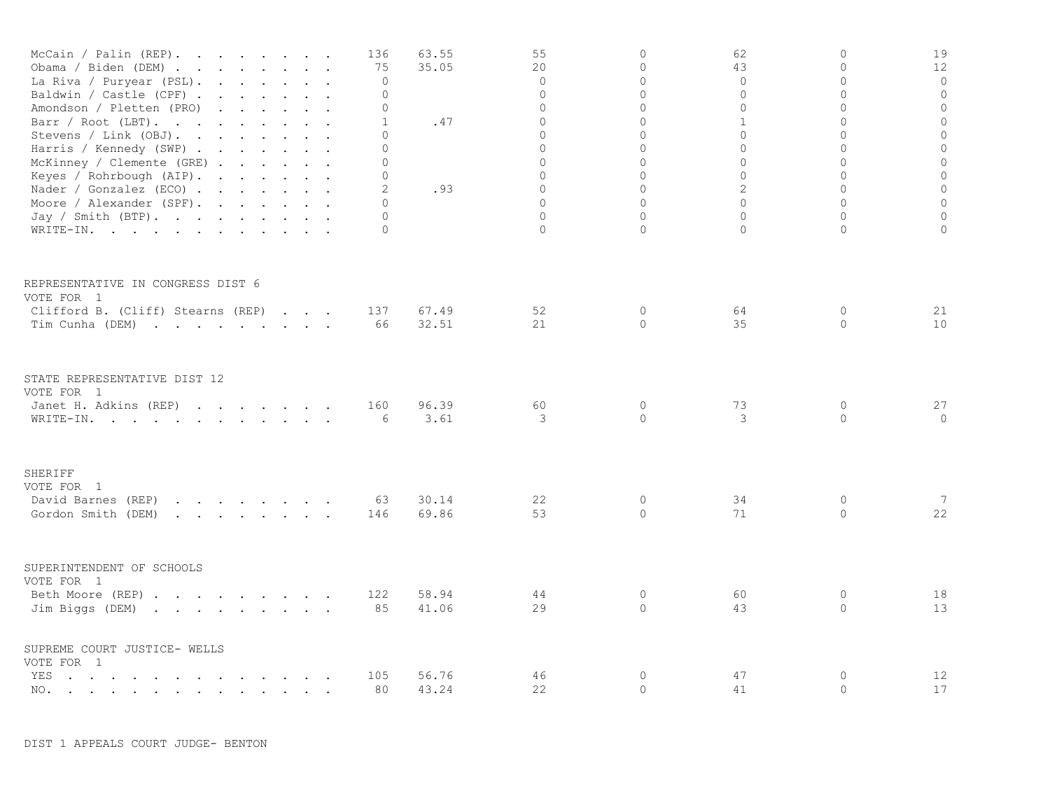| McCain / Palin (REP).<br>Obama / Biden (DEM).<br>and the contract of the contract of the contract of the contract of the contract of the contract of the contract of the contract of the contract of the contract of the contract of the contract of the contract of the contra<br>La Riva / Puryear (PSL).<br>Baldwin / Castle (CPF)<br>Amondson / Pletten (PRO)<br>and the contract of the contract of the contract of the contract of the contract of the contract of the contract of the contract of the contract of the contract of the contract of the contract of the contract of the contra<br>Barr / Root (LBT).<br>Stevens / Link (OBJ).<br>Harris / Kennedy (SWP)<br>McKinney / Clemente (GRE)<br>Keyes / Rohrbough (AIP).<br>Nader / Gonzalez (ECO)<br>Moore / Alexander (SPF).<br>Jay / Smith (BTP). |  | 136<br>75<br>$\mathbf 0$<br>0<br>0<br>$\mathbf{1}$<br>0<br>$\Omega$<br>$\Omega$<br>0<br>2<br>0<br>0 | 63.55<br>35.05<br>.47<br>.93 | 55<br>20<br>$\mathbf{0}$<br>$\mathbf 0$<br>$\circ$<br>$\Omega$<br>$\circ$<br>$\Omega$<br>$\Omega$<br>$\circ$<br>$\Omega$<br>$\Omega$<br>$\Omega$ | $\circ$<br>$\Omega$<br>$\Omega$<br>$\circ$<br>$\circ$<br>$\Omega$<br>$\Omega$<br>$\circ$<br>$\Omega$<br>$\circ$<br>$\Omega$<br>$\Omega$<br>$\circ$ | 62<br>43<br>$\circ$<br>$\mathbf 0$<br>$\mathbf{0}$<br>$\mathbf{1}$<br>$\mathbf{0}$<br>0<br>$\Omega$<br>$\mathbf{0}$<br>2<br>$\Omega$<br>$\mathbf{0}$ | 0<br>$\Omega$<br>$\Omega$<br>$\overline{0}$<br>0<br>$\Omega$<br>0<br>$\Omega$<br>$\Omega$<br>$\overline{0}$<br>$\Omega$<br>$\Omega$<br>$\Omega$ | 19<br>12<br>$\circ$<br>$\mathbb O$<br>$\circ$<br>$\circ$<br>$\circ$<br>$\mathbb O$<br>$\circ$<br>$\mathbb O$<br>$\mathbb O$<br>$\circ$<br>$\circ$ |
|-------------------------------------------------------------------------------------------------------------------------------------------------------------------------------------------------------------------------------------------------------------------------------------------------------------------------------------------------------------------------------------------------------------------------------------------------------------------------------------------------------------------------------------------------------------------------------------------------------------------------------------------------------------------------------------------------------------------------------------------------------------------------------------------------------------------|--|-----------------------------------------------------------------------------------------------------|------------------------------|--------------------------------------------------------------------------------------------------------------------------------------------------|----------------------------------------------------------------------------------------------------------------------------------------------------|------------------------------------------------------------------------------------------------------------------------------------------------------|-------------------------------------------------------------------------------------------------------------------------------------------------|---------------------------------------------------------------------------------------------------------------------------------------------------|
| WRITE-IN.                                                                                                                                                                                                                                                                                                                                                                                                                                                                                                                                                                                                                                                                                                                                                                                                         |  | 0                                                                                                   |                              | $\Omega$                                                                                                                                         | $\Omega$                                                                                                                                           | $\Omega$                                                                                                                                             | $\Omega$                                                                                                                                        | $\circ$                                                                                                                                           |
| REPRESENTATIVE IN CONGRESS DIST 6<br>VOTE FOR 1<br>Clifford B. (Cliff) Stearns (REP)<br>Tim Cunha (DEM)                                                                                                                                                                                                                                                                                                                                                                                                                                                                                                                                                                                                                                                                                                           |  | 137<br>66                                                                                           | 67.49<br>32.51               | 52<br>21                                                                                                                                         | $\circ$<br>$\Omega$                                                                                                                                | 64<br>35                                                                                                                                             | 0<br>$\Omega$                                                                                                                                   | 21<br>10                                                                                                                                          |
| STATE REPRESENTATIVE DIST 12<br>VOTE FOR 1<br>Janet H. Adkins (REP)<br>WRITE-IN.                                                                                                                                                                                                                                                                                                                                                                                                                                                                                                                                                                                                                                                                                                                                  |  | 160<br>6                                                                                            | 96.39<br>3.61                | 60<br>3                                                                                                                                          | $\mathbf{0}$<br>$\Omega$                                                                                                                           | 73<br>3                                                                                                                                              | $\circ$<br>$\circ$                                                                                                                              | 27<br>$\mathbf{0}$                                                                                                                                |
| SHERIFF<br>VOTE FOR 1<br>David Barnes (REP)<br>Gordon Smith (DEM)<br>$\mathbf{r}$ , $\mathbf{r}$ , $\mathbf{r}$ , $\mathbf{r}$ , $\mathbf{r}$ , $\mathbf{r}$                                                                                                                                                                                                                                                                                                                                                                                                                                                                                                                                                                                                                                                      |  | 63<br>146                                                                                           | 30.14<br>69.86               | 22<br>53                                                                                                                                         | 0<br>$\Omega$                                                                                                                                      | 34<br>71                                                                                                                                             | 0<br>0                                                                                                                                          | -7<br>22                                                                                                                                          |
| SUPERINTENDENT OF SCHOOLS<br>VOTE FOR 1<br>Beth Moore (REP)<br>Jim Biggs (DEM)                                                                                                                                                                                                                                                                                                                                                                                                                                                                                                                                                                                                                                                                                                                                    |  | 122<br>85                                                                                           | 58.94<br>41.06               | 44<br>29                                                                                                                                         | 0<br>$\circ$                                                                                                                                       | 60<br>43                                                                                                                                             | 0<br>0                                                                                                                                          | 18<br>13                                                                                                                                          |
| SUPREME COURT JUSTICE- WELLS<br>VOTE FOR 1<br>the contract of the contract of the contract of the contract of the contract of the contract of the contract of<br>YES<br>NO.                                                                                                                                                                                                                                                                                                                                                                                                                                                                                                                                                                                                                                       |  | 105<br>80                                                                                           | 56.76<br>43.24               | 46<br>22                                                                                                                                         | $\mathbf 0$<br>$\circ$                                                                                                                             | 47<br>41                                                                                                                                             | $\circ$<br>$\circ$                                                                                                                              | 12<br>17                                                                                                                                          |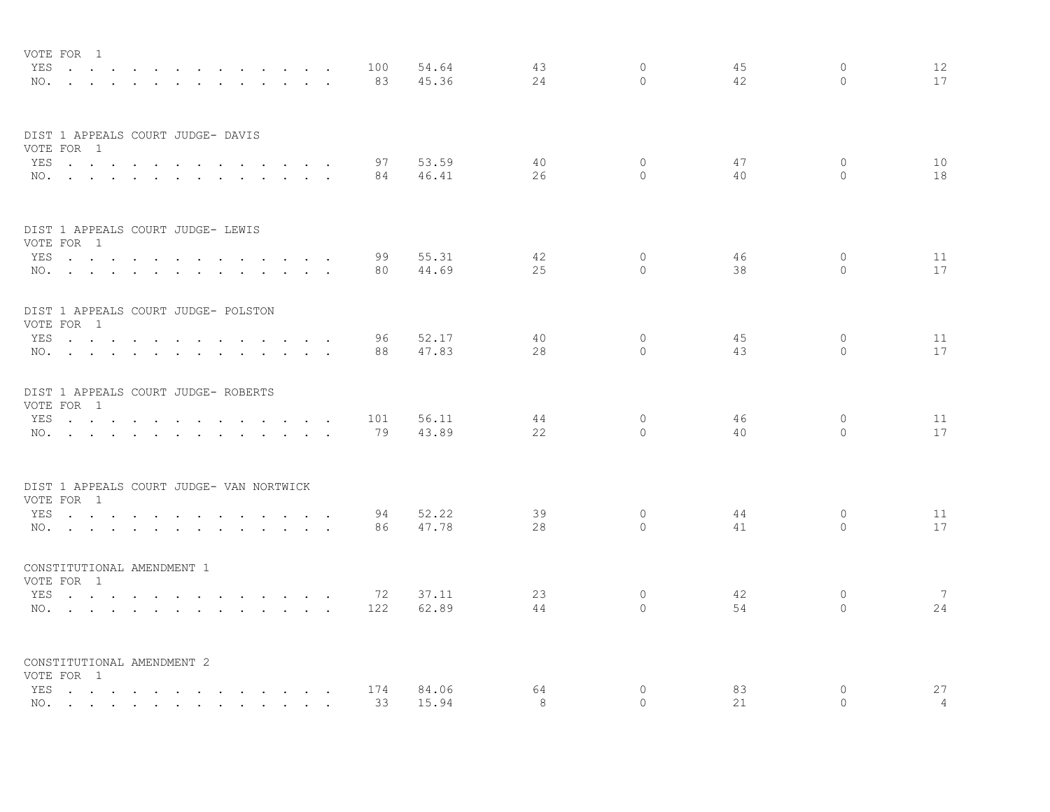| VOTE FOR 1                                        |                      |               |                                     |                      |     |                |    |                   |    |                            |                |
|---------------------------------------------------|----------------------|---------------|-------------------------------------|----------------------|-----|----------------|----|-------------------|----|----------------------------|----------------|
| YES                                               |                      |               |                                     |                      | 100 | 54.64          | 43 | $\Omega$          | 45 | $\circ$                    | 12             |
| NO.                                               |                      |               |                                     |                      | 83  | 45.36          | 24 | $\Omega$          | 42 | $\Omega$                   | 17             |
|                                                   |                      |               |                                     |                      |     |                |    |                   |    |                            |                |
| DIST 1 APPEALS COURT JUDGE- DAVIS                 |                      |               |                                     |                      |     |                |    |                   |    |                            |                |
| VOTE FOR 1                                        |                      |               |                                     |                      |     |                |    |                   |    |                            |                |
| YES                                               | $\sim$               |               |                                     | $\sim$ $\sim$ $\sim$ | 97  | 53.59          | 40 | $\circ$<br>$\cap$ | 47 | $\overline{0}$<br>$\Omega$ | 10             |
| NO.                                               |                      |               |                                     |                      | 84  | 46.41          | 26 |                   | 40 |                            | 18             |
| DIST 1 APPEALS COURT JUDGE- LEWIS                 |                      |               |                                     |                      |     |                |    |                   |    |                            |                |
| VOTE FOR 1                                        |                      |               |                                     |                      |     |                |    |                   |    |                            |                |
| YES                                               |                      |               |                                     |                      | 99  | 55.31          | 42 | $\circ$           | 46 | $\mathbf{0}$               | 11             |
| NO.                                               |                      |               |                                     |                      | 80  | 44.69          | 25 | $\Omega$          | 38 | $\Omega$                   | 17             |
| DIST 1 APPEALS COURT JUDGE- POLSTON<br>VOTE FOR 1 |                      |               |                                     |                      |     |                |    |                   |    |                            |                |
|                                                   |                      |               |                                     |                      |     | 52.17          | 40 | $\circ$           | 45 | $\circ$                    | 11             |
| YES                                               |                      | $\sim$ $\sim$ | and the state of the state of the   | $\sim$ $\sim$ $\sim$ | 96  | 47.83          | 28 | $\Omega$          | 43 | $\bigcap$                  | 17             |
| NO.                                               |                      |               |                                     |                      | 88  |                |    |                   |    |                            |                |
| DIST 1 APPEALS COURT JUDGE- ROBERTS               |                      |               |                                     |                      |     |                |    |                   |    |                            |                |
| VOTE FOR 1                                        |                      |               |                                     |                      |     |                | 44 | $\circ$           | 46 | $\circ$                    | 11             |
| YES                                               |                      |               | $\cdots$ $\cdots$                   | $\cdot$ $\cdot$      | 101 | 56.11<br>43.89 | 22 | $\Omega$          | 40 | $\circ$                    | 17             |
| NO.                                               |                      |               |                                     |                      | 79  |                |    |                   |    |                            |                |
| DIST 1 APPEALS COURT JUDGE- VAN NORTWICK          |                      |               |                                     |                      |     |                |    |                   |    |                            |                |
| VOTE FOR 1                                        |                      |               |                                     |                      |     |                |    |                   |    |                            |                |
| YES                                               | $\sim$ $\sim$ $\sim$ |               | the contract of the contract of the |                      | 94  | 52.22          | 39 | $\circ$           | 44 | $\circ$                    | 11             |
| NO.                                               |                      |               |                                     |                      | 86  | 47.78          | 28 | $\Omega$          | 41 | $\Omega$                   | 17             |
| CONSTITUTIONAL AMENDMENT 1                        |                      |               |                                     |                      |     |                |    |                   |    |                            |                |
| VOTE FOR 1                                        |                      |               |                                     |                      |     |                |    |                   |    |                            |                |
| YES                                               |                      |               |                                     |                      | 72  | 37.11          | 23 | $\circ$           | 42 | $\circ$                    | 7              |
| NO.                                               |                      |               |                                     |                      | 122 | 62.89          | 44 | $\Omega$          | 54 | $\Omega$                   | 24             |
| CONSTITUTIONAL AMENDMENT 2                        |                      |               |                                     |                      |     |                |    |                   |    |                            |                |
| VOTE FOR 1                                        |                      |               |                                     |                      |     |                |    |                   |    |                            |                |
| YES                                               |                      |               |                                     |                      | 174 | 84.06          | 64 | $\circ$           | 83 | $\mathbf{0}$               | 27             |
| NO.                                               |                      |               |                                     |                      | 33  | 15.94          | 8  | $\Omega$          | 21 | $\Omega$                   | $\overline{4}$ |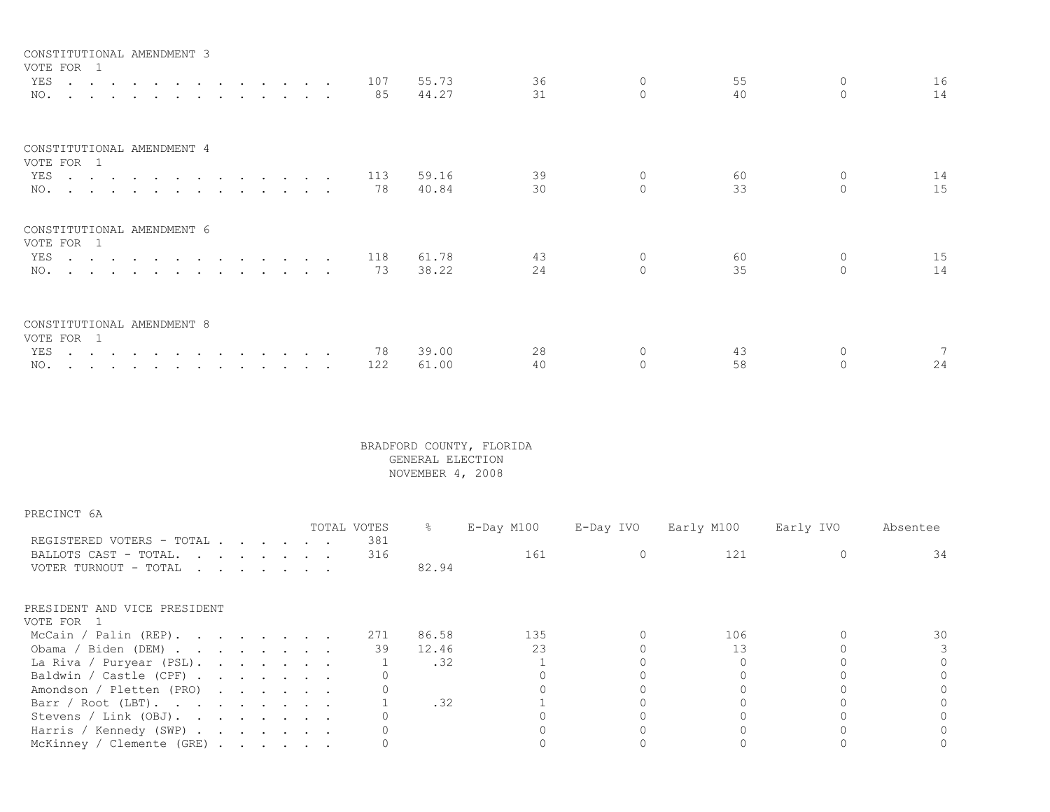| 55.73<br>36<br>55<br>16<br>YES 107<br>0<br>14<br>31<br>40<br>$\Omega$<br>85<br>44.27<br>NO.<br>CONSTITUTIONAL AMENDMENT 4<br>VOTE FOR 1<br>14<br>39<br>60<br>YES 113<br>59.16<br>$\overline{0}$<br>1.5<br>33<br>30<br>$\Omega$<br>78<br>40.84<br>NO.<br>CONSTITUTIONAL AMENDMENT 6<br>VOTE FOR 1<br>15<br>YES 118<br>61.78<br>43<br>60<br>$\Omega$<br>14<br>35<br>24<br>38.22<br>$\cap$<br>NO. 73<br>CONSTITUTIONAL AMENDMENT 8<br>VOTE FOR 1<br>28<br>39.00<br>78<br>43<br>YES<br>NO. | CONSTITUTIONAL AMENDMENT 3 |  |  |  |     |       |    |    |    |
|----------------------------------------------------------------------------------------------------------------------------------------------------------------------------------------------------------------------------------------------------------------------------------------------------------------------------------------------------------------------------------------------------------------------------------------------------------------------------------------|----------------------------|--|--|--|-----|-------|----|----|----|
|                                                                                                                                                                                                                                                                                                                                                                                                                                                                                        | VOTE FOR 1                 |  |  |  |     |       |    |    |    |
|                                                                                                                                                                                                                                                                                                                                                                                                                                                                                        |                            |  |  |  |     |       |    |    |    |
|                                                                                                                                                                                                                                                                                                                                                                                                                                                                                        |                            |  |  |  |     |       |    |    |    |
|                                                                                                                                                                                                                                                                                                                                                                                                                                                                                        |                            |  |  |  |     |       |    |    |    |
|                                                                                                                                                                                                                                                                                                                                                                                                                                                                                        |                            |  |  |  |     |       |    |    |    |
|                                                                                                                                                                                                                                                                                                                                                                                                                                                                                        |                            |  |  |  |     |       |    |    |    |
|                                                                                                                                                                                                                                                                                                                                                                                                                                                                                        |                            |  |  |  |     |       |    |    |    |
|                                                                                                                                                                                                                                                                                                                                                                                                                                                                                        |                            |  |  |  |     |       |    |    |    |
|                                                                                                                                                                                                                                                                                                                                                                                                                                                                                        |                            |  |  |  |     |       |    |    |    |
|                                                                                                                                                                                                                                                                                                                                                                                                                                                                                        |                            |  |  |  |     |       |    |    |    |
|                                                                                                                                                                                                                                                                                                                                                                                                                                                                                        |                            |  |  |  | 122 | 61.00 | 40 | 58 | 24 |

| PRECINCT 6A                                                                 |  |  |  |             |               |            |           |            |           |          |
|-----------------------------------------------------------------------------|--|--|--|-------------|---------------|------------|-----------|------------|-----------|----------|
|                                                                             |  |  |  | TOTAL VOTES | $\frac{8}{6}$ | E-Day M100 | E-Day IVO | Early M100 | Early IVO | Absentee |
| REGISTERED VOTERS - TOTAL<br>BALLOTS CAST - TOTAL.<br>VOTER TURNOUT - TOTAL |  |  |  | 381<br>316  | 82.94         | 161        |           | 121        |           | 34       |
| PRESIDENT AND VICE PRESIDENT                                                |  |  |  |             |               |            |           |            |           |          |
| VOTE FOR 1<br>McCain / Palin (REP).                                         |  |  |  | 271         | 86.58         | 135        |           | 106        |           | 30       |
|                                                                             |  |  |  |             |               |            |           |            |           |          |
| Obama / Biden (DEM)                                                         |  |  |  | 39          | 12.46         | 23         |           | 13         |           |          |
| La Riva / Puryear (PSL).                                                    |  |  |  |             | .32           |            |           |            |           |          |
| Baldwin / Castle (CPF) $\cdot \cdot \cdot \cdot \cdot \cdot$                |  |  |  |             |               |            |           |            |           |          |
| Amondson / Pletten (PRO)                                                    |  |  |  |             |               |            |           |            |           |          |
| Barr / Root (LBT).                                                          |  |  |  |             | .32           |            |           |            |           |          |
| Stevens / Link (OBJ).                                                       |  |  |  |             |               |            |           |            |           |          |
| Harris / Kennedy (SWP)                                                      |  |  |  |             |               |            |           |            |           |          |
| McKinney / Clemente (GRE)                                                   |  |  |  |             |               |            |           |            |           |          |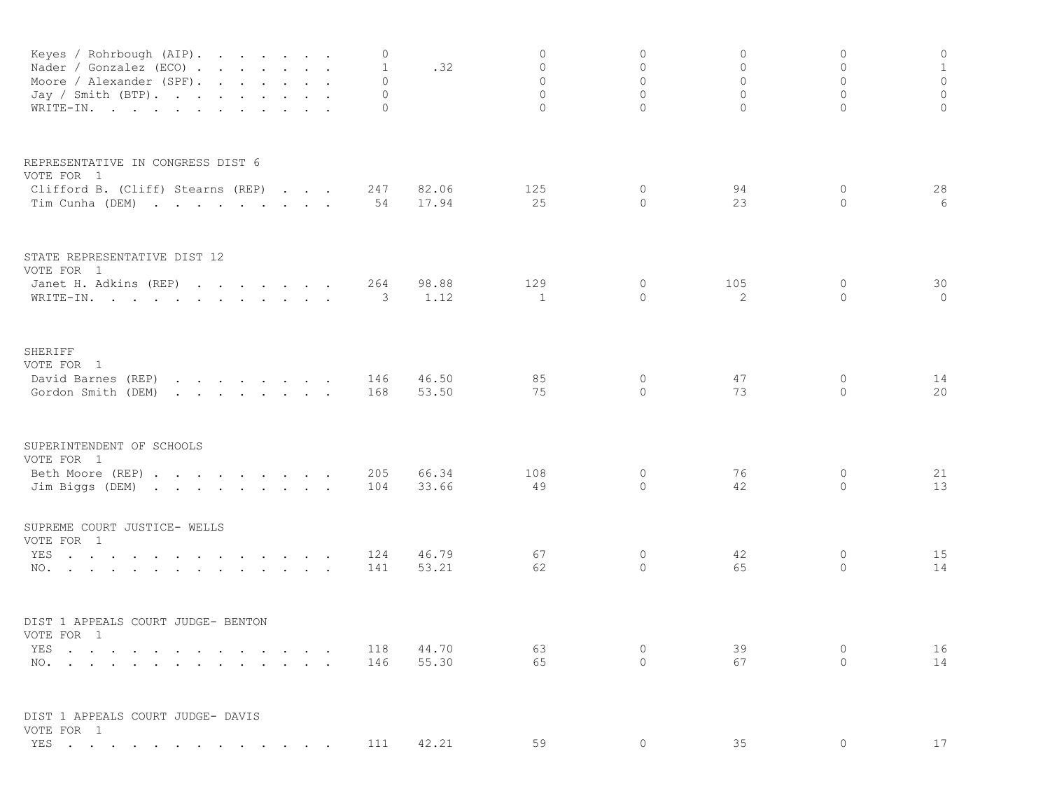| Keyes / Rohrbough (AIP).<br>Nader / Gonzalez (ECO)<br>Moore / Alexander (SPF).<br>Jay / Smith (BTP).<br>WRITE-IN.                                                                                                                                                     | 0<br>1<br>$\Omega$<br>$\Omega$<br>0 | .32            | 0<br>$\mathbf 0$<br>$\circ$<br>$\overline{0}$<br>$\circ$ | $\circ$<br>0<br>$\circ$<br>$\Omega$<br>$\circ$ | $\mathbf{0}$<br>0<br>$\mathbf{0}$<br>$\mathbf{0}$<br>$\circ$ | 0<br>$\mathbf{0}$<br>$\circ$<br>$\circ$<br>$\Omega$ | $\circ$<br>$1\,$<br>$\mathbb O$<br>$\circ$<br>$\circ$ |
|-----------------------------------------------------------------------------------------------------------------------------------------------------------------------------------------------------------------------------------------------------------------------|-------------------------------------|----------------|----------------------------------------------------------|------------------------------------------------|--------------------------------------------------------------|-----------------------------------------------------|-------------------------------------------------------|
| REPRESENTATIVE IN CONGRESS DIST 6<br>VOTE FOR 1                                                                                                                                                                                                                       |                                     |                |                                                          |                                                |                                                              |                                                     |                                                       |
| Clifford B. (Cliff) Stearns (REP)<br>Tim Cunha (DEM)                                                                                                                                                                                                                  | 247<br>54                           | 82.06<br>17.94 | 125<br>25                                                | 0<br>$\circ$                                   | 94<br>23                                                     | 0<br>$\Omega$                                       | 28<br>6                                               |
| STATE REPRESENTATIVE DIST 12<br>VOTE FOR 1                                                                                                                                                                                                                            |                                     |                |                                                          |                                                |                                                              |                                                     |                                                       |
| Janet H. Adkins (REP)<br>WRITE-IN.                                                                                                                                                                                                                                    | 264<br>3                            | 98.88<br>1.12  | 129<br>$\mathbf{1}$                                      | 0<br>$\circ$                                   | 105<br>2                                                     | 0<br>$\circ$                                        | 30<br>$\circ$                                         |
| SHERIFF<br>VOTE FOR 1                                                                                                                                                                                                                                                 |                                     |                |                                                          |                                                |                                                              |                                                     |                                                       |
| David Barnes (REP)<br>$\mathbf{r}$ , $\mathbf{r}$ , $\mathbf{r}$ , $\mathbf{r}$ , $\mathbf{r}$ , $\mathbf{r}$ , $\mathbf{r}$<br>Gordon Smith (DEM)<br>the contract of the contract of the contract of the contract of the contract of the contract of the contract of | 146<br>168                          | 46.50<br>53.50 | 85<br>75                                                 | 0<br>$\circ$                                   | 47<br>73                                                     | 0<br>$\Omega$                                       | 14<br>20                                              |
| SUPERINTENDENT OF SCHOOLS<br>VOTE FOR 1                                                                                                                                                                                                                               |                                     |                |                                                          |                                                |                                                              |                                                     |                                                       |
| Beth Moore (REP)<br>Jim Biggs (DEM)                                                                                                                                                                                                                                   | 205<br>104                          | 66.34<br>33.66 | 108<br>49                                                | 0<br>$\circ$                                   | 76<br>42                                                     | 0<br>$\circ$                                        | 21<br>13                                              |
| SUPREME COURT JUSTICE- WELLS<br>VOTE FOR 1                                                                                                                                                                                                                            |                                     |                |                                                          |                                                |                                                              |                                                     |                                                       |
| the contract of the contract of the contract of the contract of the contract of the contract of the contract of<br>YES<br>NO.                                                                                                                                         | 124<br>141                          | 46.79<br>53.21 | 67<br>62                                                 | $\circ$<br>$\circ$                             | 42<br>65                                                     | $\circ$<br>$\circ$                                  | 15<br>14                                              |
| DIST 1 APPEALS COURT JUDGE- BENTON<br>VOTE FOR 1                                                                                                                                                                                                                      |                                     |                |                                                          |                                                |                                                              |                                                     |                                                       |
| YES<br>NO.                                                                                                                                                                                                                                                            | 118<br>146                          | 44.70<br>55.30 | 63<br>65                                                 | 0<br>$\Omega$                                  | 39<br>67                                                     | 0<br>$\Omega$                                       | 16<br>14                                              |
| DIST 1 APPEALS COURT JUDGE- DAVIS<br>VOTE FOR 1                                                                                                                                                                                                                       |                                     |                |                                                          |                                                |                                                              |                                                     |                                                       |
| YES                                                                                                                                                                                                                                                                   | 111                                 | 42.21          | 59                                                       | 0                                              | 35                                                           | $\Omega$                                            | 17                                                    |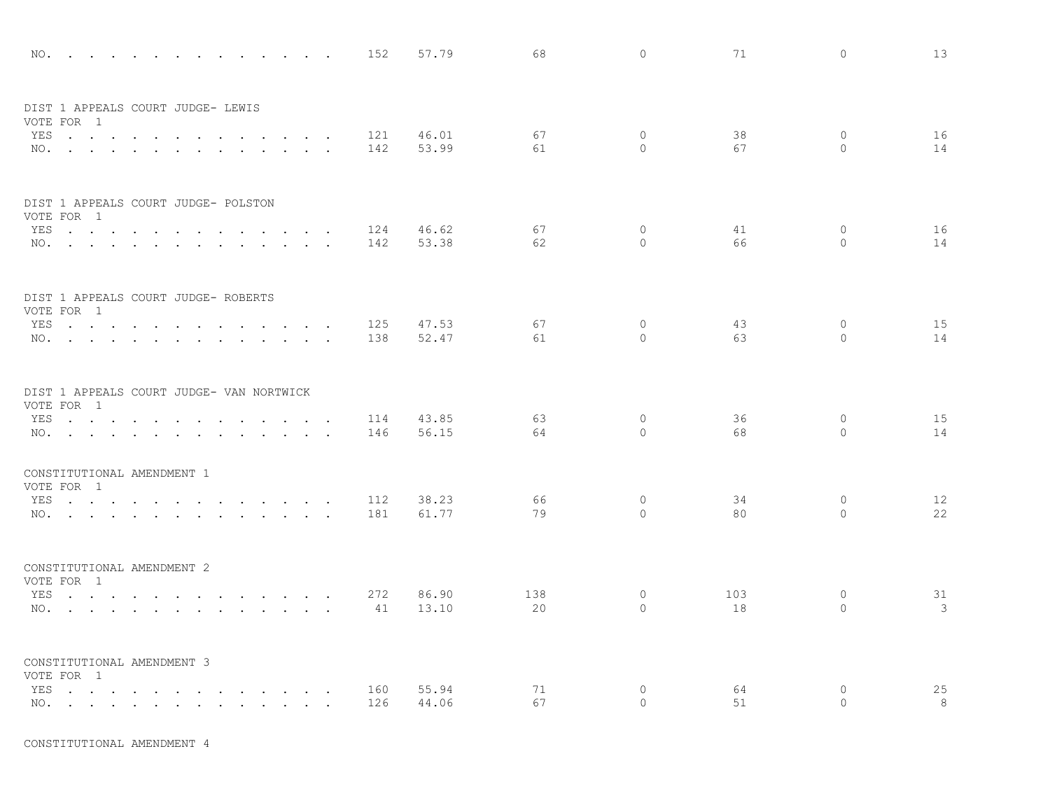|     | NO.                                                        |                                |                      |                      |                                                             |                          |                                        |                      | 152 | 57.79 | 68  | $\circ$      | 71  | $\circ$      | 13   |
|-----|------------------------------------------------------------|--------------------------------|----------------------|----------------------|-------------------------------------------------------------|--------------------------|----------------------------------------|----------------------|-----|-------|-----|--------------|-----|--------------|------|
|     | DIST 1 APPEALS COURT JUDGE- LEWIS<br>VOTE FOR 1            |                                |                      |                      |                                                             |                          |                                        |                      |     |       |     |              |     |              |      |
| YES | $\cdots$ $\cdots$                                          | $\sim$ $\sim$ $\sim$ $\sim$    |                      |                      |                                                             | $\overline{\phantom{a}}$ | $\ddot{\phantom{a}}$                   | $\ddot{\phantom{a}}$ | 121 | 46.01 | 67  | $\circ$      | 38  | $\mathbf{0}$ | 16   |
|     | NO.                                                        | $\sim$<br>$\ddot{\phantom{a}}$ |                      |                      |                                                             |                          |                                        | $\sim$               | 142 | 53.99 | 61  | $\circ$      | 67  | $\circ$      | 14   |
|     | DIST 1 APPEALS COURT JUDGE- POLSTON<br>VOTE FOR 1          |                                |                      |                      |                                                             |                          |                                        |                      |     |       |     |              |     |              |      |
|     | YES                                                        |                                |                      |                      | and the state of the state of the                           |                          | <b>Contract Contract Street</b>        |                      | 124 | 46.62 | 67  | $\circ$      | 41  | $\circ$      | 16   |
|     | NO.                                                        |                                |                      |                      |                                                             |                          | $\sim$ $\sim$                          |                      | 142 | 53.38 | 62  | $\Omega$     | 66  | $\Omega$     | 14   |
|     | DIST 1 APPEALS COURT JUDGE- ROBERTS<br>VOTE FOR 1          |                                |                      |                      |                                                             |                          |                                        |                      |     |       |     |              |     |              |      |
|     | YES.                                                       |                                |                      |                      |                                                             |                          | $\sim$                                 |                      | 125 | 47.53 | 67  | $\mathbf{0}$ | 43  | $\mathbf{0}$ | 15   |
|     | NO.                                                        |                                |                      |                      |                                                             |                          | $\mathbf{r}$                           | $\ddot{\phantom{a}}$ | 138 | 52.47 | 61  | $\Omega$     | 63  | $\mathbf{0}$ | 14   |
|     | DIST 1 APPEALS COURT JUDGE- VAN NORTWICK<br>VOTE FOR 1     |                                |                      |                      |                                                             |                          |                                        |                      |     |       |     |              |     |              |      |
|     | YES                                                        |                                | $\ddot{\phantom{0}}$ | $\ddot{\phantom{a}}$ | <b>Contract Contract Contract</b>                           |                          | $\ddot{\phantom{a}}$                   | $\ddot{\phantom{1}}$ | 114 | 43.85 | 63  | $\circ$      | 36  | $\circ$      | 15   |
|     | NO.                                                        |                                |                      | $\sim$ $\sim$        | $\mathbf{r}$ , $\mathbf{r}$ , $\mathbf{r}$ , $\mathbf{r}$   |                          |                                        | $\ddot{\phantom{a}}$ | 146 | 56.15 | 64  | $\Omega$     | 68  | $\circ$      | 14   |
|     | CONSTITUTIONAL AMENDMENT 1<br>VOTE FOR 1                   |                                |                      |                      |                                                             |                          |                                        |                      |     |       |     |              |     |              |      |
| YES | المنابعة والمستنقل والمستنقل والمستنقل والمستنقل والمستنقل |                                |                      |                      |                                                             |                          |                                        |                      | 112 | 38.23 | 66  | $\circ$      | 34  | $\mathbf{0}$ | $12$ |
|     | $NO.$ $\cdots$ $\cdots$ $\cdots$                           |                                |                      | $\sim 10^{-1}$       | $\mathcal{L}^{\text{max}}$ , and $\mathcal{L}^{\text{max}}$ |                          | $\sim$                                 |                      | 181 | 61.77 | 79  | $\circ$      | 80  | $\circ$      | 22   |
|     | CONSTITUTIONAL AMENDMENT 2<br>VOTE FOR 1                   |                                |                      |                      |                                                             |                          |                                        |                      |     |       |     |              |     |              |      |
|     | YES                                                        |                                |                      |                      | <b>Contract Contract Service</b>                            |                          | $\mathbf{r}$ . The set of $\mathbf{r}$ |                      | 272 | 86.90 | 138 | $\circ$      | 103 | $\circ$      | 31   |
|     | NO.                                                        |                                |                      |                      |                                                             |                          |                                        |                      | 41  | 13.10 | 20  | $\Omega$     | 18  | $\circ$      | 3    |
|     | CONSTITUTIONAL AMENDMENT 3<br>VOTE FOR 1                   |                                |                      |                      |                                                             |                          |                                        |                      |     |       |     |              |     |              |      |
|     | YES                                                        |                                |                      |                      |                                                             |                          |                                        |                      | 160 | 55.94 | 71  | $\circ$      | 64  | $\circ$      | 25   |
|     | NO.                                                        |                                |                      |                      |                                                             |                          |                                        |                      | 126 | 44.06 | 67  | $\circ$      | 51  | $\circ$      | 8    |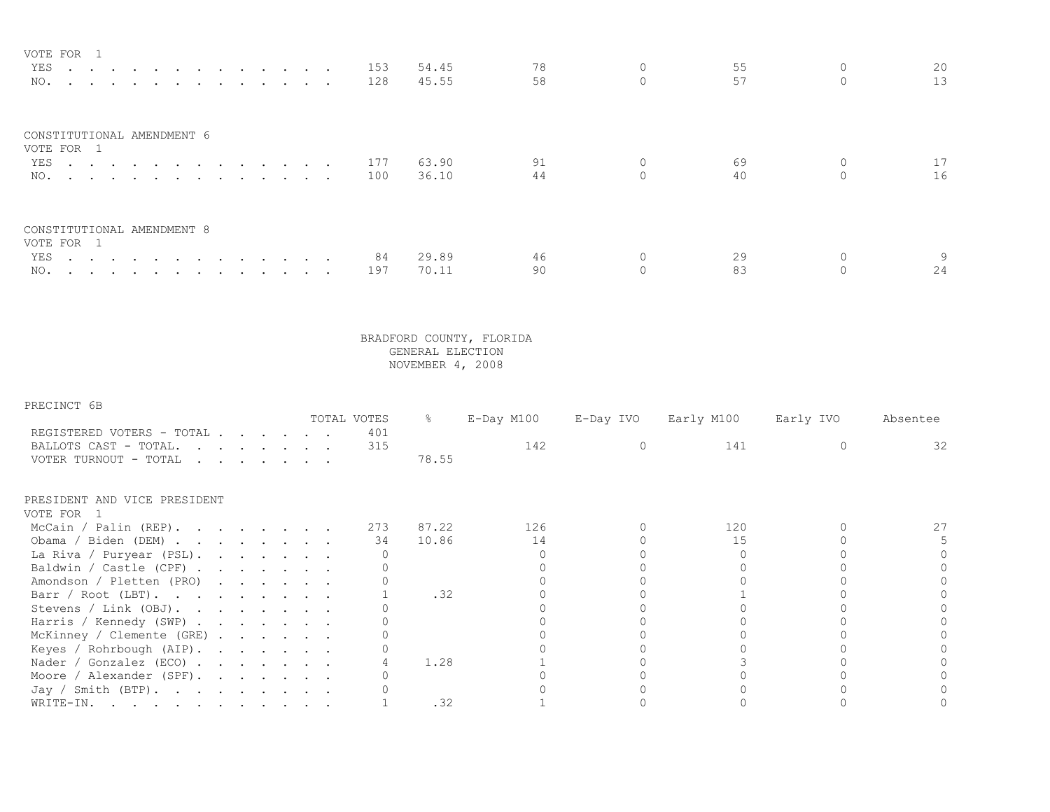| VOTE FOR 1                 |  |  |  |  |  |  |         |       |    |    |                 |
|----------------------------|--|--|--|--|--|--|---------|-------|----|----|-----------------|
|                            |  |  |  |  |  |  | YES 153 | 54.45 | 78 | 55 | 20              |
|                            |  |  |  |  |  |  | NO. 128 | 45.55 | 58 | 57 | 13 <sup>°</sup> |
| CONSTITUTIONAL AMENDMENT 6 |  |  |  |  |  |  |         |       |    |    |                 |
| VOTE FOR 1                 |  |  |  |  |  |  |         |       |    |    |                 |
|                            |  |  |  |  |  |  | YES 177 | 63.90 | 91 | 69 |                 |
|                            |  |  |  |  |  |  | NO. 100 | 36.10 | 44 | 40 | 16              |
| CONSTITUTIONAL AMENDMENT 8 |  |  |  |  |  |  |         |       |    |    |                 |
| VOTE FOR 1                 |  |  |  |  |  |  |         |       |    |    |                 |
|                            |  |  |  |  |  |  | YES 84  | 29.89 | 46 | 29 |                 |
| NO.                        |  |  |  |  |  |  | 197     | 70.11 | 90 |    | 24              |

| PRECINCT | 6 B |
|----------|-----|
|----------|-----|

|                                                                             |  |                                                                                                                                                                                                                                                                                                                                                                                                                              |  | TOTAL VOTES | g.    | $E$ -Day M100 | E-Day IVO | Early M100 | Early IVO | Absentee |
|-----------------------------------------------------------------------------|--|------------------------------------------------------------------------------------------------------------------------------------------------------------------------------------------------------------------------------------------------------------------------------------------------------------------------------------------------------------------------------------------------------------------------------|--|-------------|-------|---------------|-----------|------------|-----------|----------|
| REGISTERED VOTERS - TOTAL<br>BALLOTS CAST - TOTAL.<br>VOTER TURNOUT - TOTAL |  | $\mathbf{r} = \mathbf{r} + \mathbf{r} + \mathbf{r} + \mathbf{r} + \mathbf{r} + \mathbf{r} + \mathbf{r} + \mathbf{r} + \mathbf{r} + \mathbf{r} + \mathbf{r} + \mathbf{r} + \mathbf{r} + \mathbf{r} + \mathbf{r} + \mathbf{r} + \mathbf{r} + \mathbf{r} + \mathbf{r} + \mathbf{r} + \mathbf{r} + \mathbf{r} + \mathbf{r} + \mathbf{r} + \mathbf{r} + \mathbf{r} + \mathbf{r} + \mathbf{r} + \mathbf{r} + \mathbf{r} + \mathbf$ |  | 401<br>315  | 78.55 | 142           |           | 141        |           | 32       |
| PRESIDENT AND VICE PRESIDENT<br>VOTE FOR 1                                  |  |                                                                                                                                                                                                                                                                                                                                                                                                                              |  |             |       |               |           |            |           |          |
| McCain / Palin (REP).                                                       |  |                                                                                                                                                                                                                                                                                                                                                                                                                              |  | 273         | 87.22 | 126           |           | 120        |           |          |
| Obama / Biden (DEM)                                                         |  |                                                                                                                                                                                                                                                                                                                                                                                                                              |  | 34          | 10.86 | 14            |           | 15         |           |          |
| La Riva / Puryear (PSL).                                                    |  |                                                                                                                                                                                                                                                                                                                                                                                                                              |  |             |       |               |           |            |           |          |
| Baldwin / Castle (CPF)                                                      |  |                                                                                                                                                                                                                                                                                                                                                                                                                              |  |             |       |               |           |            |           |          |
| Amondson / Pletten (PRO)                                                    |  |                                                                                                                                                                                                                                                                                                                                                                                                                              |  |             |       |               |           |            |           |          |
| Barr / Root (LBT).                                                          |  |                                                                                                                                                                                                                                                                                                                                                                                                                              |  |             | .32   |               |           |            |           |          |
| Stevens / Link (OBJ).                                                       |  |                                                                                                                                                                                                                                                                                                                                                                                                                              |  |             |       |               |           |            |           |          |
| Harris / Kennedy (SWP)                                                      |  |                                                                                                                                                                                                                                                                                                                                                                                                                              |  |             |       |               |           |            |           |          |
| McKinney / Clemente (GRE)                                                   |  |                                                                                                                                                                                                                                                                                                                                                                                                                              |  |             |       |               |           |            |           |          |
| Keyes / Rohrbough (AIP).                                                    |  |                                                                                                                                                                                                                                                                                                                                                                                                                              |  |             |       |               |           |            |           |          |
| Nader / Gonzalez (ECO) $\cdot \cdot \cdot \cdot \cdot \cdot$                |  |                                                                                                                                                                                                                                                                                                                                                                                                                              |  |             | 1.28  |               |           |            |           |          |
| Moore / Alexander (SPF).                                                    |  |                                                                                                                                                                                                                                                                                                                                                                                                                              |  |             |       |               |           |            |           |          |
| Jay / Smith (BTP).                                                          |  |                                                                                                                                                                                                                                                                                                                                                                                                                              |  |             |       |               |           |            |           |          |
| WRITE-IN.                                                                   |  |                                                                                                                                                                                                                                                                                                                                                                                                                              |  |             | .32   |               |           |            |           |          |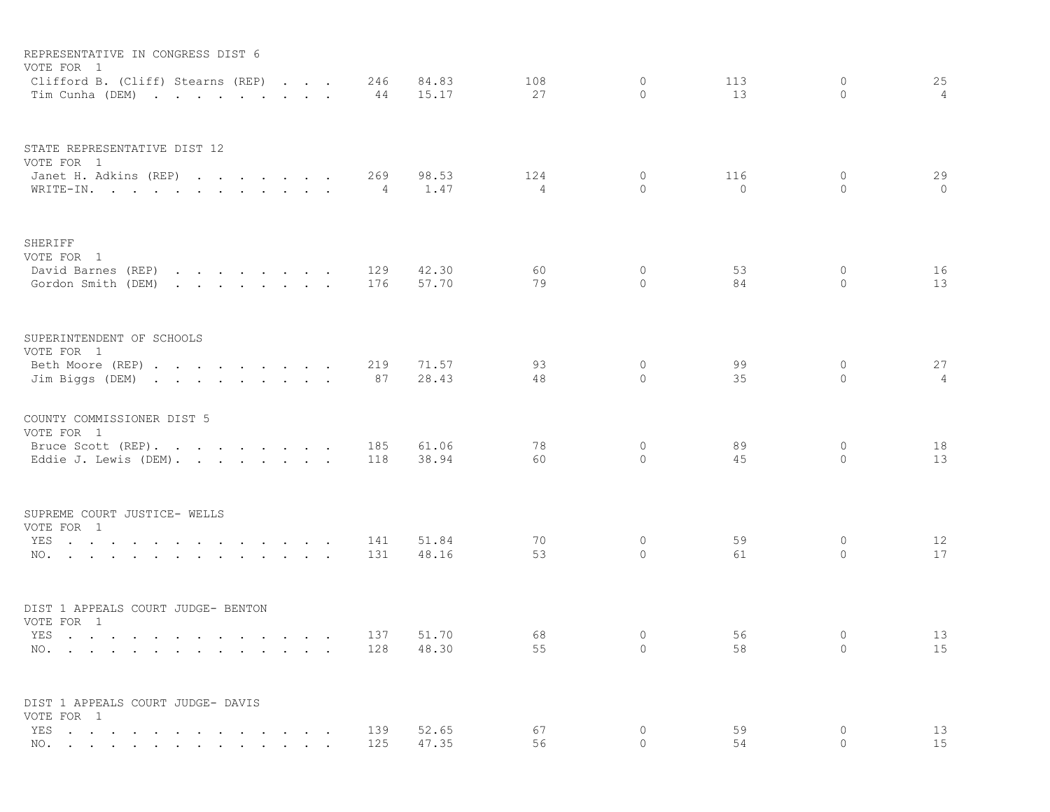| REPRESENTATIVE IN CONGRESS DIST 6<br>VOTE FOR 1                                                                                                      |                   |                                    |            |                |                |                    |           |                              |                      |
|------------------------------------------------------------------------------------------------------------------------------------------------------|-------------------|------------------------------------|------------|----------------|----------------|--------------------|-----------|------------------------------|----------------------|
| Clifford B. (Cliff) Stearns (REP)<br>Tim Cunha (DEM)                                                                                                 | $\cdots$ $\cdots$ |                                    | 246<br>44  | 84.83<br>15.17 | 108<br>27      | 0<br>$\Omega$      | 113<br>13 | 0<br>$\Omega$                | 25<br>$\overline{4}$ |
| STATE REPRESENTATIVE DIST 12<br>VOTE FOR 1<br>Janet H. Adkins (REP)                                                                                  |                   |                                    | 269        | 98.53          | 124            | $\mathbf{0}$       | 116       | $\mathbf{0}$                 | 29                   |
| WRITE-IN.                                                                                                                                            |                   |                                    | 4          | 1.47           | $\overline{4}$ | $\circ$            | $\circ$   | $\circ$                      | $\circ$              |
| SHERIFF<br>VOTE FOR 1                                                                                                                                |                   |                                    |            |                |                |                    |           |                              |                      |
| David Barnes (REP)<br>Gordon Smith (DEM)<br>$\mathbf{r} = \mathbf{r} + \mathbf{r} + \mathbf{r} + \mathbf{r} + \mathbf{r} + \mathbf{r} + \mathbf{r}$  |                   |                                    | 129<br>176 | 42.30<br>57.70 | 60<br>79       | 0<br>$\circ$       | 53<br>84  | 0<br>$\Omega$                | 16<br>13             |
| SUPERINTENDENT OF SCHOOLS<br>VOTE FOR 1                                                                                                              |                   |                                    |            |                |                |                    |           |                              |                      |
| Beth Moore (REP)<br>Jim Biggs (DEM)                                                                                                                  |                   |                                    | 219<br>87  | 71.57<br>28.43 | 93<br>48       | $\circ$<br>$\circ$ | 99<br>35  | 0<br>$\mathbf{0}$            | 27<br>4              |
| COUNTY COMMISSIONER DIST 5<br>VOTE FOR 1                                                                                                             |                   |                                    |            |                |                |                    |           |                              |                      |
| Bruce Scott (REP).<br>Eddie J. Lewis (DEM).                                                                                                          |                   |                                    | 185<br>118 | 61.06<br>38.94 | 78<br>60       | $\circ$<br>$\circ$ | 89<br>45  | $\mathbf{0}$<br>$\mathbf{0}$ | 18<br>13             |
| SUPREME COURT JUSTICE- WELLS<br>VOTE FOR 1                                                                                                           |                   |                                    |            |                |                |                    |           |                              |                      |
| YES<br>and the contract of the state of the<br>$\sim 100$<br><b>Contract Contract Service</b><br>NO.<br>$\ddot{\phantom{a}}$<br>$\sim 100$<br>$\sim$ | $\sim$            | $\cdot$ $\cdot$<br>$\cdot$ $\cdot$ | 141<br>131 | 51.84<br>48.16 | 70<br>53       | $\circ$<br>$\circ$ | 59<br>61  | 0<br>$\Omega$                | 12<br>17             |
| DIST 1 APPEALS COURT JUDGE- BENTON<br>VOTE FOR 1                                                                                                     |                   |                                    |            |                |                |                    |           |                              |                      |
| YES $\qquad \qquad \ldots \qquad \qquad \ldots \qquad \ldots \qquad \qquad \ldots \qquad \ldots \qquad \ldots \qquad \ldots$                         |                   |                                    | 137        | 51.70          | 68             | $\circ$            | 56        | $\mathbf{0}$                 | 13                   |
| NO.                                                                                                                                                  |                   |                                    | 128        | 48.30          | 55             | $\circ$            | 58        | $\circ$                      | 15                   |
| DIST 1 APPEALS COURT JUDGE- DAVIS<br>VOTE FOR 1                                                                                                      |                   |                                    |            |                |                |                    |           |                              |                      |
| YES                                                                                                                                                  |                   | $\cdots$                           | 139        | 52.65          | 67             | $\circ$            | 59        | $\circ$                      | 13                   |
| NO.                                                                                                                                                  |                   |                                    | 125        | 47.35          | 56             | $\Omega$           | 54        | $\Omega$                     | 15                   |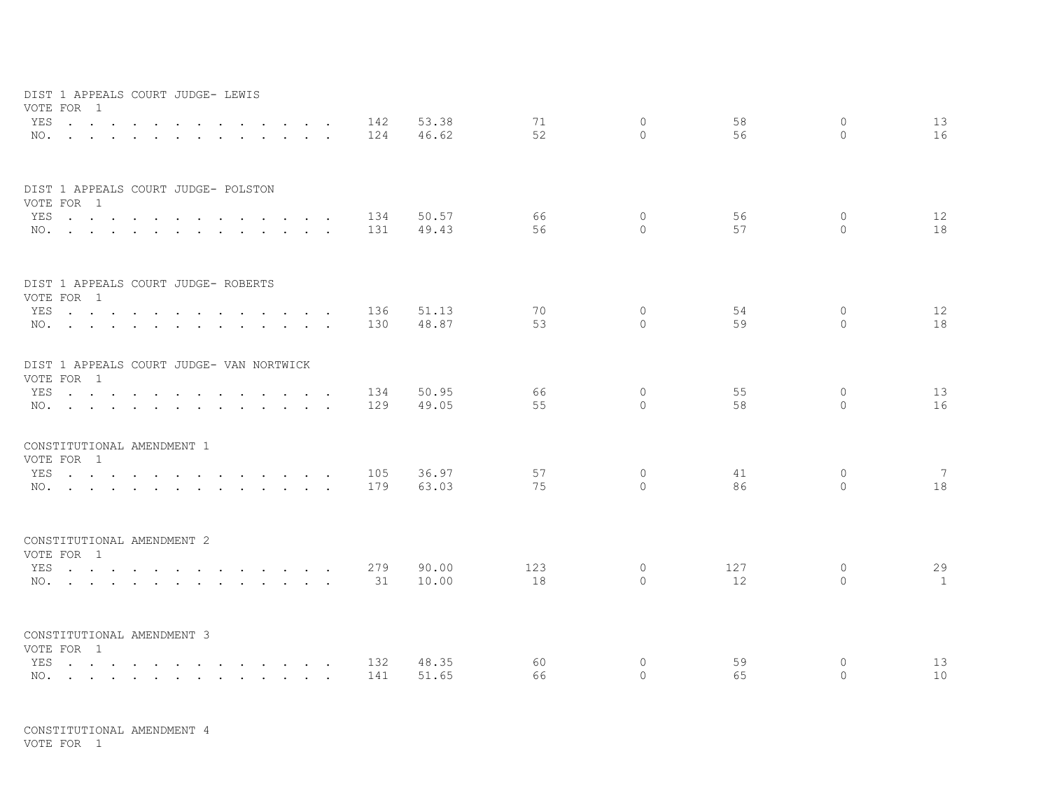| DIST 1 APPEALS COURT JUDGE- LEWIS<br>VOTE FOR 1 |                                                                                                                                                                                                                                         |                                                           |            |       |          |                          |          |                    |                 |
|-------------------------------------------------|-----------------------------------------------------------------------------------------------------------------------------------------------------------------------------------------------------------------------------------------|-----------------------------------------------------------|------------|-------|----------|--------------------------|----------|--------------------|-----------------|
| YES                                             | $\sim$ $\sim$                                                                                                                                                                                                                           | $\sim$<br>$\sim$                                          | 142        | 53.38 | 71       | $\circ$                  | 58       | $\circ$            | 13              |
| $NO.$ $.$ $.$ $.$ $.$ $.$ $.$                   |                                                                                                                                                                                                                                         | $\sim$ $\sim$<br>$\sim$                                   | 124        | 46.62 | 52       | $\Omega$                 | 56       | $\Omega$           | 16              |
|                                                 | DIST 1 APPEALS COURT JUDGE- POLSTON                                                                                                                                                                                                     |                                                           |            |       |          |                          |          |                    |                 |
| VOTE FOR 1<br>YES                               | $\sim$ $\sim$ $\sim$                                                                                                                                                                                                                    | $\sim$<br>$\sim$<br>$\sim$                                | 134        | 50.57 | 66       | $\circ$                  | 56       | $\mathbf{0}$       | 12              |
| $NO.$ $.$ $.$ $.$ $.$ $.$ $.$ $.$ $.$ $.$       |                                                                                                                                                                                                                                         | $\mathbf{r}$ , $\mathbf{r}$ , $\mathbf{r}$ , $\mathbf{r}$ | 131        | 49.43 | 56       | $\bigcap$                | 57       | $\Omega$           | 18              |
|                                                 | DIST 1 APPEALS COURT JUDGE- ROBERTS                                                                                                                                                                                                     |                                                           |            |       |          |                          |          |                    |                 |
| VOTE FOR 1                                      |                                                                                                                                                                                                                                         |                                                           |            | 51.13 | 70       | $\mathbf{0}$             | 54       | 0                  | 12              |
|                                                 | YES<br>NO.                                                                                                                                                                                                                              | $\sim$<br>$\sim$                                          | 136<br>130 | 48.87 | 53       | $\bigcap$                | 59       | $\Omega$           | 18              |
|                                                 |                                                                                                                                                                                                                                         |                                                           |            |       |          |                          |          |                    |                 |
|                                                 | DIST 1 APPEALS COURT JUDGE- VAN NORTWICK                                                                                                                                                                                                |                                                           |            |       |          |                          |          |                    |                 |
| VOTE FOR 1                                      |                                                                                                                                                                                                                                         |                                                           |            |       |          |                          |          |                    |                 |
| YES                                             | and the contract of the contract of the contract of the contract of the contract of the contract of the contract of the contract of the contract of the contract of the contract of the contract of the contract of the contra          |                                                           | 134        | 50.95 | 66<br>55 | $\mathbf{0}$<br>$\Omega$ | 55<br>58 | $\circ$<br>$\circ$ | 13              |
|                                                 | NO.                                                                                                                                                                                                                                     |                                                           | 129        | 49.05 |          |                          |          |                    | 16              |
| CONSTITUTIONAL AMENDMENT 1<br>VOTE FOR 1        |                                                                                                                                                                                                                                         |                                                           |            |       |          |                          |          |                    |                 |
| YES                                             | $\mathcal{L}$ . The contract of the contract of the contract of the contract of the contract of the contract of the contract of the contract of the contract of the contract of the contract of the contract of the contract of th      |                                                           | 105        | 36.97 | 57       | $\circ$                  | 41       | $\circ$            | $7\overline{ }$ |
|                                                 | NO.                                                                                                                                                                                                                                     |                                                           | 179        | 63.03 | 75       | $\bigcap$                | 86       | $\bigcap$          | 18              |
|                                                 |                                                                                                                                                                                                                                         |                                                           |            |       |          |                          |          |                    |                 |
| CONSTITUTIONAL AMENDMENT 2<br>VOTE FOR 1        |                                                                                                                                                                                                                                         |                                                           |            |       |          |                          |          |                    |                 |
| YES                                             | $\mathcal{L}$ . The state of the state of the state $\mathcal{L}$ is the state of the state of the state of the state of the state of the state of the state of the state of the state of the state of the state of the state of the st |                                                           | 279        | 90.00 | 123      | $\circ$                  | 127      | $\circ$            | 29              |
|                                                 | NO.                                                                                                                                                                                                                                     |                                                           | 31         | 10.00 | 18       | $\bigcap$                | 12       | $\bigcap$          | 1               |
|                                                 |                                                                                                                                                                                                                                         |                                                           |            |       |          |                          |          |                    |                 |
| CONSTITUTIONAL AMENDMENT 3<br>VOTE FOR 1        |                                                                                                                                                                                                                                         |                                                           |            |       |          |                          |          |                    |                 |
| YES                                             | the contract of the contract of the contract of the contract of the contract of the contract of the contract of                                                                                                                         |                                                           | 132        | 48.35 | 60       | 0                        | 59       | 0                  | 13              |
|                                                 | NO.                                                                                                                                                                                                                                     |                                                           | 141        | 51.65 | 66       | $\Omega$                 | 65       | $\Omega$           | 10              |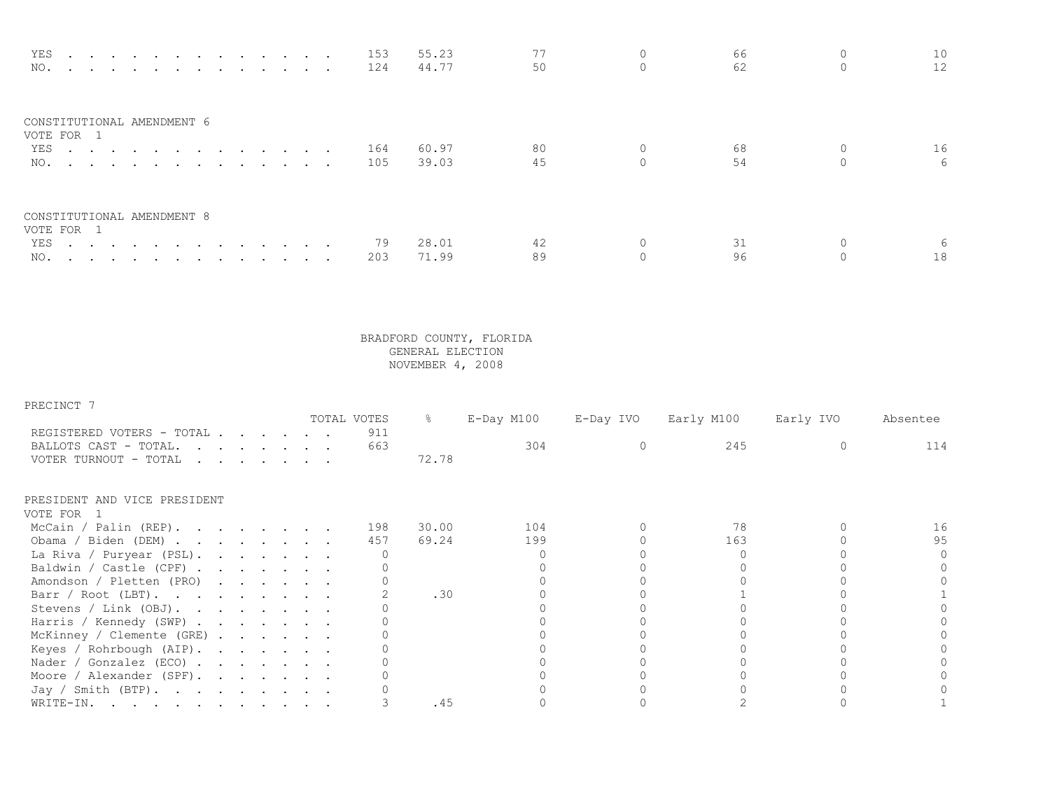| YES 153<br>NO. 124                       |  |     | 55.23<br>44.77 | 50 | 66<br>62 | 10<br>12 <sup>°</sup> |
|------------------------------------------|--|-----|----------------|----|----------|-----------------------|
| CONSTITUTIONAL AMENDMENT 6<br>VOTE FOR 1 |  |     |                |    |          |                       |
| YES 164                                  |  |     | 60.97          | 80 | 68       | 16                    |
| NO.                                      |  | 105 | 39.03          | 45 | 54       | 6                     |
| CONSTITUTIONAL AMENDMENT 8<br>VOTE FOR 1 |  |     |                |    |          |                       |
| YES                                      |  | 79  | 28.01          | 42 |          |                       |
| NO.                                      |  | 203 | 71.99          | 89 | 96       | 18                    |

PRECINCT 7

|                                                              |  |  |                                                                                                                                                                                                                                   | TOTAL VOTES | 옹     | $E$ -Day M100 | E-Day IVO | Early M100 | Early IVO | Absentee |
|--------------------------------------------------------------|--|--|-----------------------------------------------------------------------------------------------------------------------------------------------------------------------------------------------------------------------------------|-------------|-------|---------------|-----------|------------|-----------|----------|
| REGISTERED VOTERS - TOTAL                                    |  |  |                                                                                                                                                                                                                                   | 911         |       |               |           |            |           |          |
| BALLOTS CAST - TOTAL.                                        |  |  |                                                                                                                                                                                                                                   | 663         |       | 304           |           | 245        |           | 114      |
| VOTER TURNOUT - TOTAL                                        |  |  | $\mathbf{r}$ . The set of the set of the set of the set of the set of the set of the set of the set of the set of the set of the set of the set of the set of the set of the set of the set of the set of the set of the set of t |             | 72.78 |               |           |            |           |          |
| PRESIDENT AND VICE PRESIDENT                                 |  |  |                                                                                                                                                                                                                                   |             |       |               |           |            |           |          |
| VOTE FOR 1                                                   |  |  |                                                                                                                                                                                                                                   |             |       |               |           |            |           |          |
| McCain / Palin (REP).                                        |  |  |                                                                                                                                                                                                                                   | 198         | 30.00 | 104           |           | 78         |           | 16       |
| Obama / Biden (DEM)                                          |  |  |                                                                                                                                                                                                                                   | 457         | 69.24 | 199           |           | 163        |           | 95       |
| La Riva / Puryear (PSL).                                     |  |  |                                                                                                                                                                                                                                   |             |       |               |           |            |           |          |
| Baldwin / Castle (CPF)                                       |  |  |                                                                                                                                                                                                                                   |             |       |               |           |            |           |          |
| Amondson / Pletten (PRO)                                     |  |  |                                                                                                                                                                                                                                   |             |       |               |           |            |           |          |
| Barr / Root (LBT).                                           |  |  |                                                                                                                                                                                                                                   |             | .30   |               |           |            |           |          |
| Stevens / Link (OBJ).                                        |  |  |                                                                                                                                                                                                                                   |             |       |               |           |            |           |          |
| Harris / Kennedy (SWP)                                       |  |  |                                                                                                                                                                                                                                   |             |       |               |           |            |           |          |
| McKinney / Clemente (GRE)                                    |  |  |                                                                                                                                                                                                                                   |             |       |               |           |            |           |          |
| Keyes / Rohrbough (AIP).                                     |  |  |                                                                                                                                                                                                                                   |             |       |               |           |            |           |          |
| Nader / Gonzalez (ECO) $\cdot \cdot \cdot \cdot \cdot \cdot$ |  |  |                                                                                                                                                                                                                                   |             |       |               |           |            |           |          |
| Moore / Alexander (SPF).                                     |  |  |                                                                                                                                                                                                                                   |             |       |               |           |            |           |          |
| Jay / Smith (BTP).                                           |  |  |                                                                                                                                                                                                                                   |             |       |               |           |            |           |          |
| WRITE-IN.                                                    |  |  |                                                                                                                                                                                                                                   |             | .45   |               |           |            |           |          |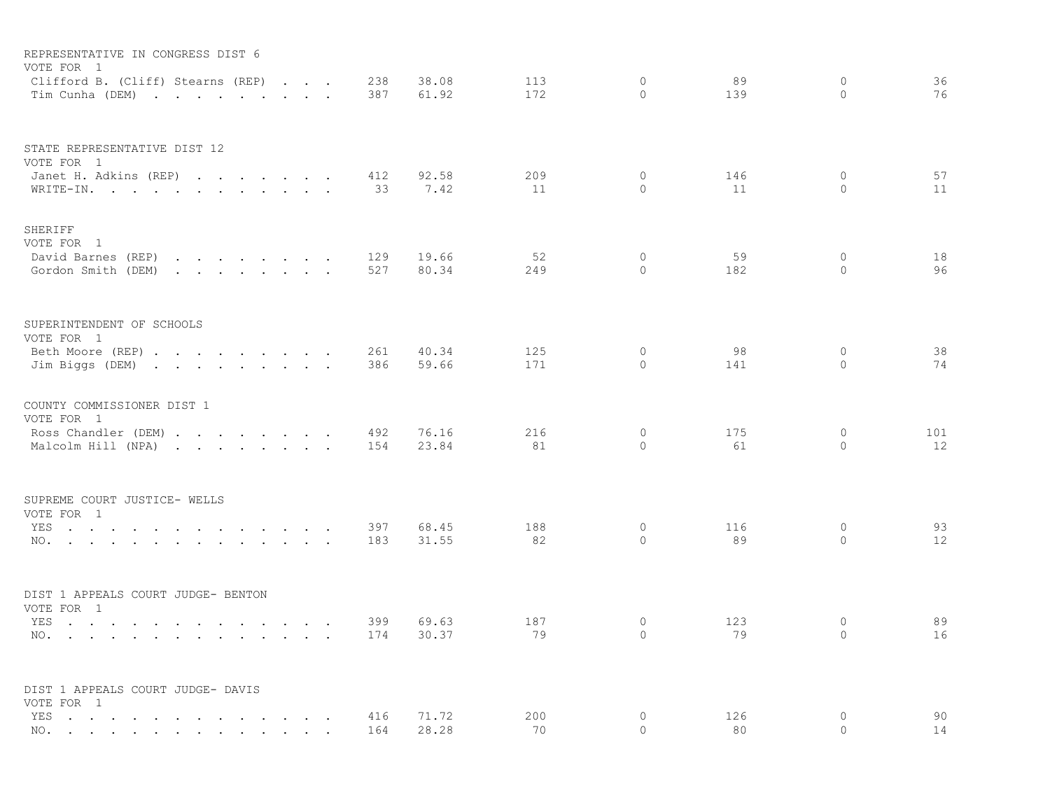| REPRESENTATIVE IN CONGRESS DIST 6<br>VOTE FOR 1                                                                                                                                                                                                                                                           |  |            |                |            |                            |           |                         |           |
|-----------------------------------------------------------------------------------------------------------------------------------------------------------------------------------------------------------------------------------------------------------------------------------------------------------|--|------------|----------------|------------|----------------------------|-----------|-------------------------|-----------|
| Clifford B. (Cliff) Stearns (REP)<br>Tim Cunha (DEM)                                                                                                                                                                                                                                                      |  | 238<br>387 | 38.08<br>61.92 | 113<br>172 | $\circ$<br>$\bigcap$       | 89<br>139 | $\circ$<br>$\Omega$     | 36<br>76  |
| STATE REPRESENTATIVE DIST 12<br>VOTE FOR 1<br>Janet H. Adkins (REP)                                                                                                                                                                                                                                       |  | 412        | 92.58          | 209        | $\circ$                    | 146       | $\mathbf{0}$            | 57        |
| WRITE-IN.                                                                                                                                                                                                                                                                                                 |  | 33         | 7.42           | 11         | $\circ$                    | 11        | $\circ$                 | 11        |
| SHERIFF<br>VOTE FOR 1<br>David Barnes (REP)<br>and the contract of the contract of the<br>Gordon Smith (DEM)                                                                                                                                                                                              |  | 129<br>527 | 19.66<br>80.34 | 52<br>249  | $\circ$<br>$\Omega$        | 59<br>182 | $\Omega$<br>$\Omega$    | 18<br>96  |
|                                                                                                                                                                                                                                                                                                           |  |            |                |            |                            |           |                         |           |
| SUPERINTENDENT OF SCHOOLS<br>VOTE FOR 1                                                                                                                                                                                                                                                                   |  |            |                |            |                            |           |                         |           |
| Beth Moore (REP)<br>Jim Biggs (DEM)                                                                                                                                                                                                                                                                       |  | 261<br>386 | 40.34<br>59.66 | 125<br>171 | $\circ$<br>$\Omega$        | 98<br>141 | $\circ$<br>$\Omega$     | 38<br>74  |
| COUNTY COMMISSIONER DIST 1<br>VOTE FOR 1                                                                                                                                                                                                                                                                  |  |            |                |            |                            |           |                         |           |
| Ross Chandler (DEM)<br>Malcolm Hill (NPA)                                                                                                                                                                                                                                                                 |  | 492<br>154 | 76.16<br>23.84 | 216<br>81  | $\mathbf 0$<br>$\Omega$    | 175<br>61 | $\mathbf 0$<br>$\Omega$ | 101<br>12 |
| SUPREME COURT JUSTICE- WELLS<br>VOTE FOR 1                                                                                                                                                                                                                                                                |  |            |                |            |                            |           |                         |           |
| YES<br>NO.                                                                                                                                                                                                                                                                                                |  | 397<br>183 | 68.45<br>31.55 | 188<br>82  | $\circ$<br>$\Omega$        | 116<br>89 | 0<br>$\Omega$           | 93<br>12  |
| DIST 1 APPEALS COURT JUDGE- BENTON                                                                                                                                                                                                                                                                        |  |            |                |            |                            |           |                         |           |
| VOTE FOR 1<br>YES.<br>NO.<br>the contract of the contract of the contract of the contract of the contract of the contract of the contract of the contract of the contract of the contract of the contract of the contract of the contract of the contract o                                               |  | 399<br>174 | 69.63<br>30.37 | 187<br>79  | $\overline{0}$<br>$\Omega$ | 123<br>79 | $\circ$<br>$\Omega$     | 89<br>16  |
| DIST 1 APPEALS COURT JUDGE- DAVIS<br>VOTE FOR 1                                                                                                                                                                                                                                                           |  |            |                |            |                            |           |                         |           |
| YES<br>and the contract of the contract of the<br>$\sim$<br>$\sim$<br>$\sim$<br>NO. .<br>$\mathbf{a} = \mathbf{a} + \mathbf{a} + \mathbf{a} + \mathbf{a}$<br>$\mathbf{u} = \mathbf{u} \cdot \mathbf{u}$ , and $\mathbf{u} = \mathbf{u} \cdot \mathbf{u}$ , and $\mathbf{u} = \mathbf{u} \cdot \mathbf{u}$ |  | 416<br>164 | 71.72<br>28.28 | 200<br>70  | $\circ$<br>$\Omega$        | 126<br>80 | 0<br>$\Omega$           | 90<br>14  |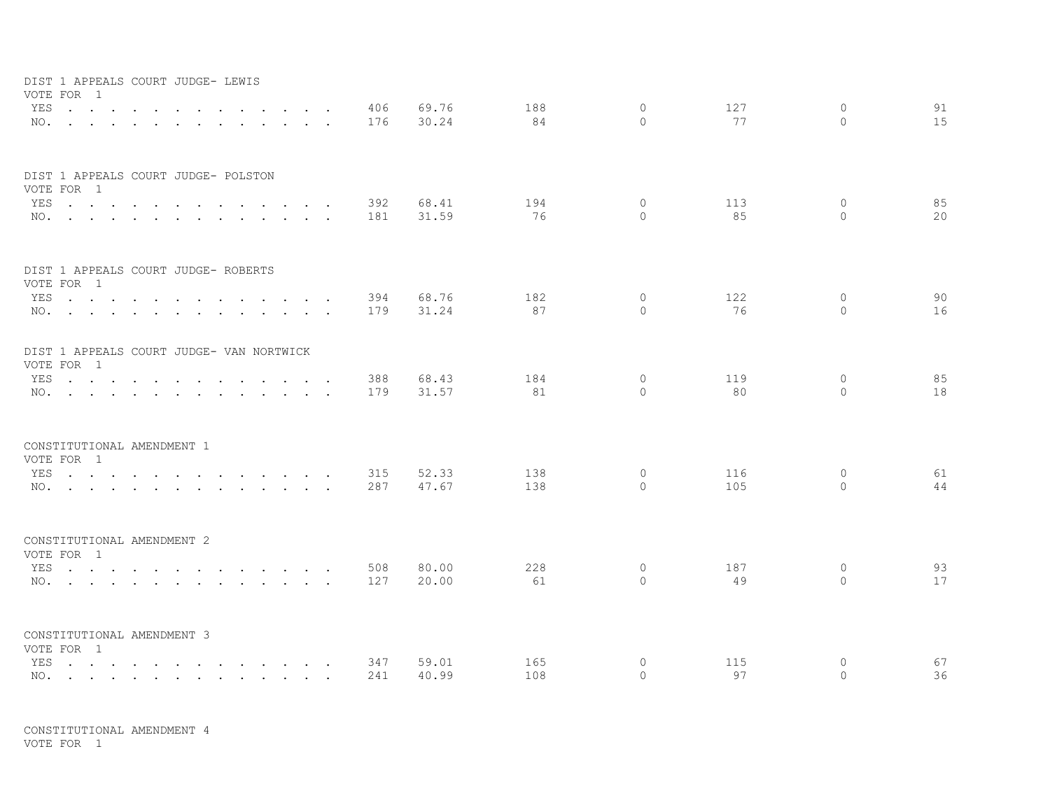| DIST 1 APPEALS COURT JUDGE- LEWIS<br>VOTE FOR 1        |        |            |                          |            |                |           |                          |           |                     |          |
|--------------------------------------------------------|--------|------------|--------------------------|------------|----------------|-----------|--------------------------|-----------|---------------------|----------|
| YES                                                    | $\sim$ |            | $\sim$ $\sim$            | 406        | 69.76          | 188       | $\mathbf{0}$             | 127       | $\circ$             | 91       |
| NO.                                                    |        |            | <b>Contract Contract</b> | 176        | 30.24          | 84        | $\Omega$                 | 77        | $\Omega$            | 15       |
| DIST 1 APPEALS COURT JUDGE- POLSTON                    |        |            |                          |            |                |           |                          |           |                     |          |
| VOTE FOR 1                                             |        |            |                          |            |                |           |                          |           |                     |          |
|                                                        |        | YES<br>NO. |                          | 392<br>181 | 68.41<br>31.59 | 194<br>76 | $\mathbf{0}$<br>$\Omega$ | 113<br>85 | $\circ$<br>$\Omega$ | 85<br>20 |
|                                                        |        |            |                          |            |                |           |                          |           |                     |          |
| DIST 1 APPEALS COURT JUDGE- ROBERTS<br>VOTE FOR 1      |        |            |                          |            |                |           |                          |           |                     |          |
| YES                                                    |        |            |                          | 394        | 68.76          | 182       | 0                        | 122       | $\Omega$            | 90       |
|                                                        |        | NO.        |                          | 179        | 31.24          | 87        | $\Omega$                 | 76        | $\Omega$            | 16       |
|                                                        |        |            |                          |            |                |           |                          |           |                     |          |
| DIST 1 APPEALS COURT JUDGE- VAN NORTWICK<br>VOTE FOR 1 |        |            |                          |            |                |           |                          |           |                     |          |
|                                                        |        | YES        |                          | 388        | 68.43          | 184       | 0                        | 119       | 0                   | 85       |
|                                                        |        | NO.        |                          | 179        | 31.57          | 81        | $\Omega$                 | 80        | $\circ$             | 18       |
|                                                        |        |            |                          |            |                |           |                          |           |                     |          |
| CONSTITUTIONAL AMENDMENT 1<br>VOTE FOR 1               |        |            |                          |            |                |           |                          |           |                     |          |
| YES                                                    |        |            |                          | 315        | 52.33          | 138       | $\circ$                  | 116       | $\circ$             | 61       |
|                                                        |        | NO.        |                          | 287        | 47.67          | 138       | $\Omega$                 | 105       | $\Omega$            | 44       |
|                                                        |        |            |                          |            |                |           |                          |           |                     |          |
| CONSTITUTIONAL AMENDMENT 2<br>VOTE FOR 1               |        |            |                          |            |                |           |                          |           |                     |          |
|                                                        |        | YES        |                          | 508        | 80.00          | 228       | $\circ$                  | 187       | $\circ$             | 93       |
|                                                        |        | NO.        |                          | 127        | 20.00          | 61        | $\Omega$                 | 49        | $\Omega$            | 17       |
|                                                        |        |            |                          |            |                |           |                          |           |                     |          |
| CONSTITUTIONAL AMENDMENT 3<br>VOTE FOR 1               |        |            |                          |            |                |           |                          |           |                     |          |
| YES                                                    |        |            |                          | 347        | 59.01          | 165       | 0                        | 115       | 0                   | 67       |
|                                                        |        | NO.        |                          | 241        | 40.99          | 108       | $\Omega$                 | 97        | $\Omega$            | 36       |

CONSTITUTIONAL AMENDMENT 4 VOTE FOR 1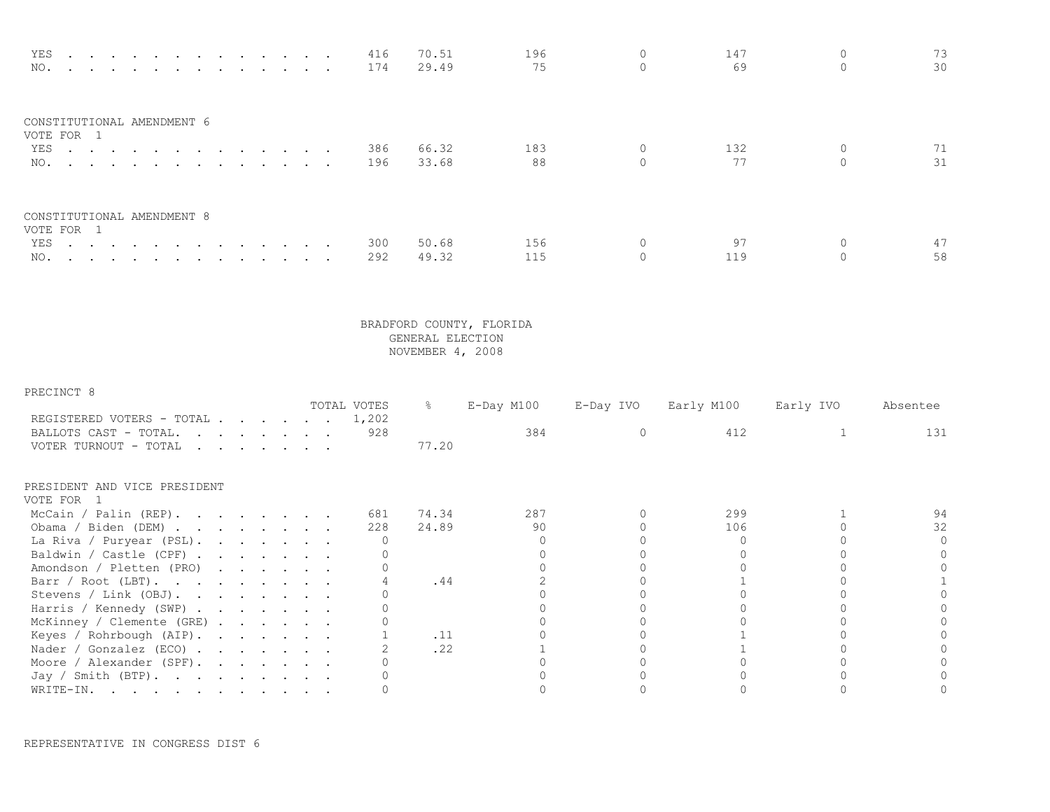| YES<br>the contract of the contract of the contract of the contract of the contract of the contract of the contract of<br>NO. 174 |  | 416 | 70.51<br>29.49 | 196<br>75 | 147<br>69 | 73.<br>30 |
|-----------------------------------------------------------------------------------------------------------------------------------|--|-----|----------------|-----------|-----------|-----------|
| CONSTITUTIONAL AMENDMENT 6<br>VOTE FOR 1                                                                                          |  |     |                |           |           |           |
| YES 386<br>NO.                                                                                                                    |  | 196 | 66.32<br>33.68 | 183<br>88 | 132<br>77 | 31        |
| CONSTITUTIONAL AMENDMENT 8<br>VOTE FOR 1                                                                                          |  |     |                |           |           |           |
| YES                                                                                                                               |  | 300 | 50.68          | 156       |           |           |
| NO.                                                                                                                               |  | 292 | 49.32          | 115       | 119       | 58        |

| PRECINCT 8                                                                                                                                                                                                                                              |                                                                       |  |  |             |               |            |           |            |           |          |
|---------------------------------------------------------------------------------------------------------------------------------------------------------------------------------------------------------------------------------------------------------|-----------------------------------------------------------------------|--|--|-------------|---------------|------------|-----------|------------|-----------|----------|
|                                                                                                                                                                                                                                                         |                                                                       |  |  | TOTAL VOTES | $\frac{6}{6}$ | E-Day M100 | E-Day IVO | Early M100 | Early IVO | Absentee |
| REGISTERED VOTERS - TOTAL                                                                                                                                                                                                                               |                                                                       |  |  | 1,202       |               |            |           |            |           |          |
| BALLOTS CAST - TOTAL.<br>and the contract of the contract of the contract of the contract of the contract of the contract of the contract of the contract of the contract of the contract of the contract of the contract of the contract of the contra |                                                                       |  |  | 928         |               | 384        |           | 412        |           | 131      |
| VOTER TURNOUT - TOTAL                                                                                                                                                                                                                                   | $\mathbf{r}$ , and $\mathbf{r}$ , and $\mathbf{r}$ , and $\mathbf{r}$ |  |  |             | 77.20         |            |           |            |           |          |
| PRESIDENT AND VICE PRESIDENT                                                                                                                                                                                                                            |                                                                       |  |  |             |               |            |           |            |           |          |
| VOTE FOR                                                                                                                                                                                                                                                |                                                                       |  |  |             |               |            |           |            |           |          |
| McCain / Palin (REP).                                                                                                                                                                                                                                   |                                                                       |  |  | 681         | 74.34         | 287        |           | 299        |           |          |
| Obama / Biden (DEM)                                                                                                                                                                                                                                     |                                                                       |  |  | 228         | 24.89         | 90         |           | 106        |           | 32       |
| La Riva / Puryear (PSL).                                                                                                                                                                                                                                |                                                                       |  |  |             |               |            |           |            |           |          |
| Baldwin / Castle (CPF)                                                                                                                                                                                                                                  |                                                                       |  |  |             |               |            |           |            |           |          |
| Amondson / Pletten (PRO)                                                                                                                                                                                                                                |                                                                       |  |  |             |               |            |           |            |           |          |
| Barr / Root (LBT).                                                                                                                                                                                                                                      |                                                                       |  |  |             | .44           |            |           |            |           |          |
| Stevens / Link (OBJ).                                                                                                                                                                                                                                   |                                                                       |  |  |             |               |            |           |            |           |          |
| Harris / Kennedy (SWP)                                                                                                                                                                                                                                  |                                                                       |  |  |             |               |            |           |            |           |          |
| McKinney / Clemente (GRE)                                                                                                                                                                                                                               |                                                                       |  |  |             |               |            |           |            |           |          |
| Keyes / Rohrbough (AIP).                                                                                                                                                                                                                                |                                                                       |  |  |             | .11           |            |           |            |           |          |
| Nader / Gonzalez (ECO) $\cdot \cdot \cdot \cdot \cdot \cdot$                                                                                                                                                                                            |                                                                       |  |  |             | .22           |            |           |            |           |          |
| Moore / Alexander (SPF).                                                                                                                                                                                                                                |                                                                       |  |  |             |               |            |           |            |           |          |
| Jay / Smith (BTP).                                                                                                                                                                                                                                      |                                                                       |  |  |             |               |            |           |            |           |          |
| WRITE-IN.<br>. The contribution of the contribution of the contribution of $\mathcal{A}$                                                                                                                                                                |                                                                       |  |  |             |               |            |           |            |           |          |

REPRESENTATIVE IN CONGRESS DIST 6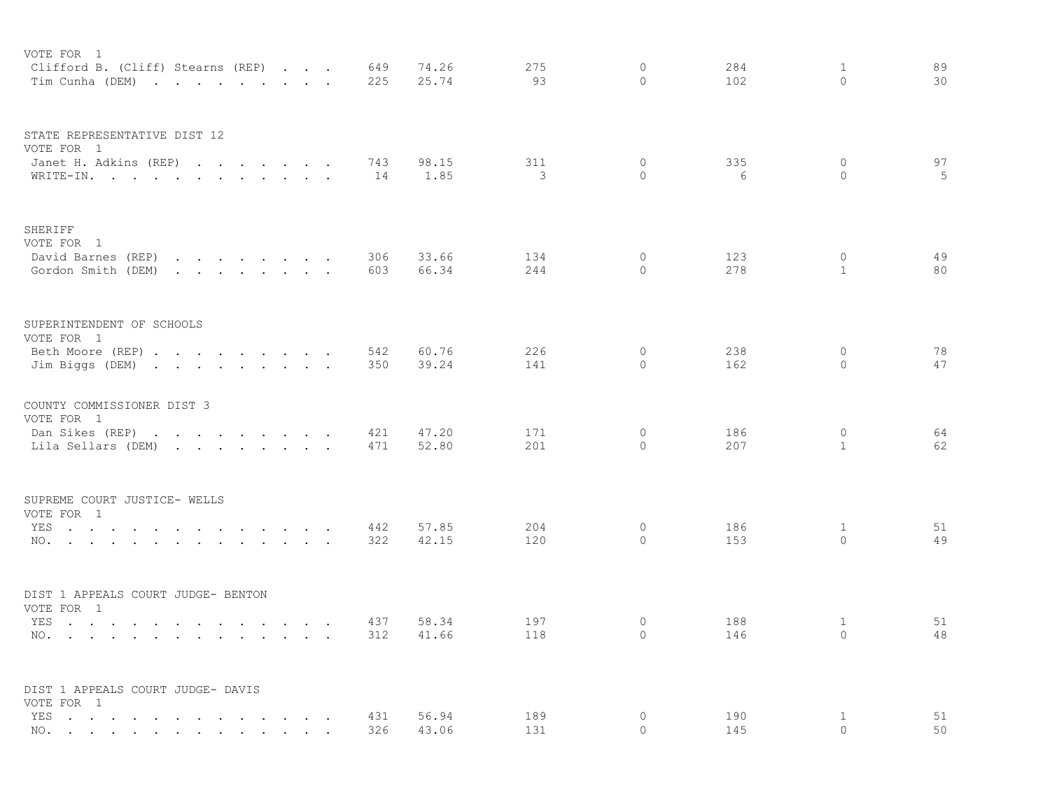| VOTE FOR 1<br>Clifford B. (Cliff) Stearns (REP)<br>Tim Cunha (DEM)                                                                                                                                                                                                                                                                                                      |                                                                                                                                    | 649<br>225 | 74.26<br>25.74 | 275<br>93  | $\circ$<br>$\circ$      | 284<br>102 | 1<br>0                       | 89<br>30 |
|-------------------------------------------------------------------------------------------------------------------------------------------------------------------------------------------------------------------------------------------------------------------------------------------------------------------------------------------------------------------------|------------------------------------------------------------------------------------------------------------------------------------|------------|----------------|------------|-------------------------|------------|------------------------------|----------|
| STATE REPRESENTATIVE DIST 12<br>VOTE FOR 1<br>Janet H. Adkins (REP)<br>WRITE-IN.                                                                                                                                                                                                                                                                                        |                                                                                                                                    | 743<br>14  | 98.15<br>1.85  | 311<br>3   | $\circ$<br>$\circ$      | 335<br>6   | $\circ$<br>$\mathbf{0}$      | 97<br>5  |
| SHERIFF<br>VOTE FOR 1<br>David Barnes (REP)<br>Gordon Smith (DEM)                                                                                                                                                                                                                                                                                                       | the contract of the contract of the contract of the contract of the contract of<br>the contract of the contract of the contract of | 306<br>603 | 33.66<br>66.34 | 134<br>244 | 0<br>$\Omega$           | 123<br>278 | $\circ$<br>$\mathbf{1}$      | 49<br>80 |
| SUPERINTENDENT OF SCHOOLS<br>VOTE FOR 1<br>Beth Moore (REP)<br>Jim Biggs (DEM)                                                                                                                                                                                                                                                                                          |                                                                                                                                    | 542<br>350 | 60.76<br>39.24 | 226<br>141 | $\circ$<br>$\Omega$     | 238<br>162 | $\circ$<br>$\Omega$          | 78<br>47 |
| COUNTY COMMISSIONER DIST 3<br>VOTE FOR 1<br>Dan Sikes (REP)<br>the contract of the contract of the contract of the contract of the contract of the contract of the contract of<br>Lila Sellars (DEM)                                                                                                                                                                    |                                                                                                                                    | 421<br>471 | 47.20<br>52.80 | 171<br>201 | $\circ$<br>$\circ$      | 186<br>207 | $\mathbf{0}$<br>$\mathbf{1}$ | 64<br>62 |
| SUPREME COURT JUSTICE- WELLS<br>VOTE FOR 1<br>YES<br>NO.                                                                                                                                                                                                                                                                                                                |                                                                                                                                    | 442<br>322 | 57.85<br>42.15 | 204<br>120 | $\mathbf{0}$<br>$\circ$ | 186<br>153 | 1<br>$\circ$                 | 51<br>49 |
| DIST 1 APPEALS COURT JUDGE- BENTON<br>VOTE FOR 1<br>YES<br>NO.<br>$\sim$<br>the contract of the contract of the contract of the contract of the contract of the contract of the contract of                                                                                                                                                                             |                                                                                                                                    | 437<br>312 | 58.34<br>41.66 | 197<br>118 | $\circ$<br>$\Omega$     | 188<br>146 | 1<br>$\Omega$                | 51<br>48 |
| DIST 1 APPEALS COURT JUDGE- DAVIS<br>VOTE FOR 1<br>YES<br>$\ddot{\phantom{a}}$<br>$\ddot{\phantom{a}}$<br>$\ddot{\phantom{a}}$<br>NO.<br>and a series of the contract of the series of the series of the series of the series of the series of the series of the series of the series of the series of the series of the series of the series of the series of the seri | the contract of the contract of the                                                                                                | 431<br>326 | 56.94<br>43.06 | 189<br>131 | $\circ$<br>$\Omega$     | 190<br>145 | $\mathbf{1}$<br>$\Omega$     | 51<br>50 |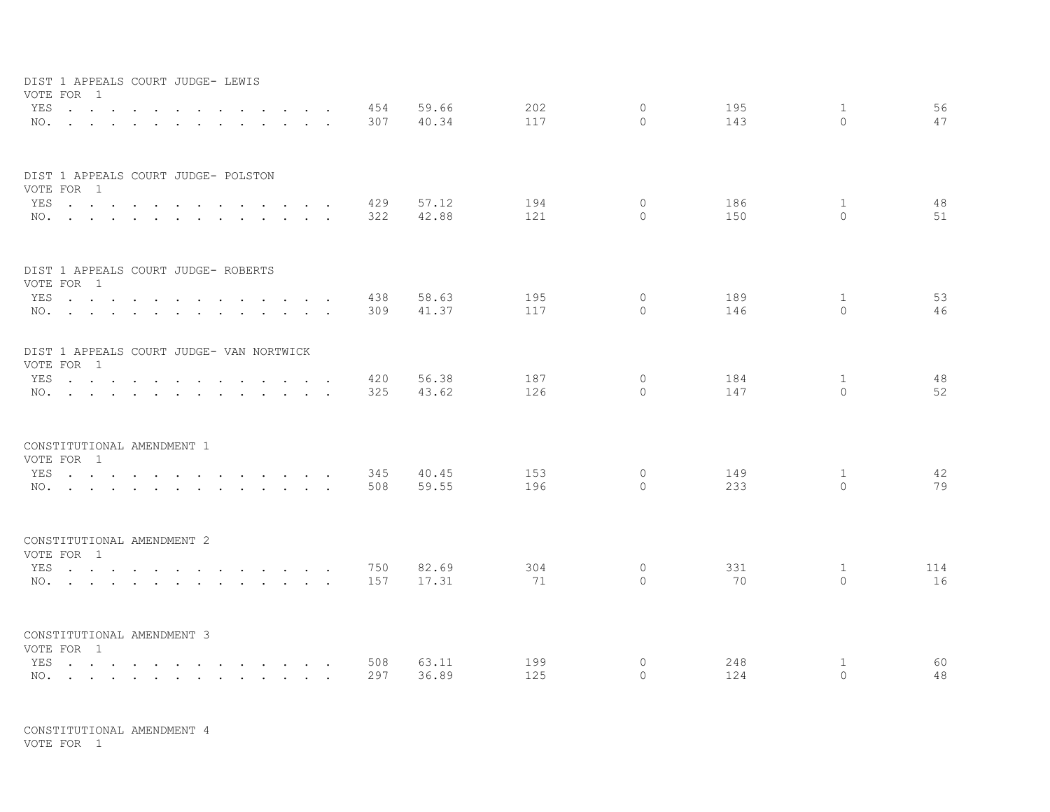| DIST 1 APPEALS COURT JUDGE- LEWIS<br>VOTE FOR 1        |        |                      |                    |            |                |            |                          |            |               |          |
|--------------------------------------------------------|--------|----------------------|--------------------|------------|----------------|------------|--------------------------|------------|---------------|----------|
| YES                                                    | $\sim$ | $\ddot{\phantom{a}}$ | $\sim$ $\sim$      | 454        | 59.66          | 202        | $\mathbf{0}$             | 195        | $\mathbf{1}$  | 56       |
| NO.                                                    |        | $\sim$               | <b>Sales State</b> | 307        | 40.34          | 117        | $\Omega$                 | 143        | $\Omega$      | 47       |
| DIST 1 APPEALS COURT JUDGE- POLSTON                    |        |                      |                    |            |                |            |                          |            |               |          |
| VOTE FOR 1                                             |        |                      |                    |            |                |            |                          |            |               |          |
| YES                                                    |        |                      |                    | 429        | 57.12<br>42.88 | 194<br>121 | $\mathbf{0}$<br>$\Omega$ | 186<br>150 | 1<br>$\Omega$ | 48<br>51 |
| NO.                                                    |        |                      |                    | 322        |                |            |                          |            |               |          |
| DIST 1 APPEALS COURT JUDGE- ROBERTS                    |        |                      |                    |            |                |            |                          |            |               |          |
| VOTE FOR 1<br>YES                                      |        |                      |                    | 438        | 58.63          | 195        | $\circ$                  | 189        | 1             | 53       |
| NO.                                                    |        |                      |                    | 309        | 41.37          | 117        | $\Omega$                 | 146        | $\Omega$      | 46       |
|                                                        |        |                      |                    |            |                |            |                          |            |               |          |
| DIST 1 APPEALS COURT JUDGE- VAN NORTWICK<br>VOTE FOR 1 |        |                      |                    |            |                |            |                          |            |               |          |
| YES                                                    |        |                      |                    | 420        | 56.38          | 187        | $\circ$                  | 184        | 1             | 48       |
| NO.                                                    |        |                      |                    | 325        | 43.62          | 126        | $\Omega$                 | 147        | $\Omega$      | 52       |
|                                                        |        |                      |                    |            |                |            |                          |            |               |          |
| CONSTITUTIONAL AMENDMENT 1<br>VOTE FOR 1               |        |                      |                    |            |                |            |                          |            |               |          |
| YES                                                    |        |                      |                    | 345        | 40.45          | 153        | $\circ$                  | 149        | $\mathbf{1}$  | 42       |
| NO.                                                    |        |                      |                    | 508        | 59.55          | 196        | $\circ$                  | 233        | $\Omega$      | 79       |
|                                                        |        |                      |                    |            |                |            |                          |            |               |          |
| CONSTITUTIONAL AMENDMENT 2<br>VOTE FOR 1               |        |                      |                    |            |                |            |                          |            |               |          |
| YES                                                    |        |                      |                    | 750        | 82.69          | 304        | $\circ$                  | 331        | $\mathbf{1}$  | 114      |
| NO.                                                    |        |                      |                    | 157        | 17.31          | 71         | $\Omega$                 | 70         | $\Omega$      | 16       |
| CONSTITUTIONAL AMENDMENT 3                             |        |                      |                    |            |                |            |                          |            |               |          |
| VOTE FOR 1                                             |        |                      |                    |            |                |            |                          |            |               |          |
| YES<br>NO.                                             |        |                      |                    | 508<br>297 | 63.11<br>36.89 | 199<br>125 | 0<br>$\Omega$            | 248<br>124 | 1<br>$\Omega$ | 60<br>48 |
|                                                        |        |                      |                    |            |                |            |                          |            |               |          |

CONSTITUTIONAL AMENDMENT 4 VOTE FOR 1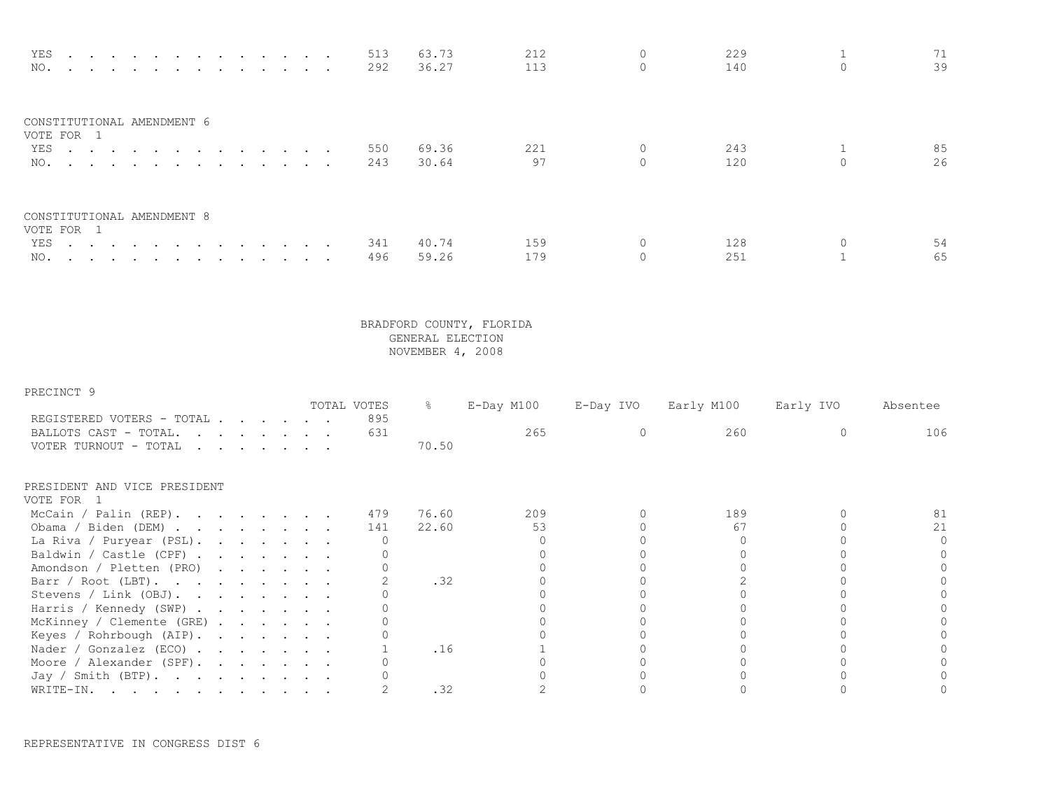| YES<br>NO.                               |  |  |  |  | 513<br>292 | 63.73<br>36.27 | 212<br>113 | 229<br>140 | 39       |
|------------------------------------------|--|--|--|--|------------|----------------|------------|------------|----------|
| CONSTITUTIONAL AMENDMENT 6<br>VOTE FOR 1 |  |  |  |  |            |                |            |            |          |
| YES<br>NO.                               |  |  |  |  | 550<br>243 | 69.36<br>30.64 | 221<br>97  | 243<br>120 | 85<br>26 |
| CONSTITUTIONAL AMENDMENT 8<br>VOTE FOR 1 |  |  |  |  |            |                |            |            |          |
| YES 341                                  |  |  |  |  |            | 40.74          | 159        | 128        | 54       |
| NO.                                      |  |  |  |  | 496        | 59.26          | 179        | 251        | 65       |

| PRECINCT 9                                                                                                                               |  |                                                                                                                                                                                                                                   |  |             |               |            |           |            |           |          |
|------------------------------------------------------------------------------------------------------------------------------------------|--|-----------------------------------------------------------------------------------------------------------------------------------------------------------------------------------------------------------------------------------|--|-------------|---------------|------------|-----------|------------|-----------|----------|
|                                                                                                                                          |  |                                                                                                                                                                                                                                   |  | TOTAL VOTES | $\frac{6}{6}$ | E-Day M100 | E-Day IVO | Early M100 | Early IVO | Absentee |
| REGISTERED VOTERS - TOTAL                                                                                                                |  |                                                                                                                                                                                                                                   |  | 895         |               |            |           |            |           |          |
| BALLOTS CAST - TOTAL.<br>the contract of the contract of the contract of the contract of the contract of the contract of the contract of |  |                                                                                                                                                                                                                                   |  | 631         |               | 265        |           | 260        |           | 106      |
| VOTER TURNOUT - TOTAL                                                                                                                    |  | $\mathbf{r}$ . The contract of the contract of the contract of the contract of the contract of the contract of the contract of the contract of the contract of the contract of the contract of the contract of the contract of th |  |             | 70.50         |            |           |            |           |          |
| PRESIDENT AND VICE PRESIDENT                                                                                                             |  |                                                                                                                                                                                                                                   |  |             |               |            |           |            |           |          |
| VOTE FOR                                                                                                                                 |  |                                                                                                                                                                                                                                   |  |             |               |            |           |            |           |          |
| McCain / Palin (REP).                                                                                                                    |  |                                                                                                                                                                                                                                   |  | 479         | 76.60         | 209        |           | 189        |           |          |
| Obama / Biden (DEM)                                                                                                                      |  |                                                                                                                                                                                                                                   |  | 141         | 22.60         | 53         |           | 67         |           | 21       |
| La Riva / Puryear (PSL).                                                                                                                 |  |                                                                                                                                                                                                                                   |  |             |               |            |           |            |           |          |
| Baldwin / Castle (CPF)                                                                                                                   |  |                                                                                                                                                                                                                                   |  |             |               |            |           |            |           |          |
| Amondson / Pletten (PRO)                                                                                                                 |  |                                                                                                                                                                                                                                   |  |             |               |            |           |            |           |          |
| Barr / Root (LBT).                                                                                                                       |  |                                                                                                                                                                                                                                   |  |             | .32           |            |           |            |           |          |
| Stevens / Link (OBJ).                                                                                                                    |  |                                                                                                                                                                                                                                   |  |             |               |            |           |            |           |          |
| Harris / Kennedy (SWP)                                                                                                                   |  |                                                                                                                                                                                                                                   |  |             |               |            |           |            |           |          |
| McKinney / Clemente (GRE)                                                                                                                |  |                                                                                                                                                                                                                                   |  |             |               |            |           |            |           |          |
| Keyes / Rohrbough (AIP).                                                                                                                 |  |                                                                                                                                                                                                                                   |  |             |               |            |           |            |           |          |
| Nader / Gonzalez (ECO) $\cdot \cdot \cdot \cdot \cdot \cdot$                                                                             |  |                                                                                                                                                                                                                                   |  |             | .16           |            |           |            |           |          |
| Moore / Alexander (SPF).                                                                                                                 |  |                                                                                                                                                                                                                                   |  |             |               |            |           |            |           |          |
| Jay / Smith (BTP).                                                                                                                       |  |                                                                                                                                                                                                                                   |  |             |               |            |           |            |           |          |
| WRITE-IN.<br>. The simple state is a set of the state of the state of the state $\alpha$                                                 |  |                                                                                                                                                                                                                                   |  |             | .32           |            |           |            |           |          |

REPRESENTATIVE IN CONGRESS DIST 6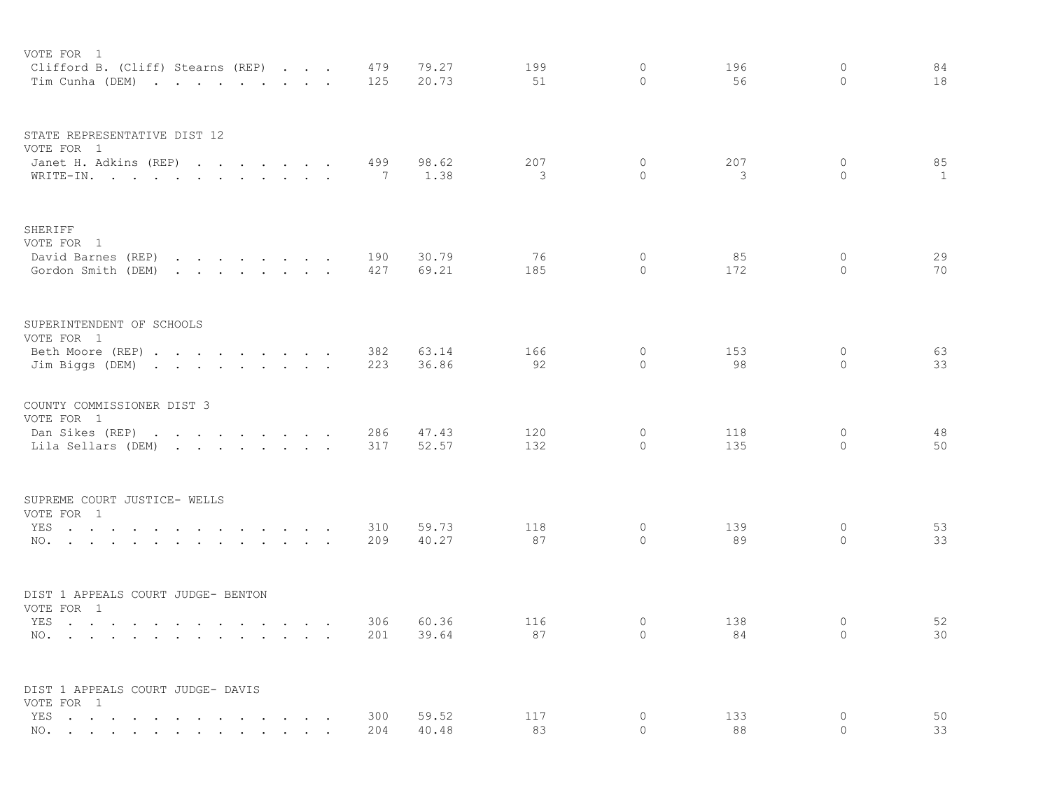| VOTE FOR 1<br>Clifford B. (Cliff) Stearns (REP)<br>Tim Cunha (DEM)                                                                                                                                                                                   |                                                                                 |  | 479<br>125 | 79.27<br>20.73 | 199<br>51 | $\circ$<br>$\Omega$  | 196<br>56 | $\circ$<br>$\Omega$  | 84<br>18     |
|------------------------------------------------------------------------------------------------------------------------------------------------------------------------------------------------------------------------------------------------------|---------------------------------------------------------------------------------|--|------------|----------------|-----------|----------------------|-----------|----------------------|--------------|
|                                                                                                                                                                                                                                                      |                                                                                 |  |            |                |           |                      |           |                      |              |
| STATE REPRESENTATIVE DIST 12<br>VOTE FOR 1                                                                                                                                                                                                           |                                                                                 |  |            |                |           |                      |           |                      |              |
| Janet H. Adkins (REP)                                                                                                                                                                                                                                |                                                                                 |  | 499        | 98.62          | 207       | 0                    | 207       | $\circ$              | 85           |
| WRITE-IN.                                                                                                                                                                                                                                            |                                                                                 |  | - 7        | 1.38           | 3         | $\Omega$             | 3         | $\Omega$             | $\mathbf{1}$ |
| SHERIFF<br>VOTE FOR 1                                                                                                                                                                                                                                |                                                                                 |  |            |                |           |                      |           |                      |              |
| David Barnes (REP)<br>and the contract of the contract of the contract of the contract of the contract of the contract of the contract of the contract of the contract of the contract of the contract of the contract of the contract of the contra |                                                                                 |  | 190        | 30.79          | 76        | $\Omega$             | 85        | $\circ$              | 29           |
| Gordon Smith (DEM)<br>and a strong control of the state of the                                                                                                                                                                                       |                                                                                 |  | 427        | 69.21          | 185       | $\Omega$             | 172       | $\Omega$             | 70           |
| SUPERINTENDENT OF SCHOOLS                                                                                                                                                                                                                            |                                                                                 |  |            |                |           |                      |           |                      |              |
| VOTE FOR 1<br>Beth Moore (REP)                                                                                                                                                                                                                       |                                                                                 |  | 382        | 63.14          | 166       | $\circ$              | 153       | $\circ$              | 63           |
| Jim Biggs (DEM)                                                                                                                                                                                                                                      |                                                                                 |  | 223        | 36.86          | 92        | 0                    | 98        | 0                    | 33           |
| COUNTY COMMISSIONER DIST 3<br>VOTE FOR 1                                                                                                                                                                                                             |                                                                                 |  |            |                |           |                      |           |                      |              |
| Dan Sikes (REP)<br>the contract of the contract of the contract of                                                                                                                                                                                   |                                                                                 |  | 286        | 47.43          | 120       | $\circ$              | 118       | $\circ$              | 48           |
| Lila Sellars (DEM)                                                                                                                                                                                                                                   |                                                                                 |  | 317        | 52.57          | 132       | $\circ$              | 135       | $\circ$              | 50           |
| SUPREME COURT JUSTICE- WELLS                                                                                                                                                                                                                         |                                                                                 |  |            |                |           |                      |           |                      |              |
| VOTE FOR 1<br>YES                                                                                                                                                                                                                                    |                                                                                 |  | 310        | 59.73          | 118       | $\circ$              | 139       | $\circ$              | 53           |
| NO.                                                                                                                                                                                                                                                  |                                                                                 |  | 209        | 40.27          | 87        | $\Omega$             | 89        | $\Omega$             | 33           |
| DIST 1 APPEALS COURT JUDGE- BENTON                                                                                                                                                                                                                   |                                                                                 |  |            |                |           |                      |           |                      |              |
| VOTE FOR 1                                                                                                                                                                                                                                           |                                                                                 |  |            |                |           |                      |           |                      |              |
| YES<br>and the contract of the contract of the<br>$\sim$ $\sim$<br>NO.<br>the contract of the contract of the contract of the contract of the contract of the contract of the contract of<br>$\sim$                                                  | the contract of the contract of the contract of the contract of the contract of |  | 306<br>201 | 60.36<br>39.64 | 116<br>87 | $\Omega$<br>$\Omega$ | 138<br>84 | $\Omega$<br>$\Omega$ | 52<br>30     |
|                                                                                                                                                                                                                                                      |                                                                                 |  |            |                |           |                      |           |                      |              |
| DIST 1 APPEALS COURT JUDGE- DAVIS<br>VOTE FOR 1                                                                                                                                                                                                      |                                                                                 |  |            |                |           |                      |           |                      |              |
| YES<br>$\sim$ $\sim$ $\sim$<br>$\sim$<br>$\ddot{\phantom{a}}$<br>$\ddot{\phantom{a}}$<br>$\sim$                                                                                                                                                      | $\sim$ $\sim$ $\sim$ $\sim$ $\sim$ $\sim$                                       |  | 300        | 59.52          | 117       | 0                    | 133       | $\circ$              | 50           |
| NO.<br>and the contract of the con-<br>and the contract of the contract of the contract of                                                                                                                                                           |                                                                                 |  | 204        | 40.48          | 83        | $\Omega$             | 88        | $\Omega$             | 33           |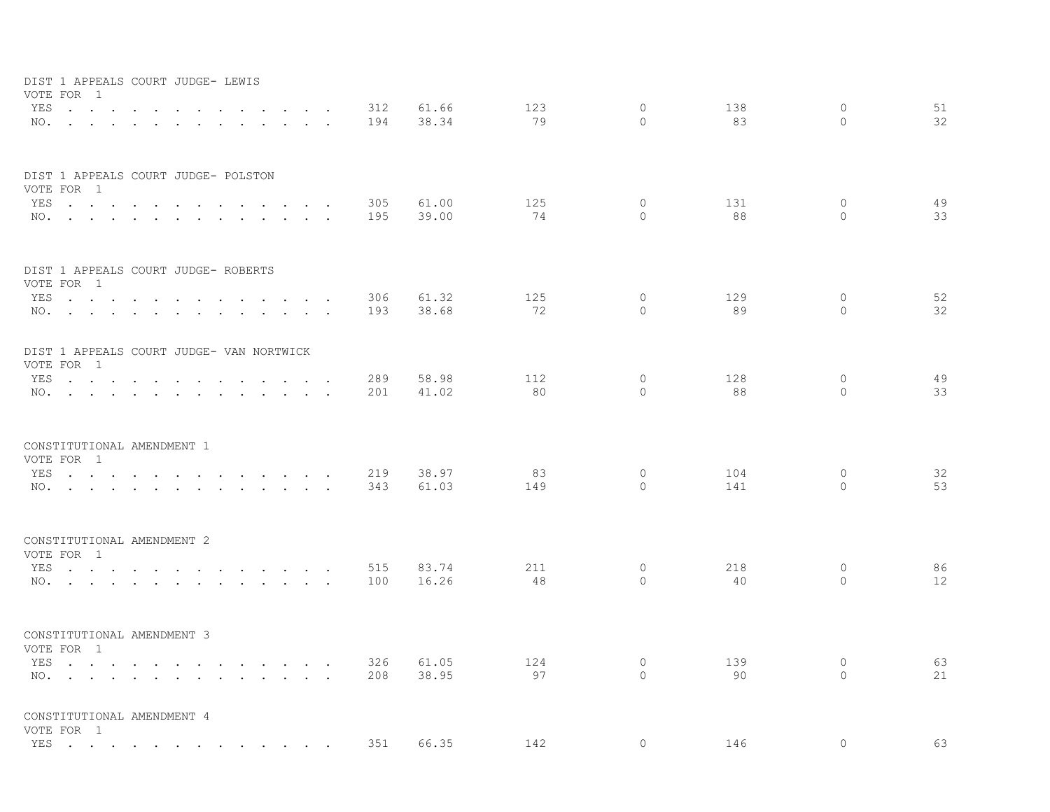| DIST 1 APPEALS COURT JUDGE- LEWIS<br>VOTE FOR 1        |                      |                                                        |                                                                                                                                                                                                                                   |                                                                                                                                                                                                                                   |        |                      |                      |            |                |           |                     |           |               |          |
|--------------------------------------------------------|----------------------|--------------------------------------------------------|-----------------------------------------------------------------------------------------------------------------------------------------------------------------------------------------------------------------------------------|-----------------------------------------------------------------------------------------------------------------------------------------------------------------------------------------------------------------------------------|--------|----------------------|----------------------|------------|----------------|-----------|---------------------|-----------|---------------|----------|
| YES<br>NO.                                             | $\ddot{\phantom{0}}$ |                                                        | $\sim$<br>$\sim$ $-$                                                                                                                                                                                                              | $\sim$ $\sim$ $\sim$                                                                                                                                                                                                              |        | $\ddot{\phantom{0}}$ | $\sim$               | 312<br>194 | 61.66<br>38.34 | 123<br>79 | $\circ$<br>$\Omega$ | 138<br>83 | 0<br>$\Omega$ | 51<br>32 |
| DIST 1 APPEALS COURT JUDGE- POLSTON<br>VOTE FOR 1      |                      |                                                        |                                                                                                                                                                                                                                   |                                                                                                                                                                                                                                   |        |                      |                      |            |                |           |                     |           |               |          |
| YES                                                    | $\sim$ $\sim$        | $\ddot{\phantom{a}}$<br>$\ddot{\phantom{1}}$<br>$\sim$ |                                                                                                                                                                                                                                   | <b>Contract Contract Contract</b>                                                                                                                                                                                                 |        | $\sim$               | $\ddot{\phantom{1}}$ | 305        | 61.00          | 125       | 0                   | 131       | 0             | 49       |
| NO.                                                    | $\sim$               | $\ddot{\phantom{a}}$<br>$\sim$                         | $\sim$                                                                                                                                                                                                                            |                                                                                                                                                                                                                                   | $\sim$ | $\sim$               |                      | 195        | 39.00          | 74        | $\circ$             | 88        | $\Omega$      | 33       |
| DIST 1 APPEALS COURT JUDGE- ROBERTS<br>VOTE FOR 1      |                      |                                                        |                                                                                                                                                                                                                                   |                                                                                                                                                                                                                                   |        |                      |                      |            |                |           |                     |           |               |          |
| YES                                                    | $\ddot{\phantom{0}}$ |                                                        |                                                                                                                                                                                                                                   |                                                                                                                                                                                                                                   |        |                      |                      | 306        | 61.32          | 125       | $\circ$             | 129       | 0             | 52       |
| NO.                                                    |                      | $\ddot{\phantom{a}}$<br>$\ddot{\phantom{a}}$           | $\ddot{\phantom{0}}$<br>$\sim$                                                                                                                                                                                                    | $\sim$                                                                                                                                                                                                                            |        | $\sim$ $\sim$        |                      | 193        | 38.68          | 72        | $\circ$             | 89        | $\Omega$      | 32       |
| DIST 1 APPEALS COURT JUDGE- VAN NORTWICK<br>VOTE FOR 1 |                      |                                                        |                                                                                                                                                                                                                                   |                                                                                                                                                                                                                                   |        |                      |                      |            |                |           |                     |           |               |          |
| YES                                                    |                      | $\sim$                                                 |                                                                                                                                                                                                                                   | $\sim$ $\sim$                                                                                                                                                                                                                     |        |                      |                      | 289        | 58.98          | 112       | $\circ$             | 128       | 0             | 49       |
| NO.                                                    |                      |                                                        |                                                                                                                                                                                                                                   |                                                                                                                                                                                                                                   |        | $\ddot{\phantom{0}}$ |                      | 201        | 41.02          | 80        | $\Omega$            | 88        | $\circ$       | 33       |
| CONSTITUTIONAL AMENDMENT 1<br>VOTE FOR 1               |                      |                                                        |                                                                                                                                                                                                                                   |                                                                                                                                                                                                                                   |        |                      |                      |            |                |           |                     |           |               |          |
| YES                                                    | $\sim$ $\sim$        | $\ddot{\phantom{a}}$<br>$\ddot{\phantom{a}}$           |                                                                                                                                                                                                                                   | $\cdot$ $\cdot$ $\cdot$                                                                                                                                                                                                           |        | $\sim$ $\sim$ $\sim$ |                      | 219        | 38.97          | 83        | $\circ$             | 104       | 0             | 32       |
| NO.                                                    |                      | $\sim$<br>$\ddot{\phantom{a}}$<br>$\sim$               |                                                                                                                                                                                                                                   | $\mathbf{r}$ , $\mathbf{r}$ , $\mathbf{r}$ , $\mathbf{r}$ , $\mathbf{r}$                                                                                                                                                          |        |                      |                      | 343        | 61.03          | 149       | $\circ$             | 141       | $\Omega$      | 53       |
| CONSTITUTIONAL AMENDMENT 2<br>VOTE FOR 1               |                      |                                                        |                                                                                                                                                                                                                                   |                                                                                                                                                                                                                                   |        |                      |                      |            |                |           |                     |           |               |          |
| YES                                                    | $\sim$ $\sim$        | $\ddot{\phantom{0}}$                                   | $\mathbf{r}$ . The set of the set of the set of the set of the set of the set of the set of the set of the set of the set of the set of the set of the set of the set of the set of the set of the set of the set of the set of t |                                                                                                                                                                                                                                   |        |                      |                      | 515        | 83.74          | 211       | $\circ$             | 218       | 0             | 86       |
| NO.                                                    |                      |                                                        |                                                                                                                                                                                                                                   |                                                                                                                                                                                                                                   |        |                      |                      | 100        | 16.26          | 48        | $\mathbf{0}$        | 40        | $\circ$       | 12       |
| CONSTITUTIONAL AMENDMENT 3                             |                      |                                                        |                                                                                                                                                                                                                                   |                                                                                                                                                                                                                                   |        |                      |                      |            |                |           |                     |           |               |          |
| VOTE FOR 1<br>YES                                      |                      |                                                        |                                                                                                                                                                                                                                   | $\mathbf{r}$ . The contract of the contract of the contract of the contract of the contract of the contract of the contract of the contract of the contract of the contract of the contract of the contract of the contract of th |        |                      |                      | 326        | 61.05          | 124       | $\circ$             | 139       | 0             | 63       |
| NO.                                                    | $\ddot{\phantom{a}}$ | $\sim$ $\sim$<br>$\ddot{\phantom{a}}$<br>$\sim$        |                                                                                                                                                                                                                                   | $\mathbf{r}$ , $\mathbf{r}$ , $\mathbf{r}$ , $\mathbf{r}$                                                                                                                                                                         |        |                      |                      | 208        | 38.95          | 97        | $\circ$             | 90        | $\circ$       | 21       |
| CONSTITUTIONAL AMENDMENT 4<br>VOTE FOR 1               |                      |                                                        |                                                                                                                                                                                                                                   |                                                                                                                                                                                                                                   |        |                      |                      |            |                |           |                     |           |               |          |
| YES                                                    |                      |                                                        |                                                                                                                                                                                                                                   |                                                                                                                                                                                                                                   |        |                      |                      | 351        | 66.35          | 142       | $\Omega$            | 146       | $\circ$       | 63       |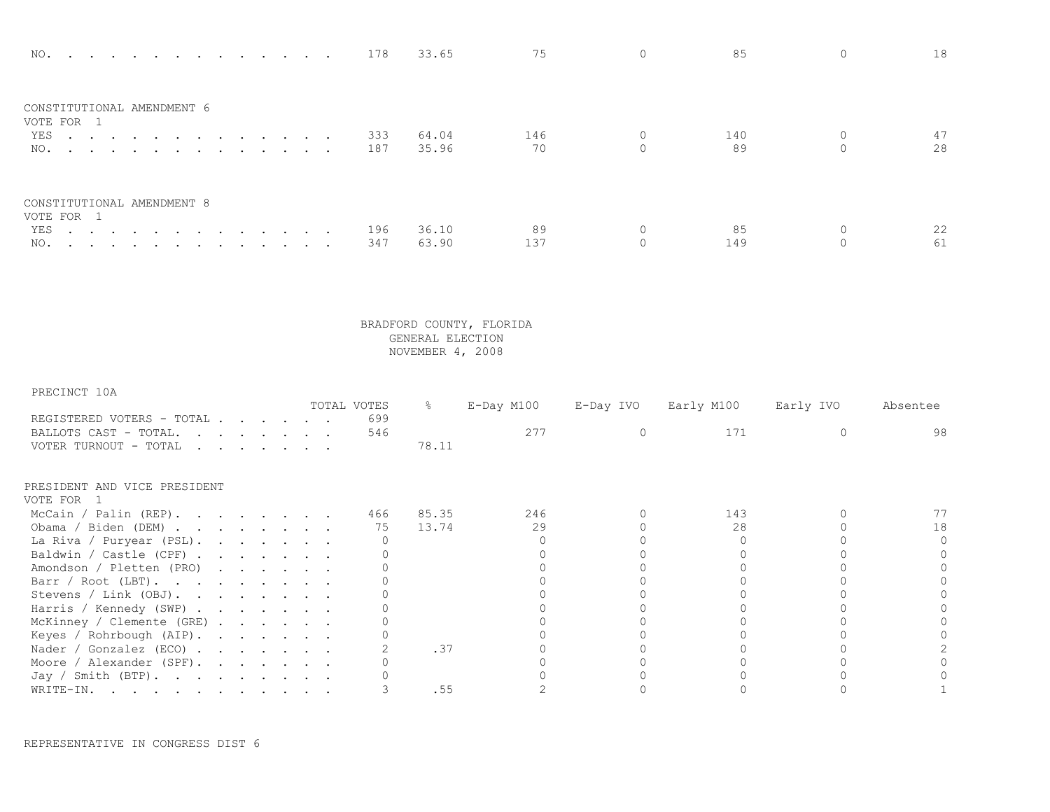| NO. 178                                  |     | 33.65 | 75  |          |     | 18 |
|------------------------------------------|-----|-------|-----|----------|-----|----|
| CONSTITUTIONAL AMENDMENT 6<br>VOTE FOR 1 |     |       |     |          |     |    |
| YES 333                                  |     | 64.04 | 146 |          | 140 |    |
| NO. 187                                  |     | 35.96 | 70  | $\Omega$ | 89  | 28 |
| CONSTITUTIONAL AMENDMENT 8<br>VOTE FOR 1 |     |       |     |          |     |    |
| YES.                                     | 196 | 36.10 | 89  |          | 85  | 22 |
| NO.                                      | 347 | 63.90 | 137 |          | 149 | 61 |

| PRECINCT 10A                                                                                                                             |  |  |  |             |       |            |           |            |           |          |
|------------------------------------------------------------------------------------------------------------------------------------------|--|--|--|-------------|-------|------------|-----------|------------|-----------|----------|
|                                                                                                                                          |  |  |  | TOTAL VOTES | ိ င   | E-Day M100 | E-Day IVO | Early M100 | Early IVO | Absentee |
| REGISTERED VOTERS - TOTAL                                                                                                                |  |  |  | 699         |       |            |           |            |           |          |
| BALLOTS CAST - TOTAL.                                                                                                                    |  |  |  | 546         |       | 277        |           | 171        |           | 98       |
| VOTER TURNOUT - TOTAL<br>the contract of the contract of the contract of the contract of the contract of the contract of the contract of |  |  |  |             | 78.11 |            |           |            |           |          |
| PRESIDENT AND VICE PRESIDENT                                                                                                             |  |  |  |             |       |            |           |            |           |          |
| VOTE FOR 1                                                                                                                               |  |  |  |             |       |            |           |            |           |          |
| McCain / Palin (REP).                                                                                                                    |  |  |  | 466         | 85.35 | 246        |           | 143        |           |          |
| Obama / Biden (DEM)                                                                                                                      |  |  |  | 75          | 13.74 | 29         |           | 28         |           | 18       |
| La Riva / Puryear (PSL).                                                                                                                 |  |  |  |             |       |            |           |            |           |          |
| Baldwin / Castle (CPF)                                                                                                                   |  |  |  |             |       |            |           |            |           |          |
| Amondson / Pletten (PRO)                                                                                                                 |  |  |  |             |       |            |           |            |           |          |
| Barr / Root (LBT).                                                                                                                       |  |  |  |             |       |            |           |            |           |          |
| Stevens / Link (OBJ).                                                                                                                    |  |  |  |             |       |            |           |            |           |          |
| Harris / Kennedy (SWP)                                                                                                                   |  |  |  |             |       |            |           |            |           |          |
| McKinney / Clemente (GRE)                                                                                                                |  |  |  |             |       |            |           |            |           |          |
| Keyes / Rohrbough (AIP).                                                                                                                 |  |  |  |             |       |            |           |            |           |          |
| Nader / Gonzalez (ECO)                                                                                                                   |  |  |  |             | .37   |            |           |            |           |          |
| Moore / Alexander $(SPF)$ .                                                                                                              |  |  |  |             |       |            |           |            |           |          |
| Jay / Smith (BTP).                                                                                                                       |  |  |  |             |       |            |           |            |           |          |
| WRITE-IN.                                                                                                                                |  |  |  |             | .55   |            |           |            |           |          |

REPRESENTATIVE IN CONGRESS DIST 6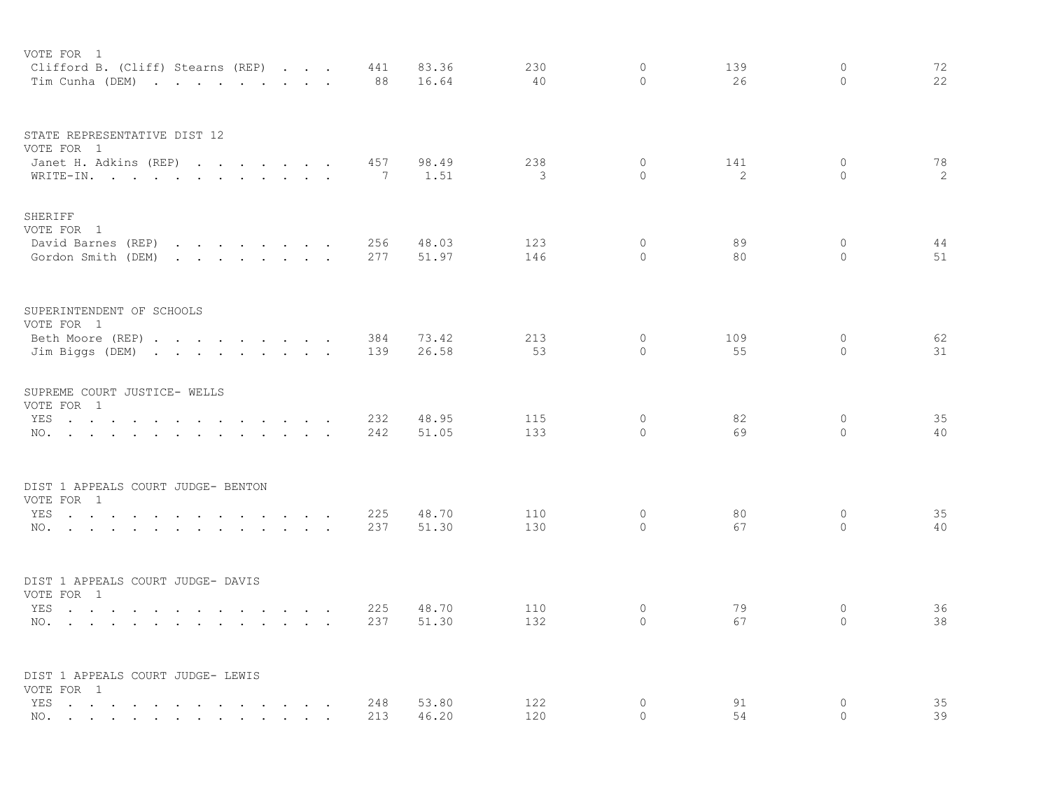| VOTE FOR 1<br>Clifford B. (Cliff) Stearns (REP)<br>Tim Cunha (DEM)                                                                                                               |                                                                                                                                    |        |                      | 441<br>88  | 83.36<br>16.64 | 230<br>40  | $\circ$<br>$\Omega$ | 139<br>26 | $\mathbf{0}$<br>$\Omega$ | 72<br>22         |
|----------------------------------------------------------------------------------------------------------------------------------------------------------------------------------|------------------------------------------------------------------------------------------------------------------------------------|--------|----------------------|------------|----------------|------------|---------------------|-----------|--------------------------|------------------|
| STATE REPRESENTATIVE DIST 12<br>VOTE FOR 1<br>Janet H. Adkins (REP)<br>WRITE-IN.                                                                                                 |                                                                                                                                    |        |                      | 457<br>7   | 98.49<br>1.51  | 238<br>3   | $\circ$<br>$\circ$  | 141<br>2  | $\circ$<br>$\circ$       | 78<br>$\sqrt{2}$ |
| SHERIFF<br>VOTE FOR 1<br>David Barnes (REP)<br>Gordon Smith (DEM)                                                                                                                | the contract of the contract of the contract of<br>the contract of the contract of the contract of the contract of the contract of |        |                      | 256<br>277 | 48.03<br>51.97 | 123<br>146 | 0<br>$\circ$        | 89<br>80  | 0<br>$\circ$             | 44<br>51         |
| SUPERINTENDENT OF SCHOOLS<br>VOTE FOR 1<br>Beth Moore (REP)<br>Jim Biggs (DEM)                                                                                                   |                                                                                                                                    |        |                      | 384<br>139 | 73.42<br>26.58 | 213<br>53  | 0<br>$\circ$        | 109<br>55 | $\circ$<br>$\circ$       | 62<br>31         |
| SUPREME COURT JUSTICE- WELLS<br>VOTE FOR 1<br>YES<br>NO.                                                                                                                         |                                                                                                                                    |        |                      | 232<br>242 | 48.95<br>51.05 | 115<br>133 | $\circ$<br>$\Omega$ | 82<br>69  | $\circ$<br>$\Omega$      | 35<br>40         |
| DIST 1 APPEALS COURT JUDGE- BENTON<br>VOTE FOR 1<br>YES<br>NO.                                                                                                                   |                                                                                                                                    | $\sim$ |                      | 225<br>237 | 48.70<br>51.30 | 110<br>130 | 0<br>$\Omega$       | 80<br>67  | $\circ$<br>$\Omega$      | 35<br>40         |
| DIST 1 APPEALS COURT JUDGE- DAVIS<br>VOTE FOR 1<br>YES<br>NO.<br>the contract of the contract of the contract of the contract of the contract of the contract of the contract of | and the state of the state of                                                                                                      | $\sim$ | $\ddot{\phantom{0}}$ | 225<br>237 | 48.70<br>51.30 | 110<br>132 | $\circ$<br>$\Omega$ | 79<br>67  | $\circ$<br>$\Omega$      | 36<br>38         |
| DIST 1 APPEALS COURT JUDGE- LEWIS<br>VOTE FOR 1<br>YES<br>$\sim$<br>$\sim$<br>$\sim$ $\sim$<br>$\ddot{\phantom{0}}$<br>NO.                                                       | the contract of the contract of the                                                                                                |        |                      | 248<br>213 | 53.80<br>46.20 | 122<br>120 | 0<br>$\Omega$       | 91<br>54  | 0<br>$\Omega$            | 35<br>39         |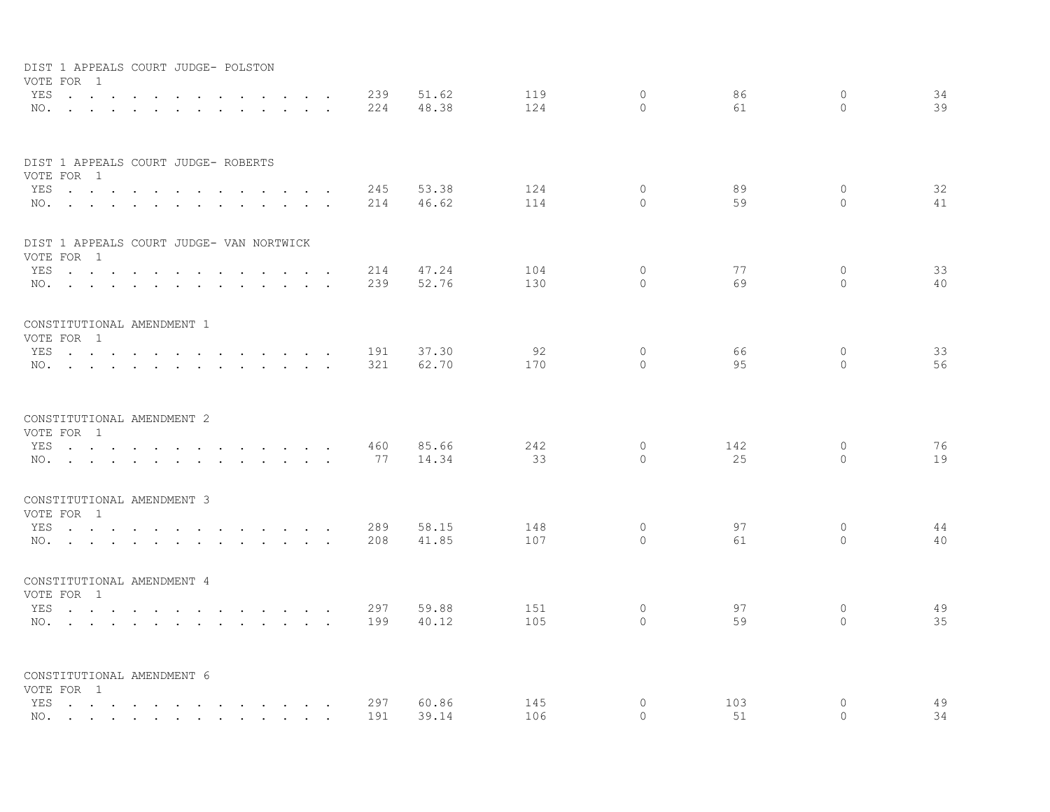| VOTE FOR 1                               | DIST 1 APPEALS COURT JUDGE- POLSTON      |                          |                 |     |       |     |              |     |              |    |
|------------------------------------------|------------------------------------------|--------------------------|-----------------|-----|-------|-----|--------------|-----|--------------|----|
|                                          | YES                                      | <b>Contract Contract</b> | $\sim$          | 239 | 51.62 | 119 | $\circ$      | 86  | $\mathbf{0}$ | 34 |
|                                          | NO.                                      |                          |                 | 224 | 48.38 | 124 | $\Omega$     | 61  | $\Omega$     | 39 |
|                                          | DIST 1 APPEALS COURT JUDGE- ROBERTS      |                          |                 |     |       |     |              |     |              |    |
| VOTE FOR 1<br>YES                        | $\ddot{\phantom{a}}$<br>$\sim$<br>$\sim$ | $\sim$ $\sim$            |                 | 245 | 53.38 | 124 | $\mathbf{0}$ | 89  | $\circ$      | 32 |
|                                          | NO.                                      |                          |                 | 214 | 46.62 | 114 | $\Omega$     | 59  | $\Omega$     | 41 |
| VOTE FOR 1                               | DIST 1 APPEALS COURT JUDGE- VAN NORTWICK |                          |                 |     |       |     |              |     |              |    |
|                                          | YES                                      |                          | and the control | 214 | 47.24 | 104 | $\Omega$     | 77  | $\circ$      | 33 |
|                                          | NO.                                      |                          |                 | 239 | 52.76 | 130 | $\Omega$     | 69  | $\Omega$     | 40 |
| CONSTITUTIONAL AMENDMENT 1               |                                          |                          |                 |     |       |     |              |     |              |    |
| VOTE FOR 1                               | YES                                      |                          |                 | 191 | 37.30 | 92  | $\mathbf{0}$ | 66  | $\circ$      | 33 |
|                                          | NO.                                      |                          |                 | 321 | 62.70 | 170 | $\Omega$     | 95  | $\Omega$     | 56 |
| CONSTITUTIONAL AMENDMENT 2               |                                          |                          |                 |     |       |     |              |     |              |    |
| VOTE FOR 1                               |                                          |                          |                 |     |       |     |              |     |              |    |
|                                          | YES                                      |                          |                 | 460 | 85.66 | 242 | $\mathbf{0}$ | 142 | $\mathbf 0$  | 76 |
|                                          | NO.                                      |                          |                 | 77  | 14.34 | 33  | $\Omega$     | 25  | $\Omega$     | 19 |
| CONSTITUTIONAL AMENDMENT 3               |                                          |                          |                 |     |       |     |              |     |              |    |
| VOTE FOR 1                               | YES                                      |                          |                 | 289 | 58.15 | 148 | $\circ$      | 97  | $\circ$      | 44 |
|                                          | NO.                                      |                          |                 | 208 | 41.85 | 107 | $\Omega$     | 61  | $\Omega$     | 40 |
| CONSTITUTIONAL AMENDMENT 4               |                                          |                          |                 |     |       |     |              |     |              |    |
| VOTE FOR 1                               | YES                                      |                          |                 | 297 | 59.88 | 151 | $\circ$      | 97  | 0            | 49 |
|                                          | NO.                                      |                          |                 | 199 | 40.12 | 105 | $\Omega$     | 59  | $\Omega$     | 35 |
|                                          |                                          |                          |                 |     |       |     |              |     |              |    |
| CONSTITUTIONAL AMENDMENT 6<br>VOTE FOR 1 |                                          |                          |                 |     |       |     |              |     |              |    |
|                                          | YES                                      |                          |                 | 297 | 60.86 | 145 | 0            | 103 | $\circ$      | 49 |
|                                          | NO.                                      |                          |                 | 191 | 39.14 | 106 | $\Omega$     | 51  | $\Omega$     | 34 |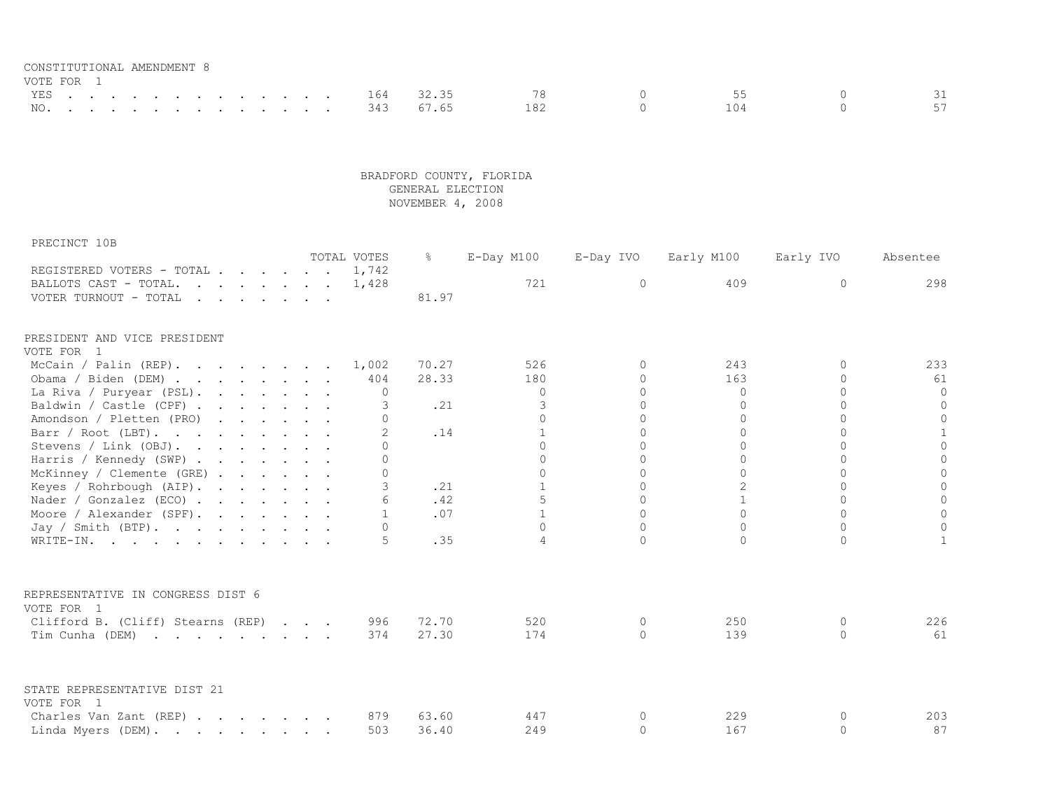| CONSTITUTIONAL AMENDMENT 8 |  |  |  |  |  |  |               |               |     |       |  |
|----------------------------|--|--|--|--|--|--|---------------|---------------|-----|-------|--|
| VOTE FOR 1                 |  |  |  |  |  |  |               |               |     |       |  |
|                            |  |  |  |  |  |  | YES 164 32.35 |               | 78  | 55.   |  |
|                            |  |  |  |  |  |  |               | NO. 343 67.65 | 182 | 1 N 4 |  |

| PRECINCT 10B                                                                                      |  |  |  |               |               |                |           |                |           |                |
|---------------------------------------------------------------------------------------------------|--|--|--|---------------|---------------|----------------|-----------|----------------|-----------|----------------|
|                                                                                                   |  |  |  | TOTAL VOTES   | $\frac{8}{6}$ | E-Day M100     | E-Day IVO | Early M100     | Early IVO | Absentee       |
| REGISTERED VOTERS - TOTAL 1,742<br>BALLOTS CAST - TOTAL.                                          |  |  |  |               |               | 721            | $\Omega$  | 409            | $\Omega$  | 298            |
| VOTER TURNOUT - TOTAL<br>$\mathbf{r}$ , $\mathbf{r}$ , $\mathbf{r}$ , $\mathbf{r}$ , $\mathbf{r}$ |  |  |  | 1,428         | 81.97         |                |           |                |           |                |
|                                                                                                   |  |  |  |               |               |                |           |                |           |                |
| PRESIDENT AND VICE PRESIDENT                                                                      |  |  |  |               |               |                |           |                |           |                |
| VOTE FOR 1                                                                                        |  |  |  |               |               |                |           |                |           |                |
| McCain / Palin $(REP)$ .                                                                          |  |  |  | 1,002         | 70.27         | 526            | $\Omega$  | 243            | $\Omega$  | 233            |
| Obama / Biden (DEM)                                                                               |  |  |  | 404           | 28.33         | 180            | $\Omega$  | 163            | $\Omega$  | 61             |
| La Riva / Puryear (PSL).                                                                          |  |  |  | $\Omega$      |               | $\mathbf 0$    | $\Omega$  | $\overline{0}$ | $\Omega$  | $\circ$        |
| Baldwin / Castle (CPF)                                                                            |  |  |  | 3             | .21           | 3              | $\Omega$  | $\Omega$       | $\Omega$  | $\circ$        |
| Amondson / Pletten (PRO)                                                                          |  |  |  | $\cap$        |               | $\Omega$       | $\Omega$  | $\Omega$       | $\Omega$  | $\circ$        |
| Barr / Root (LBT).                                                                                |  |  |  | $\mathcal{P}$ | .14           | $\mathbf{1}$   | $\Omega$  | $\Omega$       | $\Omega$  | $\mathbf{1}$   |
| Stevens / Link (OBJ).                                                                             |  |  |  | ∩             |               | $\Omega$       | $\Omega$  | $\Omega$       | $\Omega$  | $\Omega$       |
| Harris / Kennedy (SWP)                                                                            |  |  |  | $\cap$        |               | $\Omega$       | $\Omega$  | $\Omega$       | $\Omega$  | $\circ$        |
| McKinney / Clemente (GRE)                                                                         |  |  |  | $\Omega$      |               | $\Omega$       | $\Omega$  | $\Omega$       | $\Omega$  | $\Omega$       |
| Keyes / Rohrbough (AIP).                                                                          |  |  |  | 3             | .21           | $\overline{1}$ | $\Omega$  | $\overline{2}$ | $\Omega$  | $\overline{0}$ |
| Nader / Gonzalez (ECO)                                                                            |  |  |  |               | .42           | 5              | $\Omega$  | $\mathbf{1}$   | $\Omega$  | $\mathbf 0$    |
| Moore / Alexander (SPF).                                                                          |  |  |  | $\mathbf{1}$  | .07           | $\mathbf{1}$   | $\Omega$  | $\Omega$       | $\Omega$  | $\Omega$       |
| Jay / Smith $(BTP)$ .                                                                             |  |  |  | $\Omega$      |               | $\Omega$       | $\Omega$  | $\Omega$       | $\Omega$  | $\Omega$       |
| WRITE-IN.                                                                                         |  |  |  | 5             | .35           | 4              | $\Omega$  | $\Omega$       | $\Omega$  | $\mathbf{1}$   |
| REPRESENTATIVE IN CONGRESS DIST 6                                                                 |  |  |  |               |               |                |           |                |           |                |
| VOTE FOR 1                                                                                        |  |  |  |               |               |                |           |                |           |                |
| Clifford B. (Cliff) Stearns (REP)                                                                 |  |  |  | 996           | 72.70         | 520            | $\Omega$  | 250            | 0         | 226            |
| Tim Cunha (DEM)                                                                                   |  |  |  | 374           | 27.30         | 174            | $\Omega$  | 139            | $\Omega$  | 61             |
|                                                                                                   |  |  |  |               |               |                |           |                |           |                |
| STATE REPRESENTATIVE DIST 21                                                                      |  |  |  |               |               |                |           |                |           |                |
| VOTE FOR 1                                                                                        |  |  |  |               |               |                |           |                |           |                |
| Charles Van Zant (REP)                                                                            |  |  |  | 879           | 63.60         | 447            | $\circ$   | 229            | $\Omega$  | 203            |
| Linda Myers (DEM).                                                                                |  |  |  | 503           | 36.40         | 249            | $\Omega$  | 167            | $\Omega$  | 87             |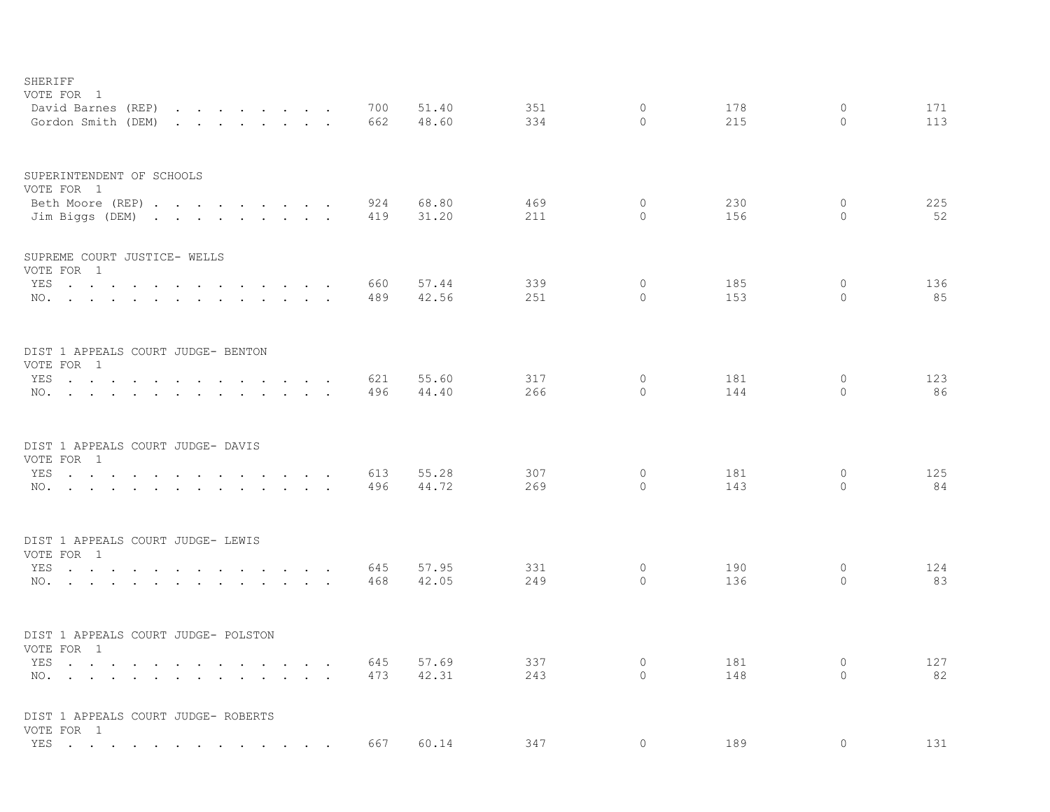| SHERIFF<br>VOTE FOR 1                                                                                                                                                                                                                                                                                                            |            |                |            |                     |            |                         |            |
|----------------------------------------------------------------------------------------------------------------------------------------------------------------------------------------------------------------------------------------------------------------------------------------------------------------------------------|------------|----------------|------------|---------------------|------------|-------------------------|------------|
| David Barnes (REP)<br>the contract of the contract of the contract of<br>Gordon Smith (DEM)<br>$\mathbf{r}$ . The contract of the contract of the contract of the contract of the contract of the contract of the contract of the contract of the contract of the contract of the contract of the contract of the contract of th | 700<br>662 | 51.40<br>48.60 | 351<br>334 | $\circ$<br>$\Omega$ | 178<br>215 | $\circ$<br>$\Omega$     | 171<br>113 |
| SUPERINTENDENT OF SCHOOLS                                                                                                                                                                                                                                                                                                        |            |                |            |                     |            |                         |            |
| VOTE FOR 1<br>Beth Moore (REP)                                                                                                                                                                                                                                                                                                   | 924        | 68.80          | 469        | 0                   | 230        | 0                       | 225        |
| Jim Biggs (DEM)                                                                                                                                                                                                                                                                                                                  | 419        | 31.20          | 211        | $\circ$             | 156        | $\Omega$                | 52         |
| SUPREME COURT JUSTICE- WELLS                                                                                                                                                                                                                                                                                                     |            |                |            |                     |            |                         |            |
| VOTE FOR 1                                                                                                                                                                                                                                                                                                                       |            |                |            |                     |            |                         |            |
| YES                                                                                                                                                                                                                                                                                                                              | 660        | 57.44          | 339        | $\circ$<br>$\circ$  | 185<br>153 | 0<br>$\Omega$           | 136        |
| NO.                                                                                                                                                                                                                                                                                                                              | 489        | 42.56          | 251        |                     |            |                         | 85         |
| DIST 1 APPEALS COURT JUDGE- BENTON                                                                                                                                                                                                                                                                                               |            |                |            |                     |            |                         |            |
| VOTE FOR 1                                                                                                                                                                                                                                                                                                                       |            |                |            |                     |            |                         |            |
| YES<br><b>Contract Contract Contract</b>                                                                                                                                                                                                                                                                                         | 621        | 55.60          | 317        | 0<br>$\Omega$       | 181        | $\mathbf 0$<br>$\Omega$ | 123        |
| NO.                                                                                                                                                                                                                                                                                                                              | 496        | 44.40          | 266        |                     | 144        |                         | 86         |
| DIST 1 APPEALS COURT JUDGE- DAVIS                                                                                                                                                                                                                                                                                                |            |                |            |                     |            |                         |            |
| VOTE FOR 1<br>YES                                                                                                                                                                                                                                                                                                                | 613        | 55.28          | 307        | $\circ$             | 181        | 0                       | 125        |
| $\sim$ $\sim$<br>$\cdots$ $\cdots$<br>$\sim$<br>$\sim$<br>NO.                                                                                                                                                                                                                                                                    | 496        | 44.72          | 269        | $\circ$             | 143        | $\Omega$                | 84         |
| DIST 1 APPEALS COURT JUDGE- LEWIS                                                                                                                                                                                                                                                                                                |            |                |            |                     |            |                         |            |
| VOTE FOR 1                                                                                                                                                                                                                                                                                                                       |            |                |            |                     |            |                         |            |
| YES<br>the contract of the contract of the<br>$\sim$ $\sim$ $\sim$ $\sim$                                                                                                                                                                                                                                                        | 645        | 57.95          | 331        | $\circ$             | 190        | $\circ$                 | 124        |
| NO.                                                                                                                                                                                                                                                                                                                              | 468        | 42.05          | 249        | $\Omega$            | 136        | $\Omega$                | 83         |
| DIST 1 APPEALS COURT JUDGE- POLSTON                                                                                                                                                                                                                                                                                              |            |                |            |                     |            |                         |            |
| VOTE FOR 1                                                                                                                                                                                                                                                                                                                       |            |                |            |                     |            |                         |            |
| YES<br>the contract of the contract of the contract of the contract of the contract of the contract of the contract of                                                                                                                                                                                                           | 645        | 57.69          | 337        | $\circ$             | 181        | $\circ$                 | 127        |
| NO.<br>and the contract of the contract of the contract of the contract of the contract of the contract of the contract of the contract of the contract of the contract of the contract of the contract of the contract of the contra                                                                                            | 473        | 42.31          | 243        | $\circ$             | 148        | $\Omega$                | 82         |
| DIST 1 APPEALS COURT JUDGE- ROBERTS<br>VOTE FOR 1                                                                                                                                                                                                                                                                                |            |                |            |                     |            |                         |            |
| YES                                                                                                                                                                                                                                                                                                                              | 667        | 60.14          | 347        | $\circ$             | 189        | $\mathbf{0}$            | 131        |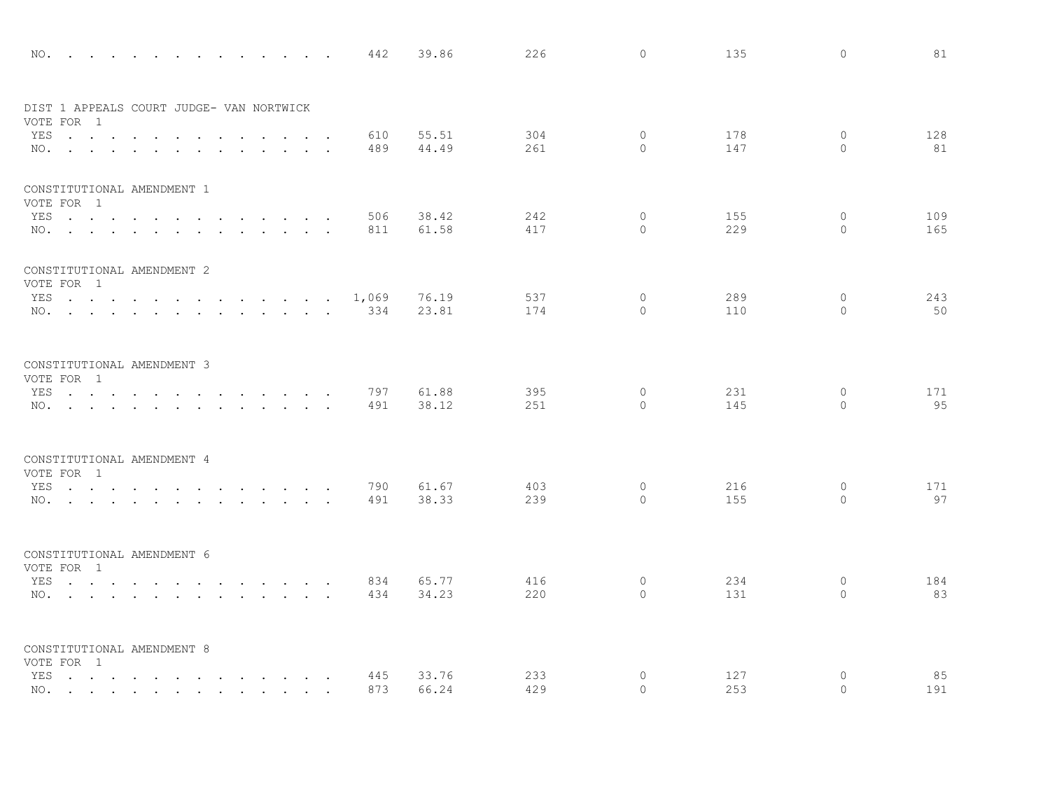| NO.                                      |  |                                                                                                                 |                                                                                 |                              |        |                      | 442   | 39.86 | 226 | $\circ$      | 135 | $\circ$      | 81  |
|------------------------------------------|--|-----------------------------------------------------------------------------------------------------------------|---------------------------------------------------------------------------------|------------------------------|--------|----------------------|-------|-------|-----|--------------|-----|--------------|-----|
| DIST 1 APPEALS COURT JUDGE- VAN NORTWICK |  |                                                                                                                 |                                                                                 |                              |        |                      |       |       |     |              |     |              |     |
| VOTE FOR 1<br>YES                        |  |                                                                                                                 |                                                                                 | $\sim$                       |        |                      | 610   | 55.51 | 304 | $\mathbf{0}$ | 178 | $\circ$      | 128 |
| NO.                                      |  | $\ddot{\phantom{0}}$                                                                                            |                                                                                 | $\sim 10^{-10}$ km s $^{-1}$ |        |                      | 489   | 44.49 | 261 | $\Omega$     | 147 | $\Omega$     | 81  |
|                                          |  |                                                                                                                 |                                                                                 |                              |        |                      |       |       |     |              |     |              |     |
| CONSTITUTIONAL AMENDMENT 1<br>VOTE FOR 1 |  |                                                                                                                 |                                                                                 |                              |        |                      |       |       |     |              |     |              |     |
| YES                                      |  |                                                                                                                 | $\mathbf{r}$ , and $\mathbf{r}$ , and $\mathbf{r}$ , and $\mathbf{r}$           |                              |        |                      | 506   | 38.42 | 242 | $\circ$      | 155 | $\circ$      | 109 |
| NO.                                      |  |                                                                                                                 |                                                                                 |                              | $\sim$ | $\ddot{\phantom{a}}$ | 811   | 61.58 | 417 | $\Omega$     | 229 | $\Omega$     | 165 |
| CONSTITUTIONAL AMENDMENT 2<br>VOTE FOR 1 |  |                                                                                                                 |                                                                                 |                              |        |                      |       |       |     |              |     |              |     |
| YES                                      |  |                                                                                                                 |                                                                                 |                              |        |                      | 1,069 | 76.19 | 537 | $\circ$      | 289 | $\mathbf{0}$ | 243 |
| NO.                                      |  |                                                                                                                 |                                                                                 |                              |        |                      | 334   | 23.81 | 174 | $\Omega$     | 110 | $\Omega$     | 50  |
|                                          |  |                                                                                                                 |                                                                                 |                              |        |                      |       |       |     |              |     |              |     |
| CONSTITUTIONAL AMENDMENT 3               |  |                                                                                                                 |                                                                                 |                              |        |                      |       |       |     |              |     |              |     |
| VOTE FOR 1<br>YES                        |  |                                                                                                                 | the contract of the contract of the contract of the contract of the contract of |                              |        |                      | 797   | 61.88 | 395 | $\mathbf 0$  | 231 | $\circ$      | 171 |
| NO.                                      |  |                                                                                                                 |                                                                                 |                              |        |                      | 491   | 38.12 | 251 | $\Omega$     | 145 | $\Omega$     | 95  |
|                                          |  |                                                                                                                 |                                                                                 |                              |        |                      |       |       |     |              |     |              |     |
| CONSTITUTIONAL AMENDMENT 4<br>VOTE FOR 1 |  |                                                                                                                 |                                                                                 |                              |        |                      |       |       |     |              |     |              |     |
| YES                                      |  | the contract of the contract of the contract of the contract of the contract of the contract of the contract of |                                                                                 |                              |        |                      | 790   | 61.67 | 403 | $\circ$      | 216 | $\circ$      | 171 |
| NO.                                      |  |                                                                                                                 |                                                                                 |                              |        |                      | 491   | 38.33 | 239 | $\Omega$     | 155 | $\Omega$     | 97  |
|                                          |  |                                                                                                                 |                                                                                 |                              |        |                      |       |       |     |              |     |              |     |
| CONSTITUTIONAL AMENDMENT 6               |  |                                                                                                                 |                                                                                 |                              |        |                      |       |       |     |              |     |              |     |
| VOTE FOR 1<br>YES                        |  |                                                                                                                 | $\mathbf{r}$ , $\mathbf{r}$ , $\mathbf{r}$ , $\mathbf{r}$ , $\mathbf{r}$        |                              |        |                      | 834   | 65.77 | 416 | 0            | 234 | 0            | 184 |
| NO.                                      |  |                                                                                                                 |                                                                                 |                              |        | $\ddot{\phantom{1}}$ | 434   | 34.23 | 220 | $\Omega$     | 131 | $\circ$      | 83  |
|                                          |  |                                                                                                                 |                                                                                 |                              |        |                      |       |       |     |              |     |              |     |
| CONSTITUTIONAL AMENDMENT 8<br>VOTE FOR 1 |  |                                                                                                                 |                                                                                 |                              |        |                      |       |       |     |              |     |              |     |
| YES                                      |  |                                                                                                                 |                                                                                 |                              |        |                      | 445   | 33.76 | 233 | 0            | 127 | 0            | 85  |
| NO.                                      |  |                                                                                                                 |                                                                                 |                              |        |                      | 873   | 66.24 | 429 | $\Omega$     | 253 | 0            | 191 |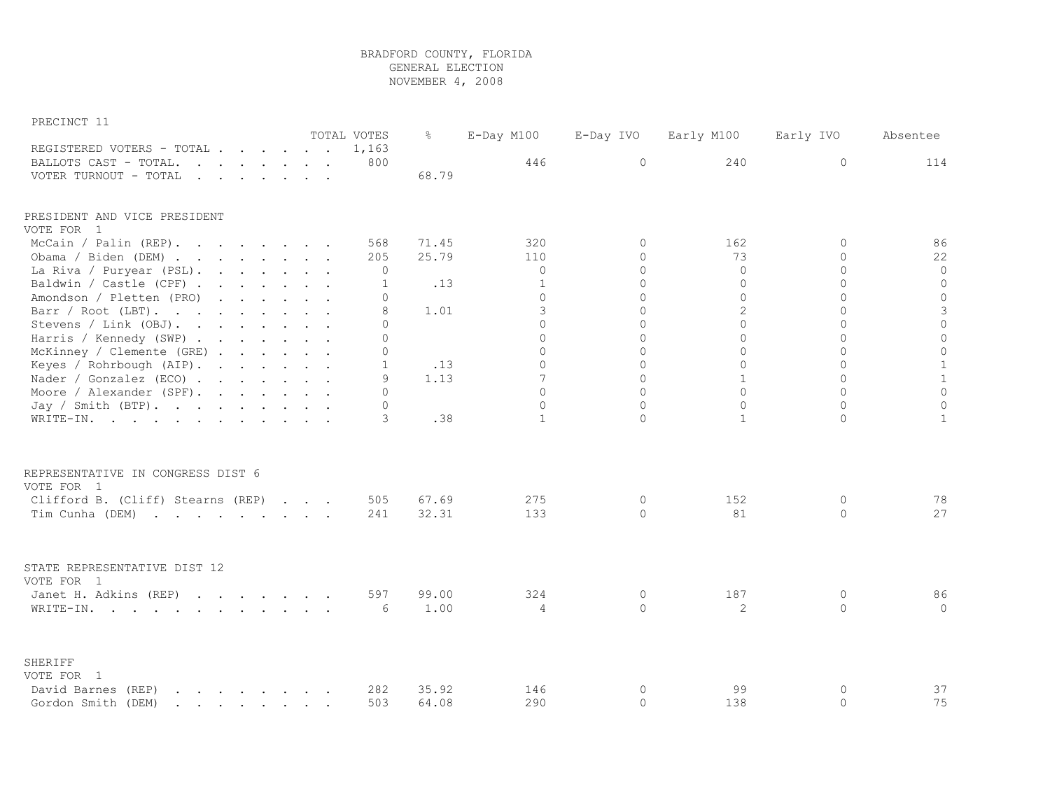| PRECINCT |  |
|----------|--|
|----------|--|

|                                                                                                                                                                                                                                                            |  |  | TOTAL VOTES  | $\frac{6}{6}$ | $E$ -Day M100  | E-Day IVO | Early M100     | Early IVO   | Absentee            |
|------------------------------------------------------------------------------------------------------------------------------------------------------------------------------------------------------------------------------------------------------------|--|--|--------------|---------------|----------------|-----------|----------------|-------------|---------------------|
| REGISTERED VOTERS - TOTAL                                                                                                                                                                                                                                  |  |  | 1,163        |               |                |           |                |             |                     |
| BALLOTS CAST - TOTAL.<br>$\mathbf{r}$ . The contract of the contract of $\mathbf{r}$<br>$\sim$                                                                                                                                                             |  |  | 800          |               | 446            | $\circ$   | 240            | 0           | 114                 |
| VOTER TURNOUT - TOTAL<br>$\mathbf{r}$ . The set of the set of the set of the set of the set of the set of the set of the set of the set of the set of the set of the set of the set of the set of the set of the set of the set of the set of the set of t |  |  |              | 68.79         |                |           |                |             |                     |
| PRESIDENT AND VICE PRESIDENT                                                                                                                                                                                                                               |  |  |              |               |                |           |                |             |                     |
| VOTE FOR 1                                                                                                                                                                                                                                                 |  |  |              |               |                |           |                |             |                     |
| McCain / Palin (REP).<br>$\mathbf{r}$ . The set of the set of the set of the set of the set of the set of the set of the set of the set of the set of the set of the set of the set of the set of the set of the set of the set of the set of the set of t |  |  | 568          | 71.45         | 320            | $\Omega$  | 162            | $\Omega$    | 86                  |
| Obama / Biden (DEM)                                                                                                                                                                                                                                        |  |  | 205          | 25.79         | 110            | $\Omega$  | 73             | $\Omega$    | 22                  |
| La Riva / Puryear (PSL).                                                                                                                                                                                                                                   |  |  | 0            |               | $\mathbf 0$    | $\circ$   | 0              | $\circ$     | $\circ$             |
| Baldwin / Castle (CPF)                                                                                                                                                                                                                                     |  |  | 1            | .13           | $\mathbf{1}$   | $\Omega$  | $\Omega$       | $\Omega$    | $\circ$             |
| Amondson / Pletten (PRO)                                                                                                                                                                                                                                   |  |  | $\Omega$     |               | $\Omega$       | $\Omega$  | 0              | $\Omega$    | $\circ$             |
| Barr / Root (LBT).                                                                                                                                                                                                                                         |  |  | 8            | 1.01          | 3              | $\Omega$  | $\overline{2}$ | $\Omega$    | $\mathsf 3$         |
| Stevens / Link (OBJ).                                                                                                                                                                                                                                      |  |  | $\Omega$     |               | $\Omega$       | $\Omega$  | $\Omega$       | $\Omega$    | $\circ$             |
| Harris / Kennedy (SWP)                                                                                                                                                                                                                                     |  |  | $\Omega$     |               | $\Omega$       | $\Omega$  | $\Omega$       | $\Omega$    | $\circ$             |
| McKinney / Clemente (GRE)                                                                                                                                                                                                                                  |  |  | $\Omega$     |               | $\Omega$       | $\Omega$  | $\Omega$       | $\Omega$    | $\mathsf{O}\xspace$ |
| Keyes / Rohrbough (AIP).                                                                                                                                                                                                                                   |  |  | $\mathbf{1}$ | .13           | $\Omega$       | $\Omega$  | $\Omega$       | $\Omega$    | $\mathbf{1}$        |
| Nader / Gonzalez (ECO)                                                                                                                                                                                                                                     |  |  | 9            | 1.13          | 7              | $\Omega$  | $\mathbf{1}$   | $\Omega$    | $\,1\,$             |
| Moore / Alexander (SPF).                                                                                                                                                                                                                                   |  |  | $\cap$       |               | $\Omega$       | $\Omega$  | $\Omega$       | $\Omega$    | $\circ$             |
| Jay / Smith $(BTP)$ .                                                                                                                                                                                                                                      |  |  | $\Omega$     |               | $\Omega$       | $\Omega$  | 0              | $\Omega$    | $\circ$             |
| WRITE-IN.                                                                                                                                                                                                                                                  |  |  | 3            | .38           | $\mathbf{1}$   | $\Omega$  | $\mathbf{1}$   | $\Omega$    | $\mathbf{1}$        |
|                                                                                                                                                                                                                                                            |  |  |              |               |                |           |                |             |                     |
| REPRESENTATIVE IN CONGRESS DIST 6<br>VOTE FOR 1                                                                                                                                                                                                            |  |  |              |               |                |           |                |             |                     |
| Clifford B. (Cliff) Stearns (REP)                                                                                                                                                                                                                          |  |  | 505          | 67.69         | 275            | $\circ$   | 152            | $\circ$     | 78                  |
| Tim Cunha (DEM)<br>$\mathbf{r}$ , and $\mathbf{r}$ , and $\mathbf{r}$ , and $\mathbf{r}$ , and $\mathbf{r}$                                                                                                                                                |  |  | 241          | 32.31         | 133            | $\Omega$  | 81             | $\Omega$    | 27                  |
|                                                                                                                                                                                                                                                            |  |  |              |               |                |           |                |             |                     |
| STATE REPRESENTATIVE DIST 12<br>VOTE FOR 1                                                                                                                                                                                                                 |  |  |              |               |                |           |                |             |                     |
| Janet H. Adkins (REP)                                                                                                                                                                                                                                      |  |  | 597          | 99.00         | 324            | $\circ$   | 187            | $\circ$     | 86                  |
| WRITE-IN.                                                                                                                                                                                                                                                  |  |  | 6            | 1.00          | $\overline{4}$ | $\Omega$  | 2              | $\circ$     | $\circ$             |
|                                                                                                                                                                                                                                                            |  |  |              |               |                |           |                |             |                     |
| SHERIFF<br>VOTE FOR 1                                                                                                                                                                                                                                      |  |  |              |               |                |           |                |             |                     |
| David Barnes (REP)<br>$\mathbf{r}$ , $\mathbf{r}$ , $\mathbf{r}$ , $\mathbf{r}$ , $\mathbf{r}$ , $\mathbf{r}$                                                                                                                                              |  |  | 282          | 35.92         | 146            | $\circ$   | 99             | $\mathbf 0$ | 37                  |
|                                                                                                                                                                                                                                                            |  |  | 503          |               | 290            | $\circ$   | 138            | $\circ$     | 75                  |
| Gordon Smith (DEM)<br>$\mathbf{r}$ , $\mathbf{r}$ , $\mathbf{r}$ , $\mathbf{r}$ , $\mathbf{r}$ , $\mathbf{r}$                                                                                                                                              |  |  |              | 64.08         |                |           |                |             |                     |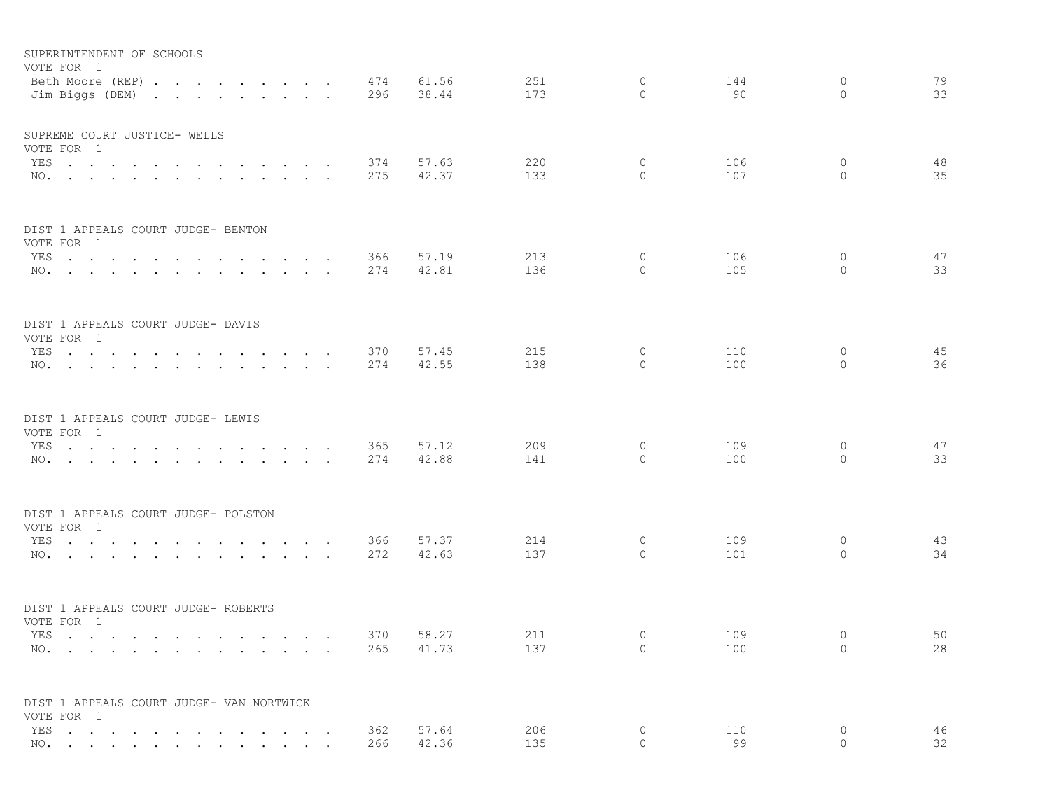|            | SUPERINTENDENT OF SCHOOLS<br>VOTE FOR 1<br>Beth Moore (REP)                                                     |        |                                                                                                                 |                      |                         |        |                                |                      | 474        | 61.56          | 251        | $\circ$            | 144        | 0                      | 79       |
|------------|-----------------------------------------------------------------------------------------------------------------|--------|-----------------------------------------------------------------------------------------------------------------|----------------------|-------------------------|--------|--------------------------------|----------------------|------------|----------------|------------|--------------------|------------|------------------------|----------|
|            | Jim Biggs (DEM)                                                                                                 |        | the contract of the contract of the contract of the contract of the contract of the contract of the contract of |                      |                         |        |                                |                      | 296        | 38.44          | 173        | 0                  | 90         | 0                      | 33       |
|            | SUPREME COURT JUSTICE- WELLS                                                                                    |        |                                                                                                                 |                      |                         |        |                                |                      |            |                |            |                    |            |                        |          |
|            | VOTE FOR 1                                                                                                      |        |                                                                                                                 |                      |                         |        |                                |                      |            |                |            |                    |            |                        |          |
| YES<br>NO. | and the contract of the state of<br>$\mathbf{r}$ , and $\mathbf{r}$ , and $\mathbf{r}$                          |        | $\ddot{\phantom{a}}$                                                                                            |                      |                         |        |                                |                      | 374<br>275 | 57.63<br>42.37 | 220<br>133 | 0<br>$\circ$       | 106<br>107 | 0<br>$\circ$           | 48<br>35 |
|            |                                                                                                                 | $\sim$ |                                                                                                                 |                      |                         | $\sim$ | $\sim$                         |                      |            |                |            |                    |            |                        |          |
|            | DIST 1 APPEALS COURT JUDGE- BENTON<br>VOTE FOR 1                                                                |        |                                                                                                                 |                      |                         |        |                                |                      |            |                |            |                    |            |                        |          |
|            | YES                                                                                                             |        |                                                                                                                 | $\ddot{\phantom{0}}$ |                         |        | $\ddot{\phantom{a}}$           | $\ddot{\phantom{a}}$ | 366        | 57.19          | 213        | 0                  | 106        | 0                      | 47       |
|            | NO.                                                                                                             | $\sim$ |                                                                                                                 |                      |                         |        |                                |                      | 274        | 42.81          | 136        | 0                  | 105        | $\mathbf{0}$           | 33       |
|            | DIST 1 APPEALS COURT JUDGE- DAVIS<br>VOTE FOR 1                                                                 |        |                                                                                                                 |                      |                         |        |                                |                      |            |                |            |                    |            |                        |          |
|            | YES                                                                                                             |        | $\ddot{\phantom{a}}$                                                                                            |                      |                         |        | $\ddot{\phantom{0}}$           | $\ddot{\phantom{a}}$ | 370        | 57.45          | 215        | $\circ$            | 110        | $\circ$                | 45       |
|            | NO.                                                                                                             |        |                                                                                                                 |                      |                         |        |                                |                      | 274        | 42.55          | 138        | 0                  | 100        | $\mathbf{0}$           | 36       |
|            | DIST 1 APPEALS COURT JUDGE- LEWIS                                                                               |        |                                                                                                                 |                      |                         |        |                                |                      |            |                |            |                    |            |                        |          |
|            | VOTE FOR 1<br>YES                                                                                               |        |                                                                                                                 |                      |                         |        |                                |                      |            | 57.12          | 209        | 0                  | 109        | $\circ$                | 47       |
|            | NO.                                                                                                             |        |                                                                                                                 |                      | $\cdot$ $\cdot$ $\cdot$ |        | $\sim$ $\sim$<br>$\sim$ $\sim$ |                      | 365<br>274 | 42.88          | 141        | $\circ$            | 100        | 0                      | 33       |
|            | DIST 1 APPEALS COURT JUDGE- POLSTON                                                                             |        |                                                                                                                 |                      |                         |        |                                |                      |            |                |            |                    |            |                        |          |
|            | VOTE FOR 1                                                                                                      |        |                                                                                                                 |                      |                         |        |                                |                      |            |                |            |                    |            |                        |          |
|            | YES                                                                                                             |        |                                                                                                                 |                      |                         |        |                                | $\sim$               | 366        | 57.37          | 214        | 0                  | 109        | 0                      | 43<br>34 |
| NO.        | the contract of the contract of the contract of the contract of the contract of the contract of the contract of |        |                                                                                                                 |                      |                         |        |                                |                      | 272        | 42.63          | 137        | 0                  | 101        | 0                      |          |
|            | DIST 1 APPEALS COURT JUDGE- ROBERTS<br>VOTE FOR 1                                                               |        |                                                                                                                 |                      |                         |        |                                |                      |            |                |            |                    |            |                        |          |
| YES        | the contract of the contract of the contract of the contract of the contract of the contract of the contract of |        |                                                                                                                 |                      |                         |        | $\sim$ $\sim$                  |                      | 370        | 58.27          | 211        | 0                  | 109        | 0                      | 50       |
|            | NO.                                                                                                             |        |                                                                                                                 |                      |                         |        |                                |                      | 265        | 41.73          | 137        | $\circ$            | 100        | $\circ$                | 28       |
|            | DIST 1 APPEALS COURT JUDGE- VAN NORTWICK                                                                        |        |                                                                                                                 |                      |                         |        |                                |                      |            |                |            |                    |            |                        |          |
|            | VOTE FOR 1                                                                                                      |        |                                                                                                                 |                      |                         |        |                                |                      |            | 57.64          |            |                    |            |                        |          |
|            | YES<br>NO.                                                                                                      |        |                                                                                                                 |                      |                         |        | $\sim$                         |                      | 362<br>266 | 42.36          | 206<br>135 | $\circ$<br>$\circ$ | 110<br>99  | $\mathbf 0$<br>$\circ$ | 46<br>32 |
|            |                                                                                                                 |        |                                                                                                                 |                      |                         |        |                                |                      |            |                |            |                    |            |                        |          |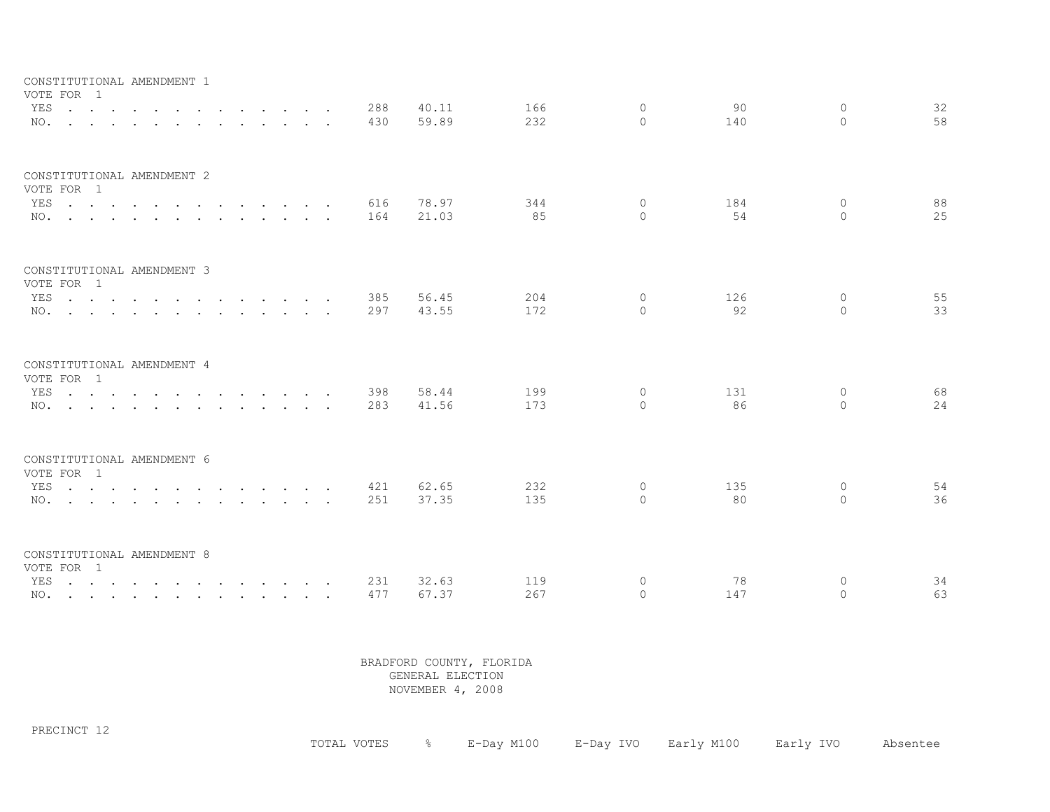| CONSTITUTIONAL AMENDMENT 1<br>VOTE FOR 1               |                                                                                                                                                            |  |        |            |                |            |                      |           |                          |          |
|--------------------------------------------------------|------------------------------------------------------------------------------------------------------------------------------------------------------------|--|--------|------------|----------------|------------|----------------------|-----------|--------------------------|----------|
| YES<br>NO.                                             | <u>na kama sa sana sa sa sa sa sa sa sa</u><br>$\mathbf{r}$ , and $\mathbf{r}$ , and $\mathbf{r}$ , and $\mathbf{r}$ , and $\mathbf{r}$ , and $\mathbf{r}$ |  |        | 288<br>430 | 40.11<br>59.89 | 166<br>232 | $\Omega$<br>$\Omega$ | 90<br>140 | $\Omega$<br>$\Omega$     | 32<br>58 |
| CONSTITUTIONAL AMENDMENT 2<br>VOTE FOR 1<br>YES<br>NO. |                                                                                                                                                            |  | $\sim$ | 616<br>164 | 78.97<br>21.03 | 344<br>85  | $\circ$<br>$\Omega$  | 184<br>54 | $\mathbf{0}$<br>$\Omega$ | 88<br>25 |
| CONSTITUTIONAL AMENDMENT 3<br>VOTE FOR 1<br>YES<br>NO. |                                                                                                                                                            |  |        | 385<br>297 | 56.45<br>43.55 | 204<br>172 | 0<br>$\Omega$        | 126<br>92 | $\mathbf{0}$<br>$\Omega$ | 55<br>33 |
| CONSTITUTIONAL AMENDMENT 4<br>VOTE FOR 1<br>YES<br>NO. |                                                                                                                                                            |  |        | 398<br>283 | 58.44<br>41.56 | 199<br>173 | 0<br>$\Omega$        | 131<br>86 | $\circ$<br>$\mathbf{0}$  | 68<br>24 |
| CONSTITUTIONAL AMENDMENT 6<br>VOTE FOR 1<br>YES<br>NO. |                                                                                                                                                            |  |        | 421<br>251 | 62.65<br>37.35 | 232<br>135 | $\circ$<br>$\Omega$  | 135<br>80 | $\mathbf{0}$<br>$\Omega$ | 54<br>36 |
| CONSTITUTIONAL AMENDMENT 8<br>VOTE FOR 1<br>YES<br>NO. |                                                                                                                                                            |  |        | 231<br>477 | 32.63<br>67.37 | 119<br>267 | 0<br>$\Omega$        | 78<br>147 | 0<br>$\Omega$            | 34<br>63 |

PRECINCT 12

TOTAL VOTES % E-Day M100 E-Day IVO Early M100 Early IVO Absentee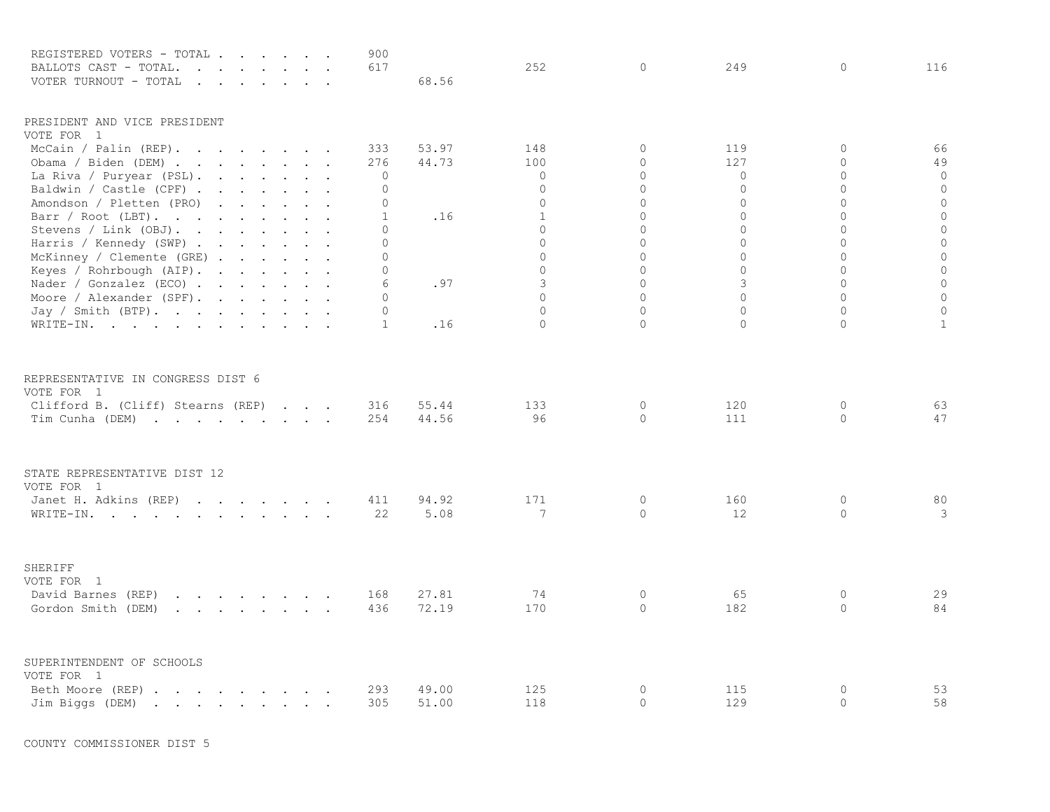| REGISTERED VOTERS - TOTAL .                                                                                                                                                                                                                            |        | $\sim$ $\sim$ |        |                                                                                                                                                                                                                                |  | 900                         |       |                |                      |                     |                         |                                  |
|--------------------------------------------------------------------------------------------------------------------------------------------------------------------------------------------------------------------------------------------------------|--------|---------------|--------|--------------------------------------------------------------------------------------------------------------------------------------------------------------------------------------------------------------------------------|--|-----------------------------|-------|----------------|----------------------|---------------------|-------------------------|----------------------------------|
| BALLOTS CAST - TOTAL.<br>$\overline{a}$                                                                                                                                                                                                                | $\sim$ | $\sim$        | $\sim$ |                                                                                                                                                                                                                                |  | 617                         |       | 252            | $\circ$              | 249                 | $\mathbf 0$             | 116                              |
| VOTER TURNOUT - TOTAL<br>$\sim$                                                                                                                                                                                                                        | $\sim$ | $\sim$        |        |                                                                                                                                                                                                                                |  |                             | 68.56 |                |                      |                     |                         |                                  |
| PRESIDENT AND VICE PRESIDENT                                                                                                                                                                                                                           |        |               |        |                                                                                                                                                                                                                                |  |                             |       |                |                      |                     |                         |                                  |
| VOTE FOR 1                                                                                                                                                                                                                                             |        |               |        |                                                                                                                                                                                                                                |  |                             |       |                |                      |                     |                         |                                  |
| McCain / Palin $(REP)$ .                                                                                                                                                                                                                               |        |               |        |                                                                                                                                                                                                                                |  | 333                         | 53.97 | 148            | $\circ$              | 119                 | $\mathbf{0}$            | 66                               |
| Obama / Biden (DEM) $\cdot \cdot \cdot \cdot \cdot \cdot$                                                                                                                                                                                              |        |               |        |                                                                                                                                                                                                                                |  | 276                         | 44.73 | 100            | $\circ$              | 127                 | $\circ$                 | 49                               |
| La Riva / Puryear (PSL).                                                                                                                                                                                                                               |        |               |        | and the contract of the con-                                                                                                                                                                                                   |  | 0                           |       | $\Omega$       | $\Omega$<br>$\Omega$ | $\circ$<br>$\Omega$ | $\Omega$<br>$\Omega$    | $\overline{0}$<br>$\overline{0}$ |
| Baldwin / Castle (CPF).                                                                                                                                                                                                                                |        |               |        | and the contract of the contract of the contract of the contract of the contract of the contract of the contract of the contract of the contract of the contract of the contract of the contract of the contract of the contra |  | $\circ$                     |       | $\Omega$       | $\Omega$             | $\Omega$            | $\Omega$                |                                  |
| Amondson / Pletten (PRO)                                                                                                                                                                                                                               |        |               |        | and the contract of the contract of                                                                                                                                                                                            |  | $\circ$                     |       | $\Omega$       |                      |                     |                         | $\mathbf 0$                      |
| Barr / Root (LBT).                                                                                                                                                                                                                                     |        |               |        |                                                                                                                                                                                                                                |  | $\mathbf{1}$                | .16   | $\mathbf{1}$   | $\circ$<br>$\Omega$  | 0<br>$\Omega$       | $\mathbf 0$<br>$\Omega$ | $\circ$                          |
| Stevens / Link (OBJ).<br>$\mathbf{r}$ , $\mathbf{r}$ , $\mathbf{r}$ , $\mathbf{r}$                                                                                                                                                                     |        |               |        | $\sim$                                                                                                                                                                                                                         |  | $\Omega$                    |       | $\Omega$       |                      |                     |                         | $\circ$                          |
| Harris / Kennedy (SWP)                                                                                                                                                                                                                                 |        |               |        |                                                                                                                                                                                                                                |  | $\circ$                     |       | $\mathbf 0$    | $\circ$              | 0                   | $\circ$                 | $\circ$                          |
| McKinney / Clemente (GRE)                                                                                                                                                                                                                              |        |               |        |                                                                                                                                                                                                                                |  | $\circ$                     |       | $\overline{0}$ | $\circ$              | 0                   | $\circ$                 | $\mathbf 0$                      |
| Keyes / Rohrbough (AIP).                                                                                                                                                                                                                               |        |               |        |                                                                                                                                                                                                                                |  | $\circ$                     |       | $\circ$<br>3   | $\circ$<br>$\circ$   | $\circ$<br>3        | $\circ$<br>$\Omega$     | $\mathbb O$                      |
| Nader / Gonzalez (ECO).                                                                                                                                                                                                                                |        |               |        | the company of the company of                                                                                                                                                                                                  |  | 6                           | .97   | $\Omega$       | $\circ$              | 0                   | $\circ$                 | $\mathbb O$                      |
| Moore / Alexander (SPF).                                                                                                                                                                                                                               |        |               |        |                                                                                                                                                                                                                                |  | 0                           |       | $\Omega$       | $\circ$              | $\circ$             | $\mathbf 0$             | $\circ$                          |
| Jay / Smith (BTP).                                                                                                                                                                                                                                     |        |               |        |                                                                                                                                                                                                                                |  | $\mathbf 0$<br>$\mathbf{1}$ |       | $\Omega$       | $\Omega$             | $\Omega$            | $\Omega$                | $\mathbb O$<br>$\mathbf{1}$      |
| WRITE-IN.                                                                                                                                                                                                                                              |        |               |        |                                                                                                                                                                                                                                |  |                             | .16   |                |                      |                     |                         |                                  |
| REPRESENTATIVE IN CONGRESS DIST 6                                                                                                                                                                                                                      |        |               |        |                                                                                                                                                                                                                                |  |                             |       |                |                      |                     |                         |                                  |
| VOTE FOR 1                                                                                                                                                                                                                                             |        |               |        |                                                                                                                                                                                                                                |  |                             |       |                |                      |                     |                         |                                  |
| Clifford B. (Cliff) Stearns (REP)                                                                                                                                                                                                                      |        |               |        | $\cdot$ $\cdot$ $\cdot$                                                                                                                                                                                                        |  | 316                         | 55.44 | 133            | $\circ$              | 120                 | $\circ$                 | 63                               |
| Tim Cunha (DEM)                                                                                                                                                                                                                                        |        |               |        |                                                                                                                                                                                                                                |  | 254                         | 44.56 | 96             | $\circ$              | 111                 | $\circ$                 | 47                               |
| STATE REPRESENTATIVE DIST 12<br>VOTE FOR 1                                                                                                                                                                                                             |        |               |        |                                                                                                                                                                                                                                |  |                             |       |                |                      |                     |                         |                                  |
| Janet H. Adkins (REP)                                                                                                                                                                                                                                  |        |               |        |                                                                                                                                                                                                                                |  | 411                         | 94.92 | 171            | $\circ$              | 160                 | 0                       | 80                               |
| WRITE-IN.                                                                                                                                                                                                                                              |        |               |        |                                                                                                                                                                                                                                |  | 22                          | 5.08  | 7              | $\circ$              | 12                  | $\circ$                 | 3                                |
| SHERIFF                                                                                                                                                                                                                                                |        |               |        |                                                                                                                                                                                                                                |  |                             |       |                |                      |                     |                         |                                  |
| VOTE FOR 1                                                                                                                                                                                                                                             |        |               |        |                                                                                                                                                                                                                                |  |                             |       |                |                      |                     |                         |                                  |
| David Barnes (REP)<br>$\mathbf{r}$ and $\mathbf{r}$ are all $\mathbf{r}$ and $\mathbf{r}$ are all $\mathbf{r}$                                                                                                                                         |        |               |        |                                                                                                                                                                                                                                |  | 168                         | 27.81 | 74             | $\circ$              | 65                  | 0                       | 29                               |
| Gordon Smith (DEM)<br>and a strong control of the state of the                                                                                                                                                                                         |        |               |        |                                                                                                                                                                                                                                |  | 436                         | 72.19 | 170            | $\Omega$             | 182                 | $\circ$                 | 84                               |
| SUPERINTENDENT OF SCHOOLS                                                                                                                                                                                                                              |        |               |        |                                                                                                                                                                                                                                |  |                             |       |                |                      |                     |                         |                                  |
| VOTE FOR 1                                                                                                                                                                                                                                             |        |               |        |                                                                                                                                                                                                                                |  |                             | 49.00 | 125            | $\circ$              | 115                 | $\mathbb O$             | 53                               |
| Beth Moore (REP).<br>$\mathbf{r}$ . The contract of the contract of the contract of the contract of the contract of the contract of the contract of the contract of the contract of the contract of the contract of the contract of the contract of th |        |               |        |                                                                                                                                                                                                                                |  | 293<br>305                  | 51.00 | 118            | $\Omega$             | 129                 | $\Omega$                | 58                               |
| Jim Biggs (DEM)<br>the contract of the contract of the contract of the contract of the contract of the contract of the contract of                                                                                                                     |        |               |        |                                                                                                                                                                                                                                |  |                             |       |                |                      |                     |                         |                                  |

COUNTY COMMISSIONER DIST 5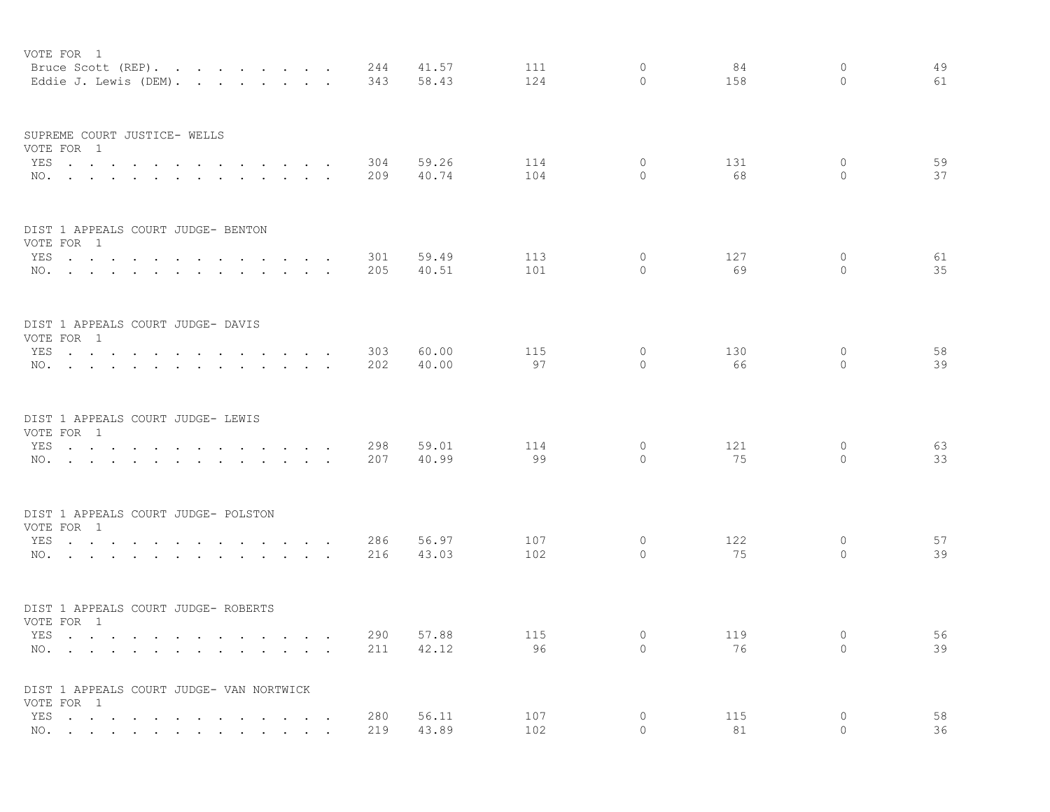| VOTE FOR 1<br>Bruce Scott (REP).<br>Eddie J. Lewis (DEM). |                                                                                                                 |                                                 | 244<br>343 | 41.57<br>58.43 | 111<br>124 | $\circ$<br>$\circ$  | 84<br>158 | $\circ$<br>$\circ$       | 49<br>61 |
|-----------------------------------------------------------|-----------------------------------------------------------------------------------------------------------------|-------------------------------------------------|------------|----------------|------------|---------------------|-----------|--------------------------|----------|
| SUPREME COURT JUSTICE- WELLS<br>VOTE FOR 1                |                                                                                                                 |                                                 |            |                |            |                     |           |                          |          |
| YES<br>NO.                                                | $\sim$                                                                                                          | $\sim$ $\sim$ $\sim$ $\sim$<br>$\sim$ 100 $\mu$ | 304<br>209 | 59.26<br>40.74 | 114<br>104 | $\circ$<br>$\circ$  | 131<br>68 | $\circ$<br>$\circ$       | 59<br>37 |
|                                                           |                                                                                                                 |                                                 |            |                |            |                     |           |                          |          |
| DIST 1 APPEALS COURT JUDGE- BENTON<br>VOTE FOR 1          |                                                                                                                 |                                                 |            |                |            |                     |           |                          |          |
| YES                                                       |                                                                                                                 | $\sim$                                          | 301        | 59.49          | 113        | 0                   | 127       | 0                        | 61       |
| NO.                                                       |                                                                                                                 |                                                 | 205        | 40.51          | 101        | $\Omega$            | 69        | $\Omega$                 | 35       |
| DIST 1 APPEALS COURT JUDGE- DAVIS                         |                                                                                                                 |                                                 |            |                |            |                     |           |                          |          |
| VOTE FOR 1<br>YES                                         |                                                                                                                 | $\sim$                                          | 303        | 60.00          | 115        | $\circ$             | 130       | $\mathbf{0}$             | 58       |
| NO.                                                       |                                                                                                                 |                                                 | 202        | 40.00          | 97         | $\Omega$            | 66        | $\Omega$                 | 39       |
| DIST 1 APPEALS COURT JUDGE- LEWIS                         |                                                                                                                 |                                                 |            |                |            |                     |           |                          |          |
| VOTE FOR 1                                                |                                                                                                                 |                                                 |            |                | 114        | $\circ$             | 121       | $\circ$                  |          |
| YES<br>NO.                                                | the contract of the contract of the contract of the                                                             |                                                 | 298<br>207 | 59.01<br>40.99 | 99         | $\Omega$            | 75        | $\circ$                  | 63<br>33 |
| DIST 1 APPEALS COURT JUDGE- POLSTON                       |                                                                                                                 |                                                 |            |                |            |                     |           |                          |          |
| VOTE FOR 1                                                |                                                                                                                 |                                                 |            |                |            |                     |           |                          |          |
| YES<br>NO.                                                | $\sim$ $\sim$ $\sim$ $\sim$ $\sim$                                                                              |                                                 | 286<br>216 | 56.97<br>43.03 | 107<br>102 | 0<br>$\circ$        | 122<br>75 | $\circ$<br>$\circ$       | 57<br>39 |
| DIST 1 APPEALS COURT JUDGE- ROBERTS                       |                                                                                                                 |                                                 |            |                |            |                     |           |                          |          |
| VOTE FOR 1                                                |                                                                                                                 |                                                 |            |                |            |                     |           |                          |          |
| YES<br>NO.                                                |                                                                                                                 | $\sim$ $\sim$ $\sim$                            | 290<br>211 | 57.88<br>42.12 | 115<br>96  | $\circ$<br>$\Omega$ | 119<br>76 | $\mathbf{0}$<br>$\Omega$ | 56<br>39 |
| DIST 1 APPEALS COURT JUDGE- VAN NORTWICK<br>VOTE FOR 1    |                                                                                                                 |                                                 |            |                |            |                     |           |                          |          |
| YES                                                       | <u>na kama sa sana sa sa sa sa sa sa sa</u>                                                                     |                                                 | 280        | 56.11          | 107        | $\circ$             | 115       | $\circ$                  | 58       |
| NO.                                                       | the contract of the contract of the contract of the contract of the contract of the contract of the contract of |                                                 | 219        | 43.89          | 102        | $\Omega$            | 81        | $\Omega$                 | 36       |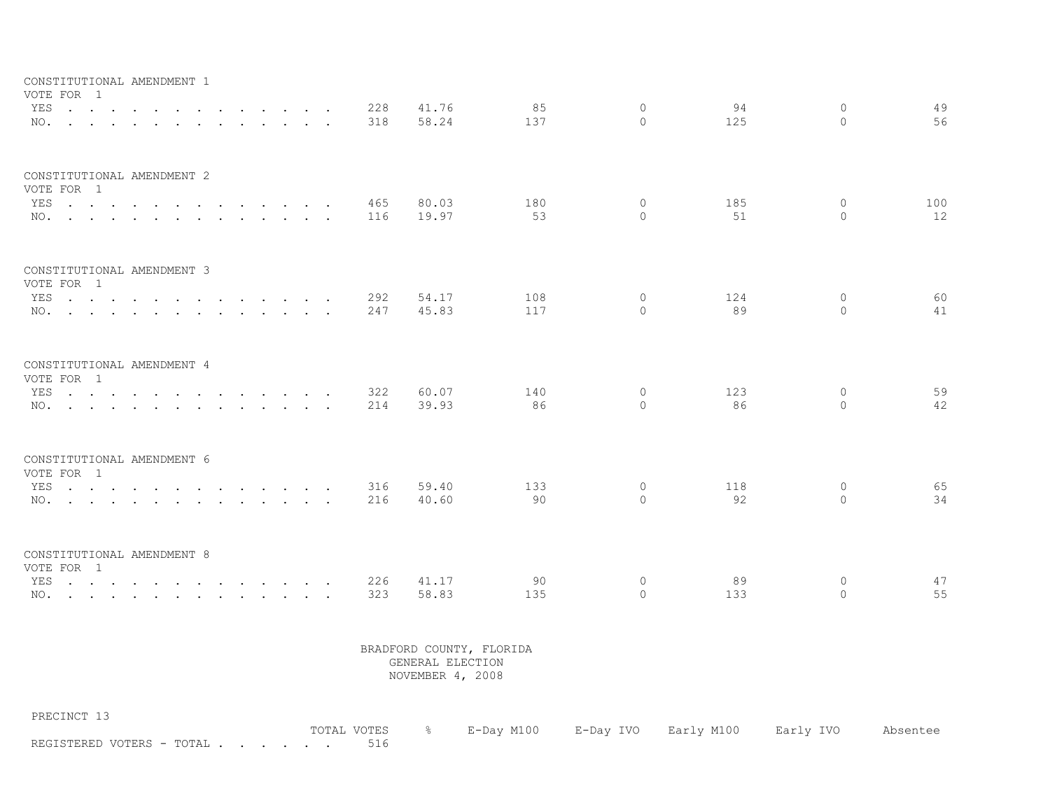| CONSTITUTIONAL AMENDMENT 1<br>VOTE FOR 1 |                                                                                                                 |        |                                                    |                          |            |                |            |                     |           |                     |           |
|------------------------------------------|-----------------------------------------------------------------------------------------------------------------|--------|----------------------------------------------------|--------------------------|------------|----------------|------------|---------------------|-----------|---------------------|-----------|
| YES<br>NO.                               | the contract of the contract of the contract of the contract of the contract of the contract of the contract of | $\sim$ |                                                    | $\sim$                   | 228<br>318 | 41.76<br>58.24 | 85<br>137  | $\circ$<br>$\Omega$ | 94<br>125 | $\circ$<br>$\Omega$ | 49<br>56  |
| CONSTITUTIONAL AMENDMENT 2<br>VOTE FOR 1 |                                                                                                                 |        |                                                    |                          |            |                |            |                     |           |                     |           |
| YES<br>NO.                               |                                                                                                                 |        |                                                    | $\sim$                   | 465<br>116 | 80.03<br>19.97 | 180<br>53  | $\circ$<br>$\Omega$ | 185<br>51 | $\circ$<br>$\Omega$ | 100<br>12 |
| CONSTITUTIONAL AMENDMENT 3<br>VOTE FOR 1 |                                                                                                                 |        |                                                    |                          |            |                |            |                     |           |                     |           |
| YES<br>NO.                               |                                                                                                                 |        |                                                    | $\overline{\phantom{a}}$ | 292<br>247 | 54.17<br>45.83 | 108<br>117 | 0<br>$\Omega$       | 124<br>89 | $\circ$<br>$\Omega$ | 60<br>41  |
| CONSTITUTIONAL AMENDMENT 4<br>VOTE FOR 1 |                                                                                                                 |        |                                                    |                          |            |                |            |                     |           |                     |           |
| YES<br>NO.                               |                                                                                                                 |        | $\mathbf{r}$ , and $\mathbf{r}$ , and $\mathbf{r}$ |                          | 322<br>214 | 60.07<br>39.93 | 140<br>86  | 0<br>$\Omega$       | 123<br>86 | $\circ$<br>$\Omega$ | 59<br>42  |
| CONSTITUTIONAL AMENDMENT 6<br>VOTE FOR 1 |                                                                                                                 |        |                                                    |                          |            |                |            |                     |           |                     |           |
| YES.<br>NO.                              |                                                                                                                 |        |                                                    |                          | 316<br>216 | 59.40<br>40.60 | 133<br>90  | $\circ$<br>$\Omega$ | 118<br>92 | $\circ$<br>$\Omega$ | 65<br>34  |
| CONSTITUTIONAL AMENDMENT 8<br>VOTE FOR 1 |                                                                                                                 |        |                                                    |                          |            |                |            |                     |           |                     |           |
| YES                                      |                                                                                                                 |        |                                                    |                          | 226        | 41.17          | 90         | $\circ$             | 89        | $\circ$             | 47        |
| NO.                                      |                                                                                                                 |        |                                                    |                          | 323        | 58.83          | 135        | $\Omega$            | 133       | $\Omega$            | 55        |

PRECINCT 13

|                           | TOTAL VOTES & E-Day M100 E-Day IVO Early M100 Early IVO Absentee |  |  |  |
|---------------------------|------------------------------------------------------------------|--|--|--|
| REGISTERED VOTERS - TOTAL |                                                                  |  |  |  |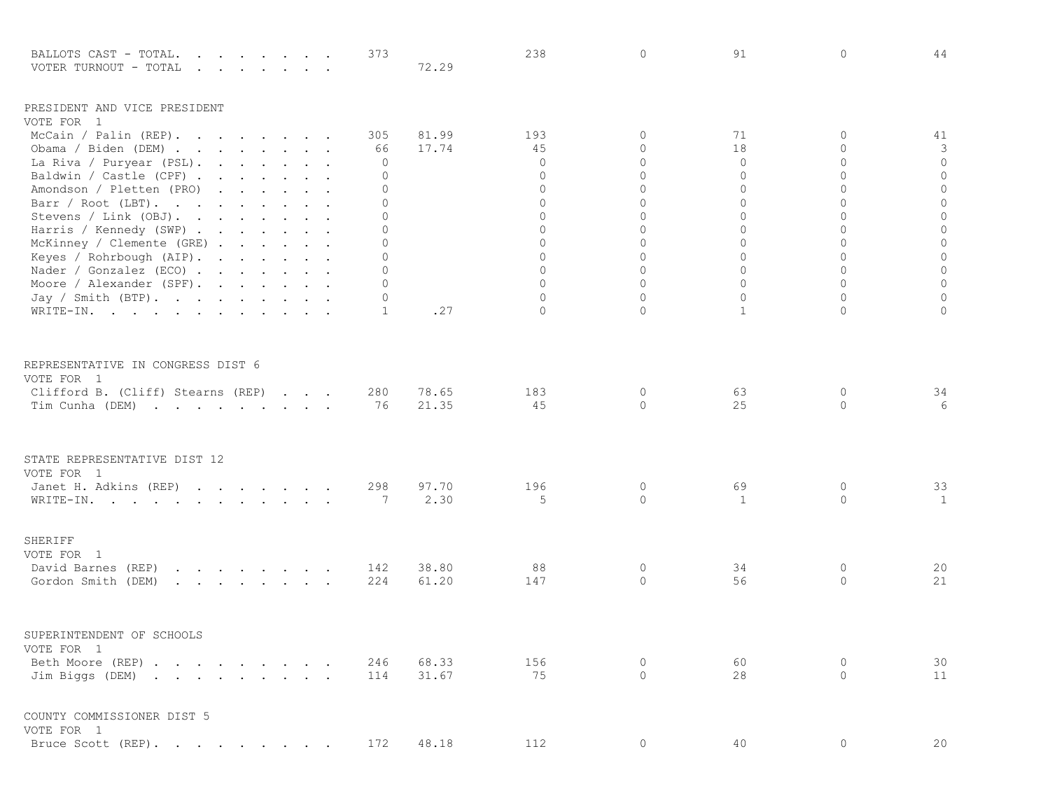| BALLOTS CAST - TOTAL.<br>the contract of the contract of the contract of the contract of the contract of the contract of the contract of<br>VOTER TURNOUT - TOTAL<br>$\mathbf{r}$ , $\mathbf{r}$ , $\mathbf{r}$ , $\mathbf{r}$ , $\mathbf{r}$ , $\mathbf{r}$ , $\mathbf{r}$ |  |  | 373           | 72.29 | 238               | 0                    | 91            | $\circ$        | 44               |
|-----------------------------------------------------------------------------------------------------------------------------------------------------------------------------------------------------------------------------------------------------------------------------|--|--|---------------|-------|-------------------|----------------------|---------------|----------------|------------------|
| PRESIDENT AND VICE PRESIDENT                                                                                                                                                                                                                                                |  |  |               |       |                   |                      |               |                |                  |
| VOTE FOR 1                                                                                                                                                                                                                                                                  |  |  |               |       |                   |                      |               |                |                  |
| McCain / Palin (REP).                                                                                                                                                                                                                                                       |  |  | 305           | 81.99 | 193               | $\Omega$             | 71            | $\Omega$       | 41               |
| Obama / Biden (DEM)                                                                                                                                                                                                                                                         |  |  | 66            | 17.74 | 45<br>$\mathbf 0$ | $\Omega$<br>$\Omega$ | 18<br>$\circ$ | 0<br>$\Omega$  | 3<br>$\mathbf 0$ |
| La Riva / Puryear (PSL).                                                                                                                                                                                                                                                    |  |  | 0<br>$\Omega$ |       | $\Omega$          | $\Omega$             | 0             | $\Omega$       | $\circ$          |
| Baldwin / Castle (CPF)<br>Amondson / Pletten (PRO)                                                                                                                                                                                                                          |  |  | $\Omega$      |       | $\circ$           | $\Omega$             | $\Omega$      | $\Omega$       | $\circ$          |
| Barr / Root (LBT).                                                                                                                                                                                                                                                          |  |  | 0             |       | $\mathbf{0}$      | $\Omega$             | 0             | $\Omega$       | $\mathbf 0$      |
| Stevens / Link (OBJ).                                                                                                                                                                                                                                                       |  |  | $\Omega$      |       | $\mathbf{0}$      | $\Omega$             | 0             | $\overline{0}$ | $\circ$          |
| Harris / Kennedy (SWP)                                                                                                                                                                                                                                                      |  |  | $\Omega$      |       | $\Omega$          | $\Omega$             | $\Omega$      | $\Omega$       | $\circ$          |
| McKinney / Clemente (GRE)                                                                                                                                                                                                                                                   |  |  | 0             |       | $\mathbf 0$       | $\circ$              | 0             | $\mathbf 0$    | $\circ$          |
| Keyes / Rohrbough (AIP).                                                                                                                                                                                                                                                    |  |  | $\Omega$      |       | $\mathbf 0$       | $\Omega$             | $\Omega$      | $\Omega$       | $\circ$          |
| Nader / Gonzalez (ECO)                                                                                                                                                                                                                                                      |  |  | $\Omega$      |       | $\Omega$          | $\Omega$             | $\Omega$      | $\Omega$       | $\mathbf 0$      |
| Moore / Alexander (SPF).                                                                                                                                                                                                                                                    |  |  | $\mathbf{0}$  |       | $\mathbf 0$       | $\Omega$             | $\Omega$      | $\Omega$       | $\circ$          |
| Jay / Smith (BTP).                                                                                                                                                                                                                                                          |  |  | 0             |       | $\overline{0}$    | $\Omega$             | $\Omega$      | $\Omega$       | $\circ$          |
| WRITE-IN.                                                                                                                                                                                                                                                                   |  |  | 1             | .27   | $\Omega$          | $\Omega$             | 1             | 0              | $\mathbf{0}$     |
| REPRESENTATIVE IN CONGRESS DIST 6<br>VOTE FOR 1                                                                                                                                                                                                                             |  |  |               |       |                   |                      |               |                |                  |
| Clifford B. (Cliff) Stearns (REP)                                                                                                                                                                                                                                           |  |  | 280           | 78.65 | 183               | 0                    | 63            | 0              | 34               |
| Tim Cunha (DEM)                                                                                                                                                                                                                                                             |  |  | 76            | 21.35 | 45                | $\Omega$             | 25            | 0              | 6                |
| STATE REPRESENTATIVE DIST 12<br>VOTE FOR 1                                                                                                                                                                                                                                  |  |  |               |       |                   |                      |               |                |                  |
| Janet H. Adkins (REP)                                                                                                                                                                                                                                                       |  |  | 298           | 97.70 | 196               | 0                    | 69            | 0              | 33               |
| WRITE-IN.                                                                                                                                                                                                                                                                   |  |  | 7             | 2.30  | 5                 | $\Omega$             | 1             | $\Omega$       | 1                |
| SHERIFF<br>VOTE FOR 1                                                                                                                                                                                                                                                       |  |  |               |       |                   |                      |               |                |                  |
| David Barnes (REP)<br>the contract of the contract of the                                                                                                                                                                                                                   |  |  | 142           | 38.80 | 88                | 0                    | 34            | 0              | 20               |
| Gordon Smith (DEM)                                                                                                                                                                                                                                                          |  |  | 224           | 61.20 | 147               | 0                    | 56            | 0              | 21               |
|                                                                                                                                                                                                                                                                             |  |  |               |       |                   |                      |               |                |                  |
| SUPERINTENDENT OF SCHOOLS                                                                                                                                                                                                                                                   |  |  |               |       |                   |                      |               |                |                  |
| VOTE FOR 1                                                                                                                                                                                                                                                                  |  |  |               |       |                   |                      |               |                |                  |
| Beth Moore (REP)                                                                                                                                                                                                                                                            |  |  | 246           | 68.33 | 156               | $\Omega$             | 60            | 0              | 30               |
| Jim Biggs (DEM)                                                                                                                                                                                                                                                             |  |  | 114           | 31.67 | 75                | $\Omega$             | 28            | $\Omega$       | 11               |
| COUNTY COMMISSIONER DIST 5<br>VOTE FOR 1                                                                                                                                                                                                                                    |  |  |               |       |                   |                      |               |                |                  |
| Bruce Scott (REP).                                                                                                                                                                                                                                                          |  |  | 172           | 48.18 | 112               | 0                    | 40            | $\circ$        | 20               |
|                                                                                                                                                                                                                                                                             |  |  |               |       |                   |                      |               |                |                  |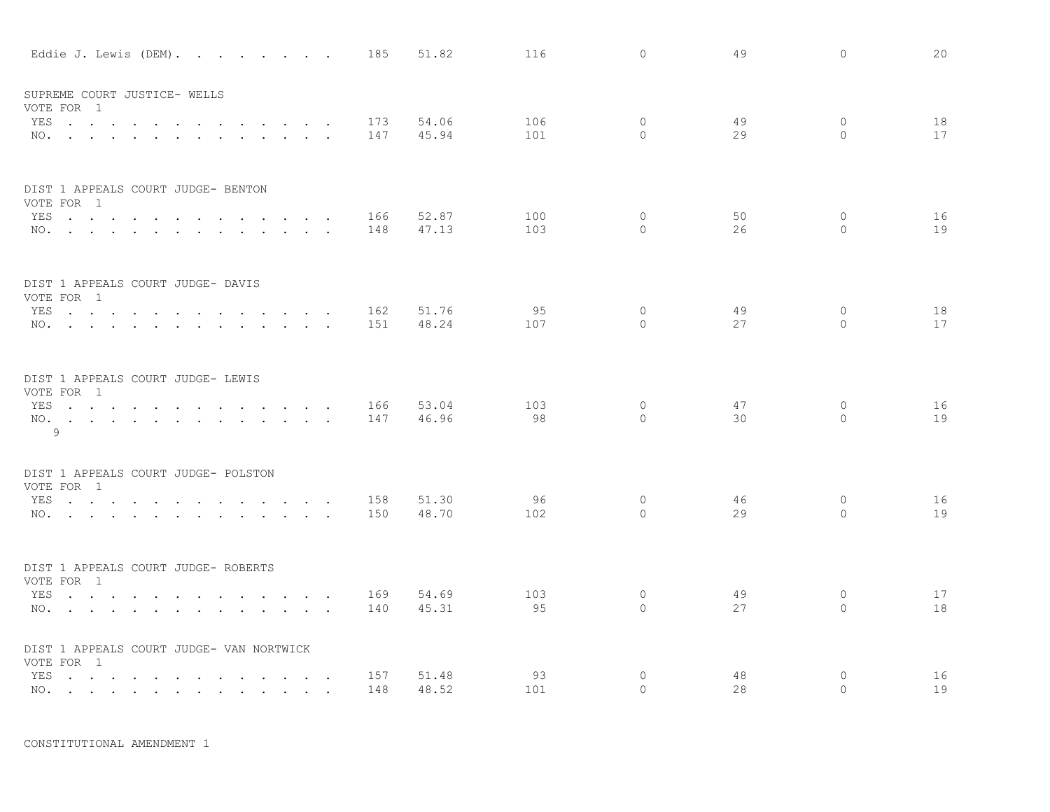|     | Eddie J. Lewis (DEM).                                  |                                                           |                                 |                                                                                                                                                                                                                                   |                                                                                                        |                      |                      | 185        | 51.82          | 116        | $\circ$            | 49       | $\circ$       | 20       |
|-----|--------------------------------------------------------|-----------------------------------------------------------|---------------------------------|-----------------------------------------------------------------------------------------------------------------------------------------------------------------------------------------------------------------------------------|--------------------------------------------------------------------------------------------------------|----------------------|----------------------|------------|----------------|------------|--------------------|----------|---------------|----------|
|     | SUPREME COURT JUSTICE- WELLS                           |                                                           |                                 |                                                                                                                                                                                                                                   |                                                                                                        |                      |                      |            |                |            |                    |          |               |          |
|     | VOTE FOR 1<br>YES                                      |                                                           |                                 |                                                                                                                                                                                                                                   |                                                                                                        |                      |                      | 173        | 54.06          | 106        | $\circ$            | 49       | 0             | 18       |
|     | NO.                                                    | $\sim$                                                    | $\cdot$ $\cdot$ $\cdot$ $\cdot$ | $\ddot{\phantom{0}}$<br>$\sim$                                                                                                                                                                                                    | $\sim$ $\sim$<br>$\mathbf{r} = \mathbf{r} + \mathbf{r}$ , where $\mathbf{r} = \mathbf{r} + \mathbf{r}$ | $\sim$ $\sim$        |                      | 147        | 45.94          | 101        | $\mathbf{0}$       | 29       | $\Omega$      | 17       |
|     | DIST 1 APPEALS COURT JUDGE- BENTON                     |                                                           |                                 |                                                                                                                                                                                                                                   |                                                                                                        |                      |                      |            |                |            |                    |          |               |          |
|     | VOTE FOR 1                                             |                                                           |                                 |                                                                                                                                                                                                                                   |                                                                                                        |                      |                      |            |                |            |                    |          |               |          |
|     | YES<br>NO.                                             |                                                           |                                 | the contract of the contract of                                                                                                                                                                                                   |                                                                                                        | $\sim$<br>$\sim$     | $\bullet$            | 166<br>148 | 52.87<br>47.13 | 100<br>103 | 0<br>$\Omega$      | 50<br>26 | 0<br>$\Omega$ | 16<br>19 |
|     | DIST 1 APPEALS COURT JUDGE- DAVIS                      |                                                           |                                 |                                                                                                                                                                                                                                   |                                                                                                        |                      |                      |            |                |            |                    |          |               |          |
|     | VOTE FOR 1                                             |                                                           |                                 |                                                                                                                                                                                                                                   |                                                                                                        |                      |                      |            |                |            |                    |          |               |          |
| YES | $\mathbf{r}$ , $\mathbf{r}$ , $\mathbf{r}$             | $\ddot{\phantom{a}}$<br>$\ddot{\phantom{a}}$              |                                 |                                                                                                                                                                                                                                   |                                                                                                        |                      |                      | 162        | 51.76          | 95         | $\circ$            | 49       | 0<br>$\circ$  | 18<br>17 |
| NO. | $\cdots$ $\cdots$                                      | $\mathbf{r}$ , $\mathbf{r}$ , $\mathbf{r}$ , $\mathbf{r}$ |                                 | $\sim$                                                                                                                                                                                                                            | $\cdot$ $\cdot$ $\cdot$                                                                                | $\ddot{\phantom{1}}$ |                      | 151        | 48.24          | 107        | $\circ$            | 27       |               |          |
|     | DIST 1 APPEALS COURT JUDGE- LEWIS<br>VOTE FOR 1        |                                                           |                                 |                                                                                                                                                                                                                                   |                                                                                                        |                      |                      |            |                |            |                    |          |               |          |
|     | YES                                                    |                                                           |                                 |                                                                                                                                                                                                                                   |                                                                                                        | $\sim$ $\sim$        |                      | 166        | 53.04          | 103        | $\mathbf{0}$       | 47       | $\circ$       | 16       |
|     | NO.<br>$\overline{9}$                                  |                                                           |                                 | the contract of the contract of the contract of the contract of the contract of the contract of the contract of                                                                                                                   |                                                                                                        | $\ddot{\phantom{a}}$ |                      | 147        | 46.96          | 98         | $\Omega$           | 30       | $\Omega$      | 19       |
|     | DIST 1 APPEALS COURT JUDGE- POLSTON                    |                                                           |                                 |                                                                                                                                                                                                                                   |                                                                                                        |                      |                      |            |                |            |                    |          |               |          |
|     | VOTE FOR 1                                             |                                                           |                                 |                                                                                                                                                                                                                                   |                                                                                                        |                      |                      |            |                |            |                    |          |               |          |
| YES | $\mathbf{r}$ , $\mathbf{r}$ , $\mathbf{r}$<br>NO.      | $\sim 100$ km s $^{-1}$<br>$\sim$ $\sim$                  |                                 | $\sim$ $\sim$                                                                                                                                                                                                                     | $\overline{\phantom{a}}$<br>$\sim$ $\sim$ $\sim$                                                       |                      |                      | 158<br>150 | 51.30<br>48.70 | 96<br>102  | $\circ$<br>$\circ$ | 46<br>29 | 0<br>$\circ$  | 16<br>19 |
|     |                                                        |                                                           |                                 |                                                                                                                                                                                                                                   |                                                                                                        |                      |                      |            |                |            |                    |          |               |          |
|     | DIST 1 APPEALS COURT JUDGE- ROBERTS                    |                                                           |                                 |                                                                                                                                                                                                                                   |                                                                                                        |                      |                      |            |                |            |                    |          |               |          |
|     | VOTE FOR 1<br>YES                                      | $\sim$ $\sim$ $\sim$ $\sim$                               |                                 | $\sim$ $\sim$ $\sim$ $\sim$                                                                                                                                                                                                       |                                                                                                        | $\sim$               | $\ddot{\phantom{a}}$ | 169        | 54.69          | 103        | $\circ$            | 49       | 0             | 17       |
|     | $NO.$                                                  |                                                           |                                 |                                                                                                                                                                                                                                   |                                                                                                        | $\sim$ $\sim$        |                      | 140        | 45.31          | 95         | $\Omega$           | 27       | $\Omega$      | 18       |
|     | DIST 1 APPEALS COURT JUDGE- VAN NORTWICK<br>VOTE FOR 1 |                                                           |                                 |                                                                                                                                                                                                                                   |                                                                                                        |                      |                      |            |                |            |                    |          |               |          |
| YES | $\cdots$ $\cdots$                                      | and the contract of the con-                              | $\sim$                          | $\mathbf{r}$ . The contract of the contract of the contract of the contract of the contract of the contract of the contract of the contract of the contract of the contract of the contract of the contract of the contract of th |                                                                                                        |                      |                      | 157        | 51.48          | 93         | $\circ$            | 48       | $\mathbf 0$   | 16       |
|     | NO.                                                    |                                                           |                                 |                                                                                                                                                                                                                                   |                                                                                                        |                      |                      | 148        | 48.52          | 101        | $\circ$            | 28       | $\circ$       | 19       |
|     |                                                        |                                                           |                                 |                                                                                                                                                                                                                                   |                                                                                                        |                      |                      |            |                |            |                    |          |               |          |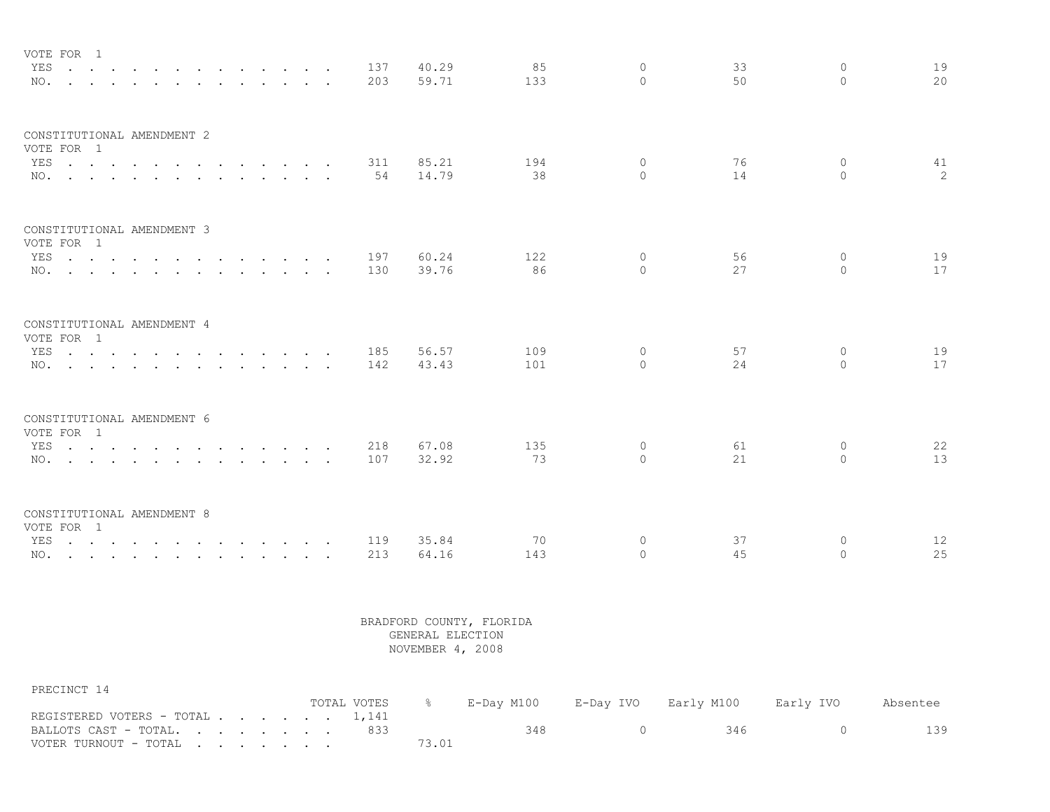| VOTE FOR 1                                                                                                             |                          |                                                                                         |  |  |  |     |       |     |          |    |              |    |
|------------------------------------------------------------------------------------------------------------------------|--------------------------|-----------------------------------------------------------------------------------------|--|--|--|-----|-------|-----|----------|----|--------------|----|
| YES.                                                                                                                   |                          |                                                                                         |  |  |  | 137 | 40.29 | 85  | $\Omega$ | 33 | $\Omega$     | 19 |
| NO.                                                                                                                    | <b>Contract Contract</b> | $\mathbf{r}$ , $\mathbf{r}$ , $\mathbf{r}$ , $\mathbf{r}$ , $\mathbf{r}$ , $\mathbf{r}$ |  |  |  | 203 | 59.71 | 133 | $\Omega$ | 50 | $\Omega$     | 20 |
| CONSTITUTIONAL AMENDMENT 2<br>VOTE FOR 1                                                                               |                          |                                                                                         |  |  |  |     |       |     |          |    |              |    |
| YES                                                                                                                    |                          |                                                                                         |  |  |  | 311 | 85.21 | 194 | $\Omega$ | 76 | $\Omega$     | 41 |
| NO.                                                                                                                    |                          |                                                                                         |  |  |  | 54  | 14.79 | 38  | $\cap$   | 14 | $\cap$       | 2  |
|                                                                                                                        |                          |                                                                                         |  |  |  |     |       |     |          |    |              |    |
| CONSTITUTIONAL AMENDMENT 3                                                                                             |                          |                                                                                         |  |  |  |     |       |     |          |    |              |    |
| VOTE FOR 1                                                                                                             |                          |                                                                                         |  |  |  |     |       |     |          |    |              |    |
| YES.                                                                                                                   |                          |                                                                                         |  |  |  | 197 | 60.24 | 122 | $\Omega$ | 56 | $\circ$      | 19 |
| NO.                                                                                                                    |                          |                                                                                         |  |  |  | 130 | 39.76 | 86  | $\Omega$ | 27 | $\Omega$     | 17 |
| CONSTITUTIONAL AMENDMENT 4                                                                                             |                          |                                                                                         |  |  |  |     |       |     |          |    |              |    |
| VOTE FOR 1                                                                                                             |                          |                                                                                         |  |  |  |     |       |     |          |    |              |    |
| YES.                                                                                                                   |                          |                                                                                         |  |  |  | 185 | 56.57 | 109 | $\Omega$ | 57 | $\circ$      | 19 |
| NO.                                                                                                                    |                          |                                                                                         |  |  |  | 142 | 43.43 | 101 | $\Omega$ | 24 | $\bigcap$    | 17 |
|                                                                                                                        |                          |                                                                                         |  |  |  |     |       |     |          |    |              |    |
| CONSTITUTIONAL AMENDMENT 6<br>VOTE FOR 1                                                                               |                          |                                                                                         |  |  |  |     |       |     |          |    |              |    |
| YES                                                                                                                    |                          |                                                                                         |  |  |  | 218 | 67.08 | 135 | $\circ$  | 61 | $\mathbf{0}$ | 22 |
| NO.                                                                                                                    |                          |                                                                                         |  |  |  | 107 | 32.92 | 73  | $\Omega$ | 21 | $\Omega$     | 13 |
|                                                                                                                        |                          |                                                                                         |  |  |  |     |       |     |          |    |              |    |
| CONSTITUTIONAL AMENDMENT 8                                                                                             |                          |                                                                                         |  |  |  |     |       |     |          |    |              |    |
| VOTE FOR 1                                                                                                             |                          |                                                                                         |  |  |  |     |       |     |          |    |              |    |
| YES<br>the contract of the contract of the contract of the contract of the contract of the contract of the contract of |                          |                                                                                         |  |  |  | 119 | 35.84 | 70  | $\Omega$ | 37 | 0            | 12 |
| NO.                                                                                                                    |                          |                                                                                         |  |  |  | 213 | 64.16 | 143 | $\Omega$ | 45 | $\Omega$     | 25 |

PRECINCT 14

|                                 | TOTAL VOTES – % | E-Day M100      E-Day IVO     Early M100 |     | Early IVO | Absentee |
|---------------------------------|-----------------|------------------------------------------|-----|-----------|----------|
| REGISTERED VOTERS - TOTAL 1,141 |                 |                                          |     |           |          |
| BALLOTS CAST - TOTAL833         |                 | 348.                                     | 346 |           | 139      |
| VOTER TURNOUT - TOTAL           |                 |                                          |     |           |          |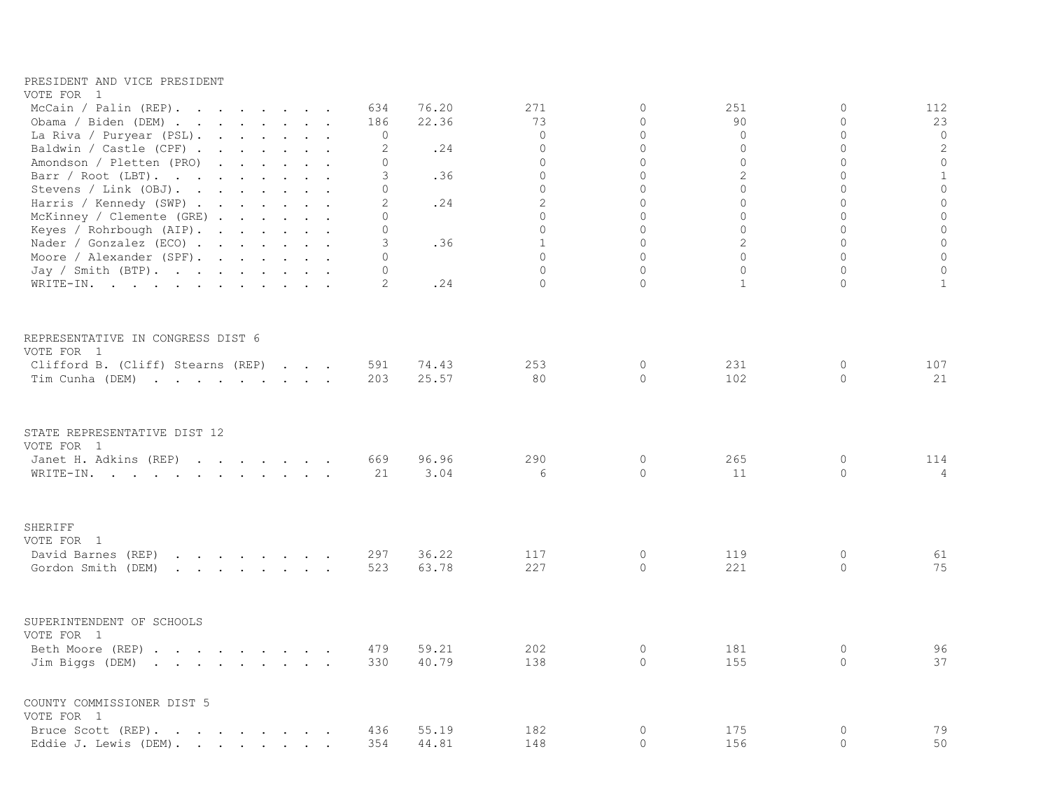| PRESIDENT AND VICE PRESIDENT<br>VOTE FOR 1                                                                                                                                                                                                                 |                |       |                             |                                  |                            |                               |                     |
|------------------------------------------------------------------------------------------------------------------------------------------------------------------------------------------------------------------------------------------------------------|----------------|-------|-----------------------------|----------------------------------|----------------------------|-------------------------------|---------------------|
| McCain / Palin (REP).                                                                                                                                                                                                                                      | 634            | 76.20 | 271                         | 0                                | 251                        | $\circ$                       | 112                 |
| Obama / Biden (DEM)                                                                                                                                                                                                                                        | 186            | 22.36 | 73                          | $\overline{0}$                   | 90                         | $\mathbf 0$                   | 23                  |
| La Riva / Puryear (PSL).                                                                                                                                                                                                                                   | 0              |       | $\circ$                     | 0                                | $\circ$                    | $\circ$                       | $\mathbf 0$         |
| Baldwin / Castle (CPF) .<br>and the contract of the contract of                                                                                                                                                                                            | 2              | .24   | $\Omega$                    | $\Omega$                         | $\Omega$                   | $\Omega$                      | $\sqrt{2}$          |
| Amondson / Pletten (PRO)<br>and the contract of the contract of the contract of the contract of the contract of the contract of the contract of the contract of the contract of the contract of the contract of the contract of the contract of the contra | $\mathbf 0$    |       | $\mathbf 0$                 | $\overline{0}$                   | $\mathbf 0$                | $\mathbf 0$                   | $\circ$             |
| Barr / Root (LBT).                                                                                                                                                                                                                                         | 3              | .36   | $\circ$                     | $\Omega$                         | $\overline{2}$             | $\Omega$                      | $\mathbf{1}$        |
| Stevens / Link (OBJ).                                                                                                                                                                                                                                      | $\mathbf 0$    |       | $\circ$                     | $\overline{0}$                   | $\Omega$<br>$\overline{0}$ | $\mathbf 0$<br>$\overline{0}$ | $\circ$             |
| Harris / Kennedy (SWP)                                                                                                                                                                                                                                     | 2<br>$\Omega$  | .24   | $\mathbf{2}$<br>$\mathbf 0$ | $\overline{0}$<br>$\overline{0}$ | $\Omega$                   | $\mathbf 0$                   | $\circ$<br>$\circ$  |
| McKinney / Clemente (GRE)<br>Keyes / Rohrbough (AIP).                                                                                                                                                                                                      | $\Omega$       |       | $\Omega$                    | $\Omega$                         | $\Omega$                   | $\Omega$                      | $\circ$             |
| Nader / Gonzalez (ECO) $\cdot \cdot \cdot \cdot \cdot \cdot$                                                                                                                                                                                               | 3              | .36   | $\,1\,$                     | $\mathsf O$                      | $\overline{c}$             | $\mathbf{0}$                  | $\mathsf{O}\xspace$ |
| Moore / Alexander (SPF).                                                                                                                                                                                                                                   | $\Omega$       |       | $\Omega$                    | $\overline{0}$                   | $\Omega$                   | $\Omega$                      | $\circ$             |
| Jay / Smith (BTP).                                                                                                                                                                                                                                         | $\Omega$       |       | $\Omega$                    | $\overline{0}$                   | $\mathbf 0$                | $\mathbf 0$                   | $\circ$             |
| WRITE-IN.                                                                                                                                                                                                                                                  | $\overline{2}$ | .24   | $\Omega$                    | $\Omega$                         | $\mathbf{1}$               | $\circ$                       | $\mathbf{1}$        |
| REPRESENTATIVE IN CONGRESS DIST 6                                                                                                                                                                                                                          |                |       |                             |                                  |                            |                               |                     |
| VOTE FOR 1                                                                                                                                                                                                                                                 |                |       |                             |                                  |                            |                               |                     |
| Clifford B. (Cliff) Stearns (REP)                                                                                                                                                                                                                          | 591            | 74.43 | 253                         | 0                                | 231                        | 0                             | 107                 |
| Tim Cunha (DEM)                                                                                                                                                                                                                                            | 203            | 25.57 | 80                          | $\circ$                          | 102                        | $\circ$                       | 21                  |
| STATE REPRESENTATIVE DIST 12<br>VOTE FOR 1                                                                                                                                                                                                                 |                |       |                             |                                  |                            |                               |                     |
| Janet H. Adkins (REP)                                                                                                                                                                                                                                      | 669            | 96.96 | 290                         | 0                                | 265                        | 0                             | 114                 |
| WRITE-IN.                                                                                                                                                                                                                                                  | 21             | 3.04  | 6                           | $\Omega$                         | 11                         | $\overline{0}$                | $\overline{4}$      |
|                                                                                                                                                                                                                                                            |                |       |                             |                                  |                            |                               |                     |
| SHERIFF                                                                                                                                                                                                                                                    |                |       |                             |                                  |                            |                               |                     |
| VOTE FOR 1<br>David Barnes (REP)<br>$\mathbf{a}$ and $\mathbf{a}$ are all $\mathbf{a}$ and $\mathbf{a}$ are all $\mathbf{a}$                                                                                                                               | 297            | 36.22 | 117                         | $\circ$                          | 119                        | $\circ$                       | 61                  |
| Gordon Smith (DEM)<br>$\mathbf{r}$ , and $\mathbf{r}$ , and $\mathbf{r}$ , and $\mathbf{r}$                                                                                                                                                                | 523            | 63.78 | 227                         | 0                                | 221                        | $\circ$                       | 75                  |
|                                                                                                                                                                                                                                                            |                |       |                             |                                  |                            |                               |                     |
| SUPERINTENDENT OF SCHOOLS                                                                                                                                                                                                                                  |                |       |                             |                                  |                            |                               |                     |
| VOTE FOR 1                                                                                                                                                                                                                                                 |                |       |                             |                                  |                            |                               |                     |
| Beth Moore (REP)                                                                                                                                                                                                                                           | 479            | 59.21 | 202                         | 0                                | 181                        | 0                             | 96                  |
| Jim Biggs (DEM)                                                                                                                                                                                                                                            | 330            | 40.79 | 138                         | $\Omega$                         | 155                        | $\circ$                       | 37                  |
| COUNTY COMMISSIONER DIST 5                                                                                                                                                                                                                                 |                |       |                             |                                  |                            |                               |                     |
| VOTE FOR 1<br>Bruce Scott (REP).                                                                                                                                                                                                                           | 436            | 55.19 | 182                         | 0                                | 175                        | $\circ$                       | 79                  |
| Eddie J. Lewis (DEM).                                                                                                                                                                                                                                      | 354            | 44.81 | 148                         | $\Omega$                         | 156                        | $\circ$                       | 50                  |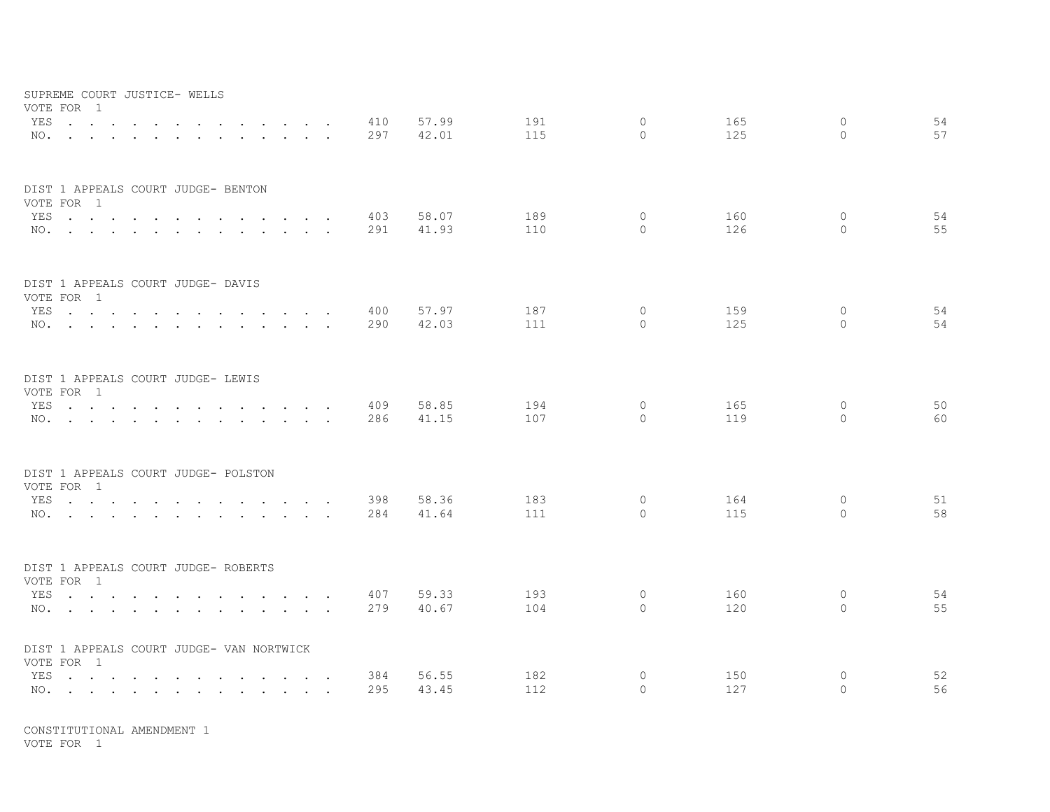|     | SUPREME COURT JUSTICE- WELLS<br>VOTE FOR 1                                                                      |  |                   |                   |                                                                                                         |        |                      |            |                |            |                     |            |                     |          |
|-----|-----------------------------------------------------------------------------------------------------------------|--|-------------------|-------------------|---------------------------------------------------------------------------------------------------------|--------|----------------------|------------|----------------|------------|---------------------|------------|---------------------|----------|
|     | YES<br>NO.                                                                                                      |  | $\sim$ 100 $\sim$ | $\sim$ $\sim$     | $\mathbf{r}$ , $\mathbf{r}$ , $\mathbf{r}$ , $\mathbf{r}$<br>$\mathbf{r}$ , $\mathbf{r}$ , $\mathbf{r}$ |        |                      | 410<br>297 | 57.99<br>42.01 | 191<br>115 | $\circ$<br>$\Omega$ | 165<br>125 | $\circ$<br>$\Omega$ | 54<br>57 |
|     |                                                                                                                 |  |                   |                   |                                                                                                         |        |                      |            |                |            |                     |            |                     |          |
|     | DIST 1 APPEALS COURT JUDGE- BENTON                                                                              |  |                   |                   |                                                                                                         |        |                      |            |                |            |                     |            |                     |          |
|     | VOTE FOR 1<br>YES                                                                                               |  |                   |                   |                                                                                                         |        |                      | 403        | 58.07          | 189        | 0                   | 160        | 0                   | 54       |
|     | NO.                                                                                                             |  |                   |                   |                                                                                                         |        |                      | 291        | 41.93          | 110        | $\Omega$            | 126        | $\Omega$            | 55       |
|     |                                                                                                                 |  |                   |                   |                                                                                                         |        |                      |            |                |            |                     |            |                     |          |
|     | DIST 1 APPEALS COURT JUDGE- DAVIS                                                                               |  |                   |                   |                                                                                                         |        |                      |            |                |            |                     |            |                     |          |
|     | VOTE FOR 1                                                                                                      |  |                   |                   |                                                                                                         |        |                      |            |                |            |                     |            |                     |          |
|     | YES                                                                                                             |  |                   |                   |                                                                                                         |        |                      | 400        | 57.97          | 187        | $\circ$             | 159        | $\circ$             | 54       |
|     | NO.                                                                                                             |  |                   |                   | $\mathbf{r}$ , $\mathbf{r}$ , $\mathbf{r}$ , $\mathbf{r}$                                               |        |                      | 290        | 42.03          | 111        | $\Omega$            | 125        | $\Omega$            | 54       |
|     | DIST 1 APPEALS COURT JUDGE- LEWIS                                                                               |  |                   |                   |                                                                                                         |        |                      |            |                |            |                     |            |                     |          |
|     | VOTE FOR 1                                                                                                      |  |                   |                   |                                                                                                         |        |                      |            |                |            |                     |            |                     |          |
|     | YES.                                                                                                            |  |                   |                   |                                                                                                         |        |                      | 409        | 58.85          | 194        | $\circ$             | 165        | $\mathbf{0}$        | 50       |
|     | NO.                                                                                                             |  |                   |                   |                                                                                                         |        |                      | 286        | 41.15          | 107        | $\Omega$            | 119        | $\Omega$            | 60       |
|     | DIST 1 APPEALS COURT JUDGE- POLSTON                                                                             |  |                   |                   |                                                                                                         |        |                      |            |                |            |                     |            |                     |          |
|     | VOTE FOR 1                                                                                                      |  |                   |                   |                                                                                                         |        |                      |            |                |            |                     |            |                     |          |
| YES | the contract of the contract of the contract of the contract of the contract of the contract of the contract of |  |                   |                   |                                                                                                         |        |                      | 398        | 58.36          | 183        | 0                   | 164        | 0                   | 51       |
|     | NO.                                                                                                             |  |                   |                   |                                                                                                         |        |                      | 284        | 41.64          | 111        | $\circ$             | 115        | $\Omega$            | 58       |
|     | DIST 1 APPEALS COURT JUDGE- ROBERTS                                                                             |  |                   |                   |                                                                                                         |        |                      |            |                |            |                     |            |                     |          |
|     | VOTE FOR 1                                                                                                      |  |                   |                   |                                                                                                         |        |                      |            |                |            |                     |            |                     |          |
|     | YES                                                                                                             |  |                   | $\cdots$ $\cdots$ |                                                                                                         | $\sim$ | $\sim$               | 407        | 59.33          | 193        | $\circ$             | 160        | 0                   | 54       |
|     | NO.                                                                                                             |  |                   |                   |                                                                                                         |        |                      | 279        | 40.67          | 104        | $\circ$             | 120        | $\Omega$            | 55       |
|     | DIST 1 APPEALS COURT JUDGE- VAN NORTWICK<br>VOTE FOR 1                                                          |  |                   |                   |                                                                                                         |        |                      |            |                |            |                     |            |                     |          |
| YES | the contract of the contract of the contract of the contract of the contract of the contract of the contract of |  |                   |                   |                                                                                                         |        | $\ddot{\phantom{a}}$ | 384        | 56.55          | 182        | 0                   | 150        | $\circ$             | 52       |
|     | NO.                                                                                                             |  |                   |                   |                                                                                                         |        | $\sim$               | 295        | 43.45          | 112        | $\circ$             | 127        | $\Omega$            | 56       |
|     |                                                                                                                 |  |                   |                   |                                                                                                         |        |                      |            |                |            |                     |            |                     |          |

VOTE FOR 1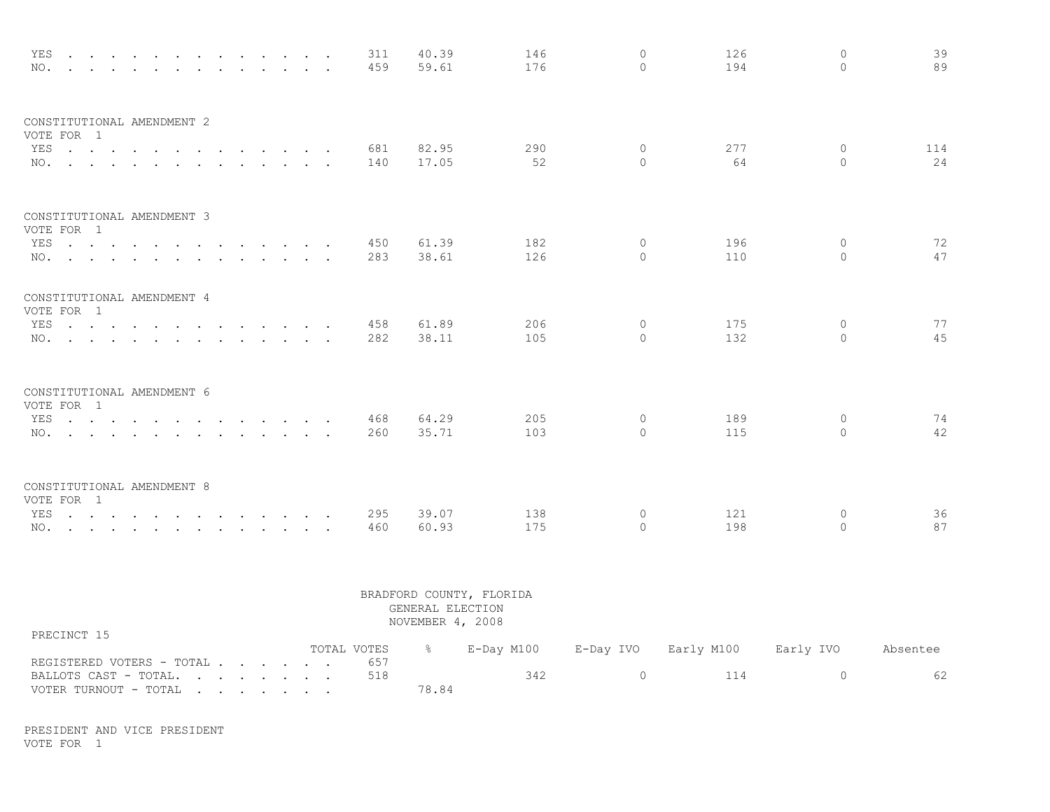| YES<br>NO.                               |  |  | $\sim$ $\sim$ $\sim$ | 311<br>459 | 40.39<br>59.61 | 146<br>176 | $\Omega$<br>$\Omega$ | 126<br>194 | $\Omega$<br>$\Omega$ | 39<br>89  |
|------------------------------------------|--|--|----------------------|------------|----------------|------------|----------------------|------------|----------------------|-----------|
| CONSTITUTIONAL AMENDMENT 2<br>VOTE FOR 1 |  |  |                      |            |                |            |                      |            |                      |           |
| YES<br>NO.                               |  |  |                      | 681<br>140 | 82.95<br>17.05 | 290<br>52  | $\Omega$<br>$\Omega$ | 277<br>64  | $\circ$<br>$\Omega$  | 114<br>24 |
| CONSTITUTIONAL AMENDMENT 3<br>VOTE FOR 1 |  |  |                      |            |                |            |                      |            |                      |           |
| YES<br>NO.                               |  |  |                      | 450<br>283 | 61.39<br>38.61 | 182<br>126 | $\Omega$<br>$\Omega$ | 196<br>110 | $\Omega$<br>$\Omega$ | 72<br>47  |
| CONSTITUTIONAL AMENDMENT 4<br>VOTE FOR 1 |  |  |                      |            |                |            |                      |            |                      |           |
| YES                                      |  |  |                      | 458<br>282 | 61.89<br>38.11 | 206<br>105 | 0<br>$\Omega$        | 175<br>132 | $\circ$<br>$\Omega$  | 77<br>45  |
| CONSTITUTIONAL AMENDMENT 6<br>VOTE FOR 1 |  |  |                      |            |                |            |                      |            |                      |           |
| YES<br>NO.                               |  |  |                      | 468<br>260 | 64.29<br>35.71 | 205<br>103 | $\Omega$<br>$\Omega$ | 189<br>115 | $\circ$<br>$\Omega$  | 74<br>42  |
| CONSTITUTIONAL AMENDMENT 8<br>VOTE FOR 1 |  |  |                      |            |                |            |                      |            |                      |           |
| YES<br>NO.                               |  |  |                      | 295<br>460 | 39.07<br>60.93 | 138<br>175 | $\circ$<br>$\Omega$  | 121<br>198 | $\circ$<br>$\Omega$  | 36<br>87  |

|                           |  |  |             | GENERAL ELECTION<br>NOVEMBER 4, 2008 | BRADFORD COUNTY, FLORIDA |           |            |           |          |
|---------------------------|--|--|-------------|--------------------------------------|--------------------------|-----------|------------|-----------|----------|
| PRECINCT 15               |  |  | TOTAL VOTES |                                      | E-Day M100               | E-Day IVO | Early M100 | Early IVO | Absentee |
| REGISTERED VOTERS - TOTAL |  |  | 657         |                                      |                          |           |            |           |          |
| BALLOTS CAST - TOTAL.     |  |  | 518         |                                      | 342                      | $\Omega$  | 114        |           | 62       |
| VOTER TURNOUT - TOTAL     |  |  |             | 78.84                                |                          |           |            |           |          |

PRESIDENT AND VICE PRESIDENT VOTE FOR 1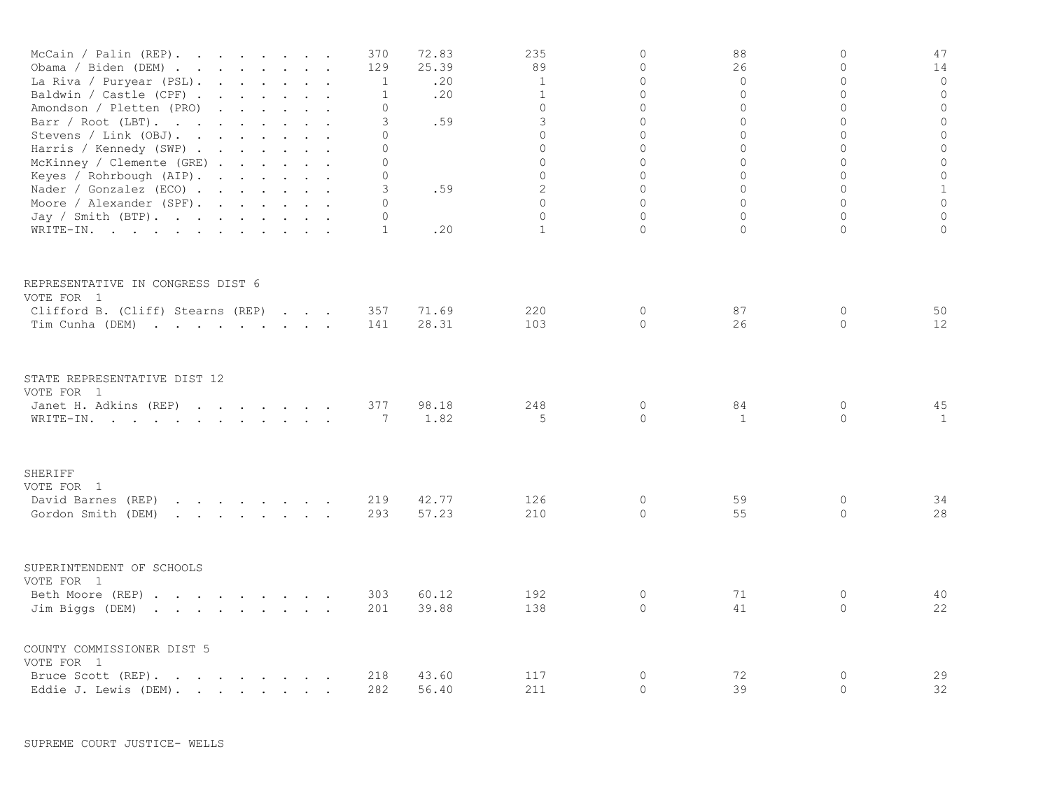| McCain / Palin (REP).<br>Obama / Biden (DEM)<br>La Riva / Puryear (PSL).<br>Baldwin / Castle (CPF).<br>Amondson / Pletten (PRO)<br>Barr / Root (LBT).<br>Stevens / Link (OBJ).<br>Harris / Kennedy (SWP)<br>McKinney / Clemente (GRE)<br>Keyes / Rohrbough $(AIP)$ .<br>Nader / Gonzalez (ECO)<br>Moore / Alexander (SPF).<br>Jay / Smith (BTP).<br>WRITE-IN. | and the contract of the contract of the<br>the contract of the contract of the contract of the contract of the contract of<br>$\mathbf{r}$ , $\mathbf{r}$ , $\mathbf{r}$ , $\mathbf{r}$ , $\mathbf{r}$ , $\mathbf{r}$ |  | 370<br>129<br>1<br>$\mathbf{1}$<br>0<br>3<br>0<br>$\Omega$<br>0<br>0<br>3<br>$\Omega$<br>0<br>1 | 72.83<br>25.39<br>.20<br>.20<br>.59<br>.59<br>.20 | 235<br>89<br>1<br>$\mathbf{1}$<br>$\circ$<br>3<br>$\mathbf 0$<br>$\Omega$<br>$\circ$<br>$\mathbf 0$<br>2<br>$\Omega$<br>$\Omega$<br>$\mathbf{1}$ | $\Omega$<br>$\circ$<br>$\Omega$<br>$\Omega$<br>$\circ$<br>0<br>$\Omega$<br>$\Omega$<br>$\circ$<br>$\circ$<br>$\Omega$<br>$\Omega$<br>$\Omega$<br>$\Omega$ | 88<br>26<br>$\mathbf 0$<br>$\Omega$<br>$\mathbf 0$<br>0<br>$\mathbf{0}$<br>$\Omega$<br>$\mathbf 0$<br>0<br>$\Omega$<br>$\Omega$<br>$\mathbf{0}$<br>$\Omega$ | $\Omega$<br>$\Omega$<br>$\Omega$<br>$\Omega$<br>$\overline{0}$<br>0<br>0<br>$\Omega$<br>$\overline{0}$<br>0<br>$\Omega$<br>$\Omega$<br>$\Omega$<br>$\Omega$ | 47<br>14<br>$\circ$<br>$\mathbf 0$<br>$\mathbb O$<br>$\mathbb O$<br>$\circ$<br>$\mathbb O$<br>$\circ$<br>$\mathbb O$<br>$\mathbf{1}$<br>$\circ$<br>$\mathbf 0$<br>0 |
|---------------------------------------------------------------------------------------------------------------------------------------------------------------------------------------------------------------------------------------------------------------------------------------------------------------------------------------------------------------|-----------------------------------------------------------------------------------------------------------------------------------------------------------------------------------------------------------------------|--|-------------------------------------------------------------------------------------------------|---------------------------------------------------|--------------------------------------------------------------------------------------------------------------------------------------------------|-----------------------------------------------------------------------------------------------------------------------------------------------------------|-------------------------------------------------------------------------------------------------------------------------------------------------------------|-------------------------------------------------------------------------------------------------------------------------------------------------------------|---------------------------------------------------------------------------------------------------------------------------------------------------------------------|
|                                                                                                                                                                                                                                                                                                                                                               |                                                                                                                                                                                                                       |  |                                                                                                 |                                                   |                                                                                                                                                  |                                                                                                                                                           |                                                                                                                                                             |                                                                                                                                                             |                                                                                                                                                                     |
| REPRESENTATIVE IN CONGRESS DIST 6<br>VOTE FOR 1                                                                                                                                                                                                                                                                                                               |                                                                                                                                                                                                                       |  |                                                                                                 |                                                   |                                                                                                                                                  |                                                                                                                                                           |                                                                                                                                                             |                                                                                                                                                             |                                                                                                                                                                     |
| Clifford B. (Cliff) Stearns (REP)                                                                                                                                                                                                                                                                                                                             |                                                                                                                                                                                                                       |  | 357                                                                                             | 71.69                                             | 220                                                                                                                                              | $\circ$                                                                                                                                                   | 87                                                                                                                                                          | $\circ$                                                                                                                                                     | 50                                                                                                                                                                  |
| Tim Cunha (DEM)                                                                                                                                                                                                                                                                                                                                               |                                                                                                                                                                                                                       |  | 141                                                                                             | 28.31                                             | 103                                                                                                                                              | $\Omega$                                                                                                                                                  | 26                                                                                                                                                          | $\Omega$                                                                                                                                                    | 12                                                                                                                                                                  |
| STATE REPRESENTATIVE DIST 12                                                                                                                                                                                                                                                                                                                                  |                                                                                                                                                                                                                       |  |                                                                                                 |                                                   |                                                                                                                                                  |                                                                                                                                                           |                                                                                                                                                             |                                                                                                                                                             |                                                                                                                                                                     |
| VOTE FOR 1<br>Janet H. Adkins (REP)                                                                                                                                                                                                                                                                                                                           |                                                                                                                                                                                                                       |  | 377                                                                                             | 98.18                                             | 248                                                                                                                                              | $\circ$                                                                                                                                                   | 84                                                                                                                                                          | 0                                                                                                                                                           | 45                                                                                                                                                                  |
| WRITE-IN.                                                                                                                                                                                                                                                                                                                                                     |                                                                                                                                                                                                                       |  | 7                                                                                               | 1.82                                              | 5                                                                                                                                                | $\Omega$                                                                                                                                                  | 1                                                                                                                                                           | $\circ$                                                                                                                                                     | 1                                                                                                                                                                   |
| SHERIFF                                                                                                                                                                                                                                                                                                                                                       |                                                                                                                                                                                                                       |  |                                                                                                 |                                                   |                                                                                                                                                  |                                                                                                                                                           |                                                                                                                                                             |                                                                                                                                                             |                                                                                                                                                                     |
| VOTE FOR 1                                                                                                                                                                                                                                                                                                                                                    |                                                                                                                                                                                                                       |  |                                                                                                 |                                                   |                                                                                                                                                  |                                                                                                                                                           |                                                                                                                                                             |                                                                                                                                                             |                                                                                                                                                                     |
| David Barnes (REP)<br>the contract of the contract of the contract of<br>Gordon Smith (DEM)<br>$\mathbf{r}$ , $\mathbf{r}$ , $\mathbf{r}$ , $\mathbf{r}$ , $\mathbf{r}$ , $\mathbf{r}$                                                                                                                                                                        |                                                                                                                                                                                                                       |  | 219<br>293                                                                                      | 42.77<br>57.23                                    | 126<br>210                                                                                                                                       | 0<br>$\Omega$                                                                                                                                             | 59<br>55                                                                                                                                                    | 0<br>$\circ$                                                                                                                                                | 34<br>28                                                                                                                                                            |
|                                                                                                                                                                                                                                                                                                                                                               |                                                                                                                                                                                                                       |  |                                                                                                 |                                                   |                                                                                                                                                  |                                                                                                                                                           |                                                                                                                                                             |                                                                                                                                                             |                                                                                                                                                                     |
| SUPERINTENDENT OF SCHOOLS<br>VOTE FOR 1                                                                                                                                                                                                                                                                                                                       |                                                                                                                                                                                                                       |  |                                                                                                 |                                                   |                                                                                                                                                  |                                                                                                                                                           |                                                                                                                                                             |                                                                                                                                                             |                                                                                                                                                                     |
| Beth Moore (REP)                                                                                                                                                                                                                                                                                                                                              |                                                                                                                                                                                                                       |  | 303                                                                                             | 60.12                                             | 192                                                                                                                                              | 0                                                                                                                                                         | 71                                                                                                                                                          | 0                                                                                                                                                           | 40                                                                                                                                                                  |
| Jim Biggs (DEM)                                                                                                                                                                                                                                                                                                                                               |                                                                                                                                                                                                                       |  | 201                                                                                             | 39.88                                             | 138                                                                                                                                              | $\Omega$                                                                                                                                                  | 41                                                                                                                                                          | 0                                                                                                                                                           | 22                                                                                                                                                                  |
| COUNTY COMMISSIONER DIST 5<br>VOTE FOR 1                                                                                                                                                                                                                                                                                                                      |                                                                                                                                                                                                                       |  |                                                                                                 |                                                   |                                                                                                                                                  |                                                                                                                                                           |                                                                                                                                                             |                                                                                                                                                             |                                                                                                                                                                     |
| Bruce Scott (REP).<br>and the contract of the contract of the                                                                                                                                                                                                                                                                                                 |                                                                                                                                                                                                                       |  | 218                                                                                             | 43.60                                             | 117                                                                                                                                              | $\circ$                                                                                                                                                   | 72                                                                                                                                                          | $\overline{0}$                                                                                                                                              | 29                                                                                                                                                                  |
| Eddie J. Lewis (DEM).                                                                                                                                                                                                                                                                                                                                         |                                                                                                                                                                                                                       |  | 282                                                                                             | 56.40                                             | 211                                                                                                                                              | $\Omega$                                                                                                                                                  | 39                                                                                                                                                          | $\overline{0}$                                                                                                                                              | 32                                                                                                                                                                  |

SUPREME COURT JUSTICE- WELLS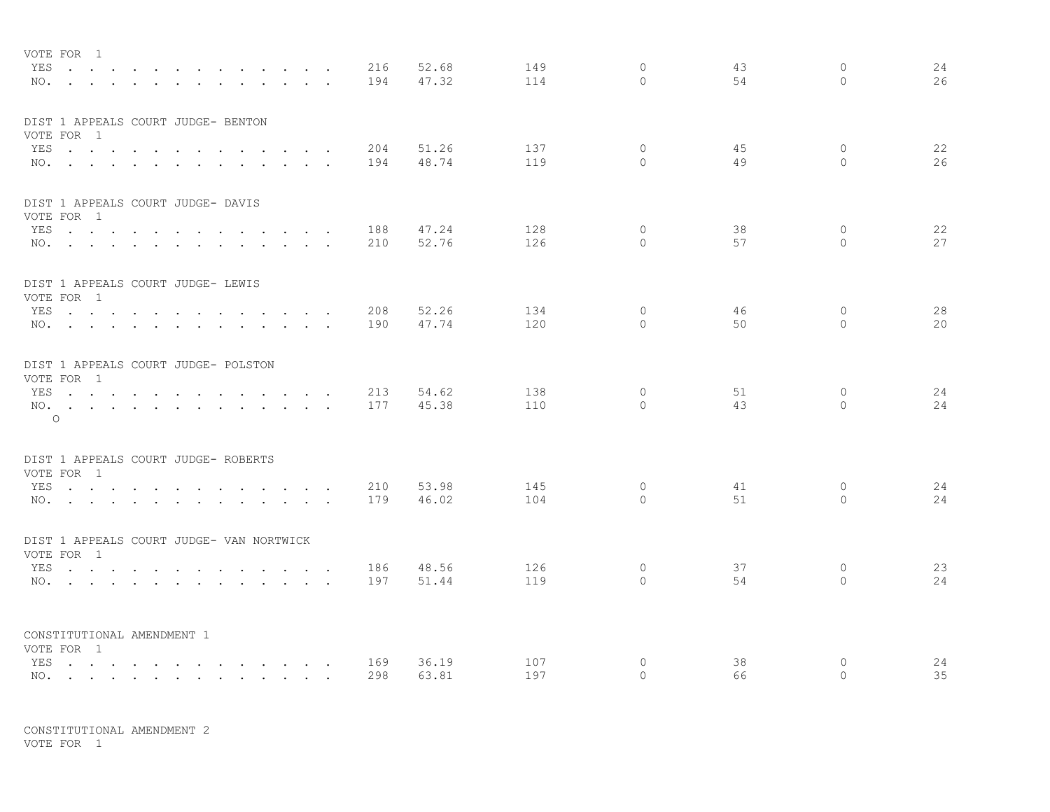|     | VOTE FOR 1<br>YES<br>NO.<br>$\ddot{\phantom{a}}$                                                                                                                                                                               | $\sim$<br>$\sim$        |                         |                                     |                                                                                   | $\cdot$ $\cdot$      |                      | 216<br>194 | 52.68<br>47.32 | 149<br>114 | $\circ$<br>$\Omega$ | 43<br>54 | 0<br>$\Omega$        | 24<br>26 |
|-----|--------------------------------------------------------------------------------------------------------------------------------------------------------------------------------------------------------------------------------|-------------------------|-------------------------|-------------------------------------|-----------------------------------------------------------------------------------|----------------------|----------------------|------------|----------------|------------|---------------------|----------|----------------------|----------|
|     | DIST 1 APPEALS COURT JUDGE- BENTON<br>VOTE FOR 1                                                                                                                                                                               |                         |                         |                                     |                                                                                   |                      |                      |            |                |            |                     |          |                      |          |
|     | YES<br>NO.                                                                                                                                                                                                                     |                         |                         |                                     |                                                                                   |                      | $\sim$ $\sim$ $\sim$ | 204<br>194 | 51.26<br>48.74 | 137<br>119 | $\circ$<br>$\Omega$ | 45<br>49 | $\circ$<br>$\bigcap$ | 22<br>26 |
|     | DIST 1 APPEALS COURT JUDGE- DAVIS                                                                                                                                                                                              |                         |                         |                                     |                                                                                   |                      |                      |            |                |            |                     |          |                      |          |
|     | VOTE FOR 1                                                                                                                                                                                                                     |                         |                         |                                     |                                                                                   |                      |                      |            |                |            |                     |          |                      |          |
|     | YES                                                                                                                                                                                                                            |                         |                         |                                     | the contract of the contract of the contract of                                   |                      |                      | 188        | 47.24          | 128        | $\circ$             | 38       | $\circ$              | 22       |
|     | $NO.$ $\cdots$ $\cdots$ $\cdots$                                                                                                                                                                                               |                         |                         | $\sim 100$                          | $\mathbf{r} = \mathbf{r} + \mathbf{r}$ .                                          | $\ddot{\phantom{0}}$ |                      | 210        | 52.76          | 126        | $\Omega$            | 57       | $\Omega$             | 27       |
|     | DIST 1 APPEALS COURT JUDGE- LEWIS<br>VOTE FOR 1                                                                                                                                                                                |                         |                         |                                     |                                                                                   |                      |                      |            |                |            |                     |          |                      |          |
|     | YES                                                                                                                                                                                                                            | $\sim$ $\sim$<br>$\sim$ |                         |                                     |                                                                                   |                      |                      | 208        | 52.26          | 134        | $\circ$             | 46       | $\mathbf 0$          | 28       |
|     | NO.                                                                                                                                                                                                                            |                         |                         |                                     | $\mathbf{r}$ , $\mathbf{r}$ , $\mathbf{r}$ , $\mathbf{r}$                         |                      |                      | 190        | 47.74          | 120        | $\circ$             | 50       | $\circ$              | 20       |
|     | DIST 1 APPEALS COURT JUDGE- POLSTON                                                                                                                                                                                            |                         |                         |                                     |                                                                                   |                      |                      |            |                |            |                     |          |                      |          |
|     | VOTE FOR 1                                                                                                                                                                                                                     |                         |                         |                                     |                                                                                   |                      |                      |            |                |            | $\circ$             |          |                      |          |
| NO. | YES<br>$\mathbf{r}$ , $\mathbf{r}$ , $\mathbf{r}$ , $\mathbf{r}$ , $\mathbf{r}$ , $\mathbf{r}$                                                                                                                                 | $\sim$                  | $\sim$<br>$\sim$ $\sim$ | $\sim$                              | $\sim$ $\sim$ $\sim$<br>$\mathbf{r}$ , $\mathbf{r}$ , $\mathbf{r}$ , $\mathbf{r}$ | $\sim$               | $\sim$ $\sim$        | 213<br>177 | 54.62<br>45.38 | 138<br>110 | $\Omega$            | 51<br>43 | 0<br>$\Omega$        | 24<br>24 |
|     | $\circ$                                                                                                                                                                                                                        |                         |                         |                                     |                                                                                   |                      |                      |            |                |            |                     |          |                      |          |
|     | DIST 1 APPEALS COURT JUDGE- ROBERTS                                                                                                                                                                                            |                         |                         |                                     |                                                                                   |                      |                      |            |                |            |                     |          |                      |          |
|     | VOTE FOR 1<br>YES                                                                                                                                                                                                              |                         |                         |                                     |                                                                                   |                      |                      | 210        | 53.98          | 145        | $\circ$             | 41       | 0                    | 24       |
|     | NO.                                                                                                                                                                                                                            |                         |                         |                                     |                                                                                   |                      |                      | 179        | 46.02          | 104        | $\Omega$            | 51       | $\Omega$             | 24       |
|     |                                                                                                                                                                                                                                |                         |                         |                                     |                                                                                   |                      |                      |            |                |            |                     |          |                      |          |
|     | DIST 1 APPEALS COURT JUDGE- VAN NORTWICK<br>VOTE FOR 1                                                                                                                                                                         |                         |                         |                                     |                                                                                   |                      |                      |            |                |            |                     |          |                      |          |
| YES | and the contract of the contract of the contract of the contract of the contract of the contract of the contract of the contract of the contract of the contract of the contract of the contract of the contract of the contra |                         |                         |                                     |                                                                                   |                      |                      | 186        | 48.56          | 126        | $\Omega$            | 37       | 0                    | 23       |
| NO. | the contract of the contract of the contract of the contract of the contract of the contract of the contract of                                                                                                                |                         |                         |                                     |                                                                                   |                      |                      | 197        | 51.44          | 119        | $\Omega$            | 54       | $\circ$              | 24       |
|     |                                                                                                                                                                                                                                |                         |                         |                                     |                                                                                   |                      |                      |            |                |            |                     |          |                      |          |
|     | CONSTITUTIONAL AMENDMENT 1<br>VOTE FOR 1                                                                                                                                                                                       |                         |                         |                                     |                                                                                   |                      |                      |            |                |            |                     |          |                      |          |
|     | YES                                                                                                                                                                                                                            |                         |                         | the contract of the contract of the |                                                                                   |                      |                      | 169        | 36.19          | 107        | 0                   | 38       | 0                    | 24       |
|     | NO.                                                                                                                                                                                                                            |                         |                         |                                     |                                                                                   |                      |                      | 298        | 63.81          | 197        | $\Omega$            | 66       | $\Omega$             | 35       |